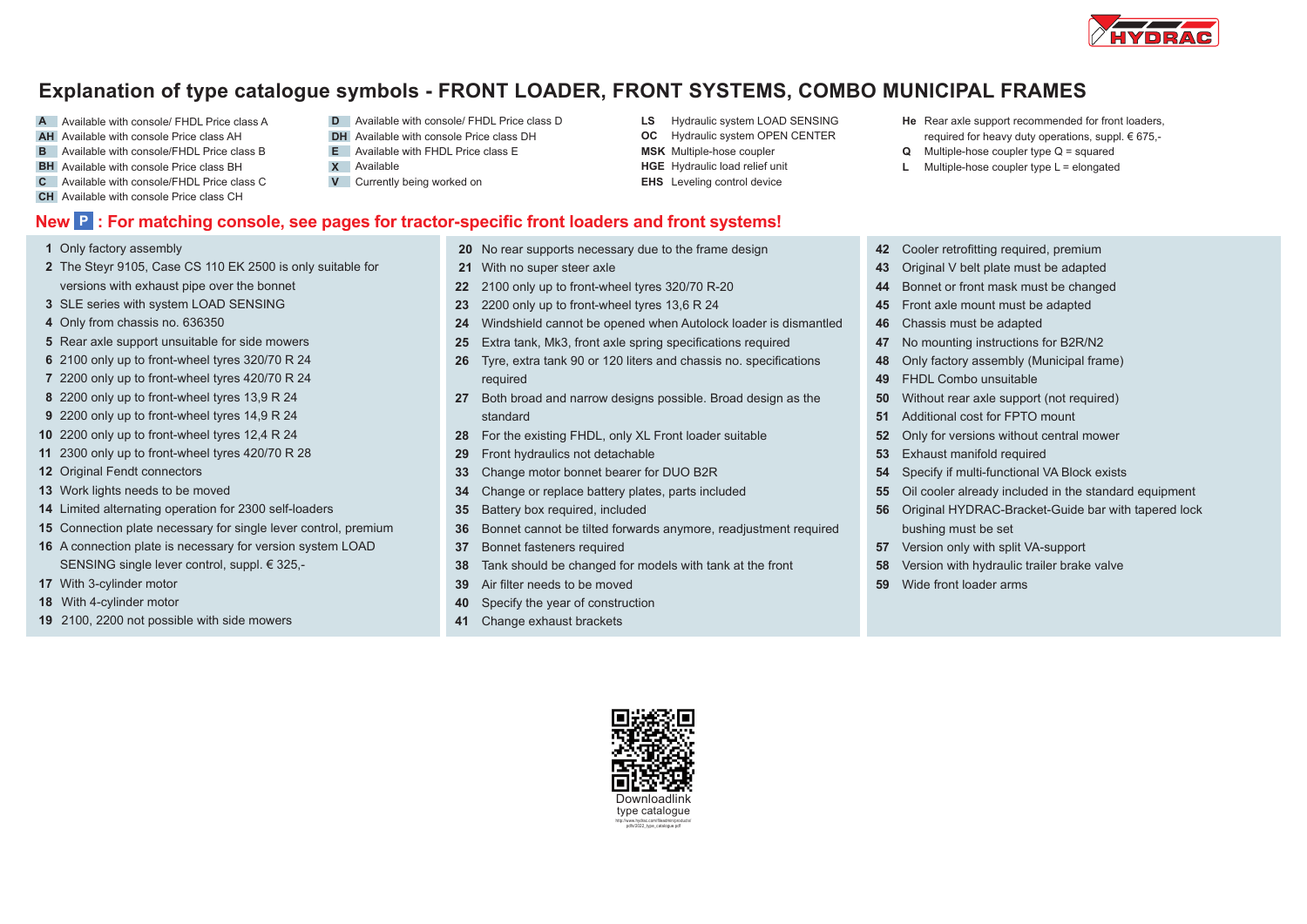

## **Explanation of type catalogue symbols - FRONT LOADER, FRONT SYSTEMS, COMBO MUNICIPAL FRAMES**

- **A** Available with console/ FHDL Price class A
- **AH** Available with console Price class AH
- **B E** Available with console/FHDL Price class B
- **BH X** Available with console Price class BH
- **C V** Available with console/FHDL Price class C
- **CH** Available with console Price class CH
- **D** Available with console/ FHDL Price class D **LS** Hydraulic system LOAD SENSING **He**
- **DH** Available with console Price class DH
- Available with FHDL Price class E **X** Available
- **V** Currently being worked on
- **New P : For matching console, see pages for tractor-specific front loaders and front systems!**
- Only factory assembly
- The Steyr 9105, Case CS 110 EK 2500 is only suitable for versions with exhaust pipe over the bonnet
- SLE series with system LOAD SENSING
- Only from chassis no. 636350
- Rear axle support unsuitable for side mowers
- 2100 only up to front-wheel tyres 320/70 R 24
- 2200 only up to front-wheel tyres 420/70 R 24
- 2200 only up to front-wheel tyres 13,9 R 24
- 2200 only up to front-wheel tyres 14,9 R 24
- 2200 only up to front-wheel tyres 12,4 R 24
- 2300 only up to front-wheel tyres 420/70 R 28
- Original Fendt connectors
- Work lights needs to be moved
- Limited alternating operation for 2300 self-loaders
- Connection plate necessary for single lever control, premium
- A connection plate is necessary for version system LOAD SENSING single lever control, suppl. € 325,-
- With 3-cylinder motor
- With 4-cylinder motor
- 2100, 2200 not possible with side mowers
- No rear supports necessary due to the frame design
- With no super steer axle
- 2100 only up to front-wheel tyres 320/70 R-20
- 2200 only up to front-wheel tyres 13,6 R 24
- Windshield cannot be opened when Autolock loader is dismantled
- Extra tank, Mk3, front axle spring specifications required
- Tyre, extra tank 90 or 120 liters and chassis no. specifications required
- Both broad and narrow designs possible. Broad design as the standard
- For the existing FHDL, only XL Front loader suitable
- Front hydraulics not detachable
- Change motor bonnet bearer for DUO B2R
- Change or replace battery plates, parts included
- Battery box required, included
- Bonnet cannot be tilted forwards anymore, readjustment required
- Bonnet fasteners required
- Tank should be changed for models with tank at the front
- Air filter needs to be moved
- Specify the year of construction
- Change exhaust brackets
	- Downloadlink type catalogue http://www.hydrac.com/fileadmin/products/ pdfs/2022\_type\_catalogue.pdf
- He Rear axle support recommended for front loaders, required for heavy duty operations, suppl. € 675,-
- **Q** Multiple-hose coupler type Q = squared
- **L** Multiple-hose coupler type L = elongated
- Cooler retrofitting required, premium
- Original V belt plate must be adapted
- Bonnet or front mask must be changed
- Front axle mount must be adapted
- Chassis must be adapted
- No mounting instructions for B2R/N2
- Only factory assembly (Municipal frame)
- FHDL Combo unsuitable
- Without rear axle support (not required)
- Additional cost for FPTO mount
- Only for versions without central mower
- Exhaust manifold required
- Specify if multi-functional VA Block exists
- Oil cooler already included in the standard equipment
- Original HYDRAC-Bracket-Guide bar with tapered lock bushing must be set
- Version only with split VA-support
- Version with hydraulic trailer brake valve
- Wide front loader arms



- 
- **OC** Hydraulic system OPEN CENTER

**LS** Hydraulic system LOAD SENSING

- **MSK** Multiple-hose coupler
- **HGE** Hydraulic load relief unit **EHS** Leveling control device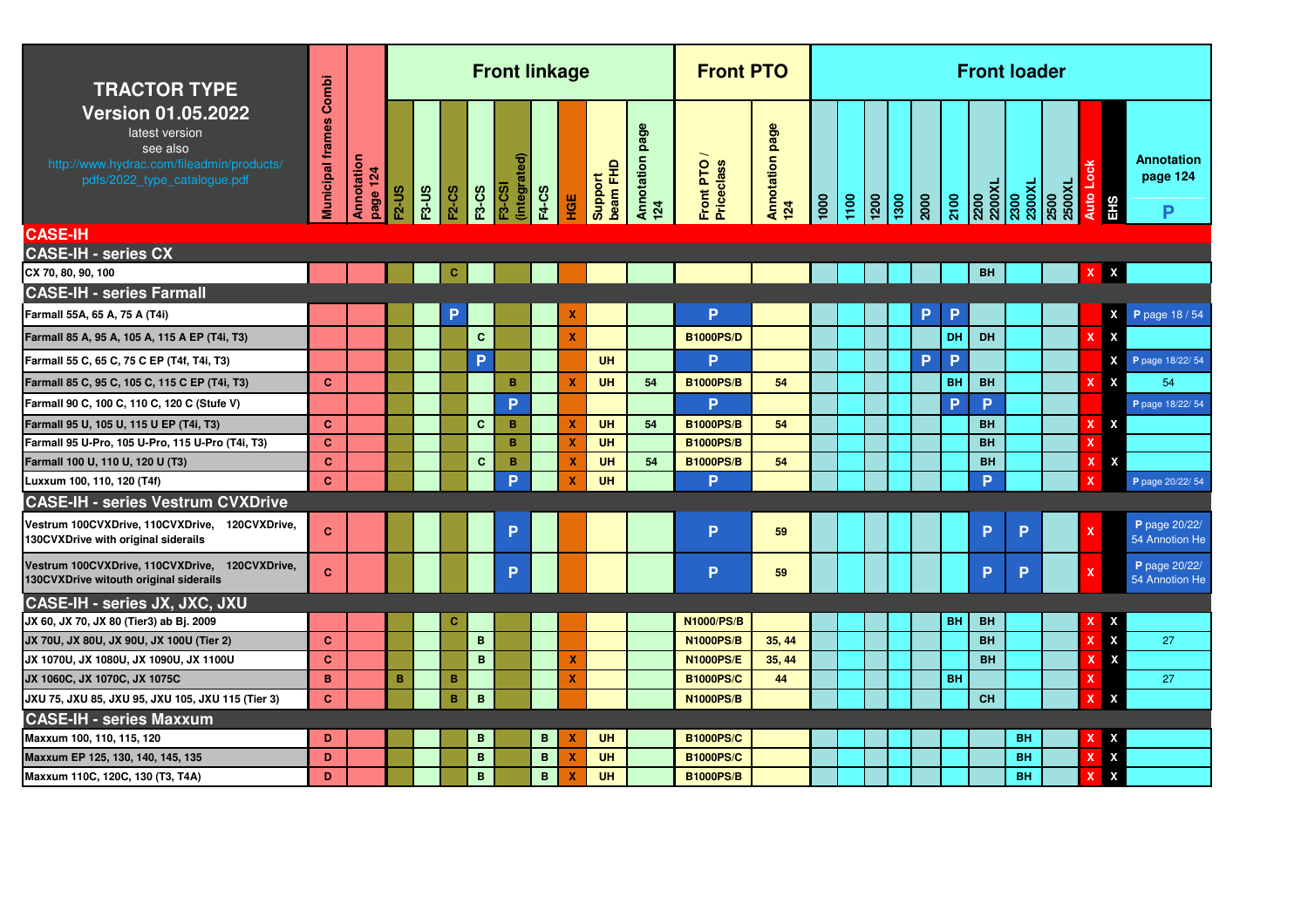| <b>TRACTOR TYPE</b>                                                                                                                  | Combi                   |                        |              |              |                 |              | <b>Front linkage</b>         |                 |                           |                     |                        | <b>Front PTO</b>        |                        |               |      |                 |                 |      |           |           | <b>Front loader</b>              |                |                  |                    |                                    |
|--------------------------------------------------------------------------------------------------------------------------------------|-------------------------|------------------------|--------------|--------------|-----------------|--------------|------------------------------|-----------------|---------------------------|---------------------|------------------------|-------------------------|------------------------|---------------|------|-----------------|-----------------|------|-----------|-----------|----------------------------------|----------------|------------------|--------------------|------------------------------------|
| <b>Version 01.05.2022</b><br>latest version<br>see also<br>http://www.hydrac.com/fileadmin/products/<br>pdfs/2022_type_catalogue.pdf | <b>Municipal frames</b> | Annotation<br>page 124 | <b>F2-US</b> | <b>F3-US</b> | <b>F2-CS</b>    | <b>F3-CS</b> | integrated)<br><b>F3-CSI</b> | <b>F4-CS</b>    | ЧŰ                        | beam FHD<br>Support | Annotation page<br>124 | Front PTO<br>Priceclass | Annotation page<br>124 | $\frac{1}{2}$ | 1100 | $\frac{1}{200}$ | $\frac{1300}{}$ | 2000 | 2100      |           | 2200<br>2200XL<br>2300<br>2300XL | 2500XL<br>2500 | <b>Auto Lock</b> | EHS                | <b>Annotation</b><br>page 124<br>P |
| <b>CASE-IH</b>                                                                                                                       |                         |                        |              |              |                 |              |                              |                 |                           |                     |                        |                         |                        |               |      |                 |                 |      |           |           |                                  |                |                  |                    |                                    |
| <b>CASE-IH - series CX</b>                                                                                                           |                         |                        |              |              |                 |              |                              |                 |                           |                     |                        |                         |                        |               |      |                 |                 |      |           |           |                                  |                |                  |                    |                                    |
| CX 70, 80, 90, 100                                                                                                                   |                         |                        |              |              | c               |              |                              |                 |                           |                     |                        |                         |                        |               |      |                 |                 |      |           | <b>BH</b> |                                  |                | $\mathbf{X}$     | X                  |                                    |
| <b>CASE-IH - series Farmall</b>                                                                                                      |                         |                        |              |              |                 |              |                              |                 |                           |                     |                        |                         |                        |               |      |                 |                 |      |           |           |                                  |                |                  |                    |                                    |
| Farmall 55A, 65 A, 75 A (T4i)                                                                                                        |                         |                        |              |              |                 |              |                              |                 | X                         |                     |                        | P                       |                        |               |      |                 |                 | P    | P         |           |                                  |                |                  | X                  | P page 18/54                       |
| Farmall 85 A, 95 A, 105 A, 115 A EP (T4i, T3)                                                                                        |                         |                        |              |              |                 | $\mathbf{C}$ |                              |                 | $\mathbf x$               |                     |                        | <b>B1000PS/D</b>        |                        |               |      |                 |                 |      | DH        | <b>DH</b> |                                  |                |                  | X                  |                                    |
| Farmall 55 C, 65 C, 75 C EP (T4f, T4i, T3)                                                                                           |                         |                        |              |              |                 | P            |                              |                 |                           | UH                  |                        | P.                      |                        |               |      |                 |                 | P    | P         |           |                                  |                |                  | X                  | P page 18/22/54                    |
| Farmall 85 C, 95 C, 105 C, 115 C EP (T4i, T3)                                                                                        | $\mathbf{C}$            |                        |              |              |                 |              | B                            |                 | X                         | <b>UH</b>           | 54                     | <b>B1000PS/B</b>        | 54                     |               |      |                 |                 |      | BH        | <b>BH</b> |                                  |                | X                | X                  | 54                                 |
| Farmall 90 C, 100 C, 110 C, 120 C (Stufe V)                                                                                          |                         |                        |              |              |                 |              | Þ                            |                 |                           |                     |                        | P                       |                        |               |      |                 |                 |      | P         | P         |                                  |                |                  |                    | P page 18/22/54                    |
| Farmall 95 U, 105 U, 115 U EP (T4i, T3)                                                                                              | $\mathbf{C}$            |                        |              |              |                 | $\mathbf{C}$ | B                            |                 | $\boldsymbol{\mathsf{x}}$ | UH                  | 54                     | <b>B1000PS/B</b>        | 54                     |               |      |                 |                 |      |           | <b>BH</b> |                                  |                | x                | X                  |                                    |
| Farmall 95 U-Pro, 105 U-Pro, 115 U-Pro (T4i, T3)                                                                                     | $\mathbf{c}$            |                        |              |              |                 |              | $\mathbf{B}$                 |                 | $\boldsymbol{\mathsf{x}}$ | <b>UH</b>           |                        | <b>B1000PS/B</b>        |                        |               |      |                 |                 |      |           | <b>BH</b> |                                  |                | $\mathbf x$      |                    |                                    |
| Farmall 100 U, 110 U, 120 U (T3)                                                                                                     | $\mathbf{C}$            |                        |              |              |                 | $\mathbf{C}$ | $\, {\bf B} \,$              |                 | x                         | UH                  | 54                     | <b>B1000PS/B</b>        | 54                     |               |      |                 |                 |      |           | <b>BH</b> |                                  |                | $\mathbf x$      | X                  |                                    |
| Luxxum 100, 110, 120 (T4f)                                                                                                           | $\mathbf{C}$            |                        |              |              |                 |              | P                            |                 | х                         | UH                  |                        | P                       |                        |               |      |                 |                 |      |           | P         |                                  |                | ×                |                    | P page 20/22/ 54                   |
| <b>CASE-IH - series Vestrum CVXDrive</b>                                                                                             |                         |                        |              |              |                 |              |                              |                 |                           |                     |                        |                         |                        |               |      |                 |                 |      |           |           |                                  |                |                  |                    |                                    |
| Vestrum 100CVXDrive, 110CVXDrive, 120CVXDrive,<br>130CVXDrive with original siderails                                                | $\mathbf{C}$            |                        |              |              |                 |              | P                            |                 |                           |                     |                        | P                       | 59                     |               |      |                 |                 |      |           | P         | P                                |                | $\mathbf x$      |                    | P page 20/22/<br>54 Annotion He    |
| Vestrum 100CVXDrive, 110CVXDrive, 120CVXDrive,<br>130CVXDrive witouth original siderails                                             | $\mathbf{C}$            |                        |              |              |                 |              | P                            |                 |                           |                     |                        | P.                      | 59                     |               |      |                 |                 |      |           | P         | P                                |                | x                |                    | P page 20/22/<br>54 Annotion He    |
| CASE-IH - series JX, JXC, JXU                                                                                                        |                         |                        |              |              |                 |              |                              |                 |                           |                     |                        |                         |                        |               |      |                 |                 |      |           |           |                                  |                |                  |                    |                                    |
| JX 60, JX 70, JX 80 (Tier3) ab Bj. 2009                                                                                              |                         |                        |              |              | C.              |              |                              |                 |                           |                     |                        | <b>N1000/PS/B</b>       |                        |               |      |                 |                 |      | <b>BH</b> | <b>BH</b> |                                  |                |                  | X                  |                                    |
| JX 70U, JX 80U, JX 90U, JX 100U (Tier 2)                                                                                             | <b>C</b>                |                        |              |              |                 | B            |                              |                 |                           |                     |                        | <b>N1000PS/B</b>        | 35, 44                 |               |      |                 |                 |      |           | <b>BH</b> |                                  |                | $\mathbf x$      | $\pmb{\mathsf{X}}$ | 27                                 |
| JX 1070U, JX 1080U, JX 1090U, JX 1100U                                                                                               | <b>C</b>                |                        |              |              |                 | $\mathbf{B}$ |                              |                 | x                         |                     |                        | <b>N1000PS/E</b>        | 35, 44                 |               |      |                 |                 |      |           | <b>BH</b> |                                  |                | ×                | X                  |                                    |
| JX 1060C, JX 1070C, JX 1075C                                                                                                         | B                       |                        | B            |              | в               |              |                              |                 | X                         |                     |                        | <b>B1000PS/C</b>        | 44                     |               |      |                 |                 |      | <b>BH</b> |           |                                  |                | $\mathbf x$      |                    | 27                                 |
| JXU 75, JXU 85, JXU 95, JXU 105, JXU 115 (Tier 3)                                                                                    | $\mathbf{C}$            |                        |              |              | $\, {\bf B} \,$ | $\mathbf{B}$ |                              |                 |                           |                     |                        | <b>N1000PS/B</b>        |                        |               |      |                 |                 |      |           | <b>CH</b> |                                  |                | $\mathbf{x}$     | X                  |                                    |
| <b>CASE-IH - series Maxxum</b>                                                                                                       |                         |                        |              |              |                 |              |                              |                 |                           |                     |                        |                         |                        |               |      |                 |                 |      |           |           |                                  |                |                  |                    |                                    |
| Maxxum 100, 110, 115, 120                                                                                                            | D                       |                        |              |              |                 | $\mathbf{B}$ |                              | $\mathbf{B}$    | x                         | UH                  |                        | <b>B1000PS/C</b>        |                        |               |      |                 |                 |      |           |           | <b>BH</b>                        |                | x                | X                  |                                    |
| Maxxum EP 125, 130, 140, 145, 135                                                                                                    | D                       |                        |              |              |                 | B            |                              | B               | X                         | UH                  |                        | <b>B1000PS/C</b>        |                        |               |      |                 |                 |      |           |           | <b>BH</b>                        |                | x                | $\pmb{\mathsf{X}}$ |                                    |
| Maxxum 110C, 120C, 130 (T3, T4A)                                                                                                     | D                       |                        |              |              |                 | $\mathbf{B}$ |                              | $\, {\bf B} \,$ | $\boldsymbol{\mathsf{x}}$ | UH                  |                        | <b>B1000PS/B</b>        |                        |               |      |                 |                 |      |           |           | <b>BH</b>                        |                | x                | X                  |                                    |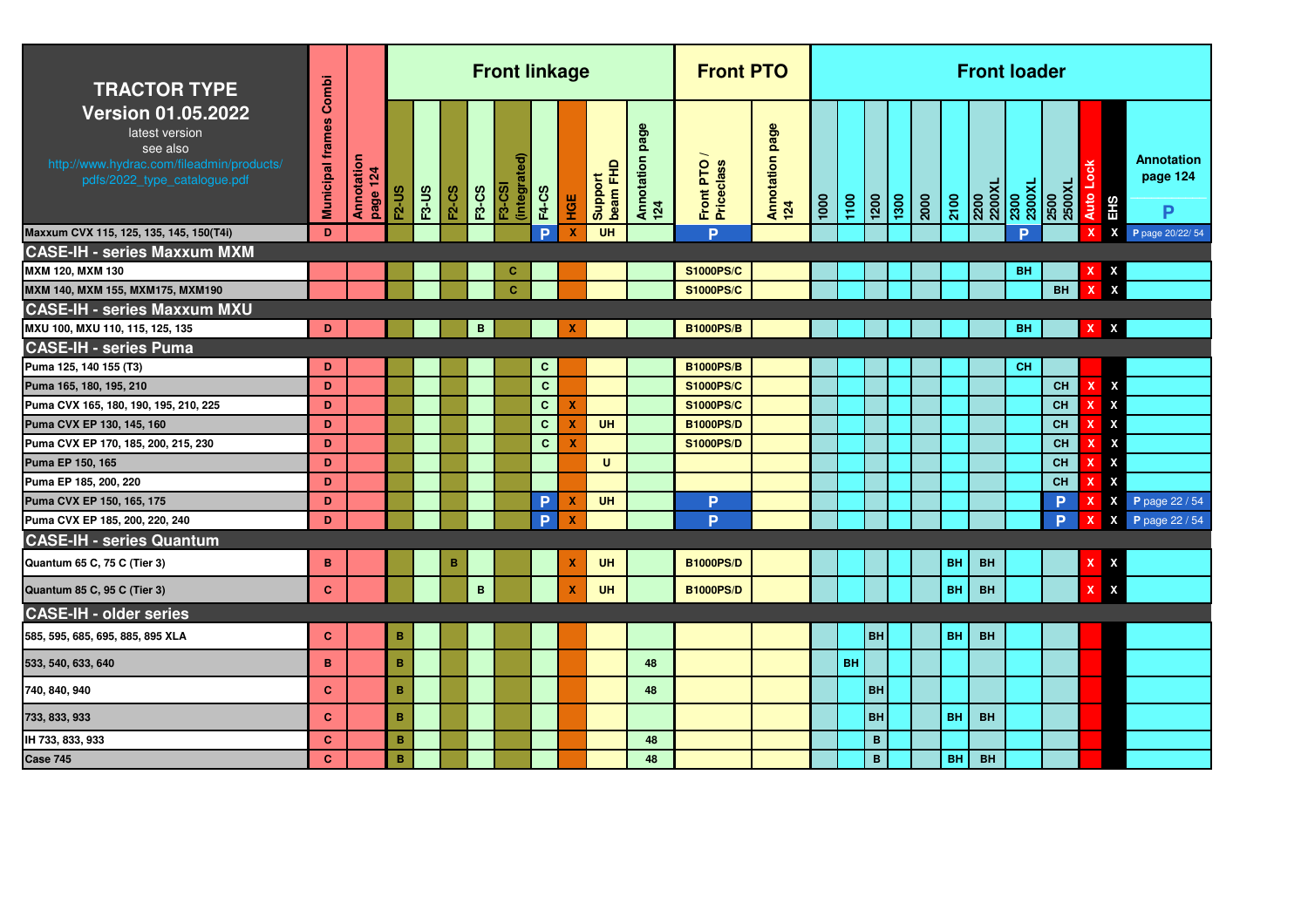| <b>TRACTOR TYPE</b>                                                                                                                  | Combi                   |                        |                |              |              |              | <b>Front linkage</b>       |              |                           |                     |                           | <b>Front PTO</b>        |                        |      |           |             |      |           | <b>Front loader</b> |                |                |                              |                                       |
|--------------------------------------------------------------------------------------------------------------------------------------|-------------------------|------------------------|----------------|--------------|--------------|--------------|----------------------------|--------------|---------------------------|---------------------|---------------------------|-------------------------|------------------------|------|-----------|-------------|------|-----------|---------------------|----------------|----------------|------------------------------|---------------------------------------|
| <b>Version 01.05.2022</b><br>latest version<br>see also<br>http://www.hydrac.com/fileadmin/products/<br>pdfs/2022_type_catalogue.pdf | <b>Municipal frames</b> | Annotation<br>page 124 | <b>F2-US</b>   | <b>F3-US</b> | <b>F2-CS</b> | <b>F3-CS</b> | (integrat<br><b>F3-CSI</b> | <b>F4-CS</b> | <b>HOE</b>                | beam FHD<br>Support | page<br>Annotation<br>124 | Front PTO<br>Priceclass | Annotation page<br>124 | 1000 | 1100      | 1200        | 2000 | 2100      | 2200<br>2200XL      | 2300<br>2300XL | 2500XL<br>2500 | Auto Lock<br>EH <sub>S</sub> | Annotation<br>page 124<br>D           |
| Maxxum CVX 115, 125, 135, 145, 150(T4i)                                                                                              | D                       |                        |                |              |              |              |                            | P            | X                         | UH                  |                           | <b>D</b>                |                        |      |           |             |      |           |                     | Þ              |                | X                            | $\pmb{\mathsf{X}}$<br>P page 20/22/54 |
| <b>CASE-IH - series Maxxum MXM</b>                                                                                                   |                         |                        |                |              |              |              |                            |              |                           |                     |                           |                         |                        |      |           |             |      |           |                     |                |                |                              |                                       |
| MXM 120. MXM 130                                                                                                                     |                         |                        |                |              |              |              | c                          |              |                           |                     |                           | <b>S1000PS/C</b>        |                        |      |           |             |      |           |                     | <b>BH</b>      |                |                              |                                       |
| MXM 140, MXM 155, MXM175, MXM190                                                                                                     |                         |                        |                |              |              |              | $\mathbf{C}$               |              |                           |                     |                           | <b>S1000PS/C</b>        |                        |      |           |             |      |           |                     |                | <b>BH</b>      |                              |                                       |
| <b>CASE-IH - series Maxxum MXU</b>                                                                                                   |                         |                        |                |              |              |              |                            |              |                           |                     |                           |                         |                        |      |           |             |      |           |                     |                |                |                              |                                       |
| MXU 100, MXU 110, 115, 125, 135                                                                                                      | D                       |                        |                |              |              | B            |                            |              | $\boldsymbol{\mathsf{x}}$ |                     |                           | <b>B1000PS/B</b>        |                        |      |           |             |      |           |                     | <b>BH</b>      |                | $X$ $X$                      |                                       |
| <b>CASE-IH - series Puma</b>                                                                                                         |                         |                        |                |              |              |              |                            |              |                           |                     |                           |                         |                        |      |           |             |      |           |                     |                |                |                              |                                       |
| Puma 125, 140 155 (T3)                                                                                                               | D                       |                        |                |              |              |              |                            | $\mathbf{C}$ |                           |                     |                           | <b>B1000PS/B</b>        |                        |      |           |             |      |           |                     | <b>CH</b>      |                |                              |                                       |
| Puma 165, 180, 195, 210                                                                                                              | D                       |                        |                |              |              |              |                            | $\mathbf{C}$ |                           |                     |                           | <b>S1000PS/C</b>        |                        |      |           |             |      |           |                     |                | <b>CH</b>      | X                            | X                                     |
| Puma CVX 165, 180, 190, 195, 210, 225                                                                                                | D                       |                        |                |              |              |              |                            | $\mathbf{C}$ | $\boldsymbol{\mathsf{x}}$ |                     |                           | <b>S1000PS/C</b>        |                        |      |           |             |      |           |                     |                | <b>CH</b>      | x                            | X                                     |
| Puma CVX EP 130, 145, 160                                                                                                            | D                       |                        |                |              |              |              |                            | $\mathbf{C}$ | $\boldsymbol{\mathsf{x}}$ | <b>UH</b>           |                           | <b>B1000PS/D</b>        |                        |      |           |             |      |           |                     |                | <b>CH</b>      | x                            | X                                     |
| Puma CVX EP 170, 185, 200, 215, 230                                                                                                  | D                       |                        |                |              |              |              |                            | $\mathbf{C}$ | x                         |                     |                           | <b>S1000PS/D</b>        |                        |      |           |             |      |           |                     |                | <b>CH</b>      | x                            | X                                     |
| Puma EP 150, 165                                                                                                                     | D                       |                        |                |              |              |              |                            |              |                           | $\mathbf{U}$        |                           |                         |                        |      |           |             |      |           |                     |                | <b>CH</b>      |                              | X                                     |
| Puma EP 185, 200, 220                                                                                                                | D                       |                        |                |              |              |              |                            |              |                           |                     |                           |                         |                        |      |           |             |      |           |                     |                | <b>CH</b>      |                              | X                                     |
| Puma CVX EP 150, 165, 175                                                                                                            | D                       |                        |                |              |              |              |                            | <b>P</b>     | $\boldsymbol{\mathsf{x}}$ | <b>UH</b>           |                           | P                       |                        |      |           |             |      |           |                     |                | P.             |                              | P page 22 / 54<br>X                   |
| Puma CVX EP 185, 200, 220, 240                                                                                                       | D                       |                        |                |              |              |              |                            | P            | $\boldsymbol{\mathsf{x}}$ |                     |                           | P                       |                        |      |           |             |      |           |                     |                | <b>P</b>       | $\mathbf x$                  | P page 22 / 54<br>X                   |
| <b>CASE-IH - series Quantum</b>                                                                                                      |                         |                        |                |              |              |              |                            |              |                           |                     |                           |                         |                        |      |           |             |      |           |                     |                |                |                              |                                       |
| Quantum 65 C, 75 C (Tier 3)                                                                                                          | B                       |                        |                |              | в            |              |                            |              | X                         | <b>UH</b>           |                           | <b>B1000PS/D</b>        |                        |      |           |             |      | <b>BH</b> | <b>BH</b>           |                |                |                              | x                                     |
| Quantum 85 C, 95 C (Tier 3)                                                                                                          | $\mathbf{C}$            |                        |                |              |              | $\mathbf B$  |                            |              | $\mathbf x$               | <b>UH</b>           |                           | <b>B1000PS/D</b>        |                        |      |           |             |      | <b>BH</b> | <b>BH</b>           |                |                | x                            | X                                     |
| <b>CASE-IH - older series</b>                                                                                                        |                         |                        |                |              |              |              |                            |              |                           |                     |                           |                         |                        |      |           |             |      |           |                     |                |                |                              |                                       |
| 585, 595, 685, 695, 885, 895 XLA                                                                                                     | c                       |                        | B              |              |              |              |                            |              |                           |                     |                           |                         |                        |      |           | BH          |      | <b>BH</b> | <b>BH</b>           |                |                |                              |                                       |
| 533, 540, 633, 640                                                                                                                   | B                       |                        | B              |              |              |              |                            |              |                           |                     | 48                        |                         |                        |      | <b>BH</b> |             |      |           |                     |                |                |                              |                                       |
| 740, 840, 940                                                                                                                        | $\mathbf{C}$            |                        | B              |              |              |              |                            |              |                           |                     | 48                        |                         |                        |      |           | <b>BH</b>   |      |           |                     |                |                |                              |                                       |
| 733, 833, 933                                                                                                                        | $\mathbf{C}$            |                        | B              |              |              |              |                            |              |                           |                     |                           |                         |                        |      |           | <b>BH</b>   |      | <b>BH</b> | <b>BH</b>           |                |                |                              |                                       |
| IH 733, 833, 933                                                                                                                     | $\mathbf{C}$            |                        | $\overline{B}$ |              |              |              |                            |              |                           |                     | 48                        |                         |                        |      |           | $\mathbf B$ |      |           |                     |                |                |                              |                                       |
| <b>Case 745</b>                                                                                                                      | $\mathbf{C}$            |                        | $\overline{B}$ |              |              |              |                            |              |                           |                     | 48                        |                         |                        |      |           | $\mathbf B$ |      | <b>BH</b> | <b>BH</b>           |                |                |                              |                                       |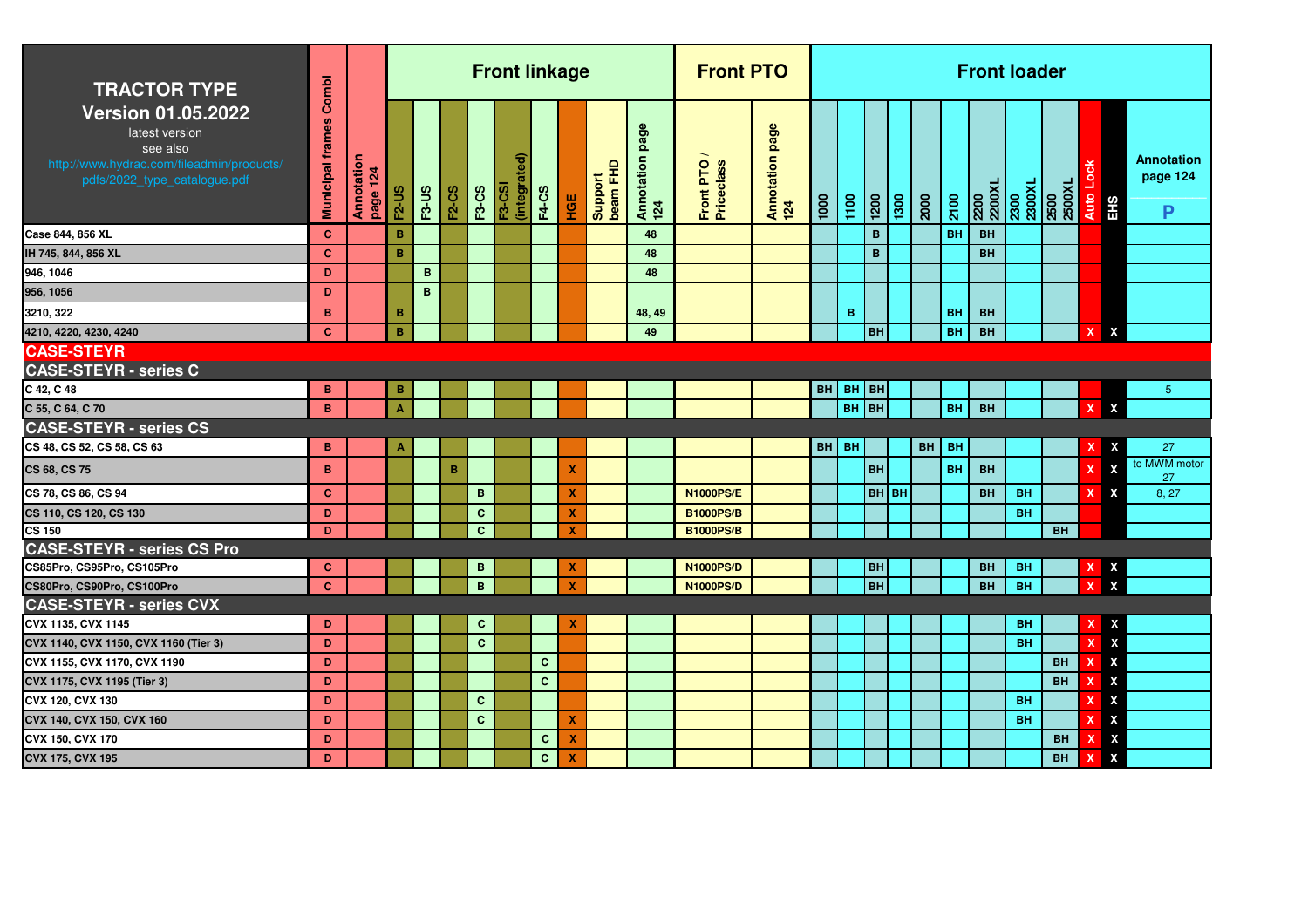| <b>TRACTOR TYPE</b>                                                                                                                  | Combi                   |                        |                |              |              |              | <b>Front linkage</b>         |              |                           |                       |                           | <b>Front PTO</b>        |                        |           |           |                    |      |      |           |                 | <b>Front loader</b> |                |              |                           |                                    |
|--------------------------------------------------------------------------------------------------------------------------------------|-------------------------|------------------------|----------------|--------------|--------------|--------------|------------------------------|--------------|---------------------------|-----------------------|---------------------------|-------------------------|------------------------|-----------|-----------|--------------------|------|------|-----------|-----------------|---------------------|----------------|--------------|---------------------------|------------------------------------|
| <b>Version 01.05.2022</b><br>latest version<br>see also<br>http://www.hydrac.com/fileadmin/products/<br>pdfs/2022_type_catalogue.pdf | <b>Municipal frames</b> | Annotation<br>page 124 | <b>F2-US</b>   | <b>F3-US</b> | <b>F2-CS</b> | <b>F3-CS</b> | (integrate)<br><b>F3-CSI</b> | <b>F4-CS</b> | <b>HOE</b>                | Support<br>  beam FHD | page<br>Annotation<br>124 | Front PTO<br>Priceclass | Annotation page<br>124 | 1000      | 1100      | $\frac{1200}{200}$ | 1300 | 2000 | 2100      | 1X0022<br>2500X | 2300<br>2300XL      | 2500<br>2500XL | <b>Auto</b>  | <b>EHS</b>                | <b>Annotation</b><br>page 124<br>P |
| Case 844, 856 XL                                                                                                                     | $\mathbf{C}$            |                        | B              |              |              |              |                              |              |                           |                       | 48                        |                         |                        |           |           | B                  |      |      | <b>BH</b> | <b>BH</b>       |                     |                |              |                           |                                    |
| IH 745, 844, 856 XL                                                                                                                  | <b>C</b>                |                        | B              |              |              |              |                              |              |                           |                       | 48                        |                         |                        |           |           | B                  |      |      |           | <b>BH</b>       |                     |                |              |                           |                                    |
| 946, 1046                                                                                                                            | D                       |                        |                | B            |              |              |                              |              |                           |                       | 48                        |                         |                        |           |           |                    |      |      |           |                 |                     |                |              |                           |                                    |
| 956, 1056                                                                                                                            | D                       |                        |                | B            |              |              |                              |              |                           |                       |                           |                         |                        |           |           |                    |      |      |           |                 |                     |                |              |                           |                                    |
| 3210, 322                                                                                                                            | B                       |                        | $\, {\bf B}$   |              |              |              |                              |              |                           |                       | 48, 49                    |                         |                        |           | B         |                    |      |      | BH        | <b>BH</b>       |                     |                |              |                           |                                    |
| 4210, 4220, 4230, 4240                                                                                                               | <b>C</b>                |                        | B              |              |              |              |                              |              |                           |                       | 49                        |                         |                        |           |           | <b>BH</b>          |      |      | <b>BH</b> | <b>BH</b>       |                     |                | X            | X                         |                                    |
| <b>CASE-STEYR</b>                                                                                                                    |                         |                        |                |              |              |              |                              |              |                           |                       |                           |                         |                        |           |           |                    |      |      |           |                 |                     |                |              |                           |                                    |
| <b>CASE-STEYR - series C</b>                                                                                                         |                         |                        |                |              |              |              |                              |              |                           |                       |                           |                         |                        |           |           |                    |      |      |           |                 |                     |                |              |                           |                                    |
| C 42, C 48                                                                                                                           | в                       |                        | B              |              |              |              |                              |              |                           |                       |                           |                         |                        | <b>BH</b> | $BH$ BH   |                    |      |      |           |                 |                     |                |              |                           | $5\phantom{.0}$                    |
| C 55, C 64, C 70                                                                                                                     | B                       |                        | $\overline{A}$ |              |              |              |                              |              |                           |                       |                           |                         |                        |           | BH BH     |                    |      |      | <b>BH</b> | <b>BH</b>       |                     |                | $\mathbf{x}$ | X                         |                                    |
| <b>CASE-STEYR - series CS</b>                                                                                                        |                         |                        |                |              |              |              |                              |              |                           |                       |                           |                         |                        |           |           |                    |      |      |           |                 |                     |                |              |                           |                                    |
| CS 48, CS 52, CS 58, CS 63                                                                                                           | B                       |                        |                |              |              |              |                              |              |                           |                       |                           |                         |                        | BH        | <b>BH</b> |                    |      | BH   | <b>BH</b> |                 |                     |                |              | X                         | 27                                 |
| CS 68, CS 75                                                                                                                         | B                       |                        |                |              | в            |              |                              |              | X                         |                       |                           |                         |                        |           |           | <b>BH</b>          |      |      | <b>BH</b> | <b>BH</b>       |                     |                |              | $\boldsymbol{\mathsf{x}}$ | to MWM motor<br>27                 |
| CS 78, CS 86, CS 94                                                                                                                  | $\mathbf{C}$            |                        |                |              |              | $\mathbf B$  |                              |              | X                         |                       |                           | <b>N1000PS/E</b>        |                        |           |           | <b>BH</b> BH       |      |      |           | <b>BH</b>       | <b>BH</b>           |                |              | X                         | 8, 27                              |
| CS 110, CS 120, CS 130                                                                                                               | D                       |                        |                |              |              | $\mathbf{C}$ |                              |              | X                         |                       |                           | <b>B1000PS/B</b>        |                        |           |           |                    |      |      |           |                 | <b>BH</b>           |                |              |                           |                                    |
| <b>CS 150</b>                                                                                                                        | D                       |                        |                |              |              | $\mathbf{C}$ |                              |              | $\boldsymbol{\mathsf{x}}$ |                       |                           | <b>B1000PS/B</b>        |                        |           |           |                    |      |      |           |                 |                     | <b>BH</b>      |              |                           |                                    |
| <b>CASE-STEYR - series CS Pro</b>                                                                                                    |                         |                        |                |              |              |              |                              |              |                           |                       |                           |                         |                        |           |           |                    |      |      |           |                 |                     |                |              |                           |                                    |
| CS85Pro, CS95Pro, CS105Pro                                                                                                           | <b>C</b>                |                        |                |              |              | B            |                              |              | X                         |                       |                           | <b>N1000PS/D</b>        |                        |           |           | <b>BH</b>          |      |      |           | <b>BH</b>       | <b>BH</b>           |                |              | X                         |                                    |
| CS80Pro, CS90Pro, CS100Pro                                                                                                           | <b>C</b>                |                        |                |              |              | $\mathbf{B}$ |                              |              | $\boldsymbol{\mathsf{x}}$ |                       |                           | <b>N1000PS/D</b>        |                        |           |           | <b>BH</b>          |      |      |           | <b>BH</b>       | <b>BH</b>           |                | X            | $\boldsymbol{\mathsf{x}}$ |                                    |
| <b>CASE-STEYR - series CVX</b>                                                                                                       |                         |                        |                |              |              |              |                              |              |                           |                       |                           |                         |                        |           |           |                    |      |      |           |                 |                     |                |              |                           |                                    |
| CVX 1135, CVX 1145                                                                                                                   | D                       |                        |                |              |              | $\mathbf{C}$ |                              |              | X                         |                       |                           |                         |                        |           |           |                    |      |      |           |                 | <b>BH</b>           |                |              | $\boldsymbol{\mathsf{x}}$ |                                    |
| CVX 1140, CVX 1150, CVX 1160 (Tier 3)                                                                                                | D                       |                        |                |              |              | $\mathbf{C}$ |                              |              |                           |                       |                           |                         |                        |           |           |                    |      |      |           |                 | <b>BH</b>           |                |              | $\boldsymbol{\mathsf{X}}$ |                                    |
| CVX 1155, CVX 1170, CVX 1190                                                                                                         | D                       |                        |                |              |              |              |                              | $\mathbf{C}$ |                           |                       |                           |                         |                        |           |           |                    |      |      |           |                 |                     | <b>BH</b>      |              | X                         |                                    |
| CVX 1175, CVX 1195 (Tier 3)                                                                                                          | D                       |                        |                |              |              |              |                              | $\mathbf{C}$ |                           |                       |                           |                         |                        |           |           |                    |      |      |           |                 |                     | <b>BH</b>      |              | X                         |                                    |
| CVX 120, CVX 130                                                                                                                     | D                       |                        |                |              |              | $\mathbf{C}$ |                              |              |                           |                       |                           |                         |                        |           |           |                    |      |      |           |                 | <b>BH</b>           |                |              | $\boldsymbol{\mathsf{x}}$ |                                    |
| CVX 140, CVX 150, CVX 160                                                                                                            | D                       |                        |                |              |              | $\mathbf{C}$ |                              |              | X                         |                       |                           |                         |                        |           |           |                    |      |      |           |                 | <b>BH</b>           |                |              | $\boldsymbol{\mathsf{x}}$ |                                    |
| CVX 150, CVX 170                                                                                                                     | D                       |                        |                |              |              |              |                              | $\mathbf{C}$ | X                         |                       |                           |                         |                        |           |           |                    |      |      |           |                 |                     | BH             |              | X                         |                                    |
| CVX 175, CVX 195                                                                                                                     | D                       |                        |                |              |              |              |                              | $\mathbf{C}$ | X                         |                       |                           |                         |                        |           |           |                    |      |      |           |                 |                     | BH             |              | $\boldsymbol{\mathsf{x}}$ |                                    |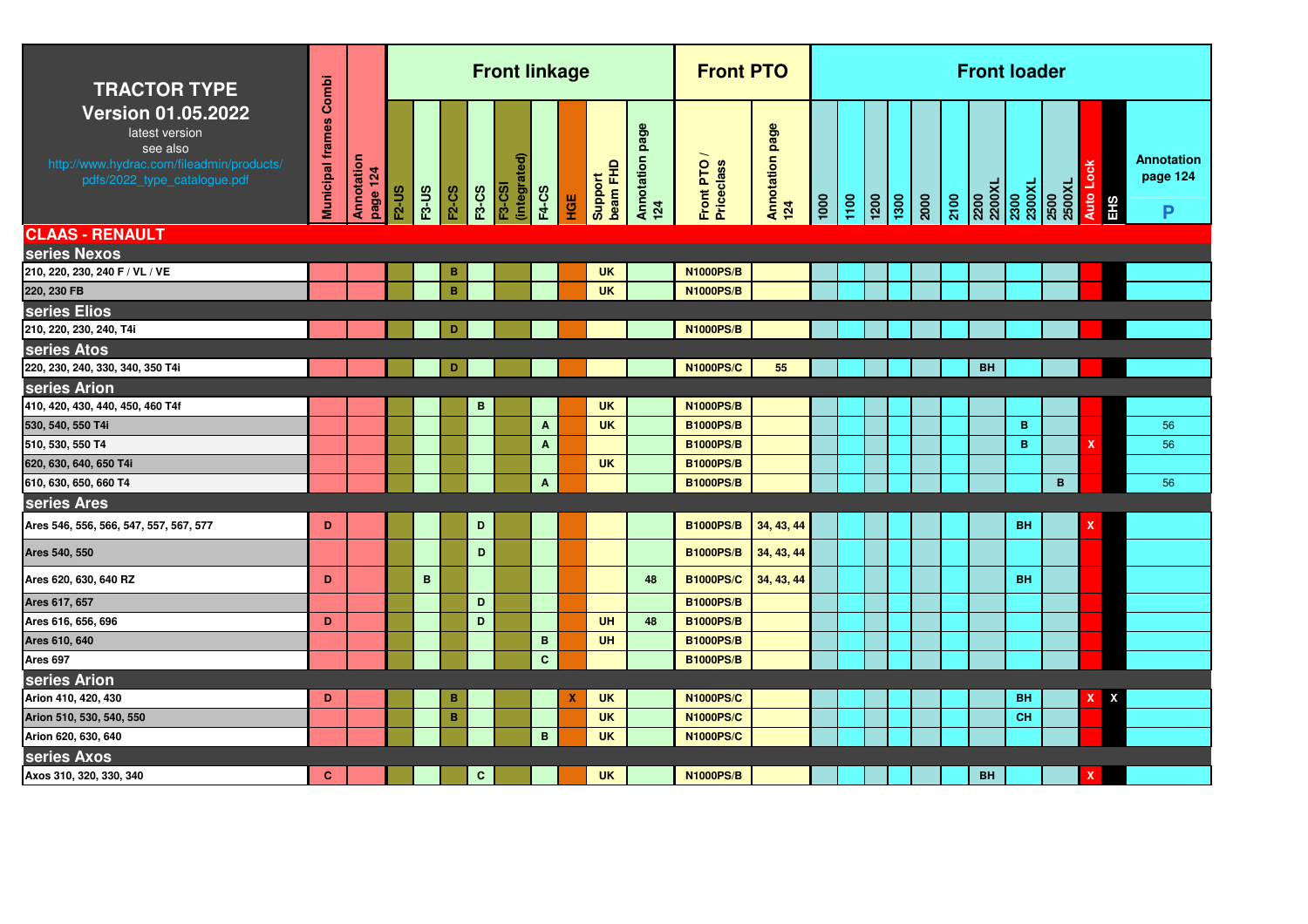| <b>TRACTOR TYPE</b>                                                                                                                  | Combi                   |                               |              |              |              |              | <b>Front linkage</b>          |                           |     |                     |                           | <b>Front PTO</b>          |                        |               |      |                 |                                                           |      | <b>Front loader</b>              |           |                |           |        |                                    |
|--------------------------------------------------------------------------------------------------------------------------------------|-------------------------|-------------------------------|--------------|--------------|--------------|--------------|-------------------------------|---------------------------|-----|---------------------|---------------------------|---------------------------|------------------------|---------------|------|-----------------|-----------------------------------------------------------|------|----------------------------------|-----------|----------------|-----------|--------|------------------------------------|
| <b>Version 01.05.2022</b><br>latest version<br>see also<br>http://www.hydrac.com/fileadmin/products/<br>pdfs/2022_type_catalogue.pdf | <b>Municipal frames</b> | <b>Annotation</b><br>page 124 | <b>F2-US</b> | <b>F3-US</b> | <b>F2-CS</b> | <b>F3-CS</b> | (integrated)<br><b>F3-CSI</b> | <b>F4-CS</b>              | HGE | Support<br>beam FHD | page<br>Annotation<br>124 | Front PTO /<br>Priceclass | Annotation page<br>124 | $\frac{1}{2}$ | 1100 | $\frac{1}{200}$ | $\begin{array}{ c c }\n\hline\n1300 \\ 2000\n\end{array}$ | 2100 | 2200<br>2200XL<br>2300<br>2300XL |           | 2500<br>2500XL | Auto Lock | l<br>田 | <b>Annotation</b><br>page 124<br>P |
| <b>CLAAS - RENAULT</b>                                                                                                               |                         |                               |              |              |              |              |                               |                           |     |                     |                           |                           |                        |               |      |                 |                                                           |      |                                  |           |                |           |        |                                    |
| series Nexos                                                                                                                         |                         |                               |              |              |              |              |                               |                           |     |                     |                           |                           |                        |               |      |                 |                                                           |      |                                  |           |                |           |        |                                    |
| 210, 220, 230, 240 F / VL / VE                                                                                                       |                         |                               |              |              | в            |              |                               |                           |     | <b>UK</b>           |                           | <b>N1000PS/B</b>          |                        |               |      |                 |                                                           |      |                                  |           |                |           |        |                                    |
| 220, 230 FB                                                                                                                          |                         |                               |              |              | $\, {\bf B}$ |              |                               |                           |     | <b>UK</b>           |                           | <b>N1000PS/B</b>          |                        |               |      |                 |                                                           |      |                                  |           |                |           |        |                                    |
| series Elios                                                                                                                         |                         |                               |              |              |              |              |                               |                           |     |                     |                           |                           |                        |               |      |                 |                                                           |      |                                  |           |                |           |        |                                    |
| 210, 220, 230, 240, T4i                                                                                                              |                         |                               |              |              | D            |              |                               |                           |     |                     |                           | <b>N1000PS/B</b>          |                        |               |      |                 |                                                           |      |                                  |           |                |           |        |                                    |
| series Atos                                                                                                                          |                         |                               |              |              |              |              |                               |                           |     |                     |                           |                           |                        |               |      |                 |                                                           |      |                                  |           |                |           |        |                                    |
| 220, 230, 240, 330, 340, 350 T4i                                                                                                     |                         |                               |              |              | D            |              |                               |                           |     |                     |                           | <b>N1000PS/C</b>          | 55                     |               |      |                 |                                                           |      | <b>BH</b>                        |           |                |           |        |                                    |
| series Arion                                                                                                                         |                         |                               |              |              |              |              |                               |                           |     |                     |                           |                           |                        |               |      |                 |                                                           |      |                                  |           |                |           |        |                                    |
| 410, 420, 430, 440, 450, 460 T4f                                                                                                     |                         |                               |              |              |              | В            |                               |                           |     | <b>UK</b>           |                           | <b>N1000PS/B</b>          |                        |               |      |                 |                                                           |      |                                  |           |                |           |        |                                    |
| 530, 540, 550 T4i                                                                                                                    |                         |                               |              |              |              |              |                               | A                         |     | <b>UK</b>           |                           | <b>B1000PS/B</b>          |                        |               |      |                 |                                                           |      |                                  | B         |                |           |        | 56                                 |
| 510, 530, 550 T4                                                                                                                     |                         |                               |              |              |              |              |                               | $\boldsymbol{\mathsf{A}}$ |     |                     |                           | <b>B1000PS/B</b>          |                        |               |      |                 |                                                           |      |                                  | B         |                | X         |        | 56                                 |
| 620, 630, 640, 650 T4i                                                                                                               |                         |                               |              |              |              |              |                               |                           |     | <b>UK</b>           |                           | <b>B1000PS/B</b>          |                        |               |      |                 |                                                           |      |                                  |           |                |           |        |                                    |
| 610, 630, 650, 660 T4                                                                                                                |                         |                               |              |              |              |              |                               | $\mathbf{A}$              |     |                     |                           | <b>B1000PS/B</b>          |                        |               |      |                 |                                                           |      |                                  |           | B              |           |        | 56                                 |
| series Ares                                                                                                                          |                         |                               |              |              |              |              |                               |                           |     |                     |                           |                           |                        |               |      |                 |                                                           |      |                                  |           |                |           |        |                                    |
| Ares 546, 556, 566, 547, 557, 567, 577                                                                                               | D                       |                               |              |              |              | $\mathbf D$  |                               |                           |     |                     |                           | <b>B1000PS/B</b>          | 34, 43, 44             |               |      |                 |                                                           |      |                                  | <b>BH</b> |                | x         |        |                                    |
| Ares 540, 550                                                                                                                        |                         |                               |              |              |              | D            |                               |                           |     |                     |                           | <b>B1000PS/B</b>          | 34, 43, 44             |               |      |                 |                                                           |      |                                  |           |                |           |        |                                    |
| Ares 620, 630, 640 RZ                                                                                                                | D                       |                               |              | $\mathbf B$  |              |              |                               |                           |     |                     | 48                        | <b>B1000PS/C</b>          | 34, 43, 44             |               |      |                 |                                                           |      |                                  | <b>BH</b> |                |           |        |                                    |
| Ares 617, 657                                                                                                                        |                         |                               |              |              |              | D            |                               |                           |     |                     |                           | <b>B1000PS/B</b>          |                        |               |      |                 |                                                           |      |                                  |           |                |           |        |                                    |
| Ares 616, 656, 696                                                                                                                   | D                       |                               |              |              |              | D            |                               |                           |     | UH                  | 48                        | <b>B1000PS/B</b>          |                        |               |      |                 |                                                           |      |                                  |           |                |           |        |                                    |
| Ares 610, 640                                                                                                                        |                         |                               |              |              |              |              |                               | $\, {\bf B} \,$           |     | <b>UH</b>           |                           | <b>B1000PS/B</b>          |                        |               |      |                 |                                                           |      |                                  |           |                |           |        |                                    |
| Ares 697                                                                                                                             |                         |                               |              |              |              |              |                               | $\mathbf{C}$              |     |                     |                           | <b>B1000PS/B</b>          |                        |               |      |                 |                                                           |      |                                  |           |                |           |        |                                    |
| series Arion                                                                                                                         |                         |                               |              |              |              |              |                               |                           |     |                     |                           |                           |                        |               |      |                 |                                                           |      |                                  |           |                |           |        |                                    |
| Arion 410, 420, 430                                                                                                                  | D                       |                               |              |              | в            |              |                               |                           | х   | <b>UK</b>           |                           | <b>N1000PS/C</b>          |                        |               |      |                 |                                                           |      |                                  | <b>BH</b> |                | x         | x      |                                    |
| Arion 510, 530, 540, 550                                                                                                             |                         |                               |              |              | B            |              |                               |                           |     | <b>UK</b>           |                           | <b>N1000PS/C</b>          |                        |               |      |                 |                                                           |      |                                  | <b>CH</b> |                |           |        |                                    |
| Arion 620, 630, 640                                                                                                                  |                         |                               |              |              |              |              |                               | $\mathbf{B}$              |     | <b>UK</b>           |                           | <b>N1000PS/C</b>          |                        |               |      |                 |                                                           |      |                                  |           |                |           |        |                                    |
| series Axos                                                                                                                          |                         |                               |              |              |              |              |                               |                           |     |                     |                           |                           |                        |               |      |                 |                                                           |      |                                  |           |                |           |        |                                    |
| Axos 310, 320, 330, 340                                                                                                              | c                       |                               |              |              |              | $\mathbf{C}$ |                               |                           |     | <b>UK</b>           |                           | <b>N1000PS/B</b>          |                        |               |      |                 |                                                           |      | <b>BH</b>                        |           |                |           |        |                                    |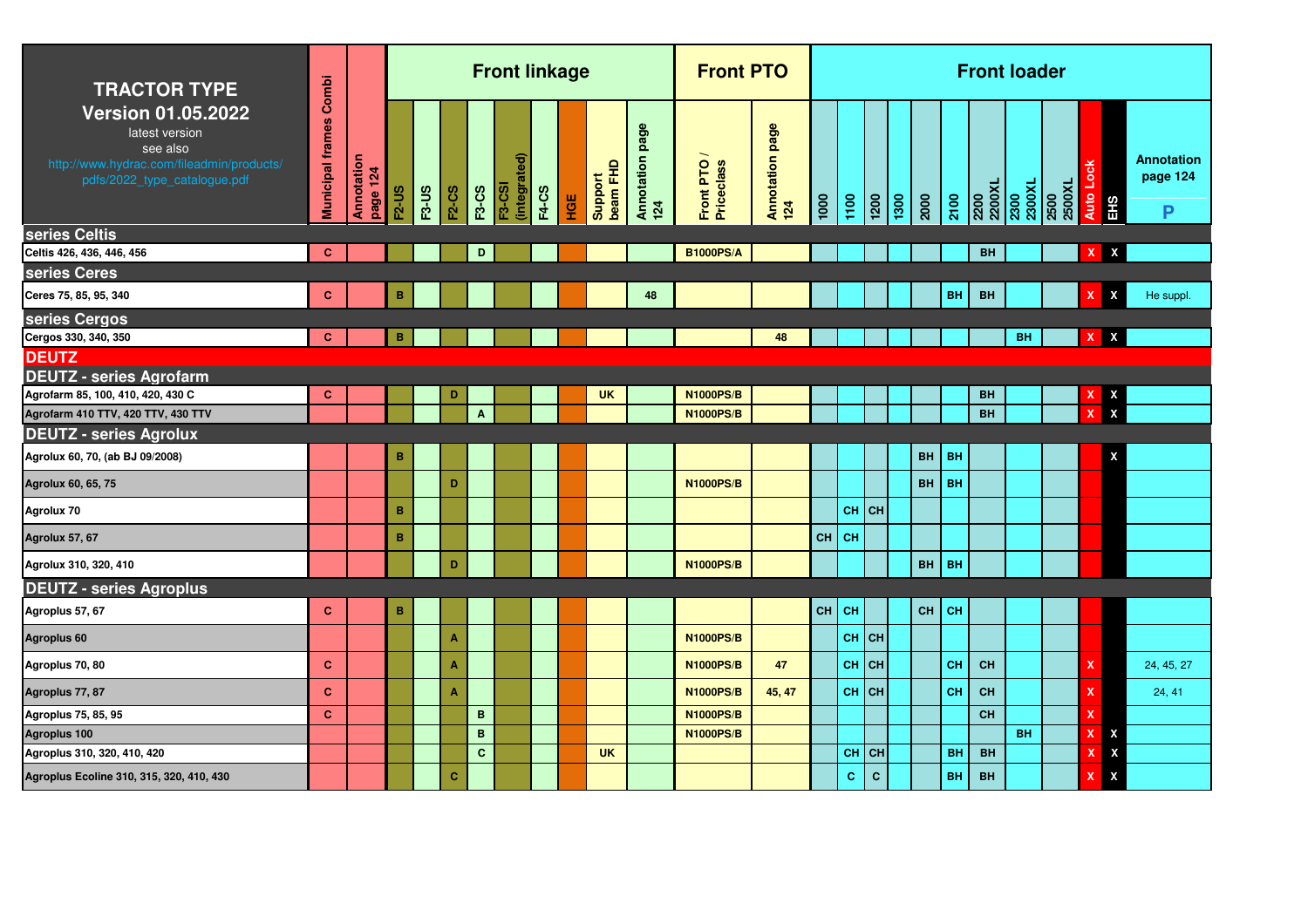| <b>TRACTOR TYPE</b>                                                                                                                  | Combi                   |                        |              |              |              |              | <b>Front linkage</b>          |              |     |                     |                           | <b>Front PTO</b>        |                        |      |           |                 |              |           |           |                | <b>Front loader</b> |                |                             |                                    |
|--------------------------------------------------------------------------------------------------------------------------------------|-------------------------|------------------------|--------------|--------------|--------------|--------------|-------------------------------|--------------|-----|---------------------|---------------------------|-------------------------|------------------------|------|-----------|-----------------|--------------|-----------|-----------|----------------|---------------------|----------------|-----------------------------|------------------------------------|
| <b>Version 01.05.2022</b><br>latest version<br>see also<br>http://www.hydrac.com/fileadmin/products/<br>pdfs/2022_type_catalogue.pdf | <b>Municipal frames</b> | Annotation<br>page 124 | <b>F2-US</b> | <b>F3-US</b> | <b>F2-CS</b> | <b>F3-CS</b> | (integrated)<br><b>F3-CSI</b> | <b>F4-CS</b> | НGЕ | beam FHD<br>Support | page<br>Annotation<br>124 | Front PTO<br>Priceclass | Annotation page<br>124 | 1000 | 1100      | $\frac{1}{200}$ | 2000<br>1300 |           | 2100      | 2200<br>2200XL | 2300<br>2300XL      | 2500XL<br>2500 | Auto Loc<br>EH <sub>S</sub> | <b>Annotation</b><br>page 124<br>P |
| series Celtis                                                                                                                        |                         |                        |              |              |              |              |                               |              |     |                     |                           |                         |                        |      |           |                 |              |           |           |                |                     |                |                             |                                    |
| Celtis 426, 436, 446, 456                                                                                                            | $\mathbf{C}$            |                        |              |              |              | D            |                               |              |     |                     |                           | <b>B1000PS/A</b>        |                        |      |           |                 |              |           |           | <b>BH</b>      |                     |                | X<br>x                      |                                    |
| series Ceres                                                                                                                         |                         |                        |              |              |              |              |                               |              |     |                     |                           |                         |                        |      |           |                 |              |           |           |                |                     |                |                             |                                    |
| Ceres 75, 85, 95, 340                                                                                                                | $\mathbf{C}$            |                        | в            |              |              |              |                               |              |     |                     | 48                        |                         |                        |      |           |                 |              |           | <b>BH</b> | <b>BH</b>      |                     |                | X<br>X                      | He suppl.                          |
| series Cergos                                                                                                                        |                         |                        |              |              |              |              |                               |              |     |                     |                           |                         |                        |      |           |                 |              |           |           |                |                     |                |                             |                                    |
| Cergos 330, 340, 350                                                                                                                 | C                       |                        | в            |              |              |              |                               |              |     |                     |                           |                         | 48                     |      |           |                 |              |           |           |                | BH                  |                | x<br>x                      |                                    |
| <b>DEUTZ</b>                                                                                                                         |                         |                        |              |              |              |              |                               |              |     |                     |                           |                         |                        |      |           |                 |              |           |           |                |                     |                |                             |                                    |
| <b>DEUTZ - series Agrofarm</b>                                                                                                       |                         |                        |              |              |              |              |                               |              |     |                     |                           |                         |                        |      |           |                 |              |           |           |                |                     |                |                             |                                    |
| Agrofarm 85, 100, 410, 420, 430 C                                                                                                    | $\mathbf{C}$            |                        |              |              | D            |              |                               |              |     | <b>UK</b>           |                           | <b>N1000PS/B</b>        |                        |      |           |                 |              |           |           | BH             |                     |                | $\frac{x}{x}$               |                                    |
| Agrofarm 410 TTV, 420 TTV, 430 TTV                                                                                                   |                         |                        |              |              |              | $\mathbf{A}$ |                               |              |     |                     |                           | <b>N1000PS/B</b>        |                        |      |           |                 |              |           |           | <b>BH</b>      |                     |                | x                           |                                    |
| <b>DEUTZ - series Agrolux</b>                                                                                                        |                         |                        |              |              |              |              |                               |              |     |                     |                           |                         |                        |      |           |                 |              |           |           |                |                     |                |                             |                                    |
| Agrolux 60, 70, (ab BJ 09/2008)                                                                                                      |                         |                        | $\, {\bf B}$ |              |              |              |                               |              |     |                     |                           |                         |                        |      |           |                 |              | <b>BH</b> | <b>BH</b> |                |                     |                | χ                           |                                    |
| Agrolux 60, 65, 75                                                                                                                   |                         |                        |              |              | D            |              |                               |              |     |                     |                           | <b>N1000PS/B</b>        |                        |      |           |                 |              | <b>BH</b> | <b>BH</b> |                |                     |                |                             |                                    |
| Agrolux 70                                                                                                                           |                         |                        | $\, {\bf B}$ |              |              |              |                               |              |     |                     |                           |                         |                        |      | $CH$ CH   |                 |              |           |           |                |                     |                |                             |                                    |
| Agrolux 57, 67                                                                                                                       |                         |                        | B            |              |              |              |                               |              |     |                     |                           |                         |                        | CH   | CH        |                 |              |           |           |                |                     |                |                             |                                    |
| Agrolux 310, 320, 410                                                                                                                |                         |                        |              |              | D            |              |                               |              |     |                     |                           | <b>N1000PS/B</b>        |                        |      |           |                 |              | <b>BH</b> | <b>BH</b> |                |                     |                |                             |                                    |
| <b>DEUTZ - series Agroplus</b>                                                                                                       |                         |                        |              |              |              |              |                               |              |     |                     |                           |                         |                        |      |           |                 |              |           |           |                |                     |                |                             |                                    |
| Agroplus 57, 67                                                                                                                      | $\mathbf{C}$            |                        | B            |              |              |              |                               |              |     |                     |                           |                         |                        | CH   | <b>CH</b> |                 |              | CH        | CH        |                |                     |                |                             |                                    |
| Agroplus 60                                                                                                                          |                         |                        |              |              | A            |              |                               |              |     |                     |                           | <b>N1000PS/B</b>        |                        |      | <b>CH</b> | <b>CH</b>       |              |           |           |                |                     |                |                             |                                    |
| Agroplus 70, 80                                                                                                                      | c                       |                        |              |              | A            |              |                               |              |     |                     |                           | <b>N1000PS/B</b>        | 47                     |      | <b>CH</b> | <b>CH</b>       |              |           | CH        | <b>CH</b>      |                     |                | $\mathbf x$                 | 24, 45, 27                         |
| Agroplus 77, 87                                                                                                                      | c                       |                        |              |              | A            |              |                               |              |     |                     |                           | <b>N1000PS/B</b>        | 45, 47                 |      | CH        | <b>CH</b>       |              |           | CH        | <b>CH</b>      |                     |                | x                           | 24, 41                             |
| Agroplus 75, 85, 95                                                                                                                  | $\mathbf{C}$            |                        |              |              |              | B            |                               |              |     |                     |                           | <b>N1000PS/B</b>        |                        |      |           |                 |              |           |           | CH             |                     |                | $\mathbf x$                 |                                    |
| Agroplus 100                                                                                                                         |                         |                        |              |              |              | $\mathbf B$  |                               |              |     |                     |                           | <b>N1000PS/B</b>        |                        |      |           |                 |              |           |           |                | <b>BH</b>           |                | X<br>X                      |                                    |
| Agroplus 310, 320, 410, 420                                                                                                          |                         |                        |              |              |              | $\mathbf{C}$ |                               |              |     | <b>UK</b>           |                           |                         |                        |      | <b>CH</b> | <b>CH</b>       |              |           | <b>BH</b> | <b>BH</b>      |                     |                | X<br>X                      |                                    |
| Agroplus Ecoline 310, 315, 320, 410, 430                                                                                             |                         |                        |              |              | c            |              |                               |              |     |                     |                           |                         |                        |      | C         | $\mathbf{C}$    |              |           | <b>BH</b> | <b>BH</b>      |                     |                | $\pmb{\mathsf{X}}$<br>X     |                                    |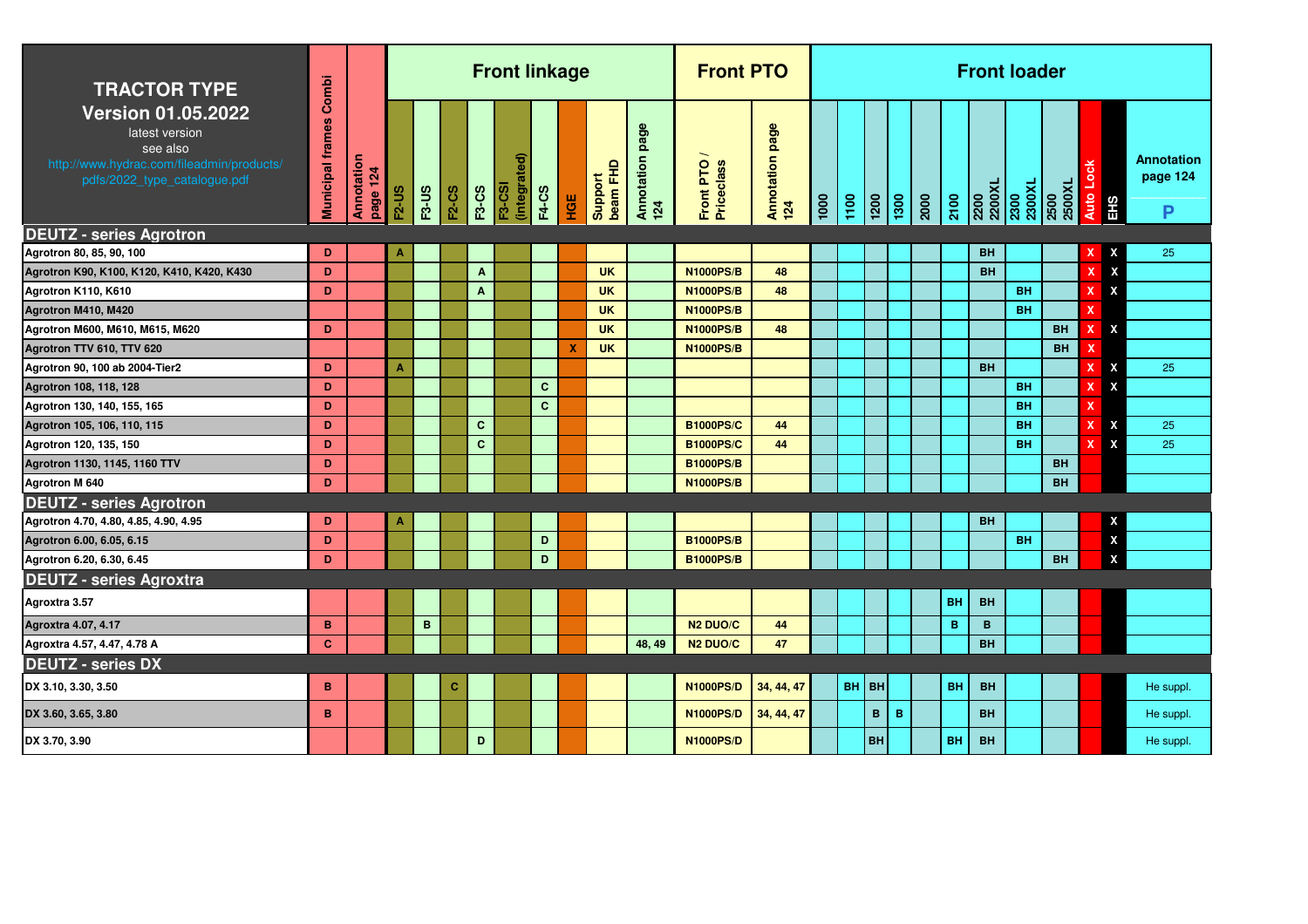| <b>TRACTOR TYPE</b>                                                                                                                  | Combi            |                        |                  |              |              |              | <b>Front linkage</b>          |              |     |                        |                        | <b>Front PTO</b>                     |                        |      |                                                                                    |              |   |                  | <b>Front loader</b>              |                        |                |                    |                                    |
|--------------------------------------------------------------------------------------------------------------------------------------|------------------|------------------------|------------------|--------------|--------------|--------------|-------------------------------|--------------|-----|------------------------|------------------------|--------------------------------------|------------------------|------|------------------------------------------------------------------------------------|--------------|---|------------------|----------------------------------|------------------------|----------------|--------------------|------------------------------------|
| <b>Version 01.05.2022</b><br>latest version<br>see also<br>http://www.hydrac.com/fileadmin/products/<br>pdfs/2022_type_catalogue.pdf | Municipal frames | Annotation<br>page 124 | <b>F2-US</b>     | <b>F3-US</b> | <b>F2-CS</b> | <b>F3-CS</b> | (integrated)<br><b>F3-CSI</b> | <b>F4-CS</b> | HGE | beam FHD<br>Support    | Annotation page<br>124 | Front PTO<br>Priceclass              | Annotation page<br>124 | 1000 | $\begin{array}{ c c c }\hline 100 & 100 \\ \hline 100 & 100 \\ \hline \end{array}$ |              |   | $\frac{1}{2100}$ | 2200<br>2200XL<br>2300<br>2300XL |                        | 2500XL<br>2500 | Auto Lock<br>EHS   | <b>Annotation</b><br>page 124<br>P |
| <b>DEUTZ - series Agrotron</b>                                                                                                       |                  |                        |                  |              |              |              |                               |              |     |                        |                        |                                      |                        |      |                                                                                    |              |   |                  |                                  |                        |                |                    |                                    |
| Agrotron 80, 85, 90, 100                                                                                                             | D<br>D           |                        | А                |              |              |              |                               |              |     |                        |                        |                                      |                        |      |                                                                                    |              |   |                  | <b>BH</b>                        |                        |                | X<br>X             | 25                                 |
| Agrotron K90, K100, K120, K410, K420, K430                                                                                           |                  |                        |                  |              |              | $\mathbf{A}$ |                               |              |     | <b>UK</b>              |                        | <b>N1000PS/B</b>                     | 48                     |      |                                                                                    |              |   |                  | <b>BH</b>                        |                        |                | X<br>X<br>x        |                                    |
| Agrotron K110, K610                                                                                                                  | D                |                        |                  |              |              | $\mathbf{A}$ |                               |              |     | <b>UK</b><br><b>UK</b> |                        | <b>N1000PS/B</b><br><b>N1000PS/B</b> | 48                     |      |                                                                                    |              |   |                  |                                  | <b>BH</b><br><b>BH</b> |                | $\mathbf x$        |                                    |
| Agrotron M410, M420                                                                                                                  | D                |                        |                  |              |              |              |                               |              |     | <b>UK</b>              |                        | <b>N1000PS/B</b>                     | 48                     |      |                                                                                    |              |   |                  |                                  |                        | <b>BH</b>      | X<br>x             |                                    |
| Agrotron M600, M610, M615, M620                                                                                                      |                  |                        |                  |              |              |              |                               |              | х   | <b>UK</b>              |                        | <b>N1000PS/B</b>                     |                        |      |                                                                                    |              |   |                  |                                  |                        | <b>BH</b>      | x                  |                                    |
| Agrotron TTV 610, TTV 620<br>Agrotron 90, 100 ab 2004-Tier2                                                                          | D                |                        | $\blacktriangle$ |              |              |              |                               |              |     |                        |                        |                                      |                        |      |                                                                                    |              |   |                  | <b>BH</b>                        |                        |                | $\mathbf x$<br>X   | 25                                 |
| Agrotron 108, 118, 128                                                                                                               | D                |                        |                  |              |              |              |                               | $\mathbf{C}$ |     |                        |                        |                                      |                        |      |                                                                                    |              |   |                  |                                  | <b>BH</b>              |                | X<br>x             |                                    |
| Agrotron 130, 140, 155, 165                                                                                                          | D                |                        |                  |              |              |              |                               | $\mathbf{C}$ |     |                        |                        |                                      |                        |      |                                                                                    |              |   |                  |                                  | <b>BH</b>              |                | X                  |                                    |
| Agrotron 105, 106, 110, 115                                                                                                          | D                |                        |                  |              |              | $\mathbf{C}$ |                               |              |     |                        |                        | <b>B1000PS/C</b>                     | 44                     |      |                                                                                    |              |   |                  |                                  | <b>BH</b>              |                | X<br>X             | 25                                 |
| Agrotron 120, 135, 150                                                                                                               | D                |                        |                  |              |              | $\mathbf{C}$ |                               |              |     |                        |                        | <b>B1000PS/C</b>                     | 44                     |      |                                                                                    |              |   |                  |                                  | <b>BH</b>              |                | X<br>X             | 25                                 |
| Agrotron 1130, 1145, 1160 TTV                                                                                                        | D                |                        |                  |              |              |              |                               |              |     |                        |                        | <b>B1000PS/B</b>                     |                        |      |                                                                                    |              |   |                  |                                  |                        | <b>BH</b>      |                    |                                    |
| <b>Agrotron M 640</b>                                                                                                                | D                |                        |                  |              |              |              |                               |              |     |                        |                        | <b>N1000PS/B</b>                     |                        |      |                                                                                    |              |   |                  |                                  |                        | <b>BH</b>      |                    |                                    |
| <b>DEUTZ - series Agrotron</b>                                                                                                       |                  |                        |                  |              |              |              |                               |              |     |                        |                        |                                      |                        |      |                                                                                    |              |   |                  |                                  |                        |                |                    |                                    |
| Agrotron 4.70, 4.80, 4.85, 4.90, 4.95                                                                                                | D                |                        |                  |              |              |              |                               |              |     |                        |                        |                                      |                        |      |                                                                                    |              |   |                  | <b>BH</b>                        |                        |                | X                  |                                    |
| Agrotron 6.00, 6.05, 6.15                                                                                                            | D                |                        |                  |              |              |              |                               | D            |     |                        |                        | <b>B1000PS/B</b>                     |                        |      |                                                                                    |              |   |                  |                                  | <b>BH</b>              |                | $\pmb{\mathsf{x}}$ |                                    |
| Agrotron 6.20, 6.30, 6.45                                                                                                            | D                |                        |                  |              |              |              |                               | D            |     |                        |                        | <b>B1000PS/B</b>                     |                        |      |                                                                                    |              |   |                  |                                  |                        | <b>BH</b>      | $\pmb{\mathsf{x}}$ |                                    |
| <b>DEUTZ - series Agroxtra</b>                                                                                                       |                  |                        |                  |              |              |              |                               |              |     |                        |                        |                                      |                        |      |                                                                                    |              |   |                  |                                  |                        |                |                    |                                    |
| Agroxtra 3.57                                                                                                                        |                  |                        |                  |              |              |              |                               |              |     |                        |                        |                                      |                        |      |                                                                                    |              |   | BH               | <b>BH</b>                        |                        |                |                    |                                    |
| Agroxtra 4.07, 4.17                                                                                                                  | B                |                        |                  | B            |              |              |                               |              |     |                        |                        | N <sub>2</sub> DUO/C                 | 44                     |      |                                                                                    |              |   | B                | B                                |                        |                |                    |                                    |
| Agroxtra 4.57, 4.47, 4.78 A                                                                                                          | $\mathbf{C}$     |                        |                  |              |              |              |                               |              |     |                        | 48, 49                 | <b>N2 DUO/C</b>                      | 47                     |      |                                                                                    |              |   |                  | <b>BH</b>                        |                        |                |                    |                                    |
| <b>DEUTZ - series DX</b>                                                                                                             |                  |                        |                  |              |              |              |                               |              |     |                        |                        |                                      |                        |      |                                                                                    |              |   |                  |                                  |                        |                |                    |                                    |
| DX 3.10, 3.30, 3.50                                                                                                                  | в                |                        |                  |              | С            |              |                               |              |     |                        |                        | <b>N1000PS/D</b>                     | 34, 44, 47             |      | BH BH                                                                              |              |   | BH               | <b>BH</b>                        |                        |                |                    | He suppl                           |
| DX 3.60, 3.65, 3.80                                                                                                                  | B                |                        |                  |              |              |              |                               |              |     |                        |                        | <b>N1000PS/D</b>                     | 34, 44, 47             |      |                                                                                    | $\mathbf{B}$ | B |                  | <b>BH</b>                        |                        |                |                    | He suppl                           |
| DX 3.70, 3.90                                                                                                                        |                  |                        |                  |              |              | D            |                               |              |     |                        |                        | <b>N1000PS/D</b>                     |                        |      |                                                                                    | BH           |   | BH               | <b>BH</b>                        |                        |                |                    | He suppl.                          |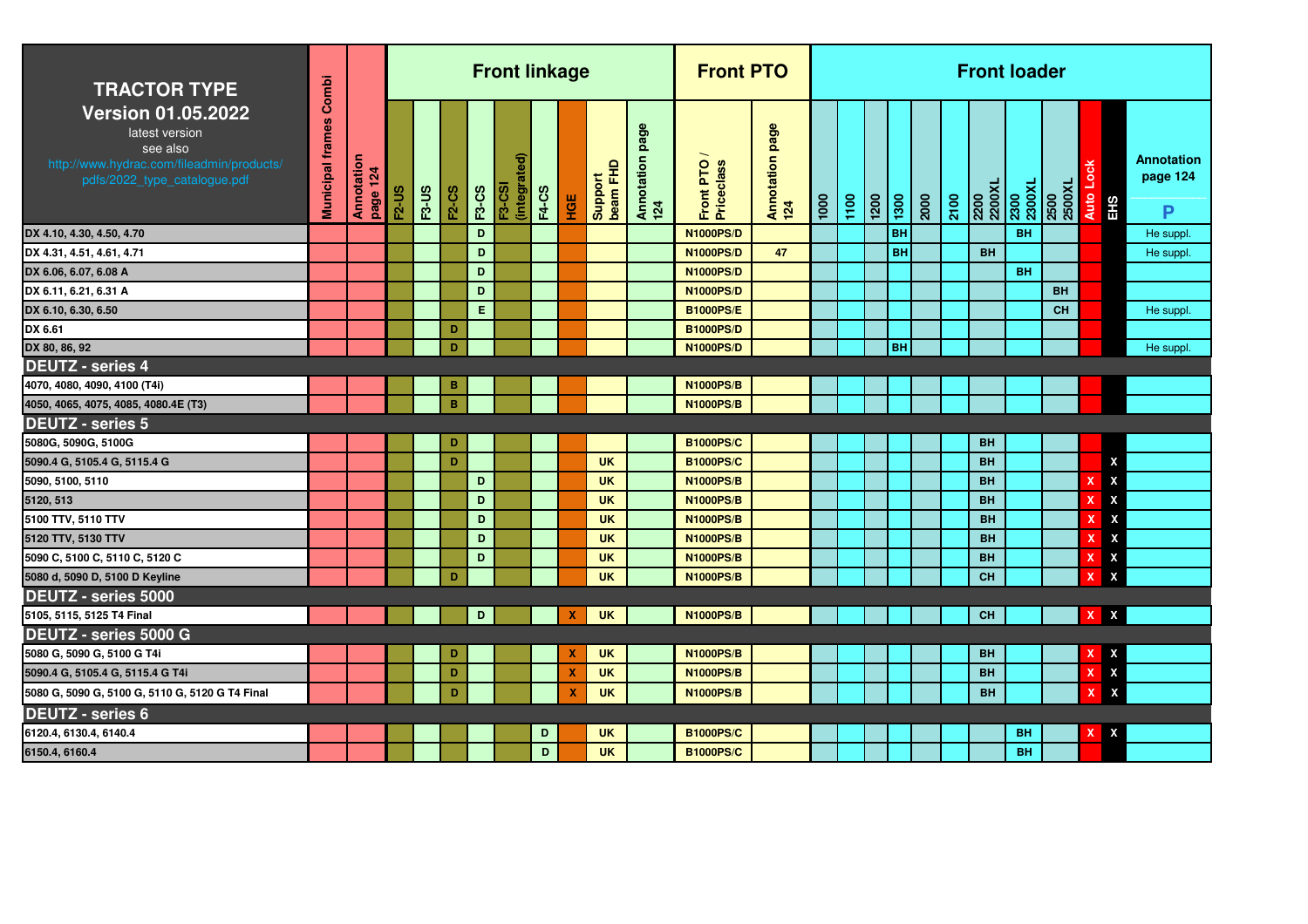| <b>TRACTOR TYPE</b>                                                                                                                  | Combi                   |                        |              |              |              |              | <b>Front linkage</b>          |              |            |                       |                           | <b>Front PTO</b>        |                        |      |      |                 |           |      |      | <b>Front loader</b>     |                |                |                           |                           |                                    |
|--------------------------------------------------------------------------------------------------------------------------------------|-------------------------|------------------------|--------------|--------------|--------------|--------------|-------------------------------|--------------|------------|-----------------------|---------------------------|-------------------------|------------------------|------|------|-----------------|-----------|------|------|-------------------------|----------------|----------------|---------------------------|---------------------------|------------------------------------|
| <b>Version 01.05.2022</b><br>latest version<br>see also<br>http://www.hydrac.com/fileadmin/products/<br>pdfs/2022_type_catalogue.pdf | <b>Municipal frames</b> | Annotation<br>page 124 | <b>F2-US</b> | <b>F3-US</b> | <b>F2-CS</b> | <b>F3-CS</b> | (integrated)<br><b>F3-CSI</b> | <b>F4-CS</b> | <b>HOE</b> | Support<br>  beam FHD | page<br>Annotation<br>124 | Front PTO<br>Priceclass | Annotation page<br>124 | 1000 | 1100 | $\frac{1}{200}$ | 1300      | 2000 | 2100 | <b>1X0022</b><br>2500XL | 2300<br>2300XL | 2500<br>2500XL | Auto Lock                 | <b>EHS</b>                | <b>Annotation</b><br>page 124<br>P |
| DX 4.10, 4.30, 4.50, 4.70                                                                                                            |                         |                        |              |              |              | D            |                               |              |            |                       |                           | <b>N1000PS/D</b>        |                        |      |      |                 | BH        |      |      |                         | <b>BH</b>      |                |                           |                           | He suppl.                          |
| DX 4.31, 4.51, 4.61, 4.71                                                                                                            |                         |                        |              |              |              | D            |                               |              |            |                       |                           | <b>N1000PS/D</b>        | 47                     |      |      |                 | <b>BH</b> |      |      | <b>BH</b>               |                |                |                           |                           | He suppl                           |
| DX 6.06, 6.07, 6.08 A                                                                                                                |                         |                        |              |              |              | D            |                               |              |            |                       |                           | <b>N1000PS/D</b>        |                        |      |      |                 |           |      |      |                         | <b>BH</b>      |                |                           |                           |                                    |
| DX 6.11, 6.21, 6.31 A                                                                                                                |                         |                        |              |              |              | D            |                               |              |            |                       |                           | <b>N1000PS/D</b>        |                        |      |      |                 |           |      |      |                         |                | <b>BH</b>      |                           |                           |                                    |
| DX 6.10, 6.30, 6.50                                                                                                                  |                         |                        |              |              |              | E            |                               |              |            |                       |                           | <b>B1000PS/E</b>        |                        |      |      |                 |           |      |      |                         |                | <b>CH</b>      |                           |                           | He suppl                           |
| DX 6.61                                                                                                                              |                         |                        |              |              | D            |              |                               |              |            |                       |                           | <b>B1000PS/D</b>        |                        |      |      |                 |           |      |      |                         |                |                |                           |                           |                                    |
| DX 80, 86, 92                                                                                                                        |                         |                        |              |              | D            |              |                               |              |            |                       |                           | <b>N1000PS/D</b>        |                        |      |      |                 | <b>BH</b> |      |      |                         |                |                |                           |                           | He suppl                           |
| <b>DEUTZ - series 4</b>                                                                                                              |                         |                        |              |              |              |              |                               |              |            |                       |                           |                         |                        |      |      |                 |           |      |      |                         |                |                |                           |                           |                                    |
| 4070, 4080, 4090, 4100 (T4i)                                                                                                         |                         |                        |              |              | в            |              |                               |              |            |                       |                           | <b>N1000PS/B</b>        |                        |      |      |                 |           |      |      |                         |                |                |                           |                           |                                    |
| 4050, 4065, 4075, 4085, 4080.4E (T3)                                                                                                 |                         |                        |              |              | $\, {\bf B}$ |              |                               |              |            |                       |                           | <b>N1000PS/B</b>        |                        |      |      |                 |           |      |      |                         |                |                |                           |                           |                                    |
| <b>DEUTZ - series 5</b>                                                                                                              |                         |                        |              |              |              |              |                               |              |            |                       |                           |                         |                        |      |      |                 |           |      |      |                         |                |                |                           |                           |                                    |
| 5080G, 5090G, 5100G                                                                                                                  |                         |                        |              |              | D            |              |                               |              |            |                       |                           | <b>B1000PS/C</b>        |                        |      |      |                 |           |      |      | <b>BH</b>               |                |                |                           |                           |                                    |
| 5090.4 G, 5105.4 G, 5115.4 G                                                                                                         |                         |                        |              |              | D            |              |                               |              |            | <b>UK</b>             |                           | <b>B1000PS/C</b>        |                        |      |      |                 |           |      |      | <b>BH</b>               |                |                |                           | X                         |                                    |
| 5090, 5100, 5110                                                                                                                     |                         |                        |              |              |              | D            |                               |              |            | <b>UK</b>             |                           | <b>N1000PS/B</b>        |                        |      |      |                 |           |      |      | <b>BH</b>               |                |                | x                         | $\boldsymbol{\mathsf{x}}$ |                                    |
| 5120, 513                                                                                                                            |                         |                        |              |              |              | D            |                               |              |            | <b>UK</b>             |                           | <b>N1000PS/B</b>        |                        |      |      |                 |           |      |      | <b>BH</b>               |                |                | x                         | X                         |                                    |
| 5100 TTV, 5110 TTV                                                                                                                   |                         |                        |              |              |              | D            |                               |              |            | <b>UK</b>             |                           | <b>N1000PS/B</b>        |                        |      |      |                 |           |      |      | <b>BH</b>               |                |                |                           | X                         |                                    |
| 5120 TTV, 5130 TTV                                                                                                                   |                         |                        |              |              |              | D            |                               |              |            | <b>UK</b>             |                           | <b>N1000PS/B</b>        |                        |      |      |                 |           |      |      | <b>BH</b>               |                |                |                           | X                         |                                    |
| 5090 C, 5100 C, 5110 C, 5120 C                                                                                                       |                         |                        |              |              |              | D            |                               |              |            | <b>UK</b>             |                           | <b>N1000PS/B</b>        |                        |      |      |                 |           |      |      | <b>BH</b>               |                |                | x                         | X                         |                                    |
| 5080 d, 5090 D, 5100 D Keyline                                                                                                       |                         |                        |              |              | D            |              |                               |              |            | <b>UK</b>             |                           | <b>N1000PS/B</b>        |                        |      |      |                 |           |      |      | <b>CH</b>               |                |                | x                         | X                         |                                    |
| DEUTZ - series 5000                                                                                                                  |                         |                        |              |              |              |              |                               |              |            |                       |                           |                         |                        |      |      |                 |           |      |      |                         |                |                |                           |                           |                                    |
| 5105, 5115, 5125 T4 Final                                                                                                            |                         |                        |              |              |              | D            |                               |              | x          | <b>UK</b>             |                           | <b>N1000PS/B</b>        |                        |      |      |                 |           |      |      | <b>CH</b>               |                |                | $\mathbf{x}$              | X                         |                                    |
| DEUTZ - series 5000 G                                                                                                                |                         |                        |              |              |              |              |                               |              |            |                       |                           |                         |                        |      |      |                 |           |      |      |                         |                |                |                           |                           |                                    |
| 5080 G, 5090 G, 5100 G T4i                                                                                                           |                         |                        |              |              | D            |              |                               |              | X          | <b>UK</b>             |                           | <b>N1000PS/B</b>        |                        |      |      |                 |           |      |      | <b>BH</b>               |                |                | x                         | X                         |                                    |
| 5090.4 G, 5105.4 G, 5115.4 G T4i                                                                                                     |                         |                        |              |              | D            |              |                               |              | X          | <b>UK</b>             |                           | <b>N1000PS/B</b>        |                        |      |      |                 |           |      |      | <b>BH</b>               |                |                | X                         | X                         |                                    |
| 5080 G, 5090 G, 5100 G, 5110 G, 5120 G T4 Final                                                                                      |                         |                        |              |              | D            |              |                               |              | X          | <b>UK</b>             |                           | <b>N1000PS/B</b>        |                        |      |      |                 |           |      |      | <b>BH</b>               |                |                | $\boldsymbol{\mathsf{x}}$ | X                         |                                    |
| <b>DEUTZ - series 6</b>                                                                                                              |                         |                        |              |              |              |              |                               |              |            |                       |                           |                         |                        |      |      |                 |           |      |      |                         |                |                |                           |                           |                                    |
| 6120.4, 6130.4, 6140.4                                                                                                               |                         |                        |              |              |              |              |                               | D            |            | <b>UK</b>             |                           | <b>B1000PS/C</b>        |                        |      |      |                 |           |      |      |                         | BH             |                | X                         | X                         |                                    |
| 6150.4, 6160.4                                                                                                                       |                         |                        |              |              |              |              |                               | D            |            | <b>UK</b>             |                           | <b>B1000PS/C</b>        |                        |      |      |                 |           |      |      |                         | BH             |                |                           |                           |                                    |
|                                                                                                                                      |                         |                        |              |              |              |              |                               |              |            |                       |                           |                         |                        |      |      |                 |           |      |      |                         |                |                |                           |                           |                                    |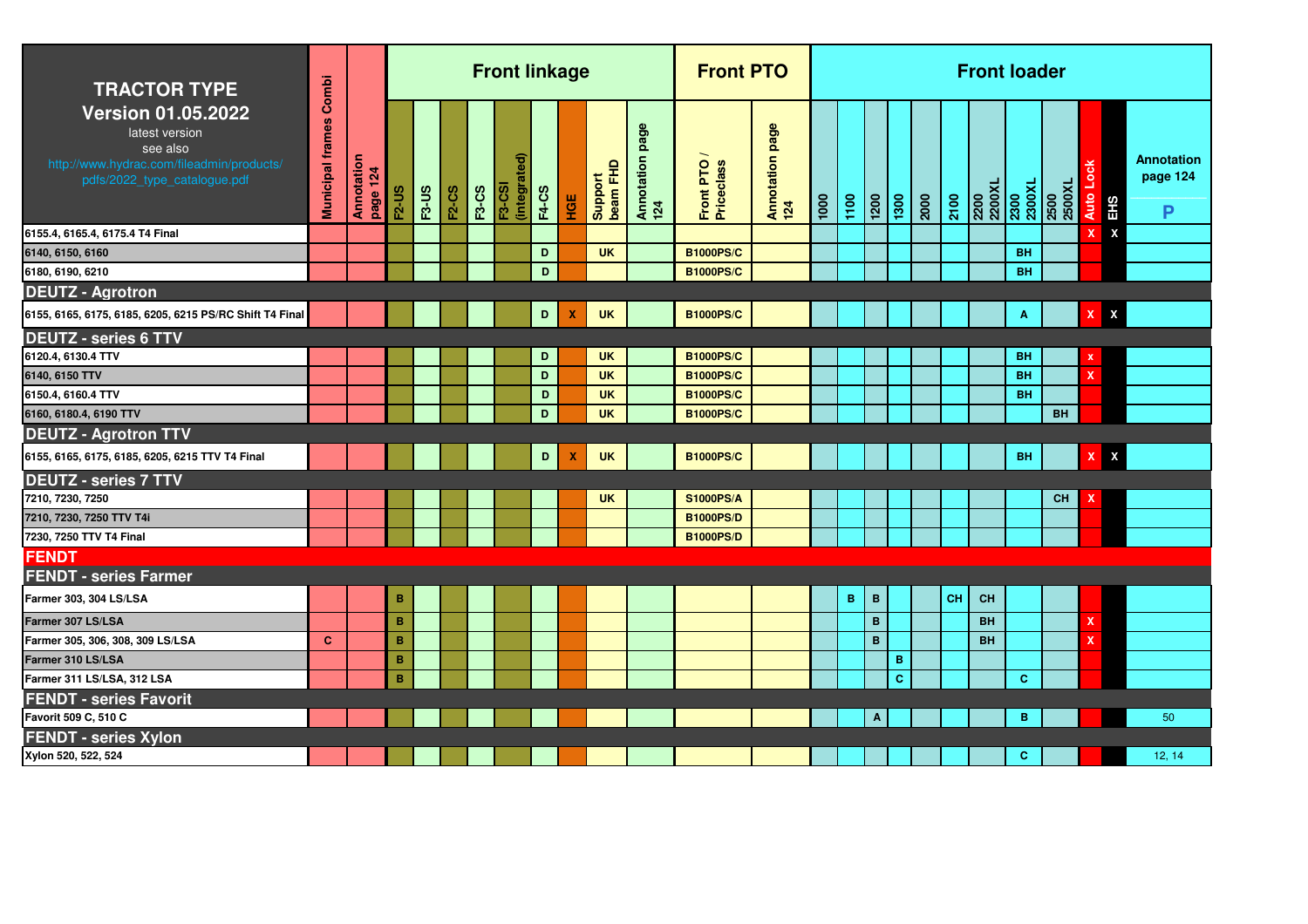| <b>TRACTOR TYPE</b>                                                                                                                  | Combi                   |                        |              |              |              |              | <b>Front linkage</b>              |              |                           |                     |                           | <b>Front PTO</b>        |                        |      |      |                    |                 |      |      |                  | <b>Front loader</b> |                |                           |                           |                                    |
|--------------------------------------------------------------------------------------------------------------------------------------|-------------------------|------------------------|--------------|--------------|--------------|--------------|-----------------------------------|--------------|---------------------------|---------------------|---------------------------|-------------------------|------------------------|------|------|--------------------|-----------------|------|------|------------------|---------------------|----------------|---------------------------|---------------------------|------------------------------------|
| <b>Version 01.05.2022</b><br>latest version<br>see also<br>http://www.hydrac.com/fileadmin/products/<br>pdfs/2022_type_catalogue.pdf | <b>Municipal frames</b> | Annotation<br>page 124 | <b>F2-US</b> | <b>F3-US</b> | <b>F2-CS</b> | <b>F3-CS</b> | ଟି<br>(integrate<br><b>F3-CSI</b> | <b>F4-CS</b> | НGЕ                       | Support<br>beam FHD | page<br>Annotation<br>124 | Front PTO<br>Priceclass | Annotation page<br>124 | 1000 | 1100 | $\frac{1200}{200}$ | $\frac{1}{300}$ | 2000 | 2100 | 1X0022<br>2500X7 | 2300<br>2300XL      | 2500<br>2500XL | Š<br><b>Auto</b>          | EHS                       | <b>Annotation</b><br>page 124<br>P |
| 6155.4, 6165.4, 6175.4 T4 Final                                                                                                      |                         |                        |              |              |              |              |                                   |              |                           |                     |                           |                         |                        |      |      |                    |                 |      |      |                  |                     |                | x                         | $\boldsymbol{\mathsf{x}}$ |                                    |
| 6140, 6150, 6160                                                                                                                     |                         |                        |              |              |              |              |                                   | D            |                           | <b>UK</b>           |                           | <b>B1000PS/C</b>        |                        |      |      |                    |                 |      |      |                  | <b>BH</b>           |                |                           |                           |                                    |
| 6180, 6190, 6210                                                                                                                     |                         |                        |              |              |              |              |                                   | D            |                           |                     |                           | <b>B1000PS/C</b>        |                        |      |      |                    |                 |      |      |                  | <b>BH</b>           |                |                           |                           |                                    |
| <b>DEUTZ - Agrotron</b>                                                                                                              |                         |                        |              |              |              |              |                                   |              |                           |                     |                           |                         |                        |      |      |                    |                 |      |      |                  |                     |                |                           |                           |                                    |
| 6155, 6165, 6175, 6185, 6205, 6215 PS/RC Shift T4 Final                                                                              |                         |                        |              |              |              |              |                                   | D            | $\boldsymbol{\mathsf{x}}$ | <b>UK</b>           |                           | <b>B1000PS/C</b>        |                        |      |      |                    |                 |      |      |                  | A                   |                | $\mathbf{X}$              | $\pmb{\mathsf{X}}$        |                                    |
| <b>DEUTZ - series 6 TTV</b>                                                                                                          |                         |                        |              |              |              |              |                                   |              |                           |                     |                           |                         |                        |      |      |                    |                 |      |      |                  |                     |                |                           |                           |                                    |
| 6120.4, 6130.4 TTV                                                                                                                   |                         |                        |              |              |              |              |                                   | D            |                           | <b>UK</b>           |                           | <b>B1000PS/C</b>        |                        |      |      |                    |                 |      |      |                  | <b>BH</b>           |                | x                         |                           |                                    |
| 6140, 6150 TTV                                                                                                                       |                         |                        |              |              |              |              |                                   | D            |                           | <b>UK</b>           |                           | <b>B1000PS/C</b>        |                        |      |      |                    |                 |      |      |                  | <b>BH</b>           |                | $\mathbf x$               |                           |                                    |
| 6150.4, 6160.4 TTV                                                                                                                   |                         |                        |              |              |              |              |                                   | D            |                           | <b>UK</b>           |                           | <b>B1000PS/C</b>        |                        |      |      |                    |                 |      |      |                  | <b>BH</b>           |                |                           |                           |                                    |
| 6160, 6180.4, 6190 TTV                                                                                                               |                         |                        |              |              |              |              |                                   | D            |                           | <b>UK</b>           |                           | <b>B1000PS/C</b>        |                        |      |      |                    |                 |      |      |                  |                     | <b>BH</b>      |                           |                           |                                    |
| <b>DEUTZ - Agrotron TTV</b>                                                                                                          |                         |                        |              |              |              |              |                                   |              |                           |                     |                           |                         |                        |      |      |                    |                 |      |      |                  |                     |                |                           |                           |                                    |
| 6155, 6165, 6175, 6185, 6205, 6215 TTV T4 Final                                                                                      |                         |                        |              |              |              |              |                                   | D            | x                         | <b>UK</b>           |                           | <b>B1000PS/C</b>        |                        |      |      |                    |                 |      |      |                  | <b>BH</b>           |                | $\boldsymbol{\mathsf{x}}$ | $\pmb{\chi}$              |                                    |
| <b>DEUTZ - series 7 TTV</b>                                                                                                          |                         |                        |              |              |              |              |                                   |              |                           |                     |                           |                         |                        |      |      |                    |                 |      |      |                  |                     |                |                           |                           |                                    |
| 7210, 7230, 7250                                                                                                                     |                         |                        |              |              |              |              |                                   |              |                           | <b>UK</b>           |                           | <b>S1000PS/A</b>        |                        |      |      |                    |                 |      |      |                  |                     | <b>CH</b>      |                           |                           |                                    |
| 7210, 7230, 7250 TTV T4i                                                                                                             |                         |                        |              |              |              |              |                                   |              |                           |                     |                           | <b>B1000PS/D</b>        |                        |      |      |                    |                 |      |      |                  |                     |                |                           |                           |                                    |
| 7230, 7250 TTV T4 Final                                                                                                              |                         |                        |              |              |              |              |                                   |              |                           |                     |                           | <b>B1000PS/D</b>        |                        |      |      |                    |                 |      |      |                  |                     |                |                           |                           |                                    |
| <b>FENDT</b>                                                                                                                         |                         |                        |              |              |              |              |                                   |              |                           |                     |                           |                         |                        |      |      |                    |                 |      |      |                  |                     |                |                           |                           |                                    |
| <b>FENDT - series Farmer</b>                                                                                                         |                         |                        |              |              |              |              |                                   |              |                           |                     |                           |                         |                        |      |      |                    |                 |      |      |                  |                     |                |                           |                           |                                    |
| Farmer 303, 304 LS/LSA                                                                                                               |                         |                        | $\, {\bf B}$ |              |              |              |                                   |              |                           |                     |                           |                         |                        |      | B    | $\mathbf B$        |                 |      | CH   | <b>CH</b>        |                     |                |                           |                           |                                    |
| Farmer 307 LS/LSA                                                                                                                    |                         |                        | B            |              |              |              |                                   |              |                           |                     |                           |                         |                        |      |      | $\mathbf B$        |                 |      |      | <b>BH</b>        |                     |                | $\boldsymbol{\mathsf{x}}$ |                           |                                    |
| Farmer 305, 306, 308, 309 LS/LSA                                                                                                     | $\mathbf{C}$            |                        | B            |              |              |              |                                   |              |                           |                     |                           |                         |                        |      |      | $\mathbf B$        |                 |      |      | <b>BH</b>        |                     |                | $\boldsymbol{\mathsf{x}}$ |                           |                                    |
| Farmer 310 LS/LSA                                                                                                                    |                         |                        | B            |              |              |              |                                   |              |                           |                     |                           |                         |                        |      |      |                    | В               |      |      |                  |                     |                |                           |                           |                                    |
| Farmer 311 LS/LSA, 312 LSA                                                                                                           |                         |                        | B            |              |              |              |                                   |              |                           |                     |                           |                         |                        |      |      |                    | $\mathbf{C}$    |      |      |                  | $\mathbf{C}$        |                |                           |                           |                                    |
| <b>FENDT - series Favorit</b>                                                                                                        |                         |                        |              |              |              |              |                                   |              |                           |                     |                           |                         |                        |      |      |                    |                 |      |      |                  |                     |                |                           |                           |                                    |
| Favorit 509 C, 510 C                                                                                                                 |                         |                        |              |              |              |              |                                   |              |                           |                     |                           |                         |                        |      |      | $\Lambda$          |                 |      |      |                  | в                   |                |                           |                           | 50                                 |
| <b>FENDT - series Xylon</b>                                                                                                          |                         |                        |              |              |              |              |                                   |              |                           |                     |                           |                         |                        |      |      |                    |                 |      |      |                  |                     |                |                           |                           |                                    |
| Xylon 520, 522, 524                                                                                                                  |                         |                        |              |              |              |              |                                   |              |                           |                     |                           |                         |                        |      |      |                    |                 |      |      |                  | $\mathbf{C}$        |                |                           |                           | 12, 14                             |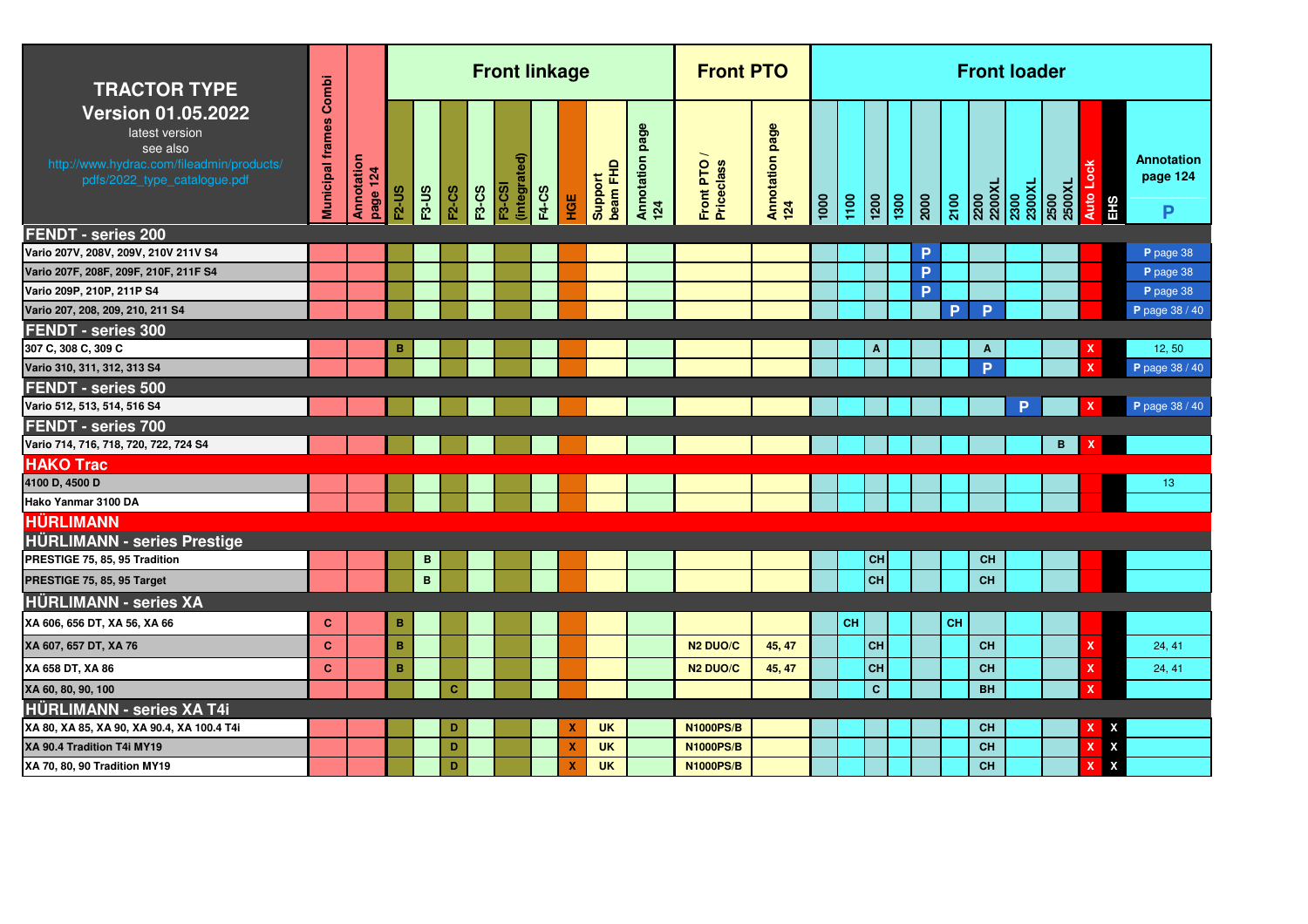| <b>TRACTOR TYPE</b>                                                                                                                  | Combi                   |                        |                |              |              |              | <b>Front linkage</b>          |              |     |                     |                           | <b>Front PTO</b>        |                        |           |                 |                 |           | <b>Front loader</b>              |   |                |                         |                             |
|--------------------------------------------------------------------------------------------------------------------------------------|-------------------------|------------------------|----------------|--------------|--------------|--------------|-------------------------------|--------------|-----|---------------------|---------------------------|-------------------------|------------------------|-----------|-----------------|-----------------|-----------|----------------------------------|---|----------------|-------------------------|-----------------------------|
| <b>Version 01.05.2022</b><br>latest version<br>see also<br>http://www.hydrac.com/fileadmin/products/<br>pdfs/2022_type_catalogue.pdf | <b>Municipal frames</b> | Annotation<br>page 124 | $F2-US$        | <b>F3-US</b> | <b>F2-CS</b> | <b>F3-CS</b> | (integrated)<br><b>F3-CSI</b> | <b>F4-CS</b> | HGE | beam FHD<br>Support | page<br>Annotation<br>124 | Front PTO<br>Priceclass | Annotation page<br>124 | 1100      | $\frac{1}{200}$ | $\frac{1}{200}$ | 2100      | 2200<br>2200XL<br>2300<br>2300XL |   | 2500<br>2500XL | Auto Lock<br><b>EHS</b> | Annotation<br>page 124<br>P |
| <b>FENDT - series 200</b>                                                                                                            |                         |                        |                |              |              |              |                               |              |     |                     |                           |                         |                        |           |                 |                 |           |                                  |   |                |                         |                             |
| Vario 207V, 208V, 209V, 210V 211V S4                                                                                                 |                         |                        |                |              |              |              |                               |              |     |                     |                           |                         |                        |           |                 | P               |           |                                  |   |                |                         | P page 38                   |
| Vario 207F, 208F, 209F, 210F, 211F S4                                                                                                |                         |                        |                |              |              |              |                               |              |     |                     |                           |                         |                        |           |                 | P               |           |                                  |   |                |                         | P page 38                   |
| Vario 209P, 210P, 211P S4                                                                                                            |                         |                        |                |              |              |              |                               |              |     |                     |                           |                         |                        |           |                 | P               |           |                                  |   |                |                         | P page 38                   |
| Vario 207, 208, 209, 210, 211 S4                                                                                                     |                         |                        |                |              |              |              |                               |              |     |                     |                           |                         |                        |           |                 |                 | P         | P                                |   |                |                         | P page 38 / 40              |
| <b>FENDT - series 300</b>                                                                                                            |                         |                        |                |              |              |              |                               |              |     |                     |                           |                         |                        |           |                 |                 |           |                                  |   |                |                         |                             |
| 307 C, 308 C, 309 C                                                                                                                  |                         |                        | в              |              |              |              |                               |              |     |                     |                           |                         |                        |           | A               |                 |           | A                                |   |                |                         | 12,50                       |
| Vario 310, 311, 312, 313 S4                                                                                                          |                         |                        |                |              |              |              |                               |              |     |                     |                           |                         |                        |           |                 |                 |           | P                                |   |                |                         | P page 38 / 40              |
| FENDT - series 500                                                                                                                   |                         |                        |                |              |              |              |                               |              |     |                     |                           |                         |                        |           |                 |                 |           |                                  |   |                |                         |                             |
| Vario 512, 513, 514, 516 S4                                                                                                          |                         |                        |                |              |              |              |                               |              |     |                     |                           |                         |                        |           |                 |                 |           |                                  | D |                |                         | P page 38 / 40              |
| FENDT - series 700                                                                                                                   |                         |                        |                |              |              |              |                               |              |     |                     |                           |                         |                        |           |                 |                 |           |                                  |   |                |                         |                             |
| Vario 714, 716, 718, 720, 722, 724 S4                                                                                                |                         |                        |                |              |              |              |                               |              |     |                     |                           |                         |                        |           |                 |                 |           |                                  |   | B              |                         |                             |
| <b>HAKO Trac</b>                                                                                                                     |                         |                        |                |              |              |              |                               |              |     |                     |                           |                         |                        |           |                 |                 |           |                                  |   |                |                         |                             |
| 4100 D, 4500 D                                                                                                                       |                         |                        |                |              |              |              |                               |              |     |                     |                           |                         |                        |           |                 |                 |           |                                  |   |                |                         | 13 <sub>2</sub>             |
| Hako Yanmar 3100 DA                                                                                                                  |                         |                        |                |              |              |              |                               |              |     |                     |                           |                         |                        |           |                 |                 |           |                                  |   |                |                         |                             |
| <b>HÜRLIMANN</b>                                                                                                                     |                         |                        |                |              |              |              |                               |              |     |                     |                           |                         |                        |           |                 |                 |           |                                  |   |                |                         |                             |
| <b>HÜRLIMANN - series Prestige</b>                                                                                                   |                         |                        |                |              |              |              |                               |              |     |                     |                           |                         |                        |           |                 |                 |           |                                  |   |                |                         |                             |
| PRESTIGE 75, 85, 95 Tradition                                                                                                        |                         |                        |                | $\mathbf B$  |              |              |                               |              |     |                     |                           |                         |                        |           | <b>CH</b>       |                 |           | <b>CH</b>                        |   |                |                         |                             |
| PRESTIGE 75, 85, 95 Target                                                                                                           |                         |                        |                | $\mathbf B$  |              |              |                               |              |     |                     |                           |                         |                        |           | CH              |                 |           | <b>CH</b>                        |   |                |                         |                             |
| <b>HÜRLIMANN - series XA</b>                                                                                                         |                         |                        |                |              |              |              |                               |              |     |                     |                           |                         |                        |           |                 |                 |           |                                  |   |                |                         |                             |
| XA 606, 656 DT, XA 56, XA 66                                                                                                         | c                       |                        | в              |              |              |              |                               |              |     |                     |                           |                         |                        | <b>CH</b> |                 |                 | <b>CH</b> |                                  |   |                |                         |                             |
| XA 607, 657 DT, XA 76                                                                                                                | $\mathbf{C}$            |                        | $\overline{B}$ |              |              |              |                               |              |     |                     |                           | N <sub>2</sub> DUO/C    | 45, 47                 |           | CH              |                 |           | <b>CH</b>                        |   |                |                         | 24, 41                      |
| XA 658 DT, XA 86                                                                                                                     | $\mathbf{C}$            |                        | $\, {\bf B}$   |              |              |              |                               |              |     |                     |                           | N <sub>2</sub> DUO/C    | 45, 47                 |           | CH              |                 |           | <b>CH</b>                        |   |                | x                       | 24, 41                      |
| XA 60, 80, 90, 100                                                                                                                   |                         |                        |                |              | c            |              |                               |              |     |                     |                           |                         |                        |           | $\mathbf{C}$    |                 |           | <b>BH</b>                        |   |                |                         |                             |
| <b>HÜRLIMANN - series XA T4i</b>                                                                                                     |                         |                        |                |              |              |              |                               |              |     |                     |                           |                         |                        |           |                 |                 |           |                                  |   |                |                         |                             |
| XA 80, XA 85, XA 90, XA 90.4, XA 100.4 T4i                                                                                           |                         |                        |                |              | D            |              |                               |              | X   | <b>UK</b>           |                           | <b>N1000PS/B</b>        |                        |           |                 |                 |           | <b>CH</b>                        |   |                | x<br>Х                  |                             |
| XA 90.4 Tradition T4i MY19                                                                                                           |                         |                        |                |              | D            |              |                               |              | X   | <b>UK</b>           |                           | <b>N1000PS/B</b>        |                        |           |                 |                 |           | <b>CH</b>                        |   |                | X<br>x                  |                             |
| XA 70, 80, 90 Tradition MY19                                                                                                         |                         |                        |                |              | D            |              |                               |              | X   | <b>UK</b>           |                           | <b>N1000PS/B</b>        |                        |           |                 |                 |           | <b>CH</b>                        |   |                | X<br>x                  |                             |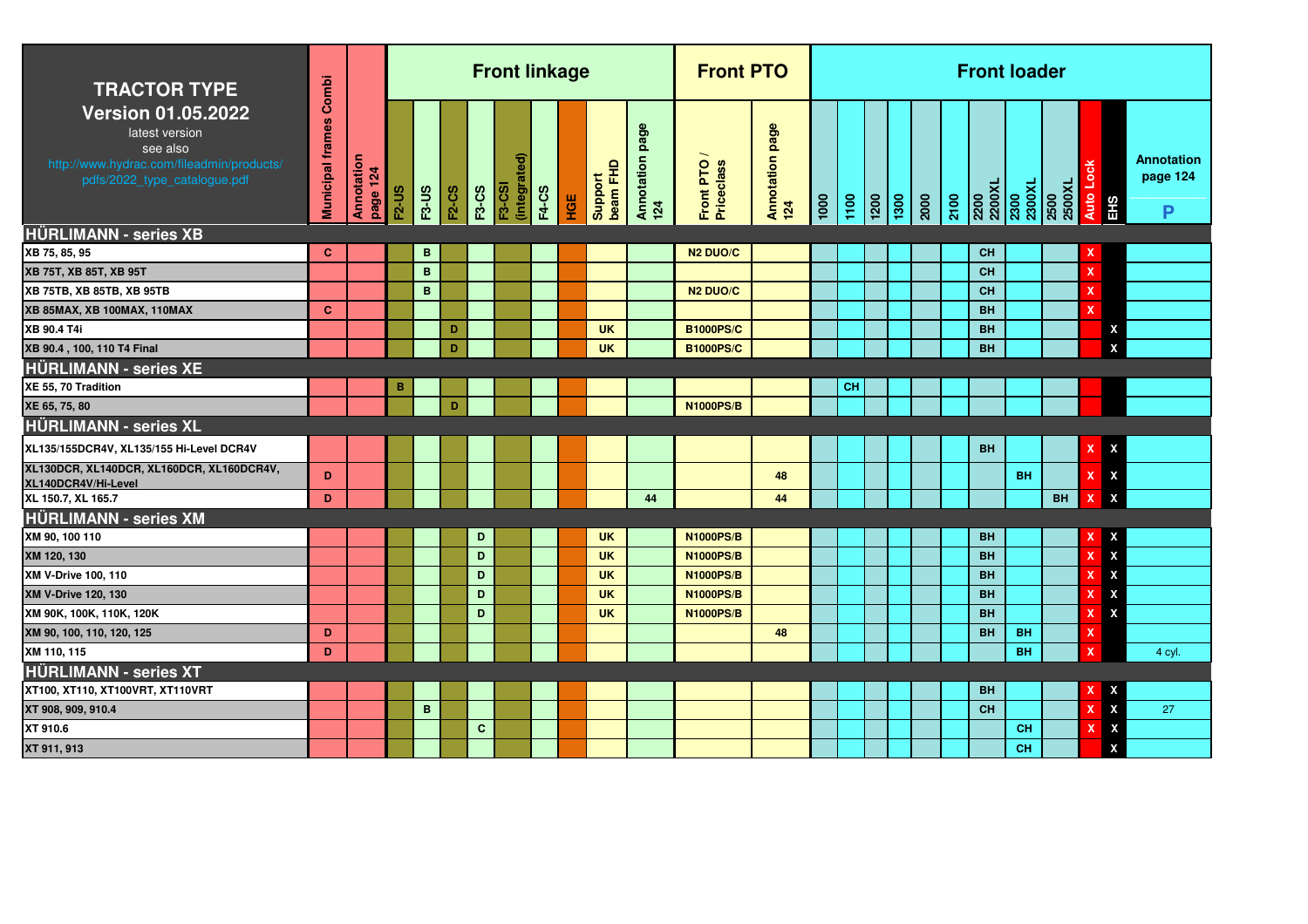| <b>TRACTOR TYPE</b>                                                                                                                  | Combi                   |                        |              |              |              |              | <b>Front linkage</b>          |              |     |                     |                           | <b>Front PTO</b>        |                        |      |           |  |      | <b>Front loader</b> |                                  |      |           |                                |                                    |
|--------------------------------------------------------------------------------------------------------------------------------------|-------------------------|------------------------|--------------|--------------|--------------|--------------|-------------------------------|--------------|-----|---------------------|---------------------------|-------------------------|------------------------|------|-----------|--|------|---------------------|----------------------------------|------|-----------|--------------------------------|------------------------------------|
| <b>Version 01.05.2022</b><br>latest version<br>see also<br>http://www.hydrac.com/fileadmin/products/<br>pdfs/2022_type_catalogue.pdf | <b>Municipal frames</b> | Annotation<br>page 124 | <b>F2-US</b> | <b>F3-US</b> | <b>F2-CS</b> | <b>F3-CS</b> | (integrated)<br><b>F3-CSI</b> | <b>F4-CS</b> | HGE | beam FHD<br>Support | page<br>Annotation<br>124 | Front PTO<br>Priceclass | Annotation page<br>124 | 1000 |           |  | 2100 |                     | 2200<br>2200XL<br>2300<br>2300XL | 2500 | 2500XL    | Auto Lock<br>EHS               | <b>Annotation</b><br>page 124<br>P |
| <b>HÜRLIMANN - series XB</b>                                                                                                         |                         |                        |              |              |              |              |                               |              |     |                     |                           |                         |                        |      |           |  |      |                     |                                  |      |           |                                |                                    |
| XB 75, 85, 95                                                                                                                        | <b>C</b>                |                        |              | B            |              |              |                               |              |     |                     |                           | N <sub>2</sub> DUO/C    |                        |      |           |  |      | CH                  |                                  |      |           | x                              |                                    |
| <b>XB 75T, XB 85T, XB 95T</b>                                                                                                        |                         |                        |              | B            |              |              |                               |              |     |                     |                           |                         |                        |      |           |  |      | CH                  |                                  |      |           | $\mathbf x$                    |                                    |
| <b>XB 75TB, XB 85TB, XB 95TB</b>                                                                                                     |                         |                        |              | B            |              |              |                               |              |     |                     |                           | N <sub>2</sub> DUO/C    |                        |      |           |  |      | CH                  |                                  |      |           | x                              |                                    |
| XB 85MAX, XB 100MAX, 110MAX                                                                                                          | <b>C</b>                |                        |              |              |              |              |                               |              |     |                     |                           |                         |                        |      |           |  |      | <b>BH</b>           |                                  |      |           | x                              |                                    |
| XB 90.4 T4i                                                                                                                          |                         |                        |              |              | D            |              |                               |              |     | <b>UK</b>           |                           | <b>B1000PS/C</b>        |                        |      |           |  |      | <b>BH</b>           |                                  |      |           | x                              |                                    |
| XB 90.4, 100, 110 T4 Final                                                                                                           |                         |                        |              |              | D            |              |                               |              |     | <b>UK</b>           |                           | <b>B1000PS/C</b>        |                        |      |           |  |      | <b>BH</b>           |                                  |      |           | X                              |                                    |
| <b>HÜRLIMANN - series XE</b>                                                                                                         |                         |                        |              |              |              |              |                               |              |     |                     |                           |                         |                        |      |           |  |      |                     |                                  |      |           |                                |                                    |
| XE 55, 70 Tradition                                                                                                                  |                         |                        | в            |              |              |              |                               |              |     |                     |                           |                         |                        |      | <b>CH</b> |  |      |                     |                                  |      |           |                                |                                    |
| XE 65, 75, 80                                                                                                                        |                         |                        |              |              | D            |              |                               |              |     |                     |                           | <b>N1000PS/B</b>        |                        |      |           |  |      |                     |                                  |      |           |                                |                                    |
| <b>HÜRLIMANN - series XL</b>                                                                                                         |                         |                        |              |              |              |              |                               |              |     |                     |                           |                         |                        |      |           |  |      |                     |                                  |      |           |                                |                                    |
| XL135/155DCR4V, XL135/155 Hi-Level DCR4V                                                                                             |                         |                        |              |              |              |              |                               |              |     |                     |                           |                         |                        |      |           |  |      | <b>BH</b>           |                                  |      |           | $\boldsymbol{\mathsf{x}}$<br>X |                                    |
| XL130DCR, XL140DCR, XL160DCR, XL160DCR4V,<br>XL140DCR4V/Hi-Level                                                                     | D                       |                        |              |              |              |              |                               |              |     |                     |                           |                         | 48                     |      |           |  |      |                     | <b>BH</b>                        |      |           | $\mathbf x$<br>X               |                                    |
| XL 150.7, XL 165.7                                                                                                                   | D                       |                        |              |              |              |              |                               |              |     |                     | 44                        |                         | 44                     |      |           |  |      |                     |                                  |      | <b>BH</b> | $\boldsymbol{\mathsf{x}}$<br>X |                                    |
| <b>HÜRLIMANN - series XM</b>                                                                                                         |                         |                        |              |              |              |              |                               |              |     |                     |                           |                         |                        |      |           |  |      |                     |                                  |      |           |                                |                                    |
| XM 90, 100 110                                                                                                                       |                         |                        |              |              |              | D            |                               |              |     | <b>UK</b>           |                           | <b>N1000PS/B</b>        |                        |      |           |  |      | <b>BH</b>           |                                  |      |           | X                              |                                    |
| XM 120, 130                                                                                                                          |                         |                        |              |              |              | D            |                               |              |     | <b>UK</b>           |                           | <b>N1000PS/B</b>        |                        |      |           |  |      | <b>BH</b>           |                                  |      |           | X<br>$\mathbf x$               |                                    |
| <b>XM V-Drive 100, 110</b>                                                                                                           |                         |                        |              |              |              | D            |                               |              |     | <b>UK</b>           |                           | <b>N1000PS/B</b>        |                        |      |           |  |      | <b>BH</b>           |                                  |      |           | X<br>X                         |                                    |
| <b>XM V-Drive 120, 130</b>                                                                                                           |                         |                        |              |              |              | D            |                               |              |     | <b>UK</b>           |                           | <b>N1000PS/B</b>        |                        |      |           |  |      | <b>BH</b>           |                                  |      |           | X<br>X                         |                                    |
| XM 90K, 100K, 110K, 120K                                                                                                             |                         |                        |              |              |              | D            |                               |              |     | <b>UK</b>           |                           | <b>N1000PS/B</b>        |                        |      |           |  |      | <b>BH</b>           |                                  |      |           | X<br>x                         |                                    |
| XM 90, 100, 110, 120, 125                                                                                                            | D                       |                        |              |              |              |              |                               |              |     |                     |                           |                         | 48                     |      |           |  |      | <b>BH</b>           | <b>BH</b>                        |      |           | $\boldsymbol{\mathsf{x}}$      |                                    |
| XM 110, 115                                                                                                                          | D                       |                        |              |              |              |              |                               |              |     |                     |                           |                         |                        |      |           |  |      |                     | <b>BH</b>                        |      |           | $\boldsymbol{\mathsf{x}}$      | 4 cyl.                             |
| <b>HÜRLIMANN - series XT</b>                                                                                                         |                         |                        |              |              |              |              |                               |              |     |                     |                           |                         |                        |      |           |  |      |                     |                                  |      |           |                                |                                    |
| XT100, XT110, XT100VRT, XT110VRT                                                                                                     |                         |                        |              |              |              |              |                               |              |     |                     |                           |                         |                        |      |           |  |      | <b>BH</b>           |                                  |      |           | X                              |                                    |
| XT 908, 909, 910.4                                                                                                                   |                         |                        |              | B            |              |              |                               |              |     |                     |                           |                         |                        |      |           |  |      | <b>CH</b>           |                                  |      |           | X<br>$\mathbf x$               | 27                                 |
| XT 910.6                                                                                                                             |                         |                        |              |              |              | $\mathbf{C}$ |                               |              |     |                     |                           |                         |                        |      |           |  |      |                     | <b>CH</b>                        |      |           | X<br>x                         |                                    |
| XT 911, 913                                                                                                                          |                         |                        |              |              |              |              |                               |              |     |                     |                           |                         |                        |      |           |  |      |                     | <b>CH</b>                        |      |           | X                              |                                    |
|                                                                                                                                      |                         |                        |              |              |              |              |                               |              |     |                     |                           |                         |                        |      |           |  |      |                     |                                  |      |           |                                |                                    |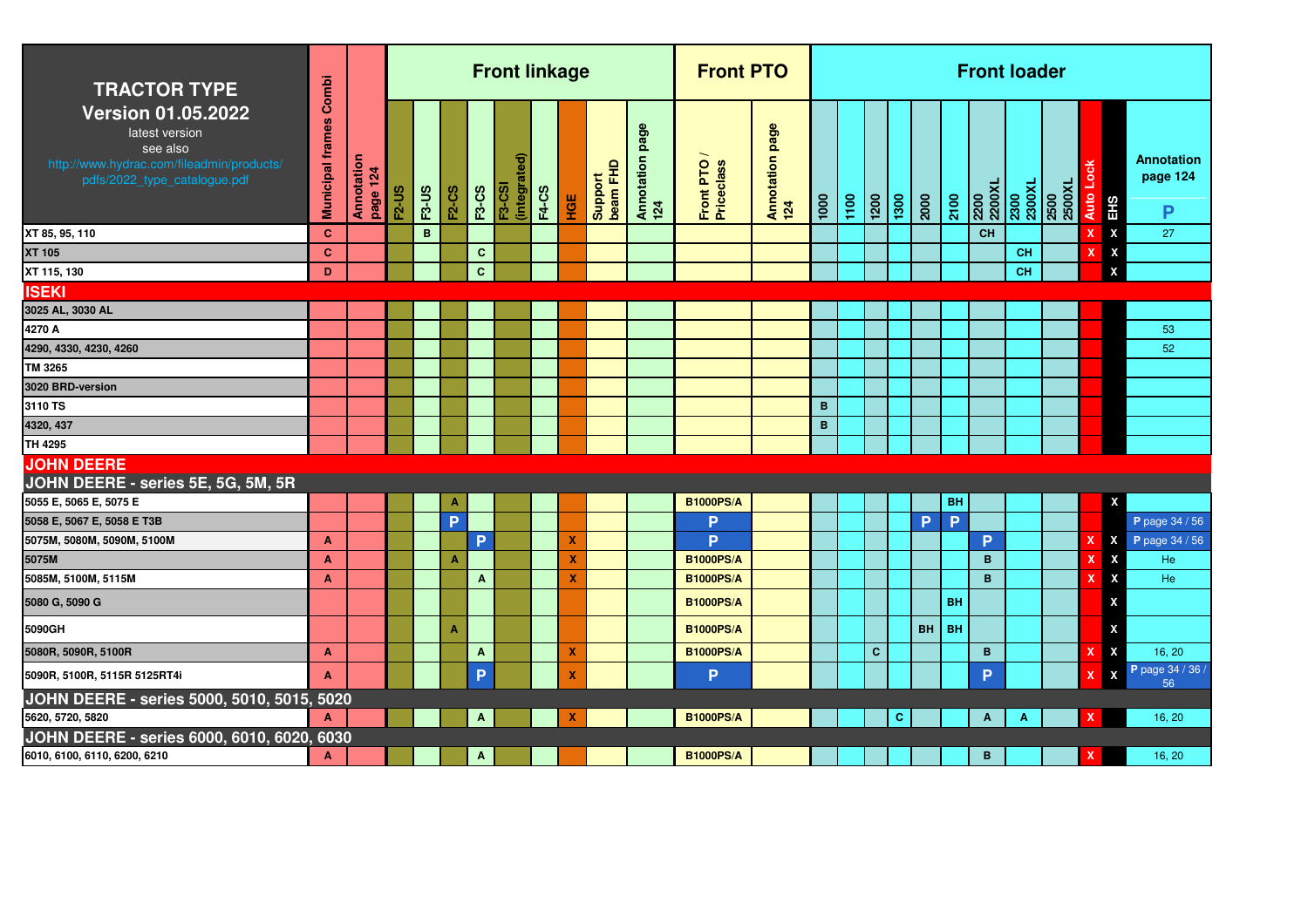| <b>TRACTOR TYPE</b>                                                                                                                  | Combi                   |                        |              |              |                         |              | <b>Front linkage</b>          |              |     |                     |                           | <b>Front PTO</b>        |                        |      |      |                    |                           |           |           |                | <b>Front loader</b> |                                  |                            |                                    |
|--------------------------------------------------------------------------------------------------------------------------------------|-------------------------|------------------------|--------------|--------------|-------------------------|--------------|-------------------------------|--------------|-----|---------------------|---------------------------|-------------------------|------------------------|------|------|--------------------|---------------------------|-----------|-----------|----------------|---------------------|----------------------------------|----------------------------|------------------------------------|
| <b>Version 01.05.2022</b><br>latest version<br>see also<br>http://www.hydrac.com/fileadmin/products/<br>pdfs/2022_type_catalogue.pdf | <b>Municipal frames</b> | Annotation<br>page 124 | <b>F2-US</b> | <b>F3-US</b> | <b>F2-CS</b>            | <b>F3-CS</b> | (integrated)<br><b>F3-CSI</b> | <b>F4-CS</b> | HGE | Support<br>beam FHD | page<br>Annotation<br>124 | Front PTO<br>Priceclass | Annotation page<br>124 | 1000 | 1100 | $\frac{1200}{200}$ | $\overline{1300}$<br>2000 |           | 2100      | 2200<br>2200XL |                     | 2300<br>2300XL<br>2500<br>2500XL | Auto Lo<br>EH <sub>S</sub> | <b>Annotation</b><br>page 124<br>P |
| XT 85, 95, 110                                                                                                                       | <b>C</b>                |                        |              | B            |                         |              |                               |              |     |                     |                           |                         |                        |      |      |                    |                           |           |           | <b>CH</b>      |                     |                                  | $\pmb{\mathsf{X}}$         | 27                                 |
| XT 105                                                                                                                               | <b>C</b>                |                        |              |              |                         | $\mathbf{C}$ |                               |              |     |                     |                           |                         |                        |      |      |                    |                           |           |           |                | <b>CH</b>           |                                  | $\pmb{\mathsf{X}}$<br>x    |                                    |
| XT 115, 130                                                                                                                          | D                       |                        |              |              |                         | $\mathbf{C}$ |                               |              |     |                     |                           |                         |                        |      |      |                    |                           |           |           |                | CH                  |                                  | X                          |                                    |
| <b>ISEKI</b>                                                                                                                         |                         |                        |              |              |                         |              |                               |              |     |                     |                           |                         |                        |      |      |                    |                           |           |           |                |                     |                                  |                            |                                    |
| 3025 AL, 3030 AL                                                                                                                     |                         |                        |              |              |                         |              |                               |              |     |                     |                           |                         |                        |      |      |                    |                           |           |           |                |                     |                                  |                            |                                    |
| 4270 A                                                                                                                               |                         |                        |              |              |                         |              |                               |              |     |                     |                           |                         |                        |      |      |                    |                           |           |           |                |                     |                                  |                            | 53                                 |
| 4290, 4330, 4230, 4260                                                                                                               |                         |                        |              |              |                         |              |                               |              |     |                     |                           |                         |                        |      |      |                    |                           |           |           |                |                     |                                  |                            | 52                                 |
| TM 3265                                                                                                                              |                         |                        |              |              |                         |              |                               |              |     |                     |                           |                         |                        |      |      |                    |                           |           |           |                |                     |                                  |                            |                                    |
| 3020 BRD-version                                                                                                                     |                         |                        |              |              |                         |              |                               |              |     |                     |                           |                         |                        |      |      |                    |                           |           |           |                |                     |                                  |                            |                                    |
| 3110 TS                                                                                                                              |                         |                        |              |              |                         |              |                               |              |     |                     |                           |                         |                        | B    |      |                    |                           |           |           |                |                     |                                  |                            |                                    |
| 4320, 437                                                                                                                            |                         |                        |              |              |                         |              |                               |              |     |                     |                           |                         |                        | B    |      |                    |                           |           |           |                |                     |                                  |                            |                                    |
| TH 4295                                                                                                                              |                         |                        |              |              |                         |              |                               |              |     |                     |                           |                         |                        |      |      |                    |                           |           |           |                |                     |                                  |                            |                                    |
| <b>JOHN DEERE</b><br>JOHN DEERE - series 5E, 5G, 5M, 5R                                                                              |                         |                        |              |              |                         |              |                               |              |     |                     |                           |                         |                        |      |      |                    |                           |           |           |                |                     |                                  |                            |                                    |
| 5055 E, 5065 E, 5075 E                                                                                                               |                         |                        |              |              | A                       |              |                               |              |     |                     |                           | <b>B1000PS/A</b>        |                        |      |      |                    |                           |           | BH        |                |                     |                                  | X                          |                                    |
| 5058 E, 5067 E, 5058 E T3B                                                                                                           |                         |                        |              |              | P                       |              |                               |              |     |                     |                           | P                       |                        |      |      |                    |                           | P         | P         |                |                     |                                  |                            | P page 34 / 56                     |
| 5075M, 5080M, 5090M, 5100M                                                                                                           | $\mathbf{A}$            |                        |              |              |                         | P            |                               |              | x   |                     |                           | P                       |                        |      |      |                    |                           |           |           | P              |                     |                                  | X                          | P page 34 / 56                     |
| 5075M                                                                                                                                | A                       |                        |              |              | $\mathbf{A}$            |              |                               |              | х   |                     |                           | <b>B1000PS/A</b>        |                        |      |      |                    |                           |           |           | B              |                     |                                  | x                          | He                                 |
| 5085M, 5100M, 5115M                                                                                                                  | $\mathbf{A}$            |                        |              |              |                         | $\mathbf{A}$ |                               |              | X   |                     |                           | <b>B1000PS/A</b>        |                        |      |      |                    |                           |           |           | B              |                     |                                  | X                          | He                                 |
| 5080 G, 5090 G                                                                                                                       |                         |                        |              |              |                         |              |                               |              |     |                     |                           | <b>B1000PS/A</b>        |                        |      |      |                    |                           |           | <b>BH</b> |                |                     |                                  | X                          |                                    |
| 5090GH                                                                                                                               |                         |                        |              |              | $\overline{\mathbf{A}}$ |              |                               |              |     |                     |                           | <b>B1000PS/A</b>        |                        |      |      |                    |                           | <b>BH</b> | <b>BH</b> |                |                     |                                  | X                          |                                    |
| 5080R, 5090R, 5100R                                                                                                                  | A                       |                        |              |              |                         | $\mathbf{A}$ |                               |              | х   |                     |                           | <b>B1000PS/A</b>        |                        |      |      | $\mathbf{C}$       |                           |           |           | B              |                     |                                  | X                          | 16, 20                             |
| 5090R, 5100R, 5115R 5125RT4i                                                                                                         | A                       |                        |              |              |                         | P            |                               |              | X   |                     |                           | P                       |                        |      |      |                    |                           |           |           | P              |                     |                                  | X                          | P page 34 / 36 /<br>56             |
| JOHN DEERE - series 5000, 5010, 5015, 5020                                                                                           |                         |                        |              |              |                         |              |                               |              |     |                     |                           |                         |                        |      |      |                    |                           |           |           |                |                     |                                  |                            |                                    |
| 5620, 5720, 5820                                                                                                                     | A                       |                        |              |              |                         | $\Lambda$    |                               |              | x   |                     |                           | <b>B1000PS/A</b>        |                        |      |      |                    | c                         |           |           | A              | Α                   |                                  |                            | 16, 20                             |
| JOHN DEERE - series 6000, 6010, 6020, 6030                                                                                           |                         |                        |              |              |                         |              |                               |              |     |                     |                           |                         |                        |      |      |                    |                           |           |           |                |                     |                                  |                            |                                    |
| 6010, 6100, 6110, 6200, 6210                                                                                                         | A                       |                        |              |              |                         | Α            |                               |              |     |                     |                           | <b>B1000PS/A</b>        |                        |      |      |                    |                           |           |           | B              |                     |                                  | x                          | 16, 20                             |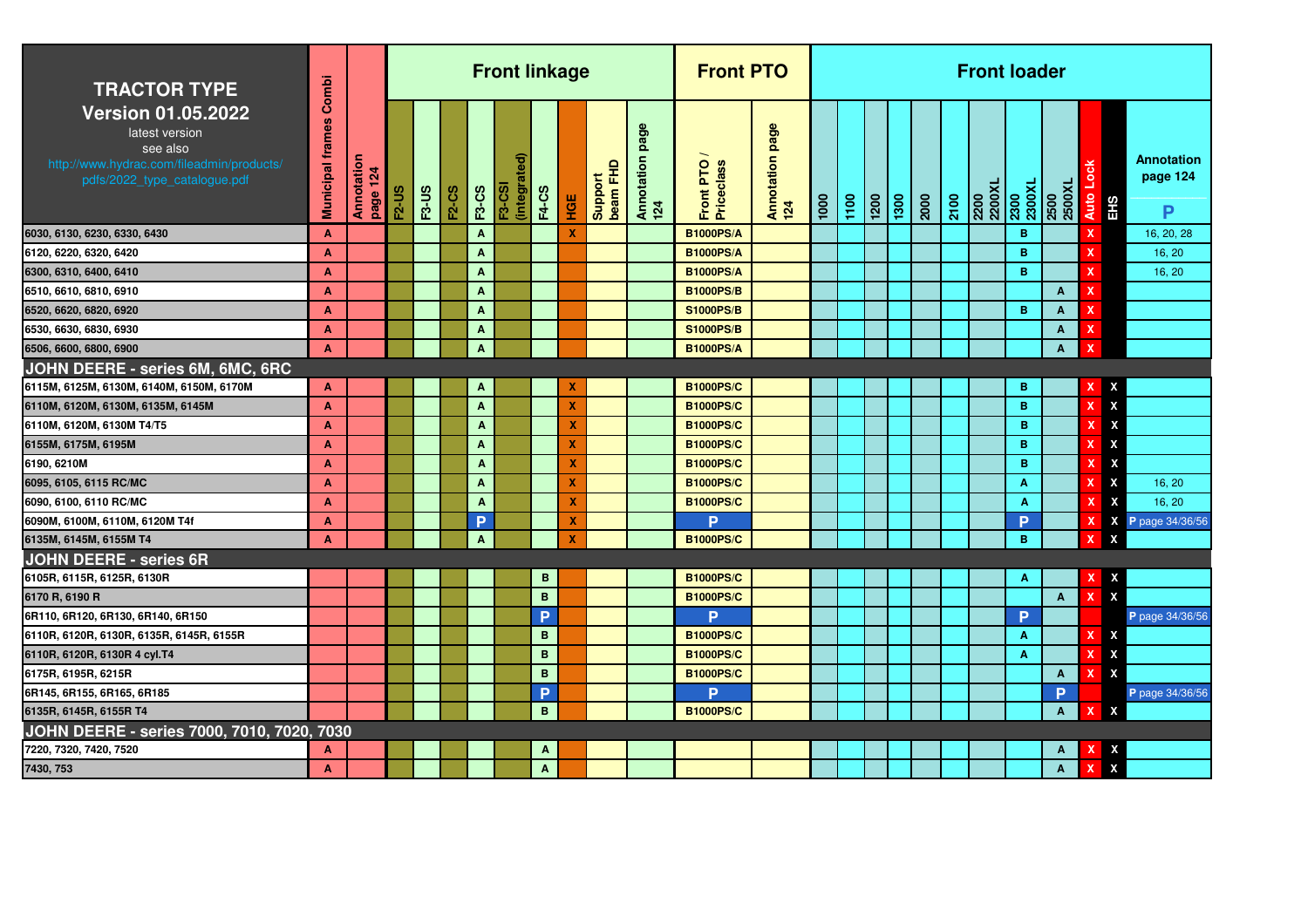| <b>TRACTOR TYPE</b>                                                                                                                  | Combi                   |                        |              |              |              |                           | <b>Front linkage</b> |              |                           |                     |                        | <b>Front PTO</b>        |                             |      |      |                    |      |      |      | <b>Front loader</b> |                |                |                              |                                    |
|--------------------------------------------------------------------------------------------------------------------------------------|-------------------------|------------------------|--------------|--------------|--------------|---------------------------|----------------------|--------------|---------------------------|---------------------|------------------------|-------------------------|-----------------------------|------|------|--------------------|------|------|------|---------------------|----------------|----------------|------------------------------|------------------------------------|
| <b>Version 01.05.2022</b><br>latest version<br>see also<br>http://www.hydrac.com/fileadmin/products/<br>pdfs/2022_type_catalogue.pdf | <b>Municipal frames</b> | Annotation<br>page 124 | <b>F2-US</b> | <b>F3-US</b> | <b>F2-CS</b> | <b>F3-CS</b>              | (integrat<br>F3-CSI  | <b>F4-CS</b> | HGE                       | Support<br>beam FHD | Annotation page<br>124 | Front PTO<br>Priceclass | page<br>Annotation p<br>124 | 1000 | 1100 | $\frac{1200}{200}$ | 1300 | 2000 | 2100 | 2200XL<br>2200      | 2300<br>2300XL | 2500<br>2500XL | Auto Lock<br>EH <sub>S</sub> | <b>Annotation</b><br>page 124<br>P |
| 6030, 6130, 6230, 6330, 6430                                                                                                         | A                       |                        |              |              |              | $\mathbf{A}$              |                      |              | X                         |                     |                        | <b>B1000PS/A</b>        |                             |      |      |                    |      |      |      |                     | B              |                | $\mathbf x$                  | 16, 20, 28                         |
| 6120, 6220, 6320, 6420                                                                                                               | A                       |                        |              |              |              | $\mathbf{A}$              |                      |              |                           |                     |                        | <b>B1000PS/A</b>        |                             |      |      |                    |      |      |      |                     | B              |                | x                            | 16, 20                             |
| 6300, 6310, 6400, 6410                                                                                                               | A                       |                        |              |              |              | A                         |                      |              |                           |                     |                        | <b>B1000PS/A</b>        |                             |      |      |                    |      |      |      |                     | B              |                | x                            | 16, 20                             |
| 6510, 6610, 6810, 6910                                                                                                               | A                       |                        |              |              |              | $\mathbf{A}$              |                      |              |                           |                     |                        | <b>B1000PS/B</b>        |                             |      |      |                    |      |      |      |                     |                | A              | X                            |                                    |
| 6520, 6620, 6820, 6920                                                                                                               | A                       |                        |              |              |              | $\mathbf{A}$              |                      |              |                           |                     |                        | <b>S1000PS/B</b>        |                             |      |      |                    |      |      |      |                     | B.             | A              | $\boldsymbol{\mathsf{x}}$    |                                    |
| 6530, 6630, 6830, 6930                                                                                                               | A                       |                        |              |              |              | $\mathbf{A}$              |                      |              |                           |                     |                        | <b>S1000PS/B</b>        |                             |      |      |                    |      |      |      |                     |                | A              | $\boldsymbol{\mathsf{x}}$    |                                    |
| 6506, 6600, 6800, 6900                                                                                                               | A                       |                        |              |              |              | A                         |                      |              |                           |                     |                        | <b>B1000PS/A</b>        |                             |      |      |                    |      |      |      |                     |                | A              | ×                            |                                    |
| JOHN DEERE - series 6M, 6MC, 6RC                                                                                                     |                         |                        |              |              |              |                           |                      |              |                           |                     |                        |                         |                             |      |      |                    |      |      |      |                     |                |                |                              |                                    |
| 6115M, 6125M, 6130M, 6140M, 6150M, 6170M                                                                                             | A                       |                        |              |              |              | $\mathbf{A}$              |                      |              | X                         |                     |                        | <b>B1000PS/C</b>        |                             |      |      |                    |      |      |      |                     | B              |                | x                            | X                                  |
| 6110M, 6120M, 6130M, 6135M, 6145M                                                                                                    | A                       |                        |              |              |              | $\mathbf{A}$              |                      |              | $\boldsymbol{\mathsf{x}}$ |                     |                        | <b>B1000PS/C</b>        |                             |      |      |                    |      |      |      |                     | B              |                |                              | X                                  |
| 6110M, 6120M, 6130M T4/T5                                                                                                            | A                       |                        |              |              |              | $\overline{A}$            |                      |              | X                         |                     |                        | <b>B1000PS/C</b>        |                             |      |      |                    |      |      |      |                     | B.             |                |                              | X                                  |
| 6155M, 6175M, 6195M                                                                                                                  | A                       |                        |              |              |              | $\mathbf{A}$              |                      |              | X                         |                     |                        | <b>B1000PS/C</b>        |                             |      |      |                    |      |      |      |                     | B              |                | x                            | X                                  |
| 6190, 6210M                                                                                                                          | A                       |                        |              |              |              | $\boldsymbol{\mathsf{A}}$ |                      |              | X                         |                     |                        | <b>B1000PS/C</b>        |                             |      |      |                    |      |      |      |                     | B              |                |                              | $\boldsymbol{\mathsf{X}}$          |
| 6095, 6105, 6115 RC/MC                                                                                                               | A                       |                        |              |              |              | $\mathbf{A}$              |                      |              | X                         |                     |                        | <b>B1000PS/C</b>        |                             |      |      |                    |      |      |      |                     | A              |                | x                            | X<br>16, 20                        |
| 6090, 6100, 6110 RC/MC                                                                                                               | A                       |                        |              |              |              | $\mathbf{A}$              |                      |              | X                         |                     |                        | <b>B1000PS/C</b>        |                             |      |      |                    |      |      |      |                     | A              |                | x                            | X<br>16, 20                        |
| 6090M, 6100M, 6110M, 6120M T4f                                                                                                       | A                       |                        |              |              |              | P                         |                      |              | X                         |                     |                        | Þ                       |                             |      |      |                    |      |      |      |                     | D              |                |                              | X<br>P page 34/36/56               |
| 6135M, 6145M, 6155M T4                                                                                                               | A                       |                        |              |              |              | $\mathbf{A}$              |                      |              | X                         |                     |                        | <b>B1000PS/C</b>        |                             |      |      |                    |      |      |      |                     | B              |                | $\mathbf x$                  | $\boldsymbol{\mathsf{x}}$          |
| <b>JOHN DEERE - series 6R</b>                                                                                                        |                         |                        |              |              |              |                           |                      |              |                           |                     |                        |                         |                             |      |      |                    |      |      |      |                     |                |                |                              |                                    |
| 6105R, 6115R, 6125R, 6130R                                                                                                           |                         |                        |              |              |              |                           |                      | В            |                           |                     |                        | <b>B1000PS/C</b>        |                             |      |      |                    |      |      |      |                     | A              |                |                              | X                                  |
| 6170 R, 6190 R                                                                                                                       |                         |                        |              |              |              |                           |                      | B            |                           |                     |                        | <b>B1000PS/C</b>        |                             |      |      |                    |      |      |      |                     |                | A              | $\boldsymbol{\mathsf{x}}$    | $\boldsymbol{\mathsf{x}}$          |
| 6R110, 6R120, 6R130, 6R140, 6R150                                                                                                    |                         |                        |              |              |              |                           |                      | P            |                           |                     |                        | <b>P</b>                |                             |      |      |                    |      |      |      |                     | P              |                |                              | P page 34/36/56                    |
| 6110R, 6120R, 6130R, 6135R, 6145R, 6155R                                                                                             |                         |                        |              |              |              |                           |                      | B            |                           |                     |                        | <b>B1000PS/C</b>        |                             |      |      |                    |      |      |      |                     | A              |                | x                            | X                                  |
| 6110R, 6120R, 6130R 4 cyl.T4                                                                                                         |                         |                        |              |              |              |                           |                      | B            |                           |                     |                        | <b>B1000PS/C</b>        |                             |      |      |                    |      |      |      |                     | $\mathbf{A}$   |                | x                            | X                                  |
| 6175R, 6195R, 6215R                                                                                                                  |                         |                        |              |              |              |                           |                      | B            |                           |                     |                        | <b>B1000PS/C</b>        |                             |      |      |                    |      |      |      |                     |                | $\mathbf{A}$   | $\mathbf x$                  | $\boldsymbol{\mathsf{x}}$          |
| 6R145, 6R155, 6R165, 6R185                                                                                                           |                         |                        |              |              |              |                           |                      | P            |                           |                     |                        | Þ                       |                             |      |      |                    |      |      |      |                     |                | Þ              |                              | P page 34/36/56                    |
| 6135R, 6145R, 6155R T4                                                                                                               |                         |                        |              |              |              |                           |                      | B            |                           |                     |                        | <b>B1000PS/C</b>        |                             |      |      |                    |      |      |      |                     |                | $\mathbf{A}$   | x                            | X                                  |
| JOHN DEERE - series 7000, 7010, 7020, 7030                                                                                           |                         |                        |              |              |              |                           |                      |              |                           |                     |                        |                         |                             |      |      |                    |      |      |      |                     |                |                |                              |                                    |
| 7220, 7320, 7420, 7520                                                                                                               | A                       |                        |              |              |              |                           |                      | A            |                           |                     |                        |                         |                             |      |      |                    |      |      |      |                     |                | A              |                              | X                                  |
| 7430, 753                                                                                                                            | A                       |                        |              |              |              |                           |                      | Α            |                           |                     |                        |                         |                             |      |      |                    |      |      |      |                     |                | Α              | x                            | X                                  |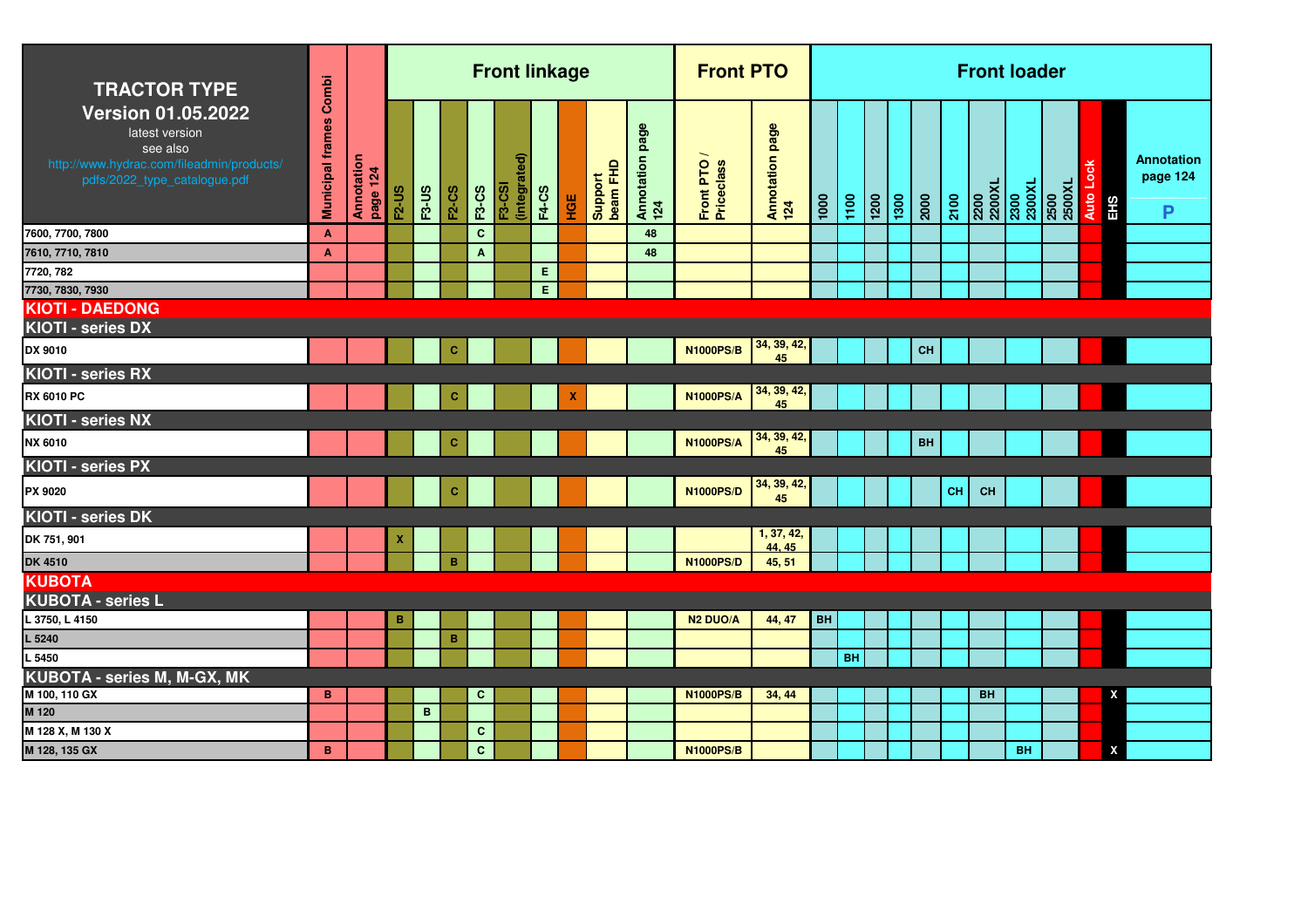| <b>TRACTOR TYPE</b>                                                                                                                  |                               |                        |              |         |              |              | <b>Front linkage</b>          |              |        |                     |                           | <b>Front PTO</b>        |                        |      |           |                 |      |      |           | <b>Front loader</b>              |           |                |      |     |                                    |
|--------------------------------------------------------------------------------------------------------------------------------------|-------------------------------|------------------------|--------------|---------|--------------|--------------|-------------------------------|--------------|--------|---------------------|---------------------------|-------------------------|------------------------|------|-----------|-----------------|------|------|-----------|----------------------------------|-----------|----------------|------|-----|------------------------------------|
| <b>Version 01.05.2022</b><br>latest version<br>see also<br>http://www.hydrac.com/fileadmin/products/<br>pdfs/2022_type_catalogue.pdf | <b>Municipal frames Combi</b> | Annotation<br>page 124 | <b>F2-US</b> | $F3-US$ | <b>F2-CS</b> | <b>F3-CS</b> | (integrated)<br><b>F3-CSI</b> | <b>F4-CS</b> | 일<br>모 | Support<br>beam FHD | page<br>Annotation<br>124 | Front PTO<br>Priceclass | Annotation page<br>124 | 1000 | 1100      | $\frac{1}{200}$ | 1300 | 2000 | 2100      | 2200<br>2200XL<br>2300<br>2300XL |           | 2500<br>2500XL | Auto | EHS | <b>Annotation</b><br>page 124<br>P |
| 7600, 7700, 7800                                                                                                                     | $\mathbf{A}$                  |                        |              |         |              | $\mathbf{C}$ |                               |              |        |                     | 48                        |                         |                        |      |           |                 |      |      |           |                                  |           |                |      |     |                                    |
| 7610, 7710, 7810                                                                                                                     | A                             |                        |              |         |              | $\mathbf{A}$ |                               |              |        |                     | 48                        |                         |                        |      |           |                 |      |      |           |                                  |           |                |      |     |                                    |
| 7720, 782                                                                                                                            |                               |                        |              |         |              |              |                               | E            |        |                     |                           |                         |                        |      |           |                 |      |      |           |                                  |           |                |      |     |                                    |
| 7730, 7830, 7930                                                                                                                     |                               |                        |              |         |              |              |                               | E            |        |                     |                           |                         |                        |      |           |                 |      |      |           |                                  |           |                |      |     |                                    |
| <b>KIOTI - DAEDONG</b>                                                                                                               |                               |                        |              |         |              |              |                               |              |        |                     |                           |                         |                        |      |           |                 |      |      |           |                                  |           |                |      |     |                                    |
| KIOTI - series DX                                                                                                                    |                               |                        |              |         |              |              |                               |              |        |                     |                           |                         | 34, 39, 42,            |      |           |                 |      |      |           |                                  |           |                |      |     |                                    |
| DX 9010                                                                                                                              |                               |                        |              |         | c            |              |                               |              |        |                     |                           | <b>N1000PS/B</b>        | 45                     |      |           |                 |      | CH   |           |                                  |           |                |      |     |                                    |
| KIOTI - series RX                                                                                                                    |                               |                        |              |         |              |              |                               |              |        |                     |                           |                         |                        |      |           |                 |      |      |           |                                  |           |                |      |     |                                    |
| RX 6010 PC                                                                                                                           |                               |                        |              |         | C.           |              |                               |              | X      |                     |                           | <b>N1000PS/A</b>        | 34, 39, 42,<br>45      |      |           |                 |      |      |           |                                  |           |                |      |     |                                    |
| KIOTI - series NX                                                                                                                    |                               |                        |              |         |              |              |                               |              |        |                     |                           |                         |                        |      |           |                 |      |      |           |                                  |           |                |      |     |                                    |
| NX 6010                                                                                                                              |                               |                        |              |         | c            |              |                               |              |        |                     |                           | <b>N1000PS/A</b>        | 34, 39, 42,<br>45      |      |           |                 |      | BH   |           |                                  |           |                |      |     |                                    |
| KIOTI - series PX                                                                                                                    |                               |                        |              |         |              |              |                               |              |        |                     |                           |                         |                        |      |           |                 |      |      |           |                                  |           |                |      |     |                                    |
| PX 9020                                                                                                                              |                               |                        |              |         | c            |              |                               |              |        |                     |                           | <b>N1000PS/D</b>        | 34, 39, 42,<br>45      |      |           |                 |      |      | <b>CH</b> | <b>CH</b>                        |           |                |      |     |                                    |
| KIOTI - series DK                                                                                                                    |                               |                        |              |         |              |              |                               |              |        |                     |                           |                         |                        |      |           |                 |      |      |           |                                  |           |                |      |     |                                    |
| DK 751, 901                                                                                                                          |                               |                        | x            |         |              |              |                               |              |        |                     |                           |                         | 1, 37, 42,<br>44.45    |      |           |                 |      |      |           |                                  |           |                |      |     |                                    |
| <b>DK 4510</b>                                                                                                                       |                               |                        |              |         | B            |              |                               |              |        |                     |                           | <b>N1000PS/D</b>        | 45, 51                 |      |           |                 |      |      |           |                                  |           |                |      |     |                                    |
| <b>KUBOTA</b>                                                                                                                        |                               |                        |              |         |              |              |                               |              |        |                     |                           |                         |                        |      |           |                 |      |      |           |                                  |           |                |      |     |                                    |
| <b>KUBOTA - series L</b>                                                                                                             |                               |                        |              |         |              |              |                               |              |        |                     |                           |                         |                        |      |           |                 |      |      |           |                                  |           |                |      |     |                                    |
| L 3750, L 4150                                                                                                                       |                               |                        | B            |         |              |              |                               |              |        |                     |                           | <b>N2 DUO/A</b>         | 44, 47                 | BH   |           |                 |      |      |           |                                  |           |                |      |     |                                    |
| L 5240                                                                                                                               |                               |                        |              |         | B            |              |                               |              |        |                     |                           |                         |                        |      |           |                 |      |      |           |                                  |           |                |      |     |                                    |
| L 5450                                                                                                                               |                               |                        |              |         |              |              |                               |              |        |                     |                           |                         |                        |      | <b>BH</b> |                 |      |      |           |                                  |           |                |      |     |                                    |
| KUBOTA - series M, M-GX, MK                                                                                                          |                               |                        |              |         |              |              |                               |              |        |                     |                           |                         |                        |      |           |                 |      |      |           |                                  |           |                |      |     |                                    |
| M 100, 110 GX                                                                                                                        | B                             |                        |              |         |              | $\mathbf{C}$ |                               |              |        |                     |                           | <b>N1000PS/B</b>        | 34, 44                 |      |           |                 |      |      |           | <b>BH</b>                        |           |                |      | X   |                                    |
| M 120                                                                                                                                |                               |                        |              | B       |              |              |                               |              |        |                     |                           |                         |                        |      |           |                 |      |      |           |                                  |           |                |      |     |                                    |
| M 128 X, M 130 X                                                                                                                     |                               |                        |              |         |              | $\mathbf{C}$ |                               |              |        |                     |                           |                         |                        |      |           |                 |      |      |           |                                  |           |                |      |     |                                    |
| M 128, 135 GX                                                                                                                        | B                             |                        |              |         |              | $\mathbf{C}$ |                               |              |        |                     |                           | <b>N1000PS/B</b>        |                        |      |           |                 |      |      |           |                                  | <b>BH</b> |                |      | X   |                                    |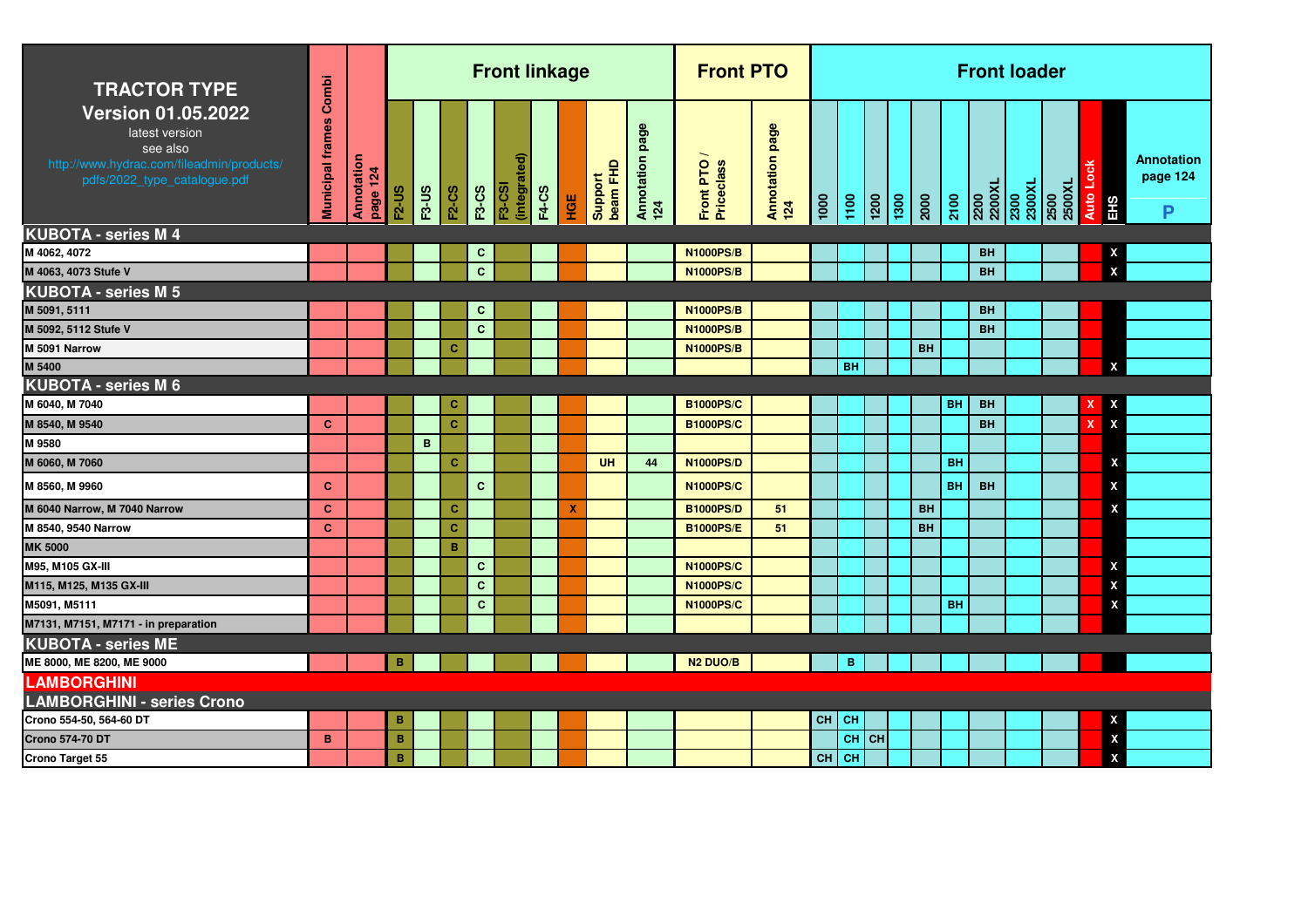| <b>TRACTOR TYPE</b>                                                                                                                  | Combi                   |                        |                |              |              |              | <b>Front linkage</b>          |              |     |                     |                           | <b>Front PTO</b>          |                        |    |                   |                                                                                    |           |           |           | <b>Front loader</b>              |                |                  |                    |                                    |
|--------------------------------------------------------------------------------------------------------------------------------------|-------------------------|------------------------|----------------|--------------|--------------|--------------|-------------------------------|--------------|-----|---------------------|---------------------------|---------------------------|------------------------|----|-------------------|------------------------------------------------------------------------------------|-----------|-----------|-----------|----------------------------------|----------------|------------------|--------------------|------------------------------------|
| <b>Version 01.05.2022</b><br>latest version<br>see also<br>http://www.hydrac.com/fileadmin/products/<br>pdfs/2022_type_catalogue.pdf | <b>Municipal frames</b> | Annotation<br>page 124 | <b>F2-US</b>   | <b>F3-US</b> | <b>F2-CS</b> | <b>F3-CS</b> | (integrated)<br><b>F3-CSI</b> | <b>F4-CS</b> | HGE | Support<br>beam FHD | page<br>Annotation<br>124 | Front PTO /<br>Priceclass | Annotation page<br>124 |    | $\frac{100}{100}$ | $\begin{array}{ c c c }\n\hline\n1200 \\ \hline\n1300 \\ \hline\n200\n\end{array}$ |           | 2100      |           | 2200<br>2200XL<br>2300<br>2300XL | 2500<br>2500XL | <b>Auto Lock</b> | EHS                | <b>Annotation</b><br>page 124<br>P |
| <b>KUBOTA - series M 4</b>                                                                                                           |                         |                        |                |              |              |              |                               |              |     |                     |                           |                           |                        |    |                   |                                                                                    |           |           |           |                                  |                |                  |                    |                                    |
| M 4062, 4072                                                                                                                         |                         |                        |                |              |              | C.           |                               |              |     |                     |                           | <b>N1000PS/B</b>          |                        |    |                   |                                                                                    |           |           | <b>BH</b> |                                  |                |                  | X                  |                                    |
| M 4063, 4073 Stufe V                                                                                                                 |                         |                        |                |              |              | $\mathbf{C}$ |                               |              |     |                     |                           | <b>N1000PS/B</b>          |                        |    |                   |                                                                                    |           |           | <b>BH</b> |                                  |                |                  | $\pmb{\mathsf{x}}$ |                                    |
| <b>KUBOTA - series M 5</b>                                                                                                           |                         |                        |                |              |              |              |                               |              |     |                     |                           |                           |                        |    |                   |                                                                                    |           |           |           |                                  |                |                  |                    |                                    |
| M 5091, 5111                                                                                                                         |                         |                        |                |              |              | $\mathbf{C}$ |                               |              |     |                     |                           | <b>N1000PS/B</b>          |                        |    |                   |                                                                                    |           |           | <b>BH</b> |                                  |                |                  |                    |                                    |
| M 5092, 5112 Stufe V                                                                                                                 |                         |                        |                |              |              | $\mathbf{C}$ |                               |              |     |                     |                           | <b>N1000PS/B</b>          |                        |    |                   |                                                                                    |           |           | <b>BH</b> |                                  |                |                  |                    |                                    |
| M 5091 Narrow                                                                                                                        |                         |                        |                |              | C            |              |                               |              |     |                     |                           | <b>N1000PS/B</b>          |                        |    |                   |                                                                                    | <b>BH</b> |           |           |                                  |                |                  |                    |                                    |
| M 5400                                                                                                                               |                         |                        |                |              |              |              |                               |              |     |                     |                           |                           |                        |    | <b>BH</b>         |                                                                                    |           |           |           |                                  |                |                  | X                  |                                    |
| KUBOTA - series M 6                                                                                                                  |                         |                        |                |              |              |              |                               |              |     |                     |                           |                           |                        |    |                   |                                                                                    |           |           |           |                                  |                |                  |                    |                                    |
| M 6040, M 7040                                                                                                                       |                         |                        |                |              | c            |              |                               |              |     |                     |                           | <b>B1000PS/C</b>          |                        |    |                   |                                                                                    |           | BH        | <b>BH</b> |                                  |                |                  | x                  |                                    |
| M 8540, M 9540                                                                                                                       | $\mathbf{C}$            |                        |                |              | $\mathbf{C}$ |              |                               |              |     |                     |                           | <b>B1000PS/C</b>          |                        |    |                   |                                                                                    |           |           | <b>BH</b> |                                  |                | x                | X                  |                                    |
| M 9580                                                                                                                               |                         |                        |                | $\mathbf B$  |              |              |                               |              |     |                     |                           |                           |                        |    |                   |                                                                                    |           |           |           |                                  |                |                  |                    |                                    |
| M 6060, M 7060                                                                                                                       |                         |                        |                |              | $\mathbf{C}$ |              |                               |              |     | <b>UH</b>           | 44                        | <b>N1000PS/D</b>          |                        |    |                   |                                                                                    |           | <b>BH</b> |           |                                  |                |                  | x                  |                                    |
| M 8560, M 9960                                                                                                                       | $\mathbf{C}$            |                        |                |              |              | $\mathbf{C}$ |                               |              |     |                     |                           | <b>N1000PS/C</b>          |                        |    |                   |                                                                                    |           | <b>BH</b> | <b>BH</b> |                                  |                |                  | X                  |                                    |
| M 6040 Narrow, M 7040 Narrow                                                                                                         | C.                      |                        |                |              | C.           |              |                               |              | х   |                     |                           | <b>B1000PS/D</b>          | 51                     |    |                   |                                                                                    | <b>BH</b> |           |           |                                  |                |                  | X                  |                                    |
| M 8540, 9540 Narrow                                                                                                                  | C.                      |                        |                |              | $\mathbf{C}$ |              |                               |              |     |                     |                           | <b>B1000PS/E</b>          | 51                     |    |                   |                                                                                    | <b>BH</b> |           |           |                                  |                |                  |                    |                                    |
| <b>MK 5000</b>                                                                                                                       |                         |                        |                |              | B            |              |                               |              |     |                     |                           |                           |                        |    |                   |                                                                                    |           |           |           |                                  |                |                  |                    |                                    |
| M95, M105 GX-III                                                                                                                     |                         |                        |                |              |              | $\mathbf{C}$ |                               |              |     |                     |                           | <b>N1000PS/C</b>          |                        |    |                   |                                                                                    |           |           |           |                                  |                |                  | X                  |                                    |
| M115, M125, M135 GX-III                                                                                                              |                         |                        |                |              |              | $\mathbf{C}$ |                               |              |     |                     |                           | <b>N1000PS/C</b>          |                        |    |                   |                                                                                    |           |           |           |                                  |                |                  | X                  |                                    |
| M5091, M5111                                                                                                                         |                         |                        |                |              |              | $\mathbf{C}$ |                               |              |     |                     |                           | <b>N1000PS/C</b>          |                        |    |                   |                                                                                    |           | <b>BH</b> |           |                                  |                |                  | X                  |                                    |
| M7131, M7151, M7171 - in preparation                                                                                                 |                         |                        |                |              |              |              |                               |              |     |                     |                           |                           |                        |    |                   |                                                                                    |           |           |           |                                  |                |                  |                    |                                    |
| <b>KUBOTA - series ME</b>                                                                                                            |                         |                        |                |              |              |              |                               |              |     |                     |                           |                           |                        |    |                   |                                                                                    |           |           |           |                                  |                |                  |                    |                                    |
| ME 8000, ME 8200, ME 9000                                                                                                            |                         |                        | B              |              |              |              |                               |              |     |                     |                           | <b>N2 DUO/B</b>           |                        |    | B                 |                                                                                    |           |           |           |                                  |                |                  |                    |                                    |
| <b>LAMBORGHINI</b>                                                                                                                   |                         |                        |                |              |              |              |                               |              |     |                     |                           |                           |                        |    |                   |                                                                                    |           |           |           |                                  |                |                  |                    |                                    |
| <b>LAMBORGHINI - series Crono</b>                                                                                                    |                         |                        |                |              |              |              |                               |              |     |                     |                           |                           |                        |    |                   |                                                                                    |           |           |           |                                  |                |                  |                    |                                    |
| Crono 554-50, 564-60 DT                                                                                                              |                         |                        | B              |              |              |              |                               |              |     |                     |                           |                           |                        | CH | $ $ CH            |                                                                                    |           |           |           |                                  |                |                  | X                  |                                    |
| Crono 574-70 DT                                                                                                                      | B.                      |                        | $\overline{B}$ |              |              |              |                               |              |     |                     |                           |                           |                        |    | CH CH             |                                                                                    |           |           |           |                                  |                |                  | $\pmb{\mathsf{X}}$ |                                    |
| Crono Target 55                                                                                                                      |                         |                        | B              |              |              |              |                               |              |     |                     |                           |                           |                        |    | $CH$ CH           |                                                                                    |           |           |           |                                  |                |                  | X                  |                                    |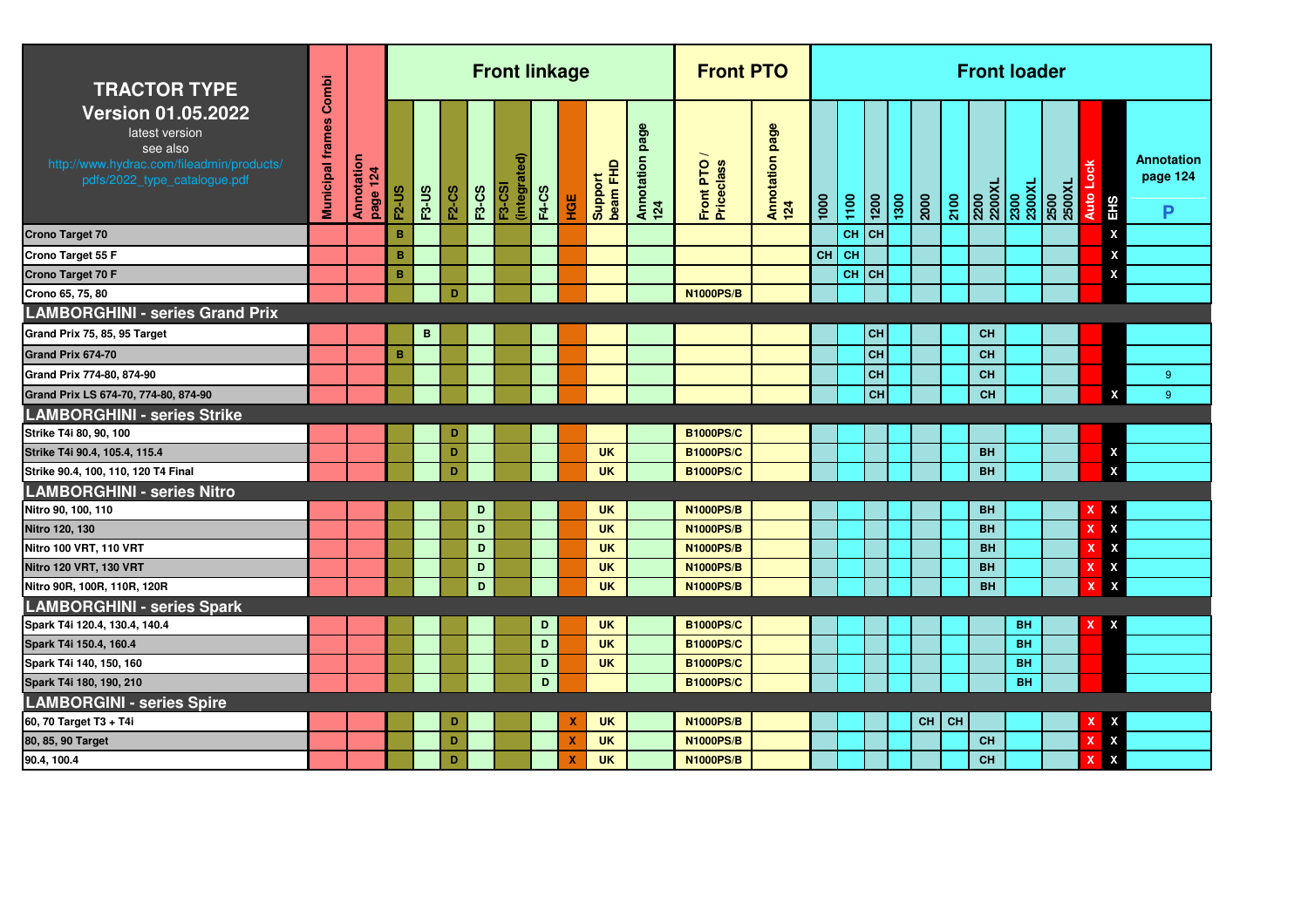| <b>TRACTOR TYPE</b>                                                                                                                  | Combi                   |                        |              |              |              |              | <b>Front linkage</b>     |              |                           |                     |                           | <b>Front PTO</b>        |                           |      |      |                    |      |         |      | <b>Front loader</b>              |           |                |             |                           |                                    |
|--------------------------------------------------------------------------------------------------------------------------------------|-------------------------|------------------------|--------------|--------------|--------------|--------------|--------------------------|--------------|---------------------------|---------------------|---------------------------|-------------------------|---------------------------|------|------|--------------------|------|---------|------|----------------------------------|-----------|----------------|-------------|---------------------------|------------------------------------|
| <b>Version 01.05.2022</b><br>latest version<br>see also<br>http://www.hydrac.com/fileadmin/products/<br>pdfs/2022_type_catalogue.pdf | <b>Municipal frames</b> | Annotation<br>page 124 | <b>F2-US</b> | <b>F3-US</b> | <b>F2-CS</b> | <b>F3-CS</b> | Э<br>(integrat<br>F3-CSI | <b>F4-CS</b> | HGE                       | Support<br>beam FHD | page<br>Annotation<br>124 | Front PTO<br>Priceclass | page<br>Annotation<br>124 | 1000 | 1100 | $\frac{1200}{200}$ | 1300 | 2000    | 2100 | 2200<br>2200XL<br>2300<br>2300XL |           | 2500<br>2500XL | <b>Auto</b> | <b>EHS</b>                | <b>Annotation</b><br>page 124<br>P |
| <b>Crono Target 70</b>                                                                                                               |                         |                        | B            |              |              |              |                          |              |                           |                     |                           |                         |                           |      |      | $CH$ CH            |      |         |      |                                  |           |                |             | X                         |                                    |
| Crono Target 55 F                                                                                                                    |                         |                        | B            |              |              |              |                          |              |                           |                     |                           |                         |                           | CH   | l CH |                    |      |         |      |                                  |           |                |             | X                         |                                    |
| <b>Crono Target 70 F</b>                                                                                                             |                         |                        | B            |              |              |              |                          |              |                           |                     |                           |                         |                           |      |      | $CH$ CH            |      |         |      |                                  |           |                |             | X                         |                                    |
| Crono 65, 75, 80                                                                                                                     |                         |                        |              |              | D            |              |                          |              |                           |                     |                           | <b>N1000PS/B</b>        |                           |      |      |                    |      |         |      |                                  |           |                |             |                           |                                    |
| <b>LAMBORGHINI - series Grand Prix</b>                                                                                               |                         |                        |              |              |              |              |                          |              |                           |                     |                           |                         |                           |      |      |                    |      |         |      |                                  |           |                |             |                           |                                    |
| Grand Prix 75, 85, 95 Target                                                                                                         |                         |                        |              | B            |              |              |                          |              |                           |                     |                           |                         |                           |      |      | <b>CH</b>          |      |         |      | <b>CH</b>                        |           |                |             |                           |                                    |
| Grand Prix 674-70                                                                                                                    |                         |                        | B            |              |              |              |                          |              |                           |                     |                           |                         |                           |      |      | CH                 |      |         |      | CH                               |           |                |             |                           |                                    |
| Grand Prix 774-80, 874-90                                                                                                            |                         |                        |              |              |              |              |                          |              |                           |                     |                           |                         |                           |      |      | <b>CH</b>          |      |         |      | <b>CH</b>                        |           |                |             |                           | $9^{\circ}$                        |
| Grand Prix LS 674-70, 774-80, 874-90                                                                                                 |                         |                        |              |              |              |              |                          |              |                           |                     |                           |                         |                           |      |      | CH                 |      |         |      | <b>CH</b>                        |           |                |             | X                         | 9                                  |
| <b>LAMBORGHINI - series Strike</b>                                                                                                   |                         |                        |              |              |              |              |                          |              |                           |                     |                           |                         |                           |      |      |                    |      |         |      |                                  |           |                |             |                           |                                    |
| Strike T4i 80, 90, 100                                                                                                               |                         |                        |              |              | D            |              |                          |              |                           |                     |                           | <b>B1000PS/C</b>        |                           |      |      |                    |      |         |      |                                  |           |                |             |                           |                                    |
| Strike T4i 90.4, 105.4, 115.4                                                                                                        |                         |                        |              |              | D            |              |                          |              |                           | <b>UK</b>           |                           | <b>B1000PS/C</b>        |                           |      |      |                    |      |         |      | <b>BH</b>                        |           |                |             | X                         |                                    |
| Strike 90.4, 100, 110, 120 T4 Final                                                                                                  |                         |                        |              |              | D            |              |                          |              |                           | <b>UK</b>           |                           | <b>B1000PS/C</b>        |                           |      |      |                    |      |         |      | <b>BH</b>                        |           |                |             | $\boldsymbol{\mathsf{x}}$ |                                    |
| <b>LAMBORGHINI - series Nitro</b>                                                                                                    |                         |                        |              |              |              |              |                          |              |                           |                     |                           |                         |                           |      |      |                    |      |         |      |                                  |           |                |             |                           |                                    |
| Nitro 90, 100, 110                                                                                                                   |                         |                        |              |              |              | D            |                          |              |                           | <b>UK</b>           |                           | <b>N1000PS/B</b>        |                           |      |      |                    |      |         |      | <b>BH</b>                        |           |                |             | X                         |                                    |
| Nitro 120, 130                                                                                                                       |                         |                        |              |              |              | D            |                          |              |                           | <b>UK</b>           |                           | <b>N1000PS/B</b>        |                           |      |      |                    |      |         |      | <b>BH</b>                        |           |                |             | $\boldsymbol{\mathsf{x}}$ |                                    |
| Nitro 100 VRT, 110 VRT                                                                                                               |                         |                        |              |              |              | D            |                          |              |                           | <b>UK</b>           |                           | <b>N1000PS/B</b>        |                           |      |      |                    |      |         |      | <b>BH</b>                        |           |                |             | $\boldsymbol{\mathsf{X}}$ |                                    |
| Nitro 120 VRT, 130 VRT                                                                                                               |                         |                        |              |              |              | D            |                          |              |                           | <b>UK</b>           |                           | <b>N1000PS/B</b>        |                           |      |      |                    |      |         |      | <b>BH</b>                        |           |                |             | $\boldsymbol{\mathsf{X}}$ |                                    |
| Nitro 90R, 100R, 110R, 120R                                                                                                          |                         |                        |              |              |              | D            |                          |              |                           | <b>UK</b>           |                           | <b>N1000PS/B</b>        |                           |      |      |                    |      |         |      | <b>BH</b>                        |           |                |             | X                         |                                    |
| <b>LAMBORGHINI - series Spark</b>                                                                                                    |                         |                        |              |              |              |              |                          |              |                           |                     |                           |                         |                           |      |      |                    |      |         |      |                                  |           |                |             |                           |                                    |
| Spark T4i 120.4, 130.4, 140.4                                                                                                        |                         |                        |              |              |              |              |                          | D            |                           | <b>UK</b>           |                           | <b>B1000PS/C</b>        |                           |      |      |                    |      |         |      |                                  | <b>BH</b> |                |             | $\boldsymbol{\mathsf{x}}$ |                                    |
| Spark T4i 150.4, 160.4                                                                                                               |                         |                        |              |              |              |              |                          | D            |                           | <b>UK</b>           |                           | <b>B1000PS/C</b>        |                           |      |      |                    |      |         |      |                                  | <b>BH</b> |                |             |                           |                                    |
| Spark T4i 140, 150, 160                                                                                                              |                         |                        |              |              |              |              |                          | D            |                           | <b>UK</b>           |                           | <b>B1000PS/C</b>        |                           |      |      |                    |      |         |      |                                  | <b>BH</b> |                |             |                           |                                    |
| Spark T4i 180, 190, 210                                                                                                              |                         |                        |              |              |              |              |                          | D            |                           |                     |                           | <b>B1000PS/C</b>        |                           |      |      |                    |      |         |      |                                  | <b>BH</b> |                |             |                           |                                    |
| <b>LAMBORGINI - series Spire</b>                                                                                                     |                         |                        |              |              |              |              |                          |              |                           |                     |                           |                         |                           |      |      |                    |      |         |      |                                  |           |                |             |                           |                                    |
| 60, 70 Target T3 + T4i                                                                                                               |                         |                        |              |              | D            |              |                          |              | x                         | <b>UK</b>           |                           | <b>N1000PS/B</b>        |                           |      |      |                    |      | $CH$ CH |      |                                  |           |                |             | X                         |                                    |
| 80, 85, 90 Target                                                                                                                    |                         |                        |              |              | D            |              |                          |              | $\boldsymbol{\mathsf{x}}$ | <b>UK</b>           |                           | <b>N1000PS/B</b>        |                           |      |      |                    |      |         |      | <b>CH</b>                        |           |                |             | $\boldsymbol{\mathsf{x}}$ |                                    |
| 90.4, 100.4                                                                                                                          |                         |                        |              |              | D            |              |                          |              | $\mathbf x$               | <b>UK</b>           |                           | <b>N1000PS/B</b>        |                           |      |      |                    |      |         |      | <b>CH</b>                        |           |                |             | $\boldsymbol{\mathsf{x}}$ |                                    |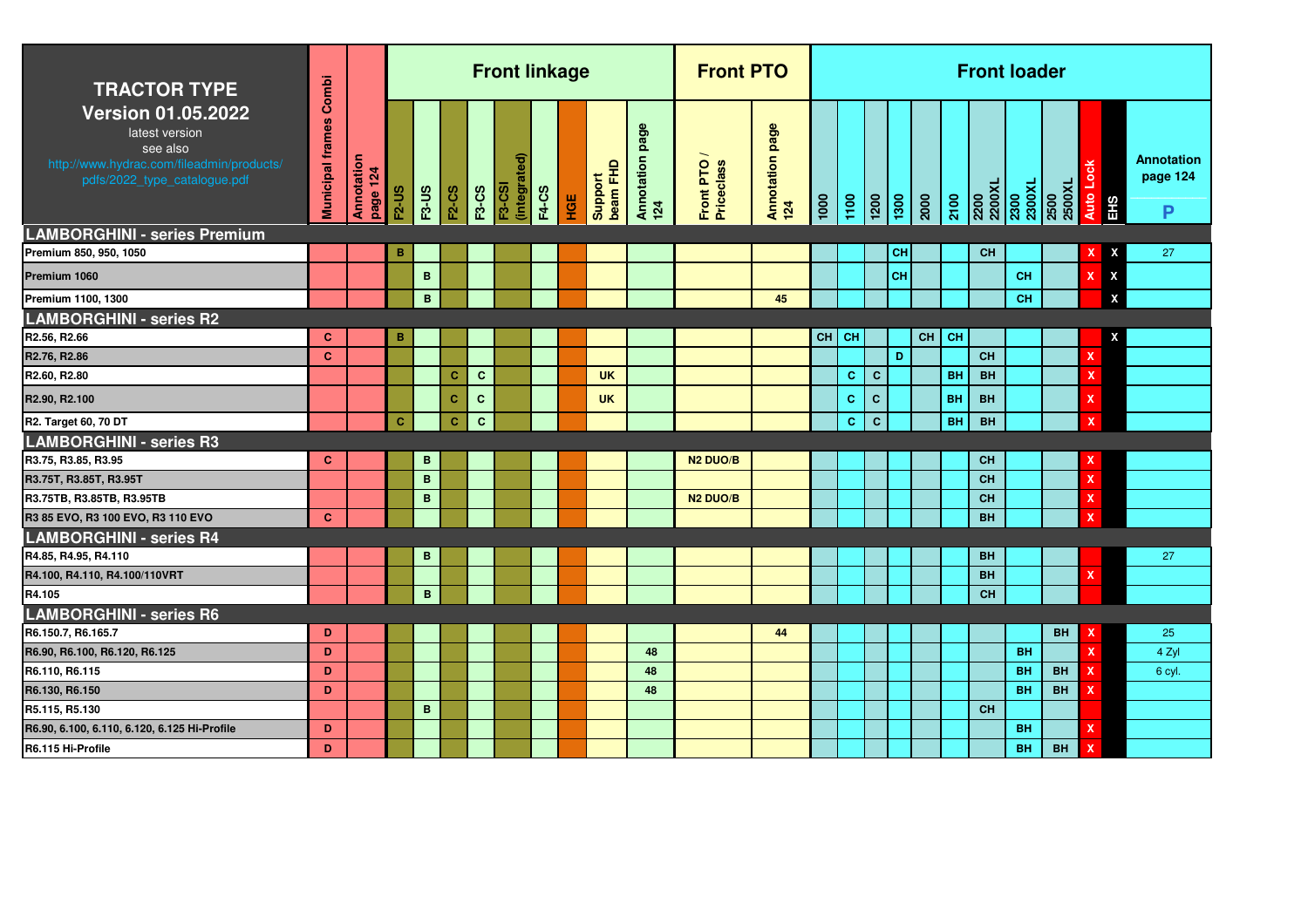| <b>TRACTOR TYPE</b>                                                                                                                                                         | Combi                   |                        |              |              |              |              | <b>Front linkage</b>          |              |     |                     |                           | <b>Front PTO</b>        |                        |                  |              |                    |                 |    |           | <b>Front loader</b> |           |                                              |                           |                             |
|-----------------------------------------------------------------------------------------------------------------------------------------------------------------------------|-------------------------|------------------------|--------------|--------------|--------------|--------------|-------------------------------|--------------|-----|---------------------|---------------------------|-------------------------|------------------------|------------------|--------------|--------------------|-----------------|----|-----------|---------------------|-----------|----------------------------------------------|---------------------------|-----------------------------|
| <b>Version 01.05.2022</b><br>latest version<br>see also<br>http://www.hydrac.com/fileadmin/products/<br>pdfs/2022_type_catalogue.pdf<br><b>LAMBORGHINI - series Premium</b> | <b>Municipal frames</b> | Annotation<br>page 124 | <b>F2-US</b> | <b>F3-US</b> | <b>F2-CS</b> | <b>F3-CS</b> | (integrated)<br><b>F3-CSI</b> | <b>F4-CS</b> | HGE | beam FHD<br>Support | page<br>Annotation<br>124 | Front PTO<br>Priceclass | Annotation page<br>124 | $\frac{1000}{1}$ | 1100         | $\frac{1200}{200}$ | $\frac{1}{300}$ |    | 2100      |                     |           | 2200<br>2200XL<br>2300XL<br>2300XL<br>2500XL | Auto Loc<br>EHS           | Annotation<br>page 124<br>P |
| Premium 850, 950, 1050                                                                                                                                                      |                         |                        | в            |              |              |              |                               |              |     |                     |                           |                         |                        |                  |              |                    | CН              |    |           | <b>CH</b>           |           |                                              | X                         | 27                          |
| Premium 1060                                                                                                                                                                |                         |                        |              | B            |              |              |                               |              |     |                     |                           |                         |                        |                  |              |                    | CH              |    |           |                     | CH        |                                              | $\mathbf x$<br>X          |                             |
| Premium 1100, 1300                                                                                                                                                          |                         |                        |              | B            |              |              |                               |              |     |                     |                           |                         | 45                     |                  |              |                    |                 |    |           |                     | <b>CH</b> |                                              | X                         |                             |
| <b>LAMBORGHINI - series R2</b>                                                                                                                                              |                         |                        |              |              |              |              |                               |              |     |                     |                           |                         |                        |                  |              |                    |                 |    |           |                     |           |                                              |                           |                             |
| R2.56, R2.66                                                                                                                                                                | $\mathbf{C}$            |                        | B            |              |              |              |                               |              |     |                     |                           |                         |                        | CH               | <b>CH</b>    |                    |                 | CH | <b>CH</b> |                     |           |                                              | X                         |                             |
| R2.76, R2.86                                                                                                                                                                | $\mathbf{C}$            |                        |              |              |              |              |                               |              |     |                     |                           |                         |                        |                  |              |                    | D               |    |           | CH                  |           |                                              | $\mathbf x$               |                             |
| R2.60, R2.80                                                                                                                                                                |                         |                        |              |              | c            | $\mathbf{C}$ |                               |              |     | <b>UK</b>           |                           |                         |                        |                  | c            | $\mathbf{C}$       |                 |    | <b>BH</b> | <b>BH</b>           |           |                                              | $\boldsymbol{\mathsf{x}}$ |                             |
| R2.90, R2.100                                                                                                                                                               |                         |                        |              |              | $\mathbf{C}$ | $\mathbf{C}$ |                               |              |     | <b>UK</b>           |                           |                         |                        |                  | $\mathbf{C}$ | $\mathbf c$        |                 |    | <b>BH</b> | <b>BH</b>           |           |                                              | $\mathbf x$               |                             |
| R2. Target 60, 70 DT                                                                                                                                                        |                         |                        | $\mathbf{C}$ |              | $\mathbf{C}$ | $\mathbf{C}$ |                               |              |     |                     |                           |                         |                        |                  | c            | $\mathbf{C}$       |                 |    | BH        | <b>BH</b>           |           |                                              | $\boldsymbol{\mathsf{x}}$ |                             |
| <b>LAMBORGHINI - series R3</b>                                                                                                                                              |                         |                        |              |              |              |              |                               |              |     |                     |                           |                         |                        |                  |              |                    |                 |    |           |                     |           |                                              |                           |                             |
| R3.75, R3.85, R3.95                                                                                                                                                         | c                       |                        |              | B            |              |              |                               |              |     |                     |                           | N <sub>2</sub> DUO/B    |                        |                  |              |                    |                 |    |           | <b>CH</b>           |           |                                              |                           |                             |
| R3.75T, R3.85T, R3.95T                                                                                                                                                      |                         |                        |              | B            |              |              |                               |              |     |                     |                           |                         |                        |                  |              |                    |                 |    |           | <b>CH</b>           |           |                                              | $\mathbf x$               |                             |
| R3.75TB, R3.85TB, R3.95TB                                                                                                                                                   |                         |                        |              | B            |              |              |                               |              |     |                     |                           | <b>N2 DUO/B</b>         |                        |                  |              |                    |                 |    |           | <b>CH</b>           |           |                                              | $\mathsf{x}$              |                             |
| R3 85 EVO, R3 100 EVO, R3 110 EVO                                                                                                                                           | $\mathbf{C}$            |                        |              |              |              |              |                               |              |     |                     |                           |                         |                        |                  |              |                    |                 |    |           | <b>BH</b>           |           |                                              |                           |                             |
| <b>LAMBORGHINI - series R4</b>                                                                                                                                              |                         |                        |              |              |              |              |                               |              |     |                     |                           |                         |                        |                  |              |                    |                 |    |           |                     |           |                                              |                           |                             |
| R4.85, R4.95, R4.110                                                                                                                                                        |                         |                        |              | B            |              |              |                               |              |     |                     |                           |                         |                        |                  |              |                    |                 |    |           | <b>BH</b>           |           |                                              |                           | 27                          |
| R4.100, R4.110, R4.100/110VRT                                                                                                                                               |                         |                        |              |              |              |              |                               |              |     |                     |                           |                         |                        |                  |              |                    |                 |    |           | <b>BH</b>           |           |                                              | x                         |                             |
| R4.105                                                                                                                                                                      |                         |                        |              | B            |              |              |                               |              |     |                     |                           |                         |                        |                  |              |                    |                 |    |           | <b>CH</b>           |           |                                              |                           |                             |
| <b>LAMBORGHINI - series R6</b>                                                                                                                                              |                         |                        |              |              |              |              |                               |              |     |                     |                           |                         |                        |                  |              |                    |                 |    |           |                     |           |                                              |                           |                             |
| R6.150.7, R6.165.7                                                                                                                                                          | D                       |                        |              |              |              |              |                               |              |     |                     |                           |                         | 44                     |                  |              |                    |                 |    |           |                     |           | <b>BH</b>                                    |                           | 25                          |
| R6.90, R6.100, R6.120, R6.125                                                                                                                                               | D                       |                        |              |              |              |              |                               |              |     |                     | 48                        |                         |                        |                  |              |                    |                 |    |           |                     | <b>BH</b> |                                              | $\mathbf{x}$              | 4 Zyl                       |
| R6.110, R6.115                                                                                                                                                              | D                       |                        |              |              |              |              |                               |              |     |                     | 48                        |                         |                        |                  |              |                    |                 |    |           |                     | <b>BH</b> | <b>BH</b>                                    | x                         | 6 cyl.                      |
| R6.130, R6.150                                                                                                                                                              | D                       |                        |              |              |              |              |                               |              |     |                     | 48                        |                         |                        |                  |              |                    |                 |    |           |                     | <b>BH</b> | <b>BH</b>                                    | x                         |                             |
| R5.115, R5.130                                                                                                                                                              |                         |                        |              | B            |              |              |                               |              |     |                     |                           |                         |                        |                  |              |                    |                 |    |           | <b>CH</b>           |           |                                              |                           |                             |
| R6.90, 6.100, 6.110, 6.120, 6.125 Hi-Profile                                                                                                                                | D                       |                        |              |              |              |              |                               |              |     |                     |                           |                         |                        |                  |              |                    |                 |    |           |                     | <b>BH</b> |                                              | x                         |                             |
| R6.115 Hi-Profile                                                                                                                                                           | D                       |                        |              |              |              |              |                               |              |     |                     |                           |                         |                        |                  |              |                    |                 |    |           |                     | <b>BH</b> | <b>BH</b>                                    | $\mathbf x$               |                             |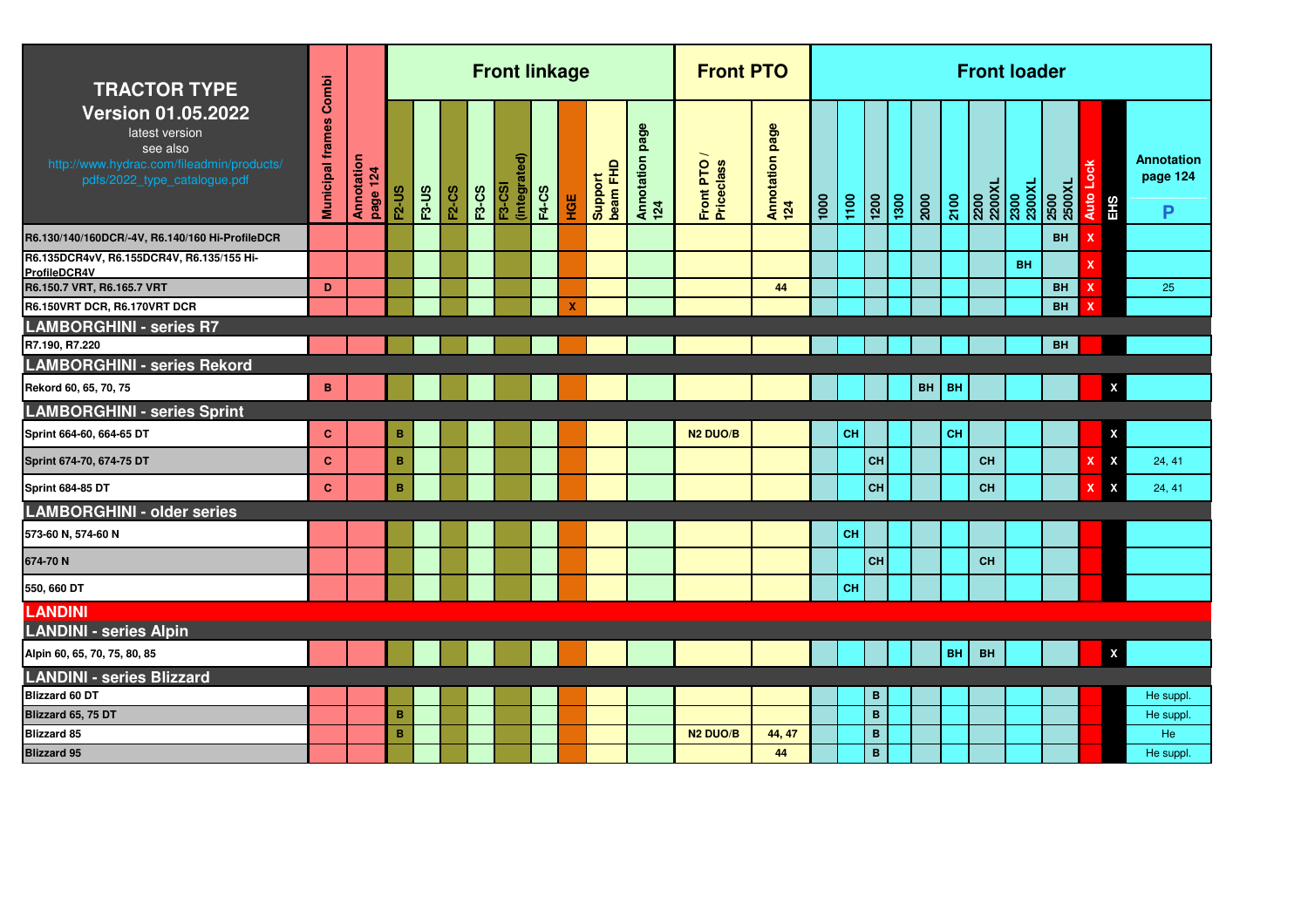| <b>TRACTOR TYPE</b>                                                                                                                  | Combi                   |                        |              |              |              |              | <b>Front linkage</b>          |              |                           |                     |                           | <b>Front PTO</b>        |                        |      |      |                   |      |      |           |           | <b>Front loader</b>                                                                                |                |                         |                                    |
|--------------------------------------------------------------------------------------------------------------------------------------|-------------------------|------------------------|--------------|--------------|--------------|--------------|-------------------------------|--------------|---------------------------|---------------------|---------------------------|-------------------------|------------------------|------|------|-------------------|------|------|-----------|-----------|----------------------------------------------------------------------------------------------------|----------------|-------------------------|------------------------------------|
| <b>Version 01.05.2022</b><br>latest version<br>see also<br>http://www.hydrac.com/fileadmin/products/<br>pdfs/2022_type_catalogue.pdf | <b>Municipal frames</b> | Annotation<br>page 124 | <b>F2-US</b> | <b>F3-US</b> | <b>F2-CS</b> | <b>F3-CS</b> | (integrated)<br><b>F3-CSI</b> | <b>F4-CS</b> | НGЕ                       | Support<br>beam FHD | page<br>Annotation<br>124 | Front PTO<br>Priceclass | Annotation page<br>124 | 1000 | 1100 | $\frac{120}{200}$ | 1300 | 2000 | 2100      |           | $\begin{array}{r l} \hline 2200 \\ 2200 \text{XL} \\ 2300 \\ 2300 \text{XL} \\ \hline \end{array}$ | 2500<br>2500XL | Auto<br>EH <sub>S</sub> | <b>Annotation</b><br>page 124<br>P |
| R6.130/140/160DCR/-4V, R6.140/160 Hi-ProfileDCR                                                                                      |                         |                        |              |              |              |              |                               |              |                           |                     |                           |                         |                        |      |      |                   |      |      |           |           |                                                                                                    | <b>BH</b>      |                         |                                    |
| R6.135DCR4vV, R6.155DCR4V, R6.135/155 Hi-<br>ProfileDCR4V                                                                            |                         |                        |              |              |              |              |                               |              |                           |                     |                           |                         |                        |      |      |                   |      |      |           |           | <b>BH</b>                                                                                          |                |                         |                                    |
| R6.150.7 VRT, R6.165.7 VRT                                                                                                           | D                       |                        |              |              |              |              |                               |              |                           |                     |                           |                         | 44                     |      |      |                   |      |      |           |           |                                                                                                    | <b>BH</b>      |                         | 25                                 |
| R6.150VRT DCR, R6.170VRT DCR                                                                                                         |                         |                        |              |              |              |              |                               |              | $\boldsymbol{\mathsf{x}}$ |                     |                           |                         |                        |      |      |                   |      |      |           |           |                                                                                                    | <b>BH</b>      |                         |                                    |
| <b>LAMBORGHINI - series R7</b>                                                                                                       |                         |                        |              |              |              |              |                               |              |                           |                     |                           |                         |                        |      |      |                   |      |      |           |           |                                                                                                    |                |                         |                                    |
| R7.190, R7.220<br><b>LAMBORGHINI - series Rekord</b>                                                                                 |                         |                        |              |              |              |              |                               |              |                           |                     |                           |                         |                        |      |      |                   |      |      |           |           |                                                                                                    | <b>BH</b>      |                         |                                    |
| Rekord 60, 65, 70, 75                                                                                                                | $\, {\bf B} \,$         |                        |              |              |              |              |                               |              |                           |                     |                           |                         |                        |      |      |                   |      | BH   | <b>BH</b> |           |                                                                                                    |                | $\boldsymbol{x}$        |                                    |
| <b>LAMBORGHINI - series Sprint</b>                                                                                                   |                         |                        |              |              |              |              |                               |              |                           |                     |                           |                         |                        |      |      |                   |      |      |           |           |                                                                                                    |                |                         |                                    |
| Sprint 664-60, 664-65 DT                                                                                                             | $\mathbf{C}$            |                        | B            |              |              |              |                               |              |                           |                     |                           | N <sub>2</sub> DUO/B    |                        |      | CH   |                   |      |      | CH        |           |                                                                                                    |                | X                       |                                    |
| Sprint 674-70, 674-75 DT                                                                                                             | $\mathbf{C}$            |                        | B            |              |              |              |                               |              |                           |                     |                           |                         |                        |      |      | CH                |      |      |           | <b>CH</b> |                                                                                                    |                | $\pmb{\mathsf{x}}$      | 24, 41                             |
| <b>Sprint 684-85 DT</b>                                                                                                              | $\mathbf{C}$            |                        | B            |              |              |              |                               |              |                           |                     |                           |                         |                        |      |      | <b>CH</b>         |      |      |           | <b>CH</b> |                                                                                                    |                | X                       | 24, 41                             |
| <b>LAMBORGHINI - older series</b>                                                                                                    |                         |                        |              |              |              |              |                               |              |                           |                     |                           |                         |                        |      |      |                   |      |      |           |           |                                                                                                    |                |                         |                                    |
| 573-60 N, 574-60 N                                                                                                                   |                         |                        |              |              |              |              |                               |              |                           |                     |                           |                         |                        |      | CH   |                   |      |      |           |           |                                                                                                    |                |                         |                                    |
| 674-70N                                                                                                                              |                         |                        |              |              |              |              |                               |              |                           |                     |                           |                         |                        |      |      | <b>CH</b>         |      |      |           | CH        |                                                                                                    |                |                         |                                    |
| 550, 660 DT                                                                                                                          |                         |                        |              |              |              |              |                               |              |                           |                     |                           |                         |                        |      | CH   |                   |      |      |           |           |                                                                                                    |                |                         |                                    |
| <b>LANDINI</b>                                                                                                                       |                         |                        |              |              |              |              |                               |              |                           |                     |                           |                         |                        |      |      |                   |      |      |           |           |                                                                                                    |                |                         |                                    |
| <b>LANDINI - series Alpin</b>                                                                                                        |                         |                        |              |              |              |              |                               |              |                           |                     |                           |                         |                        |      |      |                   |      |      |           |           |                                                                                                    |                |                         |                                    |
| Alpin 60, 65, 70, 75, 80, 85                                                                                                         |                         |                        |              |              |              |              |                               |              |                           |                     |                           |                         |                        |      |      |                   |      |      | <b>BH</b> | <b>BH</b> |                                                                                                    |                |                         | $\mathbf x$                        |
| <b>LANDINI - series Blizzard</b>                                                                                                     |                         |                        |              |              |              |              |                               |              |                           |                     |                           |                         |                        |      |      |                   |      |      |           |           |                                                                                                    |                |                         |                                    |
| <b>Blizzard 60 DT</b>                                                                                                                |                         |                        |              |              |              |              |                               |              |                           |                     |                           |                         |                        |      |      | B                 |      |      |           |           |                                                                                                    |                |                         | He suppl                           |
| Blizzard 65, 75 DT                                                                                                                   |                         |                        | B            |              |              |              |                               |              |                           |                     |                           |                         |                        |      |      | $\mathbf B$       |      |      |           |           |                                                                                                    |                |                         | He suppl                           |
| Blizzard 85                                                                                                                          |                         |                        | B            |              |              |              |                               |              |                           |                     |                           | N <sub>2</sub> DUO/B    | 44, 47                 |      |      | B                 |      |      |           |           |                                                                                                    |                |                         | He                                 |
| <b>Blizzard 95</b>                                                                                                                   |                         |                        |              |              |              |              |                               |              |                           |                     |                           |                         | 44                     |      |      | $\mathbf B$       |      |      |           |           |                                                                                                    |                |                         | He suppl                           |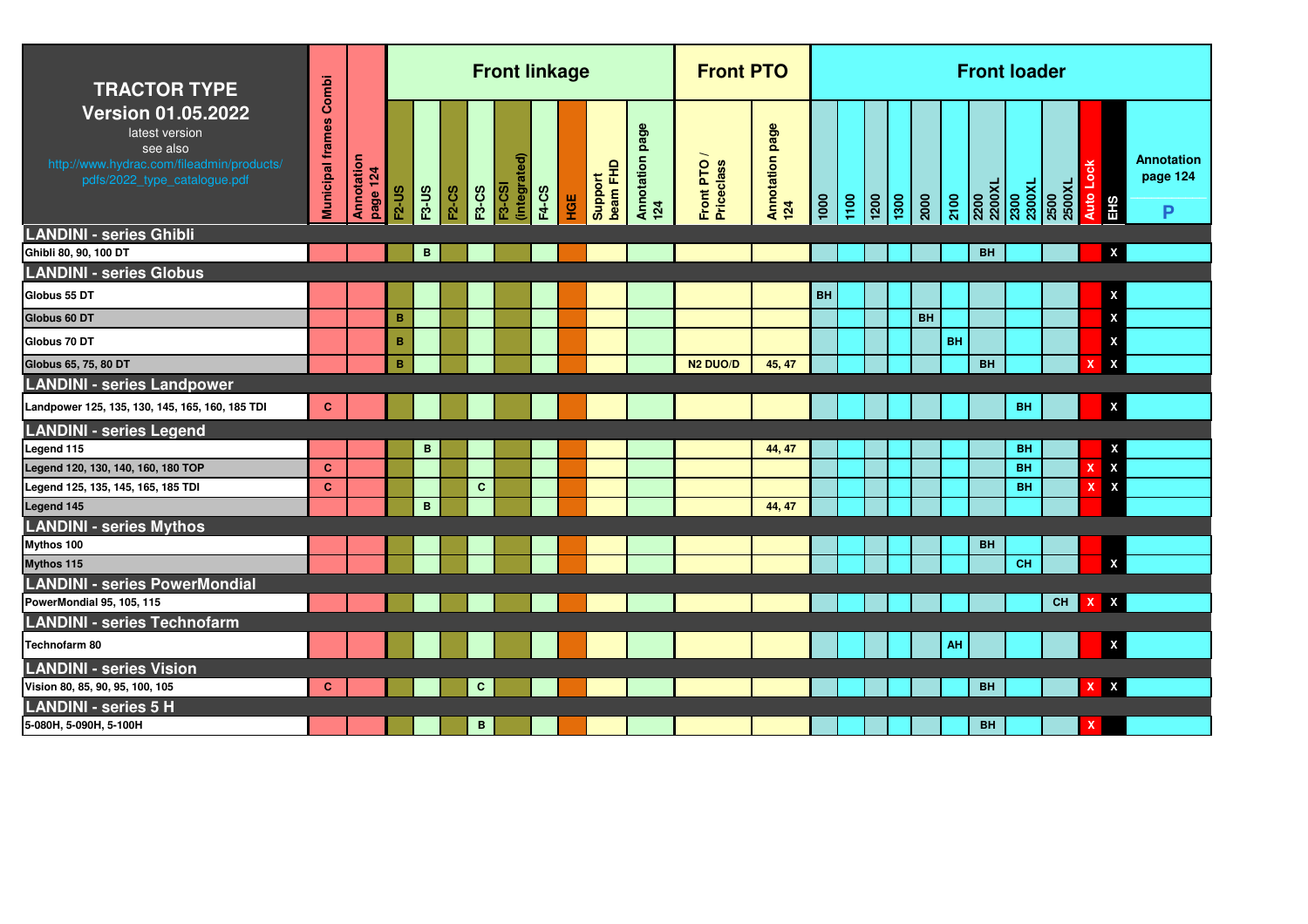| <b>TRACTOR TYPE</b>                                                                                                                  | Combi                   |                        |                 |              |       |              | <b>Front linkage</b>          |              |     |                     |                           | <b>Front PTO</b>        |                        |      |      |                 |      |           |           |                | <b>Front loader</b> |                |                           |                                    |
|--------------------------------------------------------------------------------------------------------------------------------------|-------------------------|------------------------|-----------------|--------------|-------|--------------|-------------------------------|--------------|-----|---------------------|---------------------------|-------------------------|------------------------|------|------|-----------------|------|-----------|-----------|----------------|---------------------|----------------|---------------------------|------------------------------------|
| <b>Version 01.05.2022</b><br>latest version<br>see also<br>http://www.hydrac.com/fileadmin/products/<br>pdfs/2022_type_catalogue.pdf | <b>Municipal frames</b> | Annotation<br>page 124 | <b>F2-US</b>    | <b>F3-US</b> | F2-CS | <b>F3-CS</b> | (integrated)<br><b>F3-CSI</b> | <b>F4-CS</b> | HGE | beam FHD<br>Support | page<br>Annotation<br>124 | Front PTO<br>Priceclass | Annotation page<br>124 | 1000 | 1100 | $\frac{1}{200}$ | 1300 | 2000      | 2100      | 2200<br>2200XL | 2300<br>2300XL      | 2500<br>2500XL | Auto Lock<br>EHS          | <b>Annotation</b><br>page 124<br>P |
| <b>LANDINI - series Ghibli</b>                                                                                                       |                         |                        |                 |              |       |              |                               |              |     |                     |                           |                         |                        |      |      |                 |      |           |           |                |                     |                |                           |                                    |
| Ghibli 80, 90, 100 DT                                                                                                                |                         |                        |                 | B            |       |              |                               |              |     |                     |                           |                         |                        |      |      |                 |      |           |           | <b>BH</b>      |                     |                |                           | X                                  |
| <b>LANDINI - series Globus</b>                                                                                                       |                         |                        |                 |              |       |              |                               |              |     |                     |                           |                         |                        |      |      |                 |      |           |           |                |                     |                |                           |                                    |
| Globus 55 DT                                                                                                                         |                         |                        |                 |              |       |              |                               |              |     |                     |                           |                         |                        | BH   |      |                 |      |           |           |                |                     |                |                           | X                                  |
| Globus 60 DT                                                                                                                         |                         |                        | B               |              |       |              |                               |              |     |                     |                           |                         |                        |      |      |                 |      | <b>BH</b> |           |                |                     |                |                           | X                                  |
| Globus 70 DT                                                                                                                         |                         |                        | $\, {\bf B} \,$ |              |       |              |                               |              |     |                     |                           |                         |                        |      |      |                 |      |           | <b>BH</b> |                |                     |                |                           | X                                  |
| Globus 65, 75, 80 DT                                                                                                                 |                         |                        | B               |              |       |              |                               |              |     |                     |                           | N <sub>2</sub> DUO/D    | 45, 47                 |      |      |                 |      |           |           | <b>BH</b>      |                     |                | $\boldsymbol{\mathsf{x}}$ | X                                  |
| <b>LANDINI - series Landpower</b>                                                                                                    |                         |                        |                 |              |       |              |                               |              |     |                     |                           |                         |                        |      |      |                 |      |           |           |                |                     |                |                           |                                    |
| Landpower 125, 135, 130, 145, 165, 160, 185 TDI                                                                                      | c                       |                        |                 |              |       |              |                               |              |     |                     |                           |                         |                        |      |      |                 |      |           |           |                | <b>BH</b>           |                |                           | $\pmb{\mathsf{x}}$                 |
| <b>LANDINI - series Legend</b>                                                                                                       |                         |                        |                 |              |       |              |                               |              |     |                     |                           |                         |                        |      |      |                 |      |           |           |                |                     |                |                           |                                    |
| Legend 115                                                                                                                           |                         |                        |                 | в            |       |              |                               |              |     |                     |                           |                         | 44, 47                 |      |      |                 |      |           |           |                | BH                  |                |                           | X                                  |
| Legend 120, 130, 140, 160, 180 TOP                                                                                                   | $\mathbf{C}$            |                        |                 |              |       |              |                               |              |     |                     |                           |                         |                        |      |      |                 |      |           |           |                | <b>BH</b>           |                | X                         | $\boldsymbol{\mathsf{X}}$          |
| Legend 125, 135, 145, 165, 185 TDI                                                                                                   | $\mathbf{C}$            |                        |                 |              |       | $\mathbf{C}$ |                               |              |     |                     |                           |                         |                        |      |      |                 |      |           |           |                | <b>BH</b>           |                | X                         | $\boldsymbol{\mathsf{X}}$          |
| Legend 145                                                                                                                           |                         |                        |                 | $\mathbf{B}$ |       |              |                               |              |     |                     |                           |                         | 44, 47                 |      |      |                 |      |           |           |                |                     |                |                           |                                    |
| <b>LANDINI - series Mythos</b>                                                                                                       |                         |                        |                 |              |       |              |                               |              |     |                     |                           |                         |                        |      |      |                 |      |           |           |                |                     |                |                           |                                    |
| Mythos 100                                                                                                                           |                         |                        |                 |              |       |              |                               |              |     |                     |                           |                         |                        |      |      |                 |      |           |           | <b>BH</b>      |                     |                |                           |                                    |
| Mythos 115                                                                                                                           |                         |                        |                 |              |       |              |                               |              |     |                     |                           |                         |                        |      |      |                 |      |           |           |                | <b>CH</b>           |                |                           | X                                  |
| <b>LANDINI - series PowerMondial</b>                                                                                                 |                         |                        |                 |              |       |              |                               |              |     |                     |                           |                         |                        |      |      |                 |      |           |           |                |                     |                |                           |                                    |
| PowerMondial 95, 105, 115                                                                                                            |                         |                        |                 |              |       |              |                               |              |     |                     |                           |                         |                        |      |      |                 |      |           |           |                |                     | <b>CH</b>      | $\boldsymbol{\mathsf{x}}$ | $\mathbf{x}$                       |
| <b>LANDINI - series Technofarm</b>                                                                                                   |                         |                        |                 |              |       |              |                               |              |     |                     |                           |                         |                        |      |      |                 |      |           |           |                |                     |                |                           |                                    |
| Technofarm 80                                                                                                                        |                         |                        |                 |              |       |              |                               |              |     |                     |                           |                         |                        |      |      |                 |      |           | AH        |                |                     |                |                           | X                                  |
| <b>LANDINI - series Vision</b>                                                                                                       |                         |                        |                 |              |       |              |                               |              |     |                     |                           |                         |                        |      |      |                 |      |           |           |                |                     |                |                           |                                    |
| Vision 80, 85, 90, 95, 100, 105                                                                                                      | C                       |                        |                 |              |       | $\mathbf{C}$ |                               |              |     |                     |                           |                         |                        |      |      |                 |      |           |           | <b>BH</b>      |                     |                | $\mathbf{X}$              | $\pmb{\mathsf{x}}$                 |
| <b>LANDINI - series 5 H</b>                                                                                                          |                         |                        |                 |              |       |              |                               |              |     |                     |                           |                         |                        |      |      |                 |      |           |           |                |                     |                |                           |                                    |
| 5-080H, 5-090H, 5-100H                                                                                                               |                         |                        |                 |              |       | B            |                               |              |     |                     |                           |                         |                        |      |      |                 |      |           |           | <b>BH</b>      |                     |                | x                         |                                    |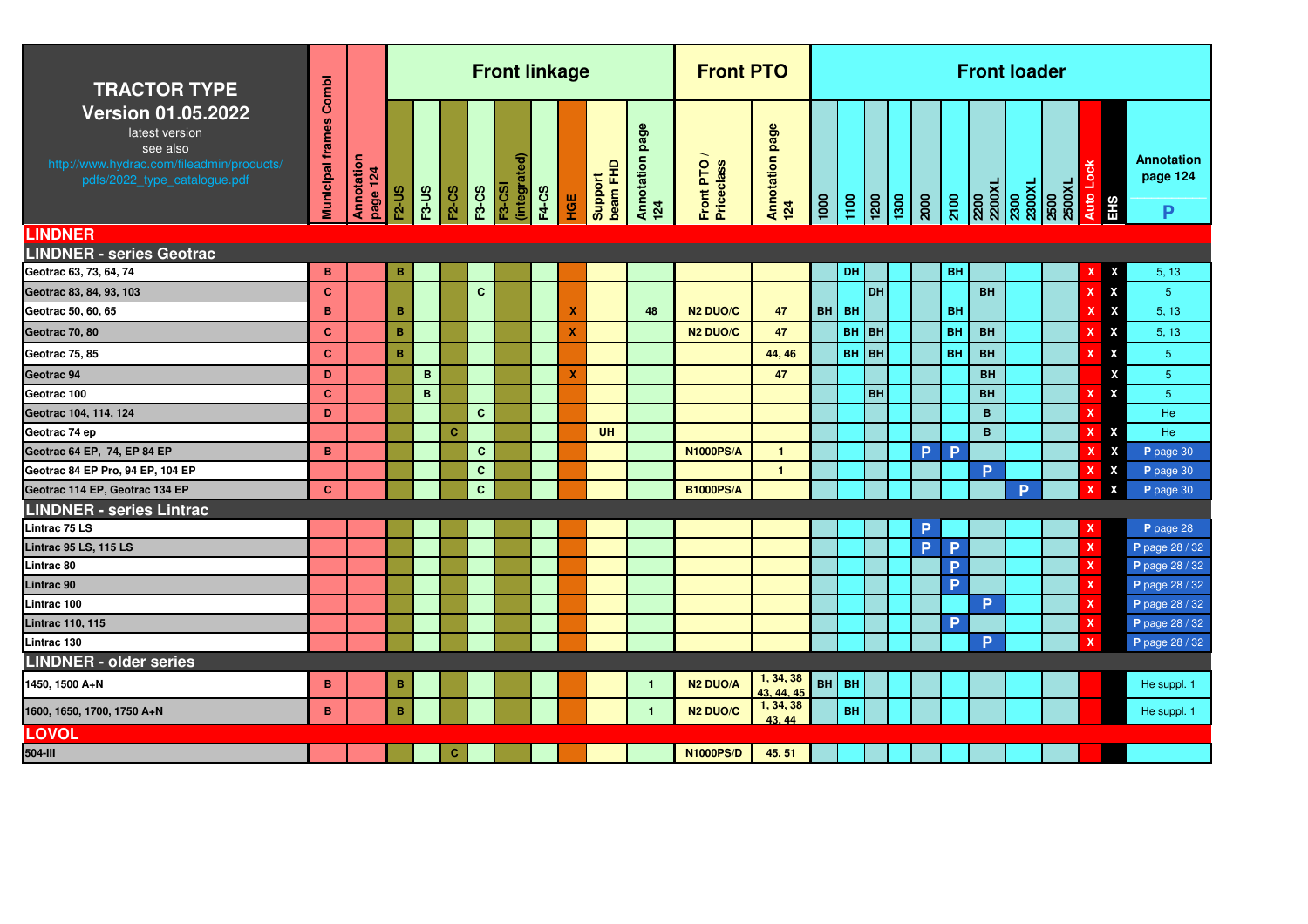| <b>TRACTOR TYPE</b>                                                                                                                  | Combi               |                        |                 |              |              |              | <b>Front linkage</b>          |              |     |                     |                               | <b>Front PTO</b>        |                         |               |           |                 |                                                         |           |           | <b>Front loader</b>                      |                   |                             |
|--------------------------------------------------------------------------------------------------------------------------------------|---------------------|------------------------|-----------------|--------------|--------------|--------------|-------------------------------|--------------|-----|---------------------|-------------------------------|-------------------------|-------------------------|---------------|-----------|-----------------|---------------------------------------------------------|-----------|-----------|------------------------------------------|-------------------|-----------------------------|
| <b>Version 01.05.2022</b><br>latest version<br>see also<br>http://www.hydrac.com/fileadmin/products/<br>pdfs/2022_type_catalogue.pdf | frames<br>Municipal | Annotation<br>page 124 | <b>F2-US</b>    | <b>F3-US</b> | <b>F2-CS</b> | <b>F3-CS</b> | (integrated)<br><b>F3-CSI</b> | <b>F4-CS</b> | HGE | beam FHD<br>Support | შ,<br>й,<br>Annotation<br>124 | Front PTO<br>Priceclass | Annotation page<br>124  | $\frac{1}{2}$ | 1100      | $\frac{1}{200}$ | $\begin{array}{c c}\n\hline\n1300 \\ 2000\n\end{array}$ | 2100      |           | 2200<br>2200XL<br>2300<br>2300XL<br>2500 | Auto Lock<br>EHS  | Annotation<br>page 124<br>P |
| <b>LINDNER</b>                                                                                                                       |                     |                        |                 |              |              |              |                               |              |     |                     |                               |                         |                         |               |           |                 |                                                         |           |           |                                          |                   |                             |
| <b>LINDNER - series Geotrac</b>                                                                                                      |                     |                        |                 |              |              |              |                               |              |     |                     |                               |                         |                         |               |           |                 |                                                         |           |           |                                          |                   |                             |
| Geotrac 63, 73, 64, 74                                                                                                               | B                   |                        | $\, {\bf B}$    |              |              |              |                               |              |     |                     |                               |                         |                         |               | DH        |                 |                                                         | <b>BH</b> |           |                                          | X<br>X            | 5, 13                       |
| Geotrac 83, 84, 93, 103                                                                                                              | $\mathbf{C}$        |                        |                 |              |              | $\mathbf{C}$ |                               |              |     |                     |                               |                         |                         |               |           | <b>DH</b>       |                                                         |           | <b>BH</b> |                                          | $\mathbf{x}$<br>x | 5 <sup>5</sup>              |
| Geotrac 50, 60, 65                                                                                                                   | B                   |                        | B               |              |              |              |                               |              | X   |                     | 48                            | <b>N2 DUO/C</b>         | 47                      | <b>BH</b>     | <b>BH</b> |                 |                                                         | <b>BH</b> |           |                                          | X<br>$\mathbf x$  | 5, 13                       |
| Geotrac 70, 80                                                                                                                       | $\mathbf{C}$        |                        | B               |              |              |              |                               |              | X   |                     |                               | <b>N2 DUO/C</b>         | 47                      |               | BH BH     |                 |                                                         | <b>BH</b> | <b>BH</b> |                                          | X                 | 5, 13                       |
| Geotrac 75, 85                                                                                                                       | $\mathbf{C}$        |                        | $\, {\bf B} \,$ |              |              |              |                               |              |     |                     |                               |                         | 44, 46                  |               | BH BH     |                 |                                                         | BH        | <b>BH</b> |                                          | x                 | 5 <sub>5</sub>              |
| Geotrac 94                                                                                                                           | D                   |                        |                 | B            |              |              |                               |              | X   |                     |                               |                         | 47                      |               |           |                 |                                                         |           | <b>BH</b> |                                          | X                 | 5 <sub>5</sub>              |
| Geotrac 100                                                                                                                          | C.                  |                        |                 | B            |              |              |                               |              |     |                     |                               |                         |                         |               |           | <b>BH</b>       |                                                         |           | <b>BH</b> |                                          | x                 | $5\phantom{.0}$             |
| Geotrac 104, 114, 124                                                                                                                | D                   |                        |                 |              |              | $\mathbf{C}$ |                               |              |     |                     |                               |                         |                         |               |           |                 |                                                         |           | B         |                                          |                   | He                          |
| Geotrac 74 ep                                                                                                                        |                     |                        |                 |              | c            |              |                               |              |     | <b>UH</b>           |                               |                         |                         |               |           |                 |                                                         |           | B         |                                          | X<br>x            | He                          |
| Geotrac 64 EP, 74, EP 84 EP                                                                                                          | B                   |                        |                 |              |              | $\mathbf c$  |                               |              |     |                     |                               | <b>N1000PS/A</b>        | $\mathbf{1}$            |               |           |                 | P.                                                      | P         |           |                                          | X                 | P page 30                   |
| Geotrac 84 EP Pro, 94 EP, 104 EP                                                                                                     |                     |                        |                 |              |              | $\mathbf{C}$ |                               |              |     |                     |                               |                         | $\blacksquare$          |               |           |                 |                                                         |           | P         |                                          | X                 | P page 30                   |
| Geotrac 114 EP, Geotrac 134 EP                                                                                                       | $\mathbf{C}$        |                        |                 |              |              | $\mathbf{C}$ |                               |              |     |                     |                               | <b>B1000PS/A</b>        |                         |               |           |                 |                                                         |           |           | <b>P</b>                                 | X<br>x            | P page 30                   |
| <b>LINDNER - series Lintrac</b>                                                                                                      |                     |                        |                 |              |              |              |                               |              |     |                     |                               |                         |                         |               |           |                 |                                                         |           |           |                                          |                   |                             |
| Lintrac 75 LS                                                                                                                        |                     |                        |                 |              |              |              |                               |              |     |                     |                               |                         |                         |               |           |                 | P                                                       |           |           |                                          | x                 | P page 28                   |
| Lintrac 95 LS, 115 LS                                                                                                                |                     |                        |                 |              |              |              |                               |              |     |                     |                               |                         |                         |               |           |                 | P.                                                      | P         |           |                                          | x                 | P page 28 / 32              |
| Lintrac 80                                                                                                                           |                     |                        |                 |              |              |              |                               |              |     |                     |                               |                         |                         |               |           |                 |                                                         | P         |           |                                          | X                 | P page 28 / 32              |
| Lintrac 90                                                                                                                           |                     |                        |                 |              |              |              |                               |              |     |                     |                               |                         |                         |               |           |                 |                                                         | P         |           |                                          | x                 | P page 28 / 32              |
| Lintrac 100                                                                                                                          |                     |                        |                 |              |              |              |                               |              |     |                     |                               |                         |                         |               |           |                 |                                                         |           | P         |                                          | x                 | P page 28 / 32              |
| <b>Lintrac 110, 115</b>                                                                                                              |                     |                        |                 |              |              |              |                               |              |     |                     |                               |                         |                         |               |           |                 |                                                         | P         |           |                                          | x                 | P page 28 / 32              |
| Lintrac 130                                                                                                                          |                     |                        |                 |              |              |              |                               |              |     |                     |                               |                         |                         |               |           |                 |                                                         |           | P         |                                          |                   | P page 28 / 32              |
| <b>LINDNER - older series</b>                                                                                                        |                     |                        |                 |              |              |              |                               |              |     |                     |                               |                         |                         |               |           |                 |                                                         |           |           |                                          |                   |                             |
| 1450, 1500 A+N                                                                                                                       | B                   |                        | B               |              |              |              |                               |              |     |                     | $\mathbf{1}$                  | <b>N2 DUO/A</b>         | 1, 34, 38<br>43, 44, 45 | BH            | <b>BH</b> |                 |                                                         |           |           |                                          |                   | He suppl. 1                 |
| 1600, 1650, 1700, 1750 A+N                                                                                                           | B                   |                        | $\overline{B}$  |              |              |              |                               |              |     |                     | $\mathbf{1}$                  | N <sub>2</sub> DUO/C    | 1, 34, 38<br>43.44      |               | <b>BH</b> |                 |                                                         |           |           |                                          |                   | He suppl. 1                 |
| <b>LOVOL</b>                                                                                                                         |                     |                        |                 |              |              |              |                               |              |     |                     |                               |                         |                         |               |           |                 |                                                         |           |           |                                          |                   |                             |
| 504-III                                                                                                                              |                     |                        |                 |              | c            |              |                               |              |     |                     |                               | <b>N1000PS/D</b>        | 45, 51                  |               |           |                 |                                                         |           |           |                                          |                   |                             |
|                                                                                                                                      |                     |                        |                 |              |              |              |                               |              |     |                     |                               |                         |                         |               |           |                 |                                                         |           |           |                                          |                   |                             |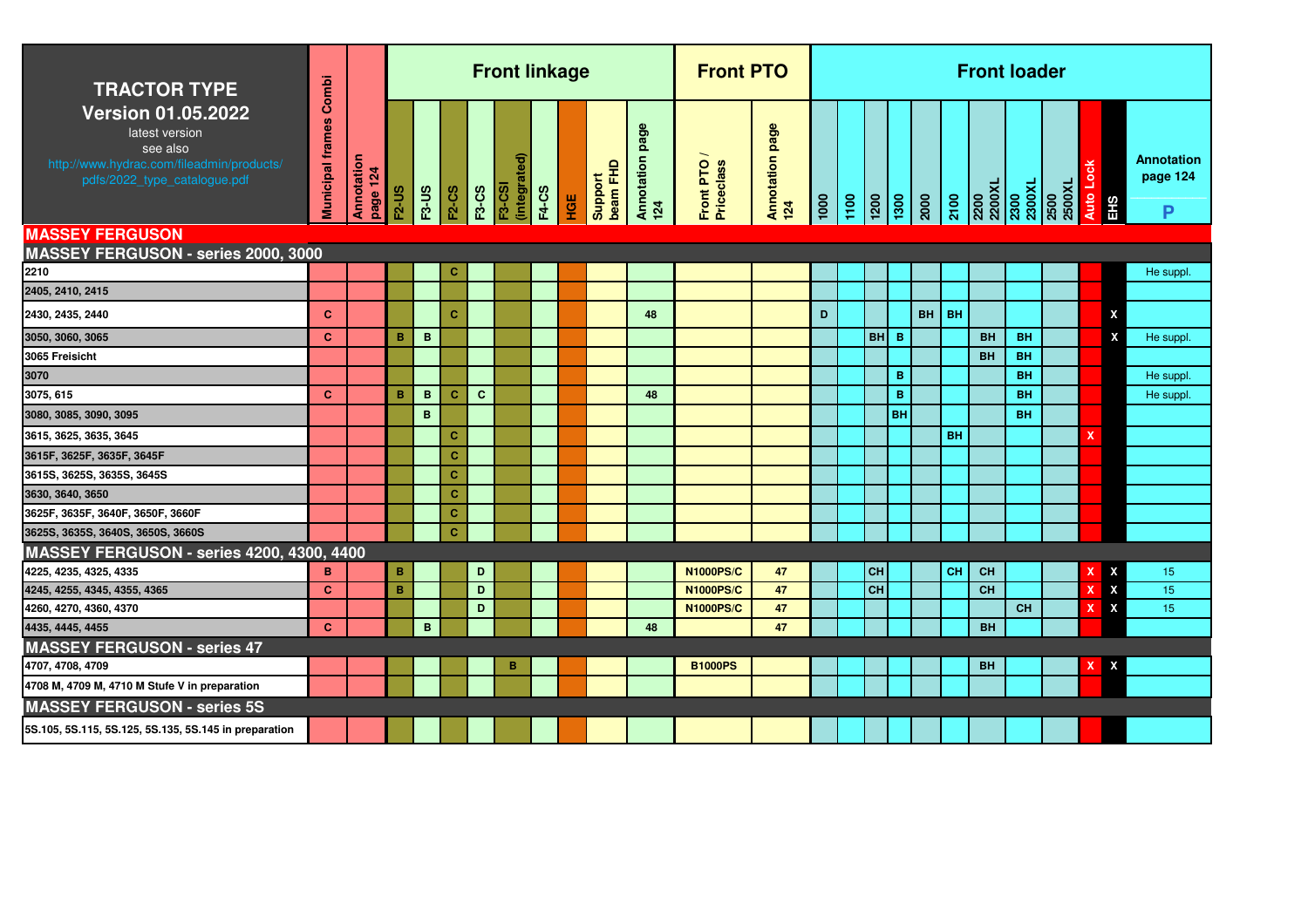| <b>TRACTOR TYPE</b>                                                                                                                  | Combi                   |                        |              |              |              |              | <b>Front linkage</b>              |              |     |                     |                           | <b>Front PTO</b>        |                        |               |                   |      |                         |           |           | <b>Front loader</b> |           |                                                                                                                                                                                                            |                  |                                    |
|--------------------------------------------------------------------------------------------------------------------------------------|-------------------------|------------------------|--------------|--------------|--------------|--------------|-----------------------------------|--------------|-----|---------------------|---------------------------|-------------------------|------------------------|---------------|-------------------|------|-------------------------|-----------|-----------|---------------------|-----------|------------------------------------------------------------------------------------------------------------------------------------------------------------------------------------------------------------|------------------|------------------------------------|
| <b>Version 01.05.2022</b><br>latest version<br>see also<br>http://www.hydrac.com/fileadmin/products/<br>pdfs/2022_type_catalogue.pdf | <b>Municipal frames</b> | Annotation<br>page 124 | <b>F2-US</b> | F3-US        | <b>F2-CS</b> | <b>F3-CS</b> | (integrated)<br>$\overline{5.05}$ | <b>F4-CS</b> | HGE | beam FHD<br>Support | page<br>Annotation<br>124 | Front PTO<br>Priceclass | Annotation page<br>124 | $\frac{1}{2}$ | $\frac{100}{100}$ |      |                         |           |           |                     |           | $\begin{array}{ l } \hline 2100 \\ \hline 2200 \\ \hline 2200 \times L \\ 2300 \\ \hline 2300 \\ \hline 2300 \\ \hline 2500 \\ \hline 2500 \\ \hline 2500 \times L \\ 2500 \times L \\ \hline \end{array}$ | Auto Lock<br>EHS | <b>Annotation</b><br>page 124<br>P |
| <b>MASSEY FERGUSON</b>                                                                                                               |                         |                        |              |              |              |              |                                   |              |     |                     |                           |                         |                        |               |                   |      |                         |           |           |                     |           |                                                                                                                                                                                                            |                  |                                    |
| MASSEY FERGUSON - series 2000, 3000                                                                                                  |                         |                        |              |              |              |              |                                   |              |     |                     |                           |                         |                        |               |                   |      |                         |           |           |                     |           |                                                                                                                                                                                                            |                  |                                    |
| 2210                                                                                                                                 |                         |                        |              |              | c            |              |                                   |              |     |                     |                           |                         |                        |               |                   |      |                         |           |           |                     |           |                                                                                                                                                                                                            |                  | He suppl.                          |
| 2405, 2410, 2415                                                                                                                     |                         |                        |              |              |              |              |                                   |              |     |                     |                           |                         |                        |               |                   |      |                         |           |           |                     |           |                                                                                                                                                                                                            |                  |                                    |
| 2430, 2435, 2440                                                                                                                     | $\mathbf{C}$            |                        |              |              | $\mathbf{C}$ |              |                                   |              |     |                     | 48                        |                         |                        | D             |                   |      |                         | <b>BH</b> | <b>BH</b> |                     |           |                                                                                                                                                                                                            | X                |                                    |
| 3050, 3060, 3065                                                                                                                     | <b>C</b>                |                        | B            | B            |              |              |                                   |              |     |                     |                           |                         |                        |               |                   | BH B |                         |           |           | <b>BH</b>           | <b>BH</b> |                                                                                                                                                                                                            | X                | He suppl.                          |
| 3065 Freisicht                                                                                                                       |                         |                        |              |              |              |              |                                   |              |     |                     |                           |                         |                        |               |                   |      |                         |           |           | <b>BH</b>           | <b>BH</b> |                                                                                                                                                                                                            |                  |                                    |
| 3070                                                                                                                                 |                         |                        |              |              |              |              |                                   |              |     |                     |                           |                         |                        |               |                   |      | B                       |           |           |                     | <b>BH</b> |                                                                                                                                                                                                            |                  | He suppl.                          |
| 3075, 615                                                                                                                            | $\mathbf{C}$            |                        | B            | $\mathbf{B}$ | $\mathbf{C}$ | $\mathbf{C}$ |                                   |              |     |                     | 48                        |                         |                        |               |                   |      | $\overline{\mathbf{B}}$ |           |           |                     | <b>BH</b> |                                                                                                                                                                                                            |                  | He suppl.                          |
| 3080, 3085, 3090, 3095                                                                                                               |                         |                        |              | $\, {\bf B}$ |              |              |                                   |              |     |                     |                           |                         |                        |               |                   |      | <b>BH</b>               |           |           |                     | <b>BH</b> |                                                                                                                                                                                                            |                  |                                    |
| 3615, 3625, 3635, 3645                                                                                                               |                         |                        |              |              | c            |              |                                   |              |     |                     |                           |                         |                        |               |                   |      |                         |           | <b>BH</b> |                     |           |                                                                                                                                                                                                            | $\mathbf x$      |                                    |
| 3615F, 3625F, 3635F, 3645F                                                                                                           |                         |                        |              |              | $\mathbf{C}$ |              |                                   |              |     |                     |                           |                         |                        |               |                   |      |                         |           |           |                     |           |                                                                                                                                                                                                            |                  |                                    |
| 3615S, 3625S, 3635S, 3645S                                                                                                           |                         |                        |              |              | $\mathbf{C}$ |              |                                   |              |     |                     |                           |                         |                        |               |                   |      |                         |           |           |                     |           |                                                                                                                                                                                                            |                  |                                    |
| 3630, 3640, 3650                                                                                                                     |                         |                        |              |              | $\mathbf{C}$ |              |                                   |              |     |                     |                           |                         |                        |               |                   |      |                         |           |           |                     |           |                                                                                                                                                                                                            |                  |                                    |
| 3625F, 3635F, 3640F, 3650F, 3660F                                                                                                    |                         |                        |              |              | c            |              |                                   |              |     |                     |                           |                         |                        |               |                   |      |                         |           |           |                     |           |                                                                                                                                                                                                            |                  |                                    |
| 3625S, 3635S, 3640S, 3650S, 3660S                                                                                                    |                         |                        |              |              | $\mathbf{C}$ |              |                                   |              |     |                     |                           |                         |                        |               |                   |      |                         |           |           |                     |           |                                                                                                                                                                                                            |                  |                                    |
| MASSEY FERGUSON - series 4200, 4300, 4400                                                                                            |                         |                        |              |              |              |              |                                   |              |     |                     |                           |                         |                        |               |                   |      |                         |           |           |                     |           |                                                                                                                                                                                                            |                  |                                    |
| 4225, 4235, 4325, 4335                                                                                                               | B                       |                        | $\, {\bf B}$ |              |              | D            |                                   |              |     |                     |                           | <b>N1000PS/C</b>        | 47                     |               |                   | CH   |                         |           | <b>CH</b> | CH                  |           |                                                                                                                                                                                                            | X                | 15                                 |
| 4245, 4255, 4345, 4355, 4365                                                                                                         | <b>C</b>                |                        | B            |              |              | D            |                                   |              |     |                     |                           | <b>N1000PS/C</b>        | 47                     |               |                   | CH   |                         |           |           | <b>CH</b>           |           |                                                                                                                                                                                                            | X                | 15 <sub>15</sub>                   |
| 4260, 4270, 4360, 4370                                                                                                               |                         |                        |              |              |              | D            |                                   |              |     |                     |                           | <b>N1000PS/C</b>        | 47                     |               |                   |      |                         |           |           |                     | <b>CH</b> |                                                                                                                                                                                                            | X<br>x           | 15                                 |
| 4435, 4445, 4455                                                                                                                     | $\mathbf{C}$            |                        |              | B            |              |              |                                   |              |     |                     | 48                        |                         | 47                     |               |                   |      |                         |           |           | <b>BH</b>           |           |                                                                                                                                                                                                            |                  |                                    |
| <b>MASSEY FERGUSON - series 47</b>                                                                                                   |                         |                        |              |              |              |              |                                   |              |     |                     |                           |                         |                        |               |                   |      |                         |           |           |                     |           |                                                                                                                                                                                                            |                  |                                    |
| 4707, 4708, 4709                                                                                                                     |                         |                        |              |              |              |              | в                                 |              |     |                     |                           | <b>B1000PS</b>          |                        |               |                   |      |                         |           |           | BH                  |           |                                                                                                                                                                                                            | X                |                                    |
| 4708 M, 4709 M, 4710 M Stufe V in preparation                                                                                        |                         |                        |              |              |              |              |                                   |              |     |                     |                           |                         |                        |               |                   |      |                         |           |           |                     |           |                                                                                                                                                                                                            |                  |                                    |
| <b>MASSEY FERGUSON - series 5S</b>                                                                                                   |                         |                        |              |              |              |              |                                   |              |     |                     |                           |                         |                        |               |                   |      |                         |           |           |                     |           |                                                                                                                                                                                                            |                  |                                    |
| 5S.105, 5S.115, 5S.125, 5S.135, 5S.145 in preparation                                                                                |                         |                        |              |              |              |              |                                   |              |     |                     |                           |                         |                        |               |                   |      |                         |           |           |                     |           |                                                                                                                                                                                                            |                  |                                    |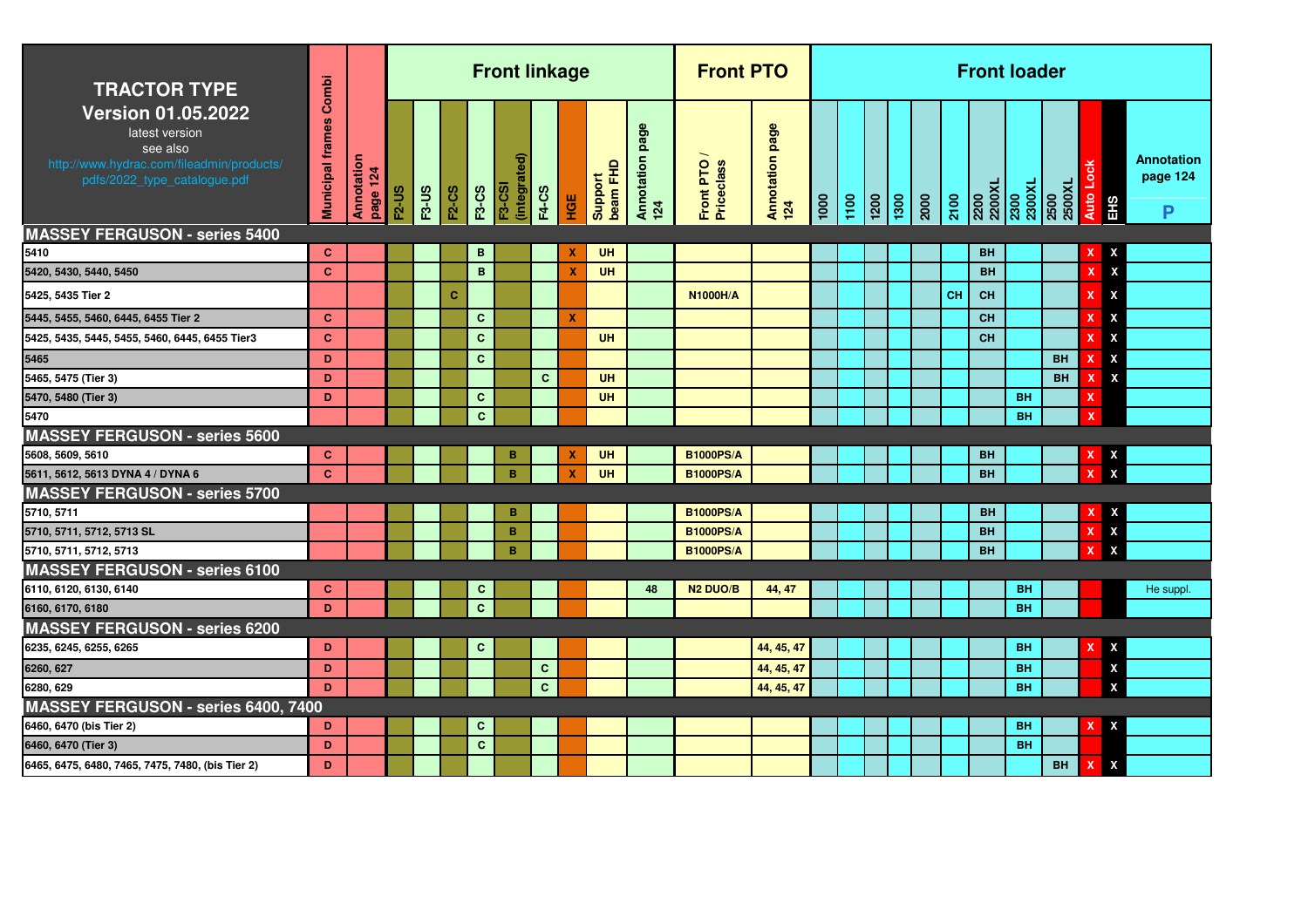| <b>TRACTOR TYPE</b>                                                                                                                  | Combi                   |                        |              |              |              |              | <b>Front linkage</b>          |              |     |                     |                           | <b>Front PTO</b>          |                        |      |      |               |                                                      |      |                | <b>Front loader</b> |                |                                |                             |
|--------------------------------------------------------------------------------------------------------------------------------------|-------------------------|------------------------|--------------|--------------|--------------|--------------|-------------------------------|--------------|-----|---------------------|---------------------------|---------------------------|------------------------|------|------|---------------|------------------------------------------------------|------|----------------|---------------------|----------------|--------------------------------|-----------------------------|
| <b>Version 01.05.2022</b><br>latest version<br>see also<br>http://www.hydrac.com/fileadmin/products/<br>pdfs/2022_type_catalogue.pdf | <b>Municipal frames</b> | Annotation<br>page 124 | <b>F2-US</b> | <b>F3-US</b> | <b>F2-CS</b> | <b>F3-CS</b> | (integrated)<br><b>F3-CSI</b> | <b>F4-CS</b> | НGЕ | beam FHD<br>Support | page<br>Annotation<br>124 | Front PTO /<br>Priceclass | Annotation page<br>124 | 1000 | 1100 | $\frac{1}{2}$ | $\begin{array}{c c} \hline 1300 \\ 2000 \end{array}$ | 2100 | 2200<br>2200XL | 2300<br>2300XL      | 2500XL<br>2500 | Auto Lo<br>EHS                 | Annotation<br>page 124<br>P |
| <b>MASSEY FERGUSON - series 5400</b>                                                                                                 |                         |                        |              |              |              |              |                               |              |     |                     |                           |                           |                        |      |      |               |                                                      |      |                |                     |                |                                |                             |
| 5410                                                                                                                                 | C                       |                        |              |              |              | B            |                               |              | х   | UH                  |                           |                           |                        |      |      |               |                                                      |      | <b>BH</b>      |                     |                | X                              |                             |
| 5420, 5430, 5440, 5450                                                                                                               | $\mathbf{C}$            |                        |              |              |              | $\mathbf{B}$ |                               |              | X   | UH                  |                           |                           |                        |      |      |               |                                                      |      | <b>BH</b>      |                     |                | X<br>$\boldsymbol{\mathsf{x}}$ |                             |
| 5425, 5435 Tier 2                                                                                                                    |                         |                        |              |              | C.           |              |                               |              |     |                     |                           | <b>N1000H/A</b>           |                        |      |      |               |                                                      | CH   | CH             |                     |                | X<br>X                         |                             |
| 5445, 5455, 5460, 6445, 6455 Tier 2                                                                                                  | $\mathbf{C}$            |                        |              |              |              | $\mathbf{C}$ |                               |              | X   |                     |                           |                           |                        |      |      |               |                                                      |      | <b>CH</b>      |                     |                | X                              |                             |
| 5425, 5435, 5445, 5455, 5460, 6445, 6455 Tier3                                                                                       | $\mathbf{C}$            |                        |              |              |              | $\mathbf{C}$ |                               |              |     | UH                  |                           |                           |                        |      |      |               |                                                      |      | <b>CH</b>      |                     |                | X                              |                             |
| 5465                                                                                                                                 | D                       |                        |              |              |              | $\mathbf{C}$ |                               |              |     |                     |                           |                           |                        |      |      |               |                                                      |      |                |                     | <b>BH</b>      | X<br>x                         |                             |
| 5465, 5475 (Tier 3)                                                                                                                  | D                       |                        |              |              |              |              |                               | $\mathbf{C}$ |     | <b>UH</b>           |                           |                           |                        |      |      |               |                                                      |      |                |                     | <b>BH</b>      | X<br>x                         |                             |
| 5470, 5480 (Tier 3)                                                                                                                  | D                       |                        |              |              |              | $\mathbf{C}$ |                               |              |     | <b>UH</b>           |                           |                           |                        |      |      |               |                                                      |      |                | <b>BH</b>           |                | x                              |                             |
| 5470                                                                                                                                 |                         |                        |              |              |              | $\mathbf{C}$ |                               |              |     |                     |                           |                           |                        |      |      |               |                                                      |      |                | <b>BH</b>           |                |                                |                             |
| <b>MASSEY FERGUSON - series 5600</b>                                                                                                 |                         |                        |              |              |              |              |                               |              |     |                     |                           |                           |                        |      |      |               |                                                      |      |                |                     |                |                                |                             |
| 5608, 5609, 5610                                                                                                                     | C                       |                        |              |              |              |              | в                             |              | X   | UH                  |                           | <b>B1000PS/A</b>          |                        |      |      |               |                                                      |      | BH             |                     |                | X                              |                             |
| 5611, 5612, 5613 DYNA 4 / DYNA 6                                                                                                     | $\mathbf{C}$            |                        |              |              |              |              | B                             |              | X   | UH                  |                           | <b>B1000PS/A</b>          |                        |      |      |               |                                                      |      | <b>BH</b>      |                     |                | $\boldsymbol{\mathsf{x}}$      |                             |
| <b>MASSEY FERGUSON - series 5700</b>                                                                                                 |                         |                        |              |              |              |              |                               |              |     |                     |                           |                           |                        |      |      |               |                                                      |      |                |                     |                |                                |                             |
| 5710, 5711                                                                                                                           |                         |                        |              |              |              |              | B                             |              |     |                     |                           | <b>B1000PS/A</b>          |                        |      |      |               |                                                      |      | <b>BH</b>      |                     |                | χ                              |                             |
| 5710, 5711, 5712, 5713 SL                                                                                                            |                         |                        |              |              |              |              | B                             |              |     |                     |                           | <b>B1000PS/A</b>          |                        |      |      |               |                                                      |      | <b>BH</b>      |                     |                | $\pmb{\mathsf{x}}$<br>x        |                             |
| 5710, 5711, 5712, 5713                                                                                                               |                         |                        |              |              |              |              | B                             |              |     |                     |                           | <b>B1000PS/A</b>          |                        |      |      |               |                                                      |      | <b>BH</b>      |                     |                | X                              |                             |
| <b>MASSEY FERGUSON - series 6100</b>                                                                                                 |                         |                        |              |              |              |              |                               |              |     |                     |                           |                           |                        |      |      |               |                                                      |      |                |                     |                |                                |                             |
| 6110, 6120, 6130, 6140                                                                                                               | $\mathbf{C}$            |                        |              |              |              | $\mathbf{C}$ |                               |              |     |                     | 48                        | N <sub>2</sub> DUO/B      | 44, 47                 |      |      |               |                                                      |      |                | <b>BH</b>           |                |                                | He suppl.                   |
| 6160, 6170, 6180                                                                                                                     | D                       |                        |              |              |              | $\mathbf{C}$ |                               |              |     |                     |                           |                           |                        |      |      |               |                                                      |      |                | <b>BH</b>           |                |                                |                             |
| <b>MASSEY FERGUSON - series 6200</b>                                                                                                 |                         |                        |              |              |              |              |                               |              |     |                     |                           |                           |                        |      |      |               |                                                      |      |                |                     |                |                                |                             |
| 6235, 6245, 6255, 6265                                                                                                               | D                       |                        |              |              |              | $\mathbf{C}$ |                               |              |     |                     |                           |                           | 44, 45, 47             |      |      |               |                                                      |      |                | <b>BH</b>           |                | X                              |                             |
| 6260, 627                                                                                                                            | D                       |                        |              |              |              |              |                               | $\mathbf{C}$ |     |                     |                           |                           | 44, 45, 47             |      |      |               |                                                      |      |                | <b>BH</b>           |                | X                              |                             |
| 6280, 629                                                                                                                            | D                       |                        |              |              |              |              |                               | $\mathbf{C}$ |     |                     |                           |                           | 44, 45, 47             |      |      |               |                                                      |      |                | <b>BH</b>           |                | X                              |                             |
| MASSEY FERGUSON - series 6400, 7400                                                                                                  |                         |                        |              |              |              |              |                               |              |     |                     |                           |                           |                        |      |      |               |                                                      |      |                |                     |                |                                |                             |
| 6460, 6470 (bis Tier 2)                                                                                                              | D                       |                        |              |              |              | $\mathbf c$  |                               |              |     |                     |                           |                           |                        |      |      |               |                                                      |      |                | <b>BH</b>           |                | X<br>X                         |                             |
| 6460, 6470 (Tier 3)                                                                                                                  | D                       |                        |              |              |              | $\mathbf{C}$ |                               |              |     |                     |                           |                           |                        |      |      |               |                                                      |      |                | <b>BH</b>           |                |                                |                             |
| 6465, 6475, 6480, 7465, 7475, 7480, (bis Tier 2)                                                                                     | D                       |                        |              |              |              |              |                               |              |     |                     |                           |                           |                        |      |      |               |                                                      |      |                |                     | <b>BH</b>      | $\pmb{\mathsf{x}}$<br>x        |                             |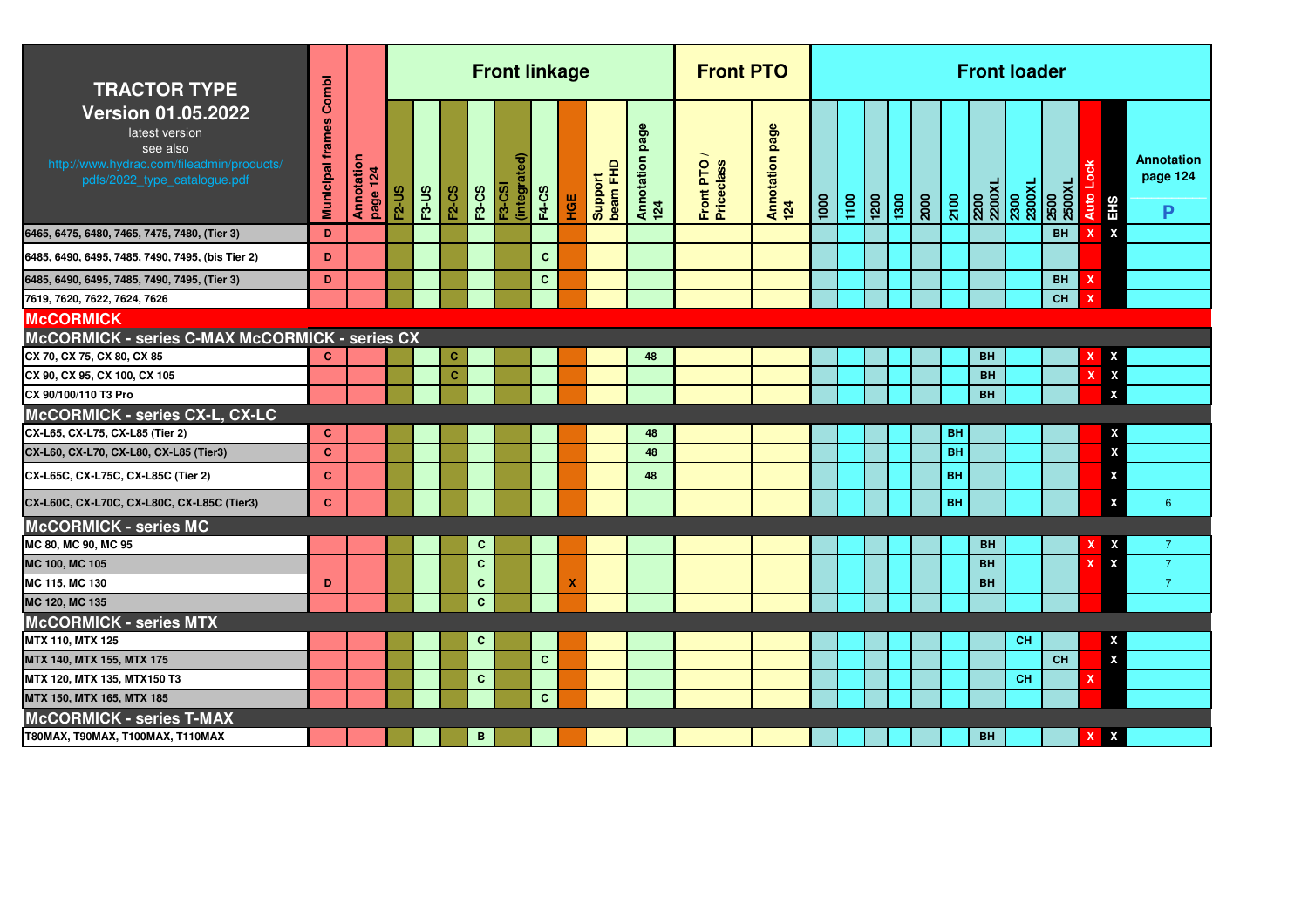| <b>TRACTOR TYPE</b>                                                                                                                  |                        |                        |              |              |              |              | <b>Front linkage</b>          |              |     |                     |                           | <b>Front PTO</b>        |                        |      |      |      |      |      |           | <b>Front loader</b>                                                                                       |           |                |      |                           |                                    |
|--------------------------------------------------------------------------------------------------------------------------------------|------------------------|------------------------|--------------|--------------|--------------|--------------|-------------------------------|--------------|-----|---------------------|---------------------------|-------------------------|------------------------|------|------|------|------|------|-----------|-----------------------------------------------------------------------------------------------------------|-----------|----------------|------|---------------------------|------------------------------------|
| <b>Version 01.05.2022</b><br>latest version<br>see also<br>http://www.hydrac.com/fileadmin/products/<br>pdfs/2022_type_catalogue.pdf | Municipal frames Combi | Annotation<br>page 124 | <b>F2-US</b> | <b>F3-US</b> | F2-CS        | <b>F3-CS</b> | (integrated)<br><b>F3-CSI</b> | <b>F4-CS</b> | НGЕ | Support<br>beam FHD | page<br>Annotation<br>124 | Front PTO<br>Priceclass | Annotation page<br>124 | 1000 | 1100 | 1200 | 1300 | 2000 | 2100      | $\begin{array}{r l} \hline 2200 \\ 2200 \times 1 \\ 2300 \times 1 \\ 2300 \times 1 \\ \hline \end{array}$ |           | 2500<br>2500XL | Auto | <b>SH3</b>                | <b>Annotation</b><br>page 124<br>P |
| 6465, 6475, 6480, 7465, 7475, 7480, (Tier 3)                                                                                         | D                      |                        |              |              |              |              |                               |              |     |                     |                           |                         |                        |      |      |      |      |      |           |                                                                                                           |           | <b>BH</b>      |      | $\boldsymbol{\mathsf{x}}$ |                                    |
| 6485, 6490, 6495, 7485, 7490, 7495, (bis Tier 2)                                                                                     | D                      |                        |              |              |              |              |                               | $\mathbf{C}$ |     |                     |                           |                         |                        |      |      |      |      |      |           |                                                                                                           |           |                |      |                           |                                    |
| 6485, 6490, 6495, 7485, 7490, 7495, (Tier 3)                                                                                         | D                      |                        |              |              |              |              |                               | C.           |     |                     |                           |                         |                        |      |      |      |      |      |           |                                                                                                           |           | <b>BH</b>      | x    |                           |                                    |
| 7619, 7620, 7622, 7624, 7626                                                                                                         |                        |                        |              |              |              |              |                               |              |     |                     |                           |                         |                        |      |      |      |      |      |           |                                                                                                           |           | <b>CH</b>      |      |                           |                                    |
| <b>McCORMICK</b>                                                                                                                     |                        |                        |              |              |              |              |                               |              |     |                     |                           |                         |                        |      |      |      |      |      |           |                                                                                                           |           |                |      |                           |                                    |
| McCORMICK - series C-MAX McCORMICK - series CX                                                                                       |                        |                        |              |              |              |              |                               |              |     |                     |                           |                         |                        |      |      |      |      |      |           |                                                                                                           |           |                |      |                           |                                    |
| CX 70, CX 75, CX 80, CX 85                                                                                                           | C.                     |                        |              |              | $\mathbf C$  |              |                               |              |     |                     | 48                        |                         |                        |      |      |      |      |      |           | <b>BH</b>                                                                                                 |           |                |      | X                         |                                    |
| CX 90, CX 95, CX 100, CX 105                                                                                                         |                        |                        |              |              | $\mathbf{C}$ |              |                               |              |     |                     |                           |                         |                        |      |      |      |      |      |           | <b>BH</b>                                                                                                 |           |                |      | X                         |                                    |
| CX 90/100/110 T3 Pro                                                                                                                 |                        |                        |              |              |              |              |                               |              |     |                     |                           |                         |                        |      |      |      |      |      |           | <b>BH</b>                                                                                                 |           |                |      | X                         |                                    |
| McCORMICK - series CX-L, CX-LC                                                                                                       |                        |                        |              |              |              |              |                               |              |     |                     |                           |                         |                        |      |      |      |      |      |           |                                                                                                           |           |                |      |                           |                                    |
| CX-L65, CX-L75, CX-L85 (Tier 2)                                                                                                      | $\mathbf{C}$           |                        |              |              |              |              |                               |              |     |                     | 48                        |                         |                        |      |      |      |      |      | <b>BH</b> |                                                                                                           |           |                |      | X                         |                                    |
| CX-L60, CX-L70, CX-L80, CX-L85 (Tier3)                                                                                               | $\mathbf{C}$           |                        |              |              |              |              |                               |              |     |                     | 48                        |                         |                        |      |      |      |      |      | <b>BH</b> |                                                                                                           |           |                |      | $\boldsymbol{\mathsf{x}}$ |                                    |
| CX-L65C, CX-L75C, CX-L85C (Tier 2)                                                                                                   | $\mathbf{C}$           |                        |              |              |              |              |                               |              |     |                     | 48                        |                         |                        |      |      |      |      |      | <b>BH</b> |                                                                                                           |           |                |      | X                         |                                    |
| CX-L60C, CX-L70C, CX-L80C, CX-L85C (Tier3)                                                                                           | $\mathbf{C}$           |                        |              |              |              |              |                               |              |     |                     |                           |                         |                        |      |      |      |      |      | <b>BH</b> |                                                                                                           |           |                |      | X                         | 6                                  |
| <b>McCORMICK - series MC</b>                                                                                                         |                        |                        |              |              |              |              |                               |              |     |                     |                           |                         |                        |      |      |      |      |      |           |                                                                                                           |           |                |      |                           |                                    |
| MC 80, MC 90, MC 95                                                                                                                  |                        |                        |              |              |              | C            |                               |              |     |                     |                           |                         |                        |      |      |      |      |      |           | <b>BH</b>                                                                                                 |           |                |      |                           | $\overline{7}$                     |
| MC 100, MC 105                                                                                                                       |                        |                        |              |              |              | $\mathbf{C}$ |                               |              |     |                     |                           |                         |                        |      |      |      |      |      |           | <b>BH</b>                                                                                                 |           |                |      | X                         | $\overline{7}$                     |
| MC 115, MC 130                                                                                                                       | D                      |                        |              |              |              | $\mathbf{C}$ |                               |              | X   |                     |                           |                         |                        |      |      |      |      |      |           | <b>BH</b>                                                                                                 |           |                |      |                           | $\overline{7}$                     |
| MC 120, MC 135                                                                                                                       |                        |                        |              |              |              | $\mathbf{C}$ |                               |              |     |                     |                           |                         |                        |      |      |      |      |      |           |                                                                                                           |           |                |      |                           |                                    |
| <b>McCORMICK - series MTX</b>                                                                                                        |                        |                        |              |              |              |              |                               |              |     |                     |                           |                         |                        |      |      |      |      |      |           |                                                                                                           |           |                |      |                           |                                    |
| MTX 110, MTX 125                                                                                                                     |                        |                        |              |              |              | C            |                               |              |     |                     |                           |                         |                        |      |      |      |      |      |           |                                                                                                           | <b>CH</b> |                |      | X                         |                                    |
| MTX 140, MTX 155, MTX 175                                                                                                            |                        |                        |              |              |              |              |                               | $\mathbf{C}$ |     |                     |                           |                         |                        |      |      |      |      |      |           |                                                                                                           |           | <b>CH</b>      |      | $\mathbf{x}$              |                                    |
| MTX 120, MTX 135, MTX150 T3                                                                                                          |                        |                        |              |              |              | C.           |                               |              |     |                     |                           |                         |                        |      |      |      |      |      |           |                                                                                                           | <b>CH</b> |                | x    |                           |                                    |
| MTX 150, MTX 165, MTX 185                                                                                                            |                        |                        |              |              |              |              |                               | $\mathbf{C}$ |     |                     |                           |                         |                        |      |      |      |      |      |           |                                                                                                           |           |                |      |                           |                                    |
| <b>McCORMICK - series T-MAX</b>                                                                                                      |                        |                        |              |              |              |              |                               |              |     |                     |                           |                         |                        |      |      |      |      |      |           |                                                                                                           |           |                |      |                           |                                    |
| T80MAX, T90MAX, T100MAX, T110MAX                                                                                                     |                        |                        |              |              |              | B            |                               |              |     |                     |                           |                         |                        |      |      |      |      |      |           | <b>BH</b>                                                                                                 |           |                |      | X                         |                                    |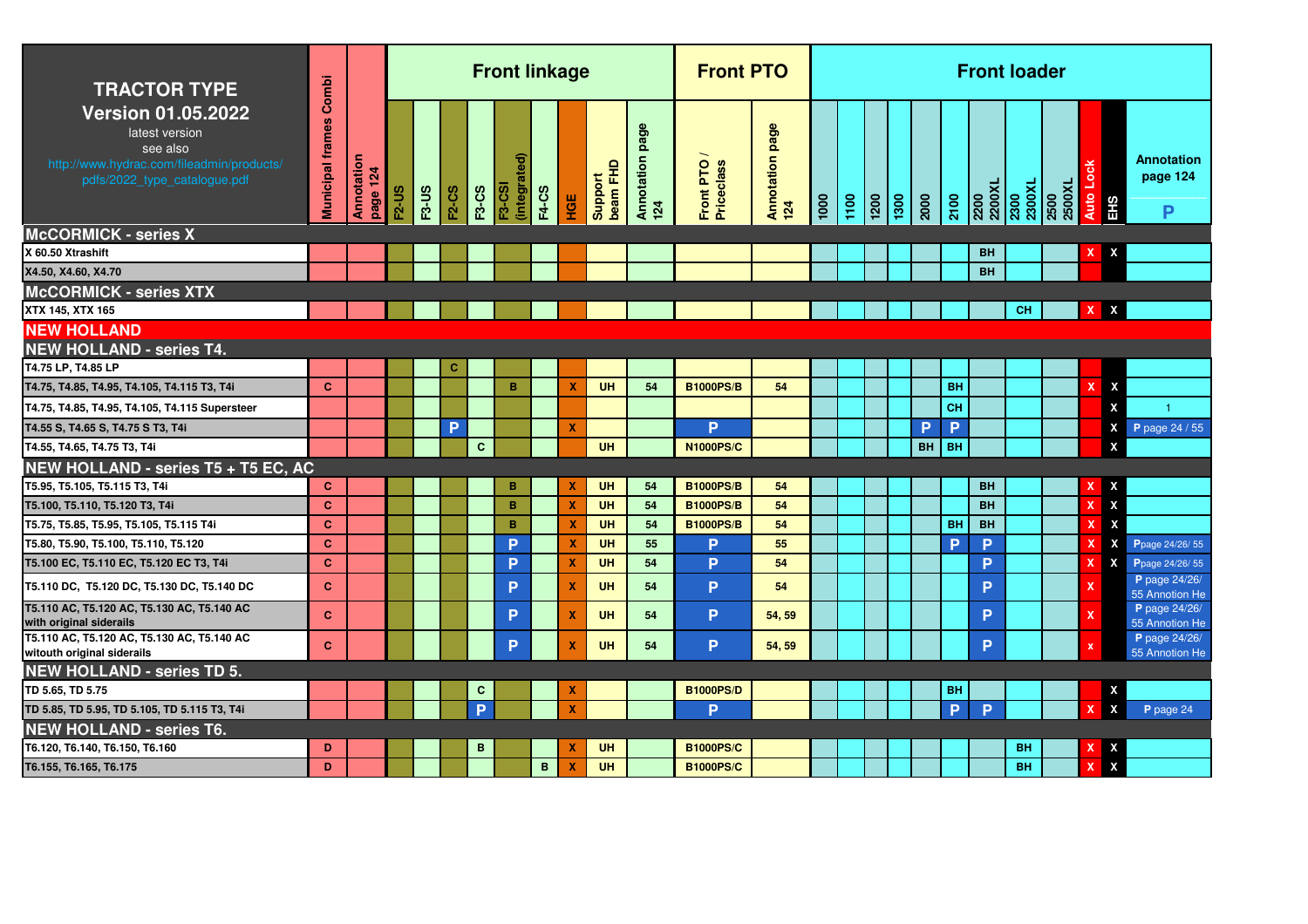| <b>TRACTOR TYPE</b>                                                                                                                  | Combi                   |                        |              |              |              |              | <b>Front linkage</b> |              |                           |                     |                           | <b>Front PTO</b>        |                               |      |      |                    |      |           |           |                | <b>Front loader</b> |                |                     |                           |                                    |
|--------------------------------------------------------------------------------------------------------------------------------------|-------------------------|------------------------|--------------|--------------|--------------|--------------|----------------------|--------------|---------------------------|---------------------|---------------------------|-------------------------|-------------------------------|------|------|--------------------|------|-----------|-----------|----------------|---------------------|----------------|---------------------|---------------------------|------------------------------------|
| <b>Version 01.05.2022</b><br>latest version<br>see also<br>http://www.hydrac.com/fileadmin/products/<br>pdfs/2022_type_catalogue.pdf | <b>Municipal frames</b> | Annotation<br>page 124 | <b>F2-US</b> | <b>F3-US</b> | <b>F2-CS</b> | <b>F3-CS</b> | (integrat<br>F3-CSI  | <b>F4-CS</b> | HGE                       | beam FHD<br>Support | page<br>Annotation<br>124 | Front PTO<br>Priceclass | <b>Annotation page</b><br>124 | 1000 | 1100 | $\frac{1200}{200}$ | 1300 | 2000      | 2100      | 2200XL<br>2200 | 2300<br>2300XL      | 2500XL<br>2500 | Lock<br><b>Auto</b> | EH <sub>S</sub>           | <b>Annotation</b><br>page 124<br>P |
| <b>McCORMICK - series X</b>                                                                                                          |                         |                        |              |              |              |              |                      |              |                           |                     |                           |                         |                               |      |      |                    |      |           |           |                |                     |                |                     |                           |                                    |
| X 60.50 Xtrashift                                                                                                                    |                         |                        |              |              |              |              |                      |              |                           |                     |                           |                         |                               |      |      |                    |      |           |           | <b>BH</b>      |                     |                |                     |                           |                                    |
| X4.50, X4.60, X4.70                                                                                                                  |                         |                        |              |              |              |              |                      |              |                           |                     |                           |                         |                               |      |      |                    |      |           |           | <b>BH</b>      |                     |                |                     |                           |                                    |
| <b>McCORMICK - series XTX</b>                                                                                                        |                         |                        |              |              |              |              |                      |              |                           |                     |                           |                         |                               |      |      |                    |      |           |           |                |                     |                |                     |                           |                                    |
| XTX 145, XTX 165                                                                                                                     |                         |                        |              |              |              |              |                      |              |                           |                     |                           |                         |                               |      |      |                    |      |           |           |                | <b>CH</b>           |                | X                   | X                         |                                    |
| <b>NEW HOLLAND</b>                                                                                                                   |                         |                        |              |              |              |              |                      |              |                           |                     |                           |                         |                               |      |      |                    |      |           |           |                |                     |                |                     |                           |                                    |
| <b>NEW HOLLAND - series T4.</b>                                                                                                      |                         |                        |              |              |              |              |                      |              |                           |                     |                           |                         |                               |      |      |                    |      |           |           |                |                     |                |                     |                           |                                    |
| T4.75 LP, T4.85 LP                                                                                                                   |                         |                        |              |              | C            |              |                      |              |                           |                     |                           |                         |                               |      |      |                    |      |           |           |                |                     |                |                     |                           |                                    |
| T4.75, T4.85, T4.95, T4.105, T4.115 T3, T4i                                                                                          | $\mathbf{C}$            |                        |              |              |              |              | B                    |              | X                         | UH                  | 54                        | <b>B1000PS/B</b>        | 54                            |      |      |                    |      |           | BH        |                |                     |                | x                   | X                         |                                    |
| T4.75, T4.85, T4.95, T4.105, T4.115 Supersteer                                                                                       |                         |                        |              |              |              |              |                      |              |                           |                     |                           |                         |                               |      |      |                    |      |           | CH        |                |                     |                |                     | X                         |                                    |
| T4.55 S, T4.65 S, T4.75 S T3, T4i                                                                                                    |                         |                        |              |              | P            |              |                      |              | x                         |                     |                           | <b>P</b>                |                               |      |      |                    |      | P         | P         |                |                     |                |                     | X                         | P page 24 / 55                     |
| T4.55, T4.65, T4.75 T3, T4i                                                                                                          |                         |                        |              |              |              | $\mathbf{C}$ |                      |              |                           | <b>UH</b>           |                           | <b>N1000PS/C</b>        |                               |      |      |                    |      | <b>BH</b> | <b>BH</b> |                |                     |                |                     | X                         |                                    |
| NEW HOLLAND - series T5 + T5 EC, AC                                                                                                  |                         |                        |              |              |              |              |                      |              |                           |                     |                           |                         |                               |      |      |                    |      |           |           |                |                     |                |                     |                           |                                    |
| T5.95, T5.105, T5.115 T3, T4i                                                                                                        | C.                      |                        |              |              |              |              | в                    |              | х                         | UH                  | 54                        | <b>B1000PS/B</b>        | 54                            |      |      |                    |      |           |           | <b>BH</b>      |                     |                |                     | X                         |                                    |
| T5.100, T5.110, T5.120 T3, T4i                                                                                                       | $\mathbf{C}$            |                        |              |              |              |              | B                    |              | ×                         | UH                  | 54                        | <b>B1000PS/B</b>        | 54                            |      |      |                    |      |           |           | <b>BH</b>      |                     |                | x                   | $\boldsymbol{\mathsf{x}}$ |                                    |
| T5.75, T5.85, T5.95, T5.105, T5.115 T4i                                                                                              | $\mathbf{C}$            |                        |              |              |              |              | B                    |              | X                         | UH                  | 54                        | <b>B1000PS/B</b>        | 54                            |      |      |                    |      |           | BH        | <b>BH</b>      |                     |                |                     | $\boldsymbol{\mathsf{x}}$ |                                    |
| T5.80, T5.90, T5.100, T5.110, T5.120                                                                                                 | $\mathbf{C}$            |                        |              |              |              |              | P                    |              | x                         | UH                  | 55                        | P                       | 55                            |      |      |                    |      |           | P         | P              |                     |                |                     | X                         | Ppage 24/26/55                     |
| T5.100 EC, T5.110 EC, T5.120 EC T3, T4i                                                                                              | $\mathbf{C}$            |                        |              |              |              |              | P                    |              | x                         | UH                  | 54                        | <b>P</b>                | 54                            |      |      |                    |      |           |           | P              |                     |                | x                   | X                         | Ppage 24/26/55                     |
| T5.110 DC, T5.120 DC, T5.130 DC, T5.140 DC                                                                                           | $\mathbf{C}$            |                        |              |              |              |              | P                    |              | X                         | UH                  | 54                        | P                       | 54                            |      |      |                    |      |           |           | P              |                     |                |                     |                           | P page 24/26/<br>55 Annotion He    |
| T5.110 AC, T5.120 AC, T5.130 AC, T5.140 AC<br>with original siderails                                                                | $\mathbf{C}$            |                        |              |              |              |              | P                    |              | $\boldsymbol{\mathsf{x}}$ | UH                  | 54                        | P                       | 54, 59                        |      |      |                    |      |           |           | P              |                     |                | $\mathbf{x}$        |                           | P page 24/26/<br>55 Annotion He    |
| T5.110 AC, T5.120 AC, T5.130 AC, T5.140 AC<br>witouth original siderails                                                             | $\mathbf{C}$            |                        |              |              |              |              | P                    |              | $\boldsymbol{x}$          | UH                  | 54                        | P                       | 54, 59                        |      |      |                    |      |           |           | P              |                     |                | $\mathbf{x}$        |                           | P page 24/26/<br>55 Annotion He    |
| <b>NEW HOLLAND - series TD 5.</b>                                                                                                    |                         |                        |              |              |              |              |                      |              |                           |                     |                           |                         |                               |      |      |                    |      |           |           |                |                     |                |                     |                           |                                    |
| TD 5.65, TD 5.75                                                                                                                     |                         |                        |              |              |              | $\mathbf{C}$ |                      |              | X                         |                     |                           | <b>B1000PS/D</b>        |                               |      |      |                    |      |           | <b>BH</b> |                |                     |                |                     | X                         |                                    |
| TD 5.85, TD 5.95, TD 5.105, TD 5.115 T3, T4i                                                                                         |                         |                        |              |              |              | P            |                      |              | $\boldsymbol{\mathsf{x}}$ |                     |                           | D                       |                               |      |      |                    |      |           | P         | P              |                     |                | X                   | X                         | P page 24                          |
| <b>NEW HOLLAND - series T6.</b>                                                                                                      |                         |                        |              |              |              |              |                      |              |                           |                     |                           |                         |                               |      |      |                    |      |           |           |                |                     |                |                     |                           |                                    |
| T6.120, T6.140, T6.150, T6.160                                                                                                       | D                       |                        |              |              |              | B            |                      |              |                           | UH                  |                           | <b>B1000PS/C</b>        |                               |      |      |                    |      |           |           |                | BH                  |                |                     | X                         |                                    |
| T6.155, T6.165, T6.175                                                                                                               | D                       |                        |              |              |              |              |                      | $\mathbf{B}$ | X                         | <b>UH</b>           |                           | <b>B1000PS/C</b>        |                               |      |      |                    |      |           |           |                | <b>BH</b>           |                | $\mathbf x$         | $\boldsymbol{\mathsf{x}}$ |                                    |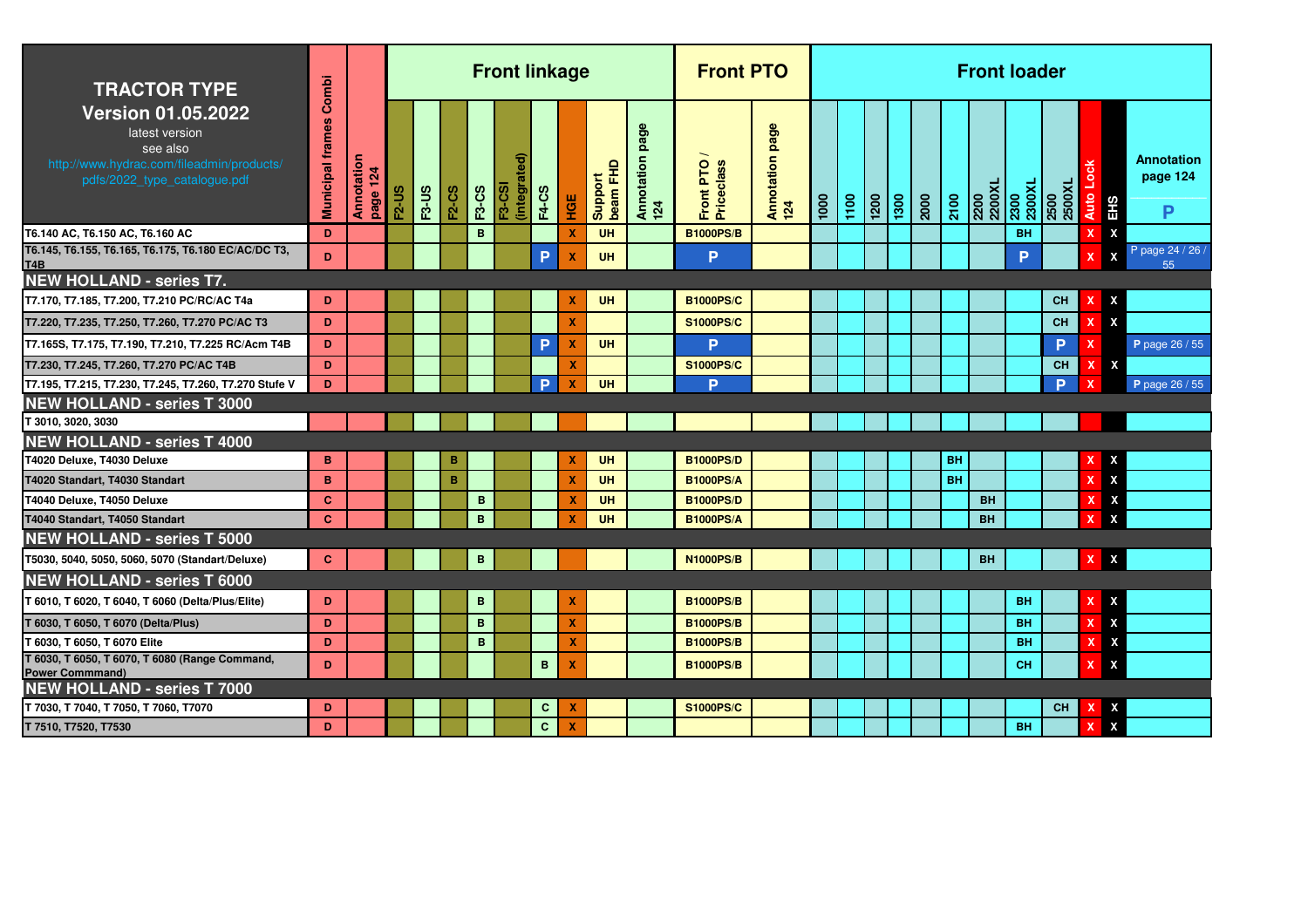| <b>TRACTOR TYPE</b>                                                                                                                  | Combi                   |                        |              |              |              |                   | <b>Front linkage</b>     |              |                           |                        |                           | <b>Front PTO</b>                     |                           |      |      |                   |      |      |           |                        | <b>Front loader</b> |                |                           |                                                     |
|--------------------------------------------------------------------------------------------------------------------------------------|-------------------------|------------------------|--------------|--------------|--------------|-------------------|--------------------------|--------------|---------------------------|------------------------|---------------------------|--------------------------------------|---------------------------|------|------|-------------------|------|------|-----------|------------------------|---------------------|----------------|---------------------------|-----------------------------------------------------|
| <b>Version 01.05.2022</b><br>latest version<br>see also<br>http://www.hydrac.com/fileadmin/products/<br>pdfs/2022_type_catalogue.pdf | <b>Municipal frames</b> | Annotation<br>page 124 | <b>F2-US</b> | <b>F3-US</b> | <b>F2-CS</b> | F3-CS             | €<br>(integrat<br>F3-CSI | <b>F4-CS</b> | HGE                       | Support<br>beam FHD    | page<br>Annotation<br>124 | Front PTO<br>Priceclass              | page<br>Annotation<br>124 | 1000 | 1100 | $\overline{1200}$ | 1300 | 2000 | 2100      | 2200<br>2200XL         | 2300<br>2300XL      | 2500<br>2500XL | <b>Auto</b><br>EHS        | <b>Annotation</b><br>page 124<br>P                  |
| T6.140 AC, T6.150 AC, T6.160 AC                                                                                                      | D                       |                        |              |              |              | B                 |                          |              | X                         | UH                     |                           | <b>B1000PS/B</b>                     |                           |      |      |                   |      |      |           |                        | <b>BH</b>           |                |                           | X                                                   |
| T6.145, T6.155, T6.165, T6.175, T6.180 EC/AC/DC T3,<br>T <sub>4</sub> B                                                              | D                       |                        |              |              |              |                   |                          | P            | $\boldsymbol{\mathsf{x}}$ | UH                     |                           | P                                    |                           |      |      |                   |      |      |           |                        | P                   |                |                           | P page 24 / 26 /<br>$\boldsymbol{\mathsf{x}}$<br>55 |
| <b>NEW HOLLAND - series T7.</b>                                                                                                      |                         |                        |              |              |              |                   |                          |              |                           |                        |                           |                                      |                           |      |      |                   |      |      |           |                        |                     |                |                           |                                                     |
| T7.170, T7.185, T7.200, T7.210 PC/RC/AC T4a                                                                                          | D                       |                        |              |              |              |                   |                          |              | X                         | <b>UH</b>              |                           | <b>B1000PS/C</b>                     |                           |      |      |                   |      |      |           |                        |                     | <b>CH</b>      |                           | X                                                   |
| T7.220, T7.235, T7.250, T7.260, T7.270 PC/AC T3                                                                                      | D.                      |                        |              |              |              |                   |                          |              | $\mathbf x$               |                        |                           | <b>S1000PS/C</b>                     |                           |      |      |                   |      |      |           |                        |                     | <b>CH</b>      | $\boldsymbol{\mathsf{x}}$ | $\boldsymbol{\mathsf{x}}$                           |
| T7.165S, T7.175, T7.190, T7.210, T7.225 RC/Acm T4B                                                                                   | D.                      |                        |              |              |              |                   |                          | P            | $\mathbf x$               | <b>UH</b>              |                           | P                                    |                           |      |      |                   |      |      |           |                        |                     | P.             |                           | P page 26 / 55                                      |
| T7.230, T7.245, T7.260, T7.270 PC/AC T4B                                                                                             | D.                      |                        |              |              |              |                   |                          |              | X                         |                        |                           | <b>S1000PS/C</b>                     |                           |      |      |                   |      |      |           |                        |                     | <b>CH</b>      | $\boldsymbol{\mathsf{x}}$ | X                                                   |
| T7.195, T7.215, T7.230, T7.245, T7.260, T7.270 Stufe V                                                                               | D                       |                        |              |              |              |                   |                          | Þ            | $\boldsymbol{\mathsf{x}}$ | <b>UH</b>              |                           | D                                    |                           |      |      |                   |      |      |           |                        |                     | <b>D</b>       | -X                        | P page 26 / 55                                      |
| <b>NEW HOLLAND - series T 3000</b>                                                                                                   |                         |                        |              |              |              |                   |                          |              |                           |                        |                           |                                      |                           |      |      |                   |      |      |           |                        |                     |                |                           |                                                     |
| T 3010, 3020, 3030                                                                                                                   |                         |                        |              |              |              |                   |                          |              |                           |                        |                           |                                      |                           |      |      |                   |      |      |           |                        |                     |                |                           |                                                     |
| <b>NEW HOLLAND - series T 4000</b>                                                                                                   |                         |                        |              |              |              |                   |                          |              |                           |                        |                           |                                      |                           |      |      |                   |      |      |           |                        |                     |                |                           |                                                     |
| T4020 Deluxe, T4030 Deluxe                                                                                                           | B                       |                        |              |              | B            |                   |                          |              | X                         | <b>UH</b>              |                           | <b>B1000PS/D</b>                     |                           |      |      |                   |      |      | <b>BH</b> |                        |                     |                |                           | X                                                   |
| T4020 Standart, T4030 Standart                                                                                                       | B                       |                        |              |              | B            |                   |                          |              | $\boldsymbol{\mathsf{x}}$ | UH                     |                           | <b>B1000PS/A</b>                     |                           |      |      |                   |      |      | <b>BH</b> |                        |                     |                | x                         | X                                                   |
| T4040 Deluxe, T4050 Deluxe                                                                                                           | C.<br>$\mathbf{C}$      |                        |              |              |              | В<br>$\mathbf{B}$ |                          |              | x<br>х                    | <b>UH</b><br><b>UH</b> |                           | <b>B1000PS/D</b><br><b>B1000PS/A</b> |                           |      |      |                   |      |      |           | <b>BH</b><br><b>BH</b> |                     |                |                           | X<br>X                                              |
| T4040 Standart, T4050 Standart<br><b>NEW HOLLAND - series T 5000</b>                                                                 |                         |                        |              |              |              |                   |                          |              |                           |                        |                           |                                      |                           |      |      |                   |      |      |           |                        |                     |                |                           |                                                     |
|                                                                                                                                      | $\mathbf{C}$            |                        |              |              |              |                   |                          |              |                           |                        |                           | <b>N1000PS/B</b>                     |                           |      |      |                   |      |      |           | <b>BH</b>              |                     |                |                           |                                                     |
| T5030, 5040, 5050, 5060, 5070 (Standart/Deluxe)                                                                                      |                         |                        |              |              |              | в                 |                          |              |                           |                        |                           |                                      |                           |      |      |                   |      |      |           |                        |                     |                | х                         | $\pmb{\mathsf{x}}$                                  |
| <b>NEW HOLLAND - series T 6000</b>                                                                                                   |                         |                        |              |              |              |                   |                          |              |                           |                        |                           |                                      |                           |      |      |                   |      |      |           |                        |                     |                |                           |                                                     |
| T 6010, T 6020, T 6040, T 6060 (Delta/Plus/Elite)                                                                                    | D                       |                        |              |              |              | B                 |                          |              | X                         |                        |                           | <b>B1000PS/B</b>                     |                           |      |      |                   |      |      |           |                        | <b>BH</b>           |                | х                         | X                                                   |
| T 6030, T 6050, T 6070 (Delta/Plus)                                                                                                  | D                       |                        |              |              |              | B                 |                          |              | $\boldsymbol{\mathsf{x}}$ |                        |                           | <b>B1000PS/B</b>                     |                           |      |      |                   |      |      |           |                        | <b>BH</b>           |                |                           | X                                                   |
| T 6030, T 6050, T 6070 Elite                                                                                                         | D.                      |                        |              |              |              | B                 |                          |              | X                         |                        |                           | <b>B1000PS/B</b>                     |                           |      |      |                   |      |      |           |                        | <b>BH</b>           |                |                           | X                                                   |
| T 6030, T 6050, T 6070, T 6080 (Range Command,<br><b>Power Commmand)</b>                                                             | D                       |                        |              |              |              |                   |                          | B            | X                         |                        |                           | <b>B1000PS/B</b>                     |                           |      |      |                   |      |      |           |                        | <b>CH</b>           |                |                           | X                                                   |
| <b>NEW HOLLAND - series T 7000</b>                                                                                                   |                         |                        |              |              |              |                   |                          |              |                           |                        |                           |                                      |                           |      |      |                   |      |      |           |                        |                     |                |                           |                                                     |
| T 7030, T 7040, T 7050, T 7060, T7070                                                                                                | D                       |                        |              |              |              |                   |                          | C            | x                         |                        |                           | <b>S1000PS/C</b>                     |                           |      |      |                   |      |      |           |                        |                     | <b>CH</b>      |                           | X                                                   |
| T 7510, T7520, T7530                                                                                                                 | D                       |                        |              |              |              |                   |                          | $\mathbf{C}$ | $\boldsymbol{x}$          |                        |                           |                                      |                           |      |      |                   |      |      |           |                        | <b>BH</b>           |                | x                         | X                                                   |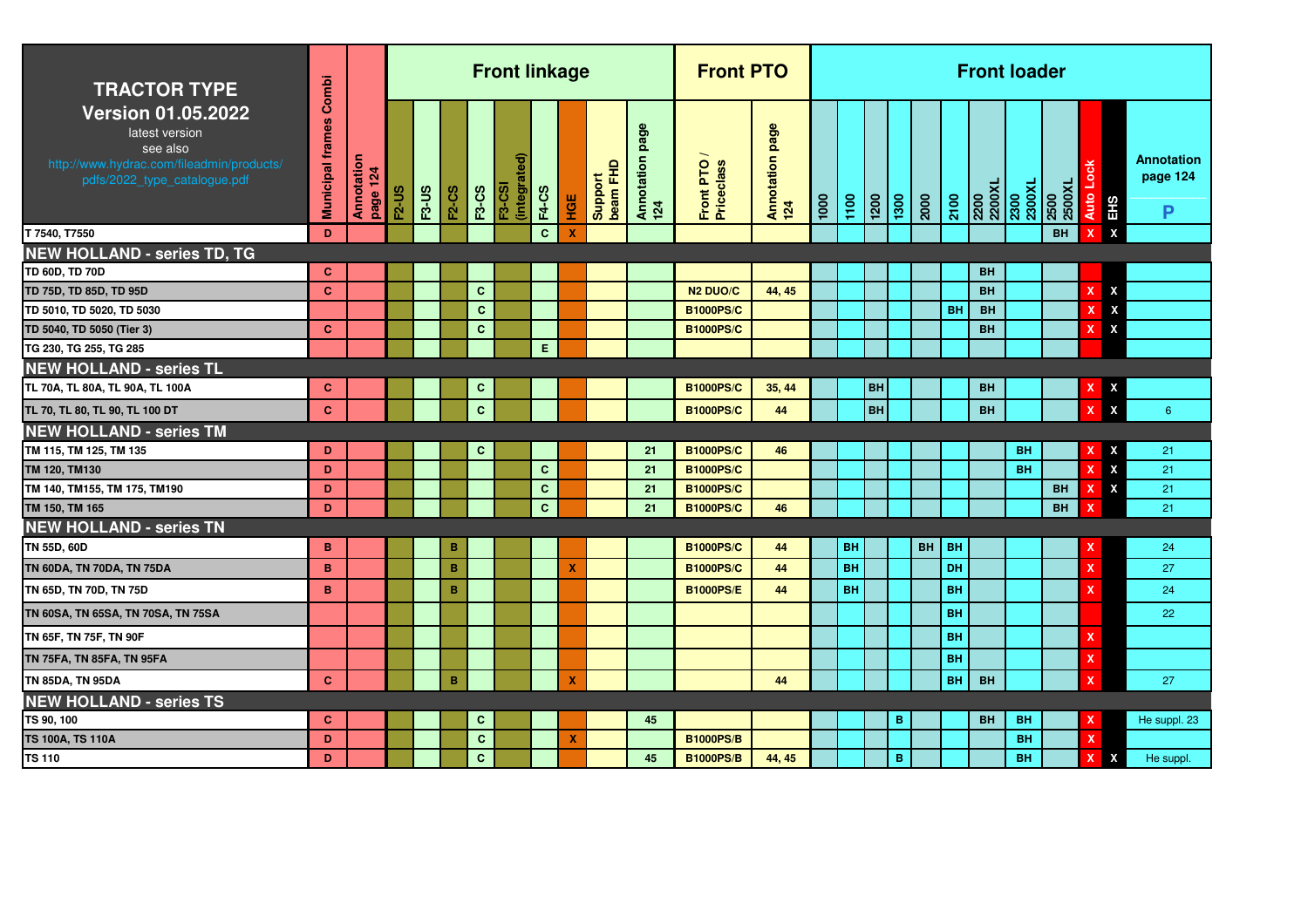| <b>TRACTOR TYPE</b>                                                                                                                  | Combi                   |                        |              |              |              |              | <b>Front linkage</b>          |              |     |                     |                           | <b>Front PTO</b>        |                        |      |           |           |                  |           |           |                | <b>Front loader</b> |                |                                 |                             |
|--------------------------------------------------------------------------------------------------------------------------------------|-------------------------|------------------------|--------------|--------------|--------------|--------------|-------------------------------|--------------|-----|---------------------|---------------------------|-------------------------|------------------------|------|-----------|-----------|------------------|-----------|-----------|----------------|---------------------|----------------|---------------------------------|-----------------------------|
| <b>Version 01.05.2022</b><br>latest version<br>see also<br>http://www.hydrac.com/fileadmin/products/<br>pdfs/2022_type_catalogue.pdf | <b>Municipal frames</b> | Annotation<br>page 124 | <b>F2-US</b> | <b>F3-US</b> | <b>F2-CS</b> | <b>F3-CS</b> | (integrated)<br><b>F3-CSI</b> | <b>F4-CS</b> | НGЕ | beam FHD<br>Support | page<br>Annotation<br>124 | Front PTO<br>Priceclass | Annotation page<br>124 | 1000 | 1100      | 1200      | $\frac{1300}{2}$ | 2000      | 2100      | 2200<br>2200XL | 2300<br>2300XL      | 2500<br>2500XL | 중<br>Auto Lo<br>EH <sub>S</sub> | Annotation<br>page 124<br>P |
| T 7540, T7550                                                                                                                        | D                       |                        |              |              |              |              |                               | $\mathbf{C}$ | x   |                     |                           |                         |                        |      |           |           |                  |           |           |                |                     | <b>BH</b>      | $\mathbf{x}$<br>x               |                             |
| <b>NEW HOLLAND - series TD, TG</b>                                                                                                   |                         |                        |              |              |              |              |                               |              |     |                     |                           |                         |                        |      |           |           |                  |           |           |                |                     |                |                                 |                             |
| TD 60D, TD 70D                                                                                                                       | C                       |                        |              |              |              |              |                               |              |     |                     |                           |                         |                        |      |           |           |                  |           |           | <b>BH</b>      |                     |                |                                 |                             |
| TD 75D, TD 85D, TD 95D                                                                                                               | $\mathbf{C}$            |                        |              |              |              | $\mathbf{C}$ |                               |              |     |                     |                           | <b>N2 DUO/C</b>         | 44, 45                 |      |           |           |                  |           |           | <b>BH</b>      |                     |                | X<br>x                          |                             |
| TD 5010, TD 5020, TD 5030                                                                                                            |                         |                        |              |              |              | $\mathbf{C}$ |                               |              |     |                     |                           | <b>B1000PS/C</b>        |                        |      |           |           |                  |           | <b>BH</b> | <b>BH</b>      |                     |                | X                               |                             |
| TD 5040, TD 5050 (Tier 3)                                                                                                            | C.                      |                        |              |              |              | $\mathbf{C}$ |                               |              |     |                     |                           | <b>B1000PS/C</b>        |                        |      |           |           |                  |           |           | <b>BH</b>      |                     |                | X                               |                             |
| TG 230, TG 255, TG 285                                                                                                               |                         |                        |              |              |              |              |                               | E.           |     |                     |                           |                         |                        |      |           |           |                  |           |           |                |                     |                |                                 |                             |
| <b>NEW HOLLAND - series TL</b>                                                                                                       |                         |                        |              |              |              |              |                               |              |     |                     |                           |                         |                        |      |           |           |                  |           |           |                |                     |                |                                 |                             |
| TL 70A, TL 80A, TL 90A, TL 100A                                                                                                      | C                       |                        |              |              |              | $\mathbf{C}$ |                               |              |     |                     |                           | <b>B1000PS/C</b>        | 35, 44                 |      |           | <b>BH</b> |                  |           |           | <b>BH</b>      |                     |                | X                               |                             |
| TL 70, TL 80, TL 90, TL 100 DT                                                                                                       | $\mathbf{C}$            |                        |              |              |              | $\mathbf{C}$ |                               |              |     |                     |                           | <b>B1000PS/C</b>        | 44                     |      |           | BH        |                  |           |           | <b>BH</b>      |                     |                | X<br>X                          | $6^{\circ}$                 |
| <b>NEW HOLLAND - series TM</b>                                                                                                       |                         |                        |              |              |              |              |                               |              |     |                     |                           |                         |                        |      |           |           |                  |           |           |                |                     |                |                                 |                             |
| TM 115, TM 125, TM 135                                                                                                               | D                       |                        |              |              |              | $\mathbf{C}$ |                               |              |     |                     | 21                        | <b>B1000PS/C</b>        | 46                     |      |           |           |                  |           |           |                | <b>BH</b>           |                | x                               | 21                          |
| TM 120, TM130                                                                                                                        | D                       |                        |              |              |              |              |                               | $\mathbf{C}$ |     |                     | 21                        | <b>B1000PS/C</b>        |                        |      |           |           |                  |           |           |                | BH                  |                | χ                               | 21                          |
| TM 140, TM155, TM 175, TM190                                                                                                         | D                       |                        |              |              |              |              |                               | $\mathbf{C}$ |     |                     | 21                        | <b>B1000PS/C</b>        |                        |      |           |           |                  |           |           |                |                     | <b>BH</b>      | X<br>x                          | 21                          |
| TM 150, TM 165                                                                                                                       | D                       |                        |              |              |              |              |                               | $\mathbf{C}$ |     |                     | 21                        | <b>B1000PS/C</b>        | 46                     |      |           |           |                  |           |           |                |                     | <b>BH</b>      |                                 | 21                          |
| <b>NEW HOLLAND - series TN</b>                                                                                                       |                         |                        |              |              |              |              |                               |              |     |                     |                           |                         |                        |      |           |           |                  |           |           |                |                     |                |                                 |                             |
| TN 55D, 60D                                                                                                                          | в                       |                        |              |              | в            |              |                               |              |     |                     |                           | <b>B1000PS/C</b>        | 44                     |      | <b>BH</b> |           |                  | <b>BH</b> | <b>BH</b> |                |                     |                |                                 | 24                          |
| TN 60DA, TN 70DA, TN 75DA                                                                                                            | B                       |                        |              |              | B            |              |                               |              | x   |                     |                           | <b>B1000PS/C</b>        | 44                     |      | <b>BH</b> |           |                  |           | DH        |                |                     |                | x                               | 27                          |
| TN 65D, TN 70D, TN 75D                                                                                                               | B                       |                        |              |              | B            |              |                               |              |     |                     |                           | <b>B1000PS/E</b>        | 44                     |      | <b>BH</b> |           |                  |           | <b>BH</b> |                |                     |                |                                 | 24                          |
| TN 60SA, TN 65SA, TN 70SA, TN 75SA                                                                                                   |                         |                        |              |              |              |              |                               |              |     |                     |                           |                         |                        |      |           |           |                  |           | <b>BH</b> |                |                     |                |                                 | 22                          |
| TN 65F, TN 75F, TN 90F                                                                                                               |                         |                        |              |              |              |              |                               |              |     |                     |                           |                         |                        |      |           |           |                  |           | <b>BH</b> |                |                     |                |                                 |                             |
| TN 75FA, TN 85FA, TN 95FA                                                                                                            |                         |                        |              |              |              |              |                               |              |     |                     |                           |                         |                        |      |           |           |                  |           | <b>BH</b> |                |                     |                | X                               |                             |
| TN 85DA, TN 95DA                                                                                                                     | $\mathbf{C}$            |                        |              |              | B            |              |                               |              | X   |                     |                           |                         | 44                     |      |           |           |                  |           | <b>BH</b> | <b>BH</b>      |                     |                |                                 | 27                          |
| <b>NEW HOLLAND - series TS</b>                                                                                                       |                         |                        |              |              |              |              |                               |              |     |                     |                           |                         |                        |      |           |           |                  |           |           |                |                     |                |                                 |                             |
| TS 90, 100                                                                                                                           | C                       |                        |              |              |              | $\mathbf{C}$ |                               |              |     |                     | 45                        |                         |                        |      |           |           | в                |           |           | <b>BH</b>      | <b>BH</b>           |                | x                               | He suppl. 23                |
| TS 100A, TS 110A                                                                                                                     | D                       |                        |              |              |              | $\mathbf{C}$ |                               |              | X   |                     |                           | <b>B1000PS/B</b>        |                        |      |           |           |                  |           |           |                | <b>BH</b>           |                | $\mathsf{x}$                    |                             |
| <b>TS 110</b>                                                                                                                        | D                       |                        |              |              |              | $\mathbf{C}$ |                               |              |     |                     | 45                        | <b>B1000PS/B</b>        | 44, 45                 |      |           |           | B                |           |           |                | <b>BH</b>           |                | $\mathbf{x}$<br>X               | He suppl.                   |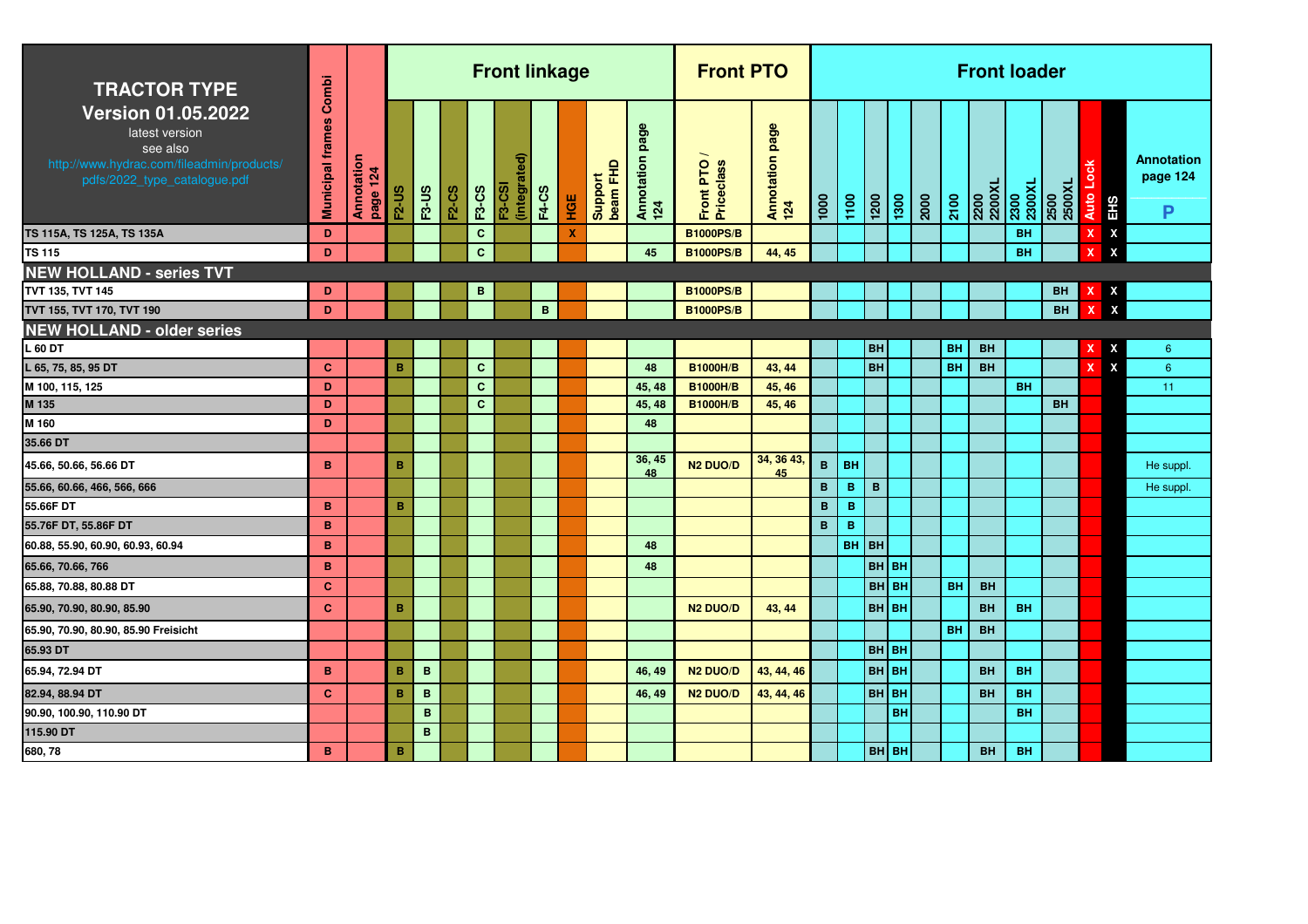| <b>TRACTOR TYPE</b>                                                                                                                  | Combi                   |                        |                 |              |              |              | <b>Front linkage</b>                   |              |     |                     |                           | <b>Front PTO</b>        |                             |                 |             |              |      |      |           | <b>Front loader</b> |                |                |                                        |                                    |
|--------------------------------------------------------------------------------------------------------------------------------------|-------------------------|------------------------|-----------------|--------------|--------------|--------------|----------------------------------------|--------------|-----|---------------------|---------------------------|-------------------------|-----------------------------|-----------------|-------------|--------------|------|------|-----------|---------------------|----------------|----------------|----------------------------------------|------------------------------------|
| <b>Version 01.05.2022</b><br>latest version<br>see also<br>http://www.hydrac.com/fileadmin/products/<br>pdfs/2022_type_catalogue.pdf | <b>Municipal frames</b> | Annotation<br>page 124 | <b>F2-US</b>    | <b>F3-US</b> | <b>F2-CS</b> | <b>F3-CS</b> | <u>۾</u><br>(integrat<br><b>F3-CSI</b> | <b>F4-CS</b> | HGE | beam FHD<br>Support | page<br>Annotation<br>124 | Front PTO<br>Priceclass | page<br>Annotation p<br>124 | 1000            | 1100        | 1200         | 1300 | 2000 | 2100      | 2200XL<br>2200      | 2300<br>2300XL | 2500<br>2500XL | a pr<br><b>Auto</b><br>EH <sub>S</sub> | <b>Annotation</b><br>page 124<br>P |
| TS 115A, TS 125A, TS 135A                                                                                                            | D                       |                        |                 |              |              | $\mathbf{C}$ |                                        |              | X   |                     |                           | <b>B1000PS/B</b>        |                             |                 |             |              |      |      |           |                     | BH             |                | $\boldsymbol{\mathsf{x}}$              |                                    |
| TS 115                                                                                                                               | D                       |                        |                 |              |              | $\mathbf{C}$ |                                        |              |     |                     | 45                        | <b>B1000PS/B</b>        | 44, 45                      |                 |             |              |      |      |           |                     | <b>BH</b>      |                | $\boldsymbol{\mathsf{x}}$              |                                    |
| <b>NEW HOLLAND - series TVT</b>                                                                                                      |                         |                        |                 |              |              |              |                                        |              |     |                     |                           |                         |                             |                 |             |              |      |      |           |                     |                |                |                                        |                                    |
| TVT 135, TVT 145                                                                                                                     | D                       |                        |                 |              |              | в            |                                        |              |     |                     |                           | <b>B1000PS/B</b>        |                             |                 |             |              |      |      |           |                     |                | BH             | X                                      |                                    |
| TVT 155, TVT 170, TVT 190                                                                                                            | D                       |                        |                 |              |              |              |                                        | B            |     |                     |                           | <b>B1000PS/B</b>        |                             |                 |             |              |      |      |           |                     |                | <b>BH</b>      | $\boldsymbol{\mathsf{x}}$              |                                    |
| <b>NEW HOLLAND - older series</b>                                                                                                    |                         |                        |                 |              |              |              |                                        |              |     |                     |                           |                         |                             |                 |             |              |      |      |           |                     |                |                |                                        |                                    |
| L 60 DT                                                                                                                              |                         |                        |                 |              |              |              |                                        |              |     |                     |                           |                         |                             |                 |             | <b>BH</b>    |      |      | <b>BH</b> | <b>BH</b>           |                |                | X                                      | $6^{\circ}$                        |
| L 65, 75, 85, 95 DT                                                                                                                  | $\mathbf{C}$            |                        | B               |              |              | $\mathbf{C}$ |                                        |              |     |                     | 48                        | <b>B1000H/B</b>         | 43, 44                      |                 |             | <b>BH</b>    |      |      | <b>BH</b> | <b>BH</b>           |                |                | $\boldsymbol{\mathsf{x}}$<br>x         | $6\overline{6}$                    |
| M 100, 115, 125                                                                                                                      | D                       |                        |                 |              |              | $\mathbf{C}$ |                                        |              |     |                     | 45, 48                    | <b>B1000H/B</b>         | 45, 46                      |                 |             |              |      |      |           |                     | <b>BH</b>      |                |                                        | 11                                 |
| M 135                                                                                                                                | D                       |                        |                 |              |              | $\mathbf{C}$ |                                        |              |     |                     | 45, 48                    | <b>B1000H/B</b>         | 45, 46                      |                 |             |              |      |      |           |                     |                | <b>BH</b>      |                                        |                                    |
| M 160                                                                                                                                | D                       |                        |                 |              |              |              |                                        |              |     |                     | 48                        |                         |                             |                 |             |              |      |      |           |                     |                |                |                                        |                                    |
| 35.66 DT                                                                                                                             |                         |                        |                 |              |              |              |                                        |              |     |                     |                           |                         |                             |                 |             |              |      |      |           |                     |                |                |                                        |                                    |
| 45.66, 50.66, 56.66 DT                                                                                                               | B                       |                        | B               |              |              |              |                                        |              |     |                     | 36, 45<br>48              | N <sub>2</sub> DUO/D    | 34, 36 43<br>45             | $\, {\bf B} \,$ | <b>BH</b>   |              |      |      |           |                     |                |                |                                        | He suppl.                          |
| 55.66, 60.66, 466, 566, 666                                                                                                          |                         |                        |                 |              |              |              |                                        |              |     |                     |                           |                         |                             | $\mathbf{B}$    | в           | B            |      |      |           |                     |                |                |                                        | He suppl.                          |
| 55.66F DT                                                                                                                            | B.                      |                        | B               |              |              |              |                                        |              |     |                     |                           |                         |                             | B               | $\mathbf B$ |              |      |      |           |                     |                |                |                                        |                                    |
| 55.76F DT, 55.86F DT                                                                                                                 | B                       |                        |                 |              |              |              |                                        |              |     |                     |                           |                         |                             | $\mathbf{B}$    | B           |              |      |      |           |                     |                |                |                                        |                                    |
| 60.88, 55.90, 60.90, 60.93, 60.94                                                                                                    | B                       |                        |                 |              |              |              |                                        |              |     |                     | 48                        |                         |                             |                 | BH BH       |              |      |      |           |                     |                |                |                                        |                                    |
| 65.66, 70.66, 766                                                                                                                    | B                       |                        |                 |              |              |              |                                        |              |     |                     | 48                        |                         |                             |                 |             | <b>BH</b> BH |      |      |           |                     |                |                |                                        |                                    |
| 65.88, 70.88, 80.88 DT                                                                                                               | $\mathbf{C}$            |                        |                 |              |              |              |                                        |              |     |                     |                           |                         |                             |                 |             | <b>BH</b> BH |      |      | <b>BH</b> | <b>BH</b>           |                |                |                                        |                                    |
| 65.90, 70.90, 80.90, 85.90                                                                                                           | $\mathbf{C}$            |                        | $\mathbf B$     |              |              |              |                                        |              |     |                     |                           | <b>N2 DUO/D</b>         | 43, 44                      |                 |             | <b>BH</b> BH |      |      |           | <b>BH</b>           | <b>BH</b>      |                |                                        |                                    |
| 65.90, 70.90, 80.90, 85.90 Freisicht                                                                                                 |                         |                        |                 |              |              |              |                                        |              |     |                     |                           |                         |                             |                 |             |              |      |      | <b>BH</b> | <b>BH</b>           |                |                |                                        |                                    |
| 65.93 DT                                                                                                                             |                         |                        |                 |              |              |              |                                        |              |     |                     |                           |                         |                             |                 |             | BH BH        |      |      |           |                     |                |                |                                        |                                    |
| 65.94, 72.94 DT                                                                                                                      | B                       |                        | $\, {\bf B} \,$ | $\mathbf B$  |              |              |                                        |              |     |                     | 46, 49                    | <b>N2 DUO/D</b>         | 43, 44, 46                  |                 |             | <b>BH</b> BH |      |      |           | <b>BH</b>           | <b>BH</b>      |                |                                        |                                    |
| 82.94, 88.94 DT                                                                                                                      | $\mathbf{C}$            |                        | B               | B            |              |              |                                        |              |     |                     | 46, 49                    | <b>N2 DUO/D</b>         | 43, 44, 46                  |                 |             | BH BH        |      |      |           | <b>BH</b>           | <b>BH</b>      |                |                                        |                                    |
| 90.90, 100.90, 110.90 DT                                                                                                             |                         |                        |                 | $\mathbf B$  |              |              |                                        |              |     |                     |                           |                         |                             |                 |             |              | BH   |      |           |                     | BH             |                |                                        |                                    |
| 115.90 DT                                                                                                                            |                         |                        |                 | $\mathbf B$  |              |              |                                        |              |     |                     |                           |                         |                             |                 |             |              |      |      |           |                     |                |                |                                        |                                    |
| 680, 78                                                                                                                              | B.                      |                        | $\mathbf B$     |              |              |              |                                        |              |     |                     |                           |                         |                             |                 |             | BH BH        |      |      |           | <b>BH</b>           | <b>BH</b>      |                |                                        |                                    |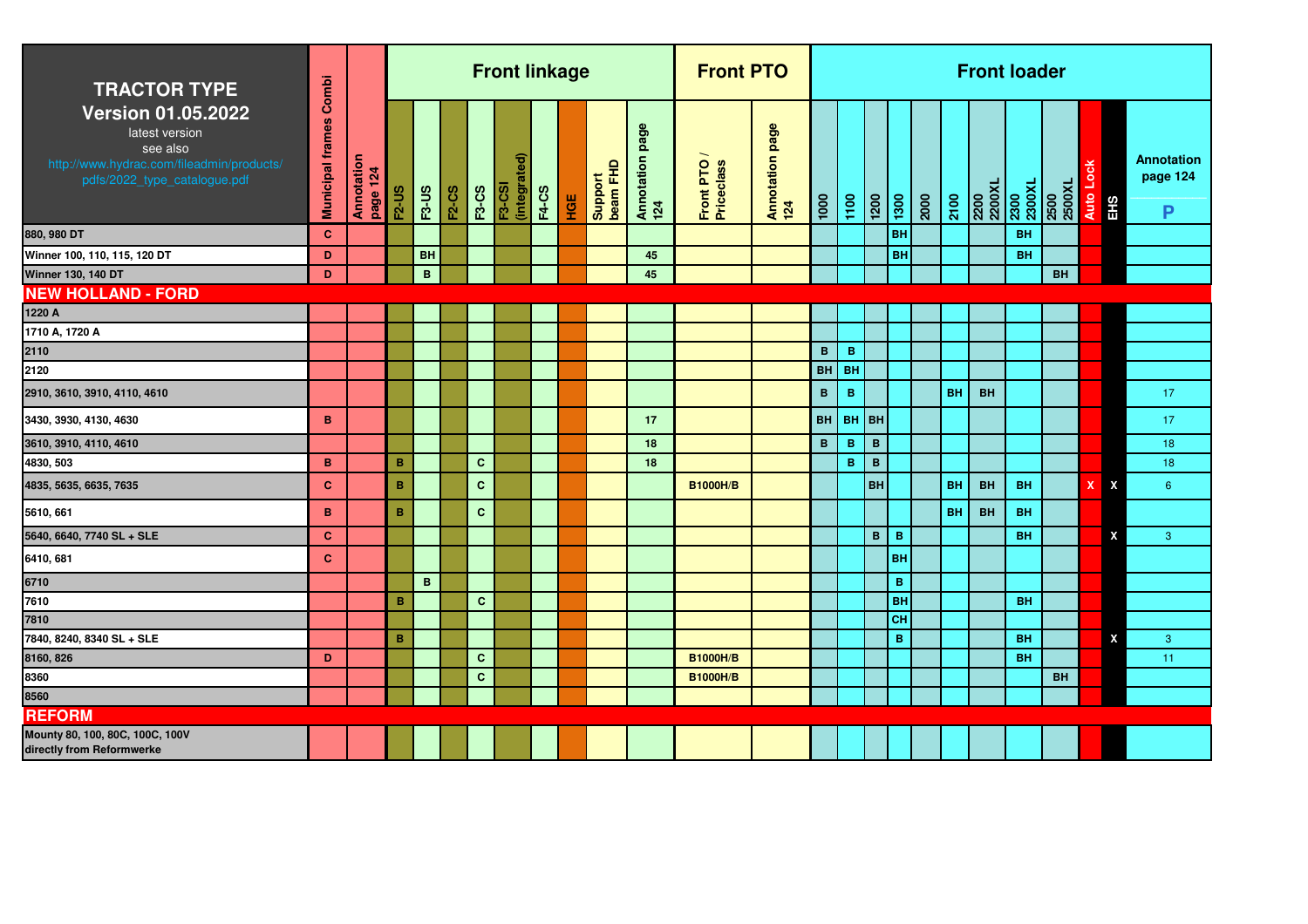| <b>TRACTOR TYPE</b>                                                                                                                  | Combi                   |                        |              |              |              |              | <b>Front linkage</b>              |              |     |                     |                           | <b>Front PTO</b>        |                        |              |              |                  |           |      |           | <b>Front loader</b>              |           |                |                           |            |                                    |
|--------------------------------------------------------------------------------------------------------------------------------------|-------------------------|------------------------|--------------|--------------|--------------|--------------|-----------------------------------|--------------|-----|---------------------|---------------------------|-------------------------|------------------------|--------------|--------------|------------------|-----------|------|-----------|----------------------------------|-----------|----------------|---------------------------|------------|------------------------------------|
| <b>Version 01.05.2022</b><br>latest version<br>see also<br>http://www.hydrac.com/fileadmin/products/<br>pdfs/2022_type_catalogue.pdf | <b>Municipal frames</b> | Annotation<br>page 124 | <b>F2-US</b> | <b>F3-US</b> | <b>F2-CS</b> | <b>F3-CS</b> | ଟି<br>(integrate<br><b>F3-CSI</b> | <b>F4-CS</b> | HGE | Support<br>beam FHD | page<br>Annotation<br>124 | Front PTO<br>Priceclass | Annotation page<br>124 | 1000         | 1100         | $\frac{1200}{1}$ | 1300      | 2000 | 2100      | 2200<br>2200XL<br>2300<br>2300XL |           | 2500<br>2500XL | Auto Lock                 | <b>EHS</b> | <b>Annotation</b><br>page 124<br>P |
| 880, 980 DT                                                                                                                          | $\mathbf{C}$            |                        |              |              |              |              |                                   |              |     |                     |                           |                         |                        |              |              |                  | <b>BH</b> |      |           |                                  | <b>BH</b> |                |                           |            |                                    |
| Winner 100, 110, 115, 120 DT                                                                                                         | D                       |                        |              | <b>BH</b>    |              |              |                                   |              |     |                     | 45                        |                         |                        |              |              |                  | <b>BH</b> |      |           |                                  | <b>BH</b> |                |                           |            |                                    |
| <b>Winner 130, 140 DT</b>                                                                                                            | D                       |                        |              | B            |              |              |                                   |              |     |                     | 45                        |                         |                        |              |              |                  |           |      |           |                                  |           | <b>BH</b>      |                           |            |                                    |
| <b>NEW HOLLAND - FORD</b>                                                                                                            |                         |                        |              |              |              |              |                                   |              |     |                     |                           |                         |                        |              |              |                  |           |      |           |                                  |           |                |                           |            |                                    |
| 1220 A                                                                                                                               |                         |                        |              |              |              |              |                                   |              |     |                     |                           |                         |                        |              |              |                  |           |      |           |                                  |           |                |                           |            |                                    |
| 1710 A, 1720 A                                                                                                                       |                         |                        |              |              |              |              |                                   |              |     |                     |                           |                         |                        |              |              |                  |           |      |           |                                  |           |                |                           |            |                                    |
| 2110                                                                                                                                 |                         |                        |              |              |              |              |                                   |              |     |                     |                           |                         |                        | $\mathbf{B}$ | $\mathbf B$  |                  |           |      |           |                                  |           |                |                           |            |                                    |
| 2120                                                                                                                                 |                         |                        |              |              |              |              |                                   |              |     |                     |                           |                         |                        | BH           | BH           |                  |           |      |           |                                  |           |                |                           |            |                                    |
| 2910, 3610, 3910, 4110, 4610                                                                                                         |                         |                        |              |              |              |              |                                   |              |     |                     |                           |                         |                        | $\mathbf{B}$ | $\, {\bf B}$ |                  |           |      | <b>BH</b> | <b>BH</b>                        |           |                |                           |            | 17                                 |
| 3430, 3930, 4130, 4630                                                                                                               | $\mathbf B$             |                        |              |              |              |              |                                   |              |     |                     | 17                        |                         |                        | BH           | $BH$ BH      |                  |           |      |           |                                  |           |                |                           |            | 17                                 |
| 3610, 3910, 4110, 4610                                                                                                               |                         |                        |              |              |              |              |                                   |              |     |                     | 18                        |                         |                        | B.           | $\mathbf B$  | $\mathbf{B}$     |           |      |           |                                  |           |                |                           |            | 18                                 |
| 4830, 503                                                                                                                            | B                       |                        | B            |              |              | $\mathbf{C}$ |                                   |              |     |                     | 18                        |                         |                        |              | $\mathbf B$  | $\mathbf B$      |           |      |           |                                  |           |                |                           |            | 18                                 |
| 4835, 5635, 6635, 7635                                                                                                               | $\mathbf c$             |                        | B            |              |              | $\mathbf{C}$ |                                   |              |     |                     |                           | <b>B1000H/B</b>         |                        |              |              | <b>BH</b>        |           |      | <b>BH</b> | <b>BH</b>                        | <b>BH</b> |                | $\boldsymbol{\mathsf{x}}$ | X          | $6^{\circ}$                        |
| 5610, 661                                                                                                                            | B                       |                        | B            |              |              | $\mathbf{C}$ |                                   |              |     |                     |                           |                         |                        |              |              |                  |           |      | <b>BH</b> | <b>BH</b>                        | <b>BH</b> |                |                           |            |                                    |
| 5640, 6640, 7740 SL + SLE                                                                                                            | $\mathbf{C}$            |                        |              |              |              |              |                                   |              |     |                     |                           |                         |                        |              |              | $\mathbf{B}$     | B         |      |           |                                  | <b>BH</b> |                |                           | X          | 3                                  |
| 6410, 681                                                                                                                            | $\mathbf{C}$            |                        |              |              |              |              |                                   |              |     |                     |                           |                         |                        |              |              |                  | BH        |      |           |                                  |           |                |                           |            |                                    |
| 6710                                                                                                                                 |                         |                        |              | B            |              |              |                                   |              |     |                     |                           |                         |                        |              |              |                  | B         |      |           |                                  |           |                |                           |            |                                    |
| 7610                                                                                                                                 |                         |                        | B            |              |              | $\mathbf{C}$ |                                   |              |     |                     |                           |                         |                        |              |              |                  | <b>BH</b> |      |           |                                  | <b>BH</b> |                |                           |            |                                    |
| 7810                                                                                                                                 |                         |                        |              |              |              |              |                                   |              |     |                     |                           |                         |                        |              |              |                  | CH        |      |           |                                  |           |                |                           |            |                                    |
| 7840, 8240, 8340 SL + SLE                                                                                                            |                         |                        | B            |              |              |              |                                   |              |     |                     |                           |                         |                        |              |              |                  | B         |      |           |                                  | <b>BH</b> |                |                           | X          | 3                                  |
| 8160, 826                                                                                                                            | D                       |                        |              |              |              | $\mathbf{C}$ |                                   |              |     |                     |                           | <b>B1000H/B</b>         |                        |              |              |                  |           |      |           |                                  | <b>BH</b> |                |                           |            | 11                                 |
| 8360                                                                                                                                 |                         |                        |              |              |              | $\mathbf{C}$ |                                   |              |     |                     |                           | <b>B1000H/B</b>         |                        |              |              |                  |           |      |           |                                  |           | <b>BH</b>      |                           |            |                                    |
| 8560                                                                                                                                 |                         |                        |              |              |              |              |                                   |              |     |                     |                           |                         |                        |              |              |                  |           |      |           |                                  |           |                |                           |            |                                    |
| <b>REFORM</b>                                                                                                                        |                         |                        |              |              |              |              |                                   |              |     |                     |                           |                         |                        |              |              |                  |           |      |           |                                  |           |                |                           |            |                                    |
| Mounty 80, 100, 80C, 100C, 100V<br>directly from Reformwerke                                                                         |                         |                        |              |              |              |              |                                   |              |     |                     |                           |                         |                        |              |              |                  |           |      |           |                                  |           |                |                           |            |                                    |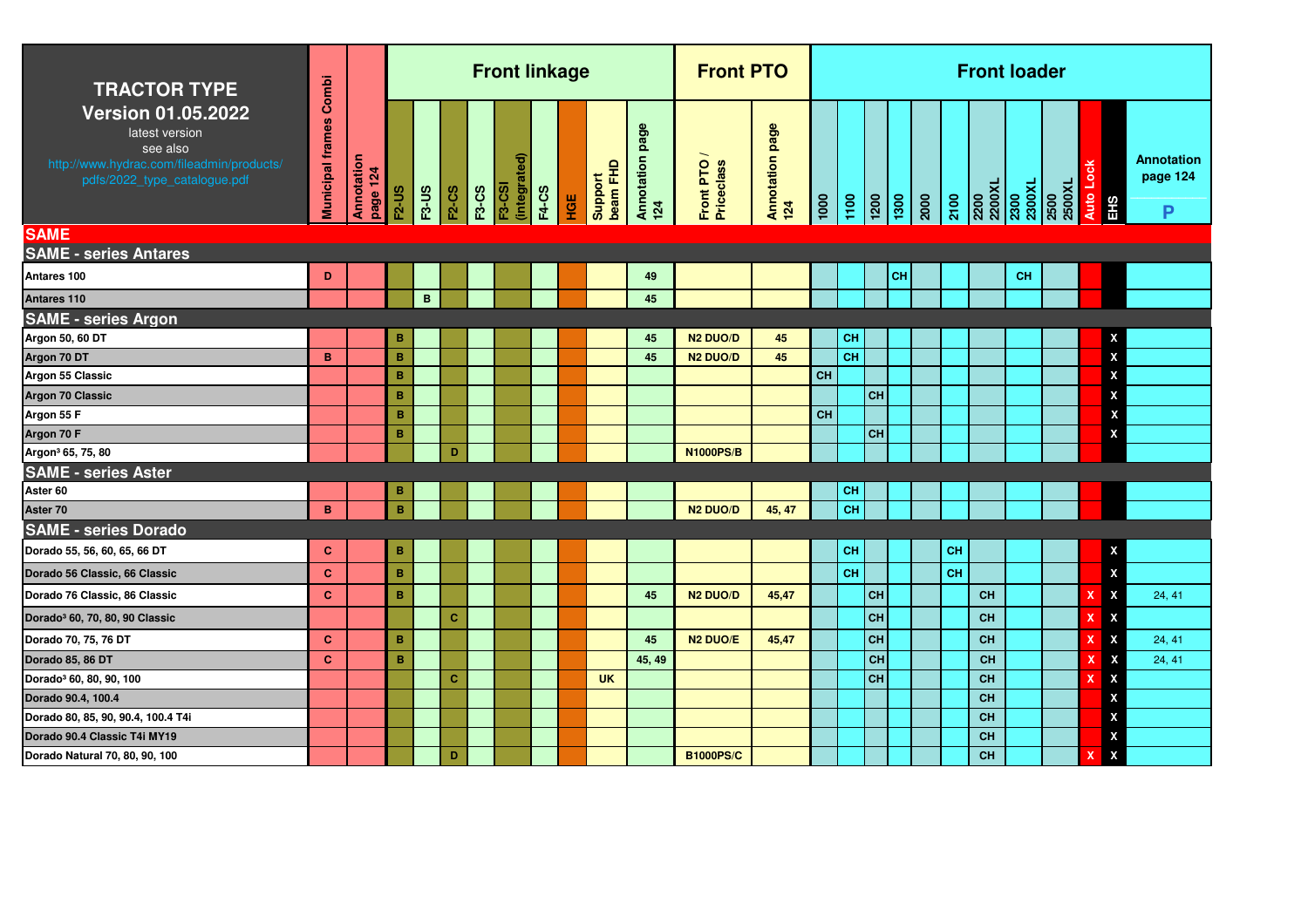| <b>TRACTOR TYPE</b>                                                                                                                  | Combi                   |                        |                 |              |              |              | <b>Front linkage</b>          |              |     |                     |                           | <b>Front PTO</b>          |                        |               |           |                |                                                                                  |    | <b>Front loader</b> |           |                  |                    |                             |
|--------------------------------------------------------------------------------------------------------------------------------------|-------------------------|------------------------|-----------------|--------------|--------------|--------------|-------------------------------|--------------|-----|---------------------|---------------------------|---------------------------|------------------------|---------------|-----------|----------------|----------------------------------------------------------------------------------|----|---------------------|-----------|------------------|--------------------|-----------------------------|
| <b>Version 01.05.2022</b><br>latest version<br>see also<br>http://www.hydrac.com/fileadmin/products/<br>pdfs/2022_type_catalogue.pdf | <b>Municipal frames</b> | Annotation<br>page 124 | <b>F2-US</b>    | <b>F3-US</b> | <b>F2-CS</b> | <b>F3-CS</b> | (integrated)<br><b>F3-CSI</b> | <b>F4-CS</b> | HGE | beam FHD<br>Support | page<br>Annotation<br>124 | Front PTO /<br>Priceclass | Annotation page<br>124 | $\frac{1}{2}$ | 1100      |                | $\begin{array}{ c c }\n\hline\n1200 \\ \hline\n1300 \\ \hline\n200\n\end{array}$ |    |                     |           | Auto Lock<br>EHS |                    | Annotation<br>page 124<br>P |
| <b>SAME</b>                                                                                                                          |                         |                        |                 |              |              |              |                               |              |     |                     |                           |                           |                        |               |           |                |                                                                                  |    |                     |           |                  |                    |                             |
| <b>SAME - series Antares</b>                                                                                                         |                         |                        |                 |              |              |              |                               |              |     |                     |                           |                           |                        |               |           |                |                                                                                  |    |                     |           |                  |                    |                             |
| Antares 100                                                                                                                          | D                       |                        |                 |              |              |              |                               |              |     |                     | 49                        |                           |                        |               |           | <b>CH</b>      |                                                                                  |    |                     | <b>CH</b> |                  |                    |                             |
| Antares 110                                                                                                                          |                         |                        |                 | $\mathbf{B}$ |              |              |                               |              |     |                     | 45                        |                           |                        |               |           |                |                                                                                  |    |                     |           |                  |                    |                             |
| <b>SAME - series Argon</b>                                                                                                           |                         |                        |                 |              |              |              |                               |              |     |                     |                           |                           |                        |               |           |                |                                                                                  |    |                     |           |                  |                    |                             |
| Argon 50, 60 DT                                                                                                                      |                         |                        | B               |              |              |              |                               |              |     |                     | 45                        | <b>N2 DUO/D</b>           | 45                     |               | <b>CH</b> |                |                                                                                  |    |                     |           |                  | X                  |                             |
| Argon 70 DT                                                                                                                          | B                       |                        | в               |              |              |              |                               |              |     |                     | 45                        | <b>N2 DUO/D</b>           | 45                     |               | <b>CH</b> |                |                                                                                  |    |                     |           |                  | $\pmb{\mathsf{X}}$ |                             |
| Argon 55 Classic                                                                                                                     |                         |                        | B               |              |              |              |                               |              |     |                     |                           |                           |                        | <b>CH</b>     |           |                |                                                                                  |    |                     |           |                  | X                  |                             |
| Argon 70 Classic                                                                                                                     |                         |                        | $\, {\bf B} \,$ |              |              |              |                               |              |     |                     |                           |                           |                        |               |           | <b>CH</b>      |                                                                                  |    |                     |           |                  | X                  |                             |
| Argon 55 F                                                                                                                           |                         |                        | в               |              |              |              |                               |              |     |                     |                           |                           |                        | CH            |           |                |                                                                                  |    |                     |           |                  | $\pmb{\mathsf{X}}$ |                             |
| Argon 70 F                                                                                                                           |                         |                        | в               |              |              |              |                               |              |     |                     |                           |                           |                        |               |           | $\overline{c}$ |                                                                                  |    |                     |           |                  | $\pmb{\mathsf{X}}$ |                             |
| Argon <sup>3</sup> 65, 75, 80                                                                                                        |                         |                        |                 |              | D            |              |                               |              |     |                     |                           | <b>N1000PS/B</b>          |                        |               |           |                |                                                                                  |    |                     |           |                  |                    |                             |
| <b>SAME - series Aster</b>                                                                                                           |                         |                        |                 |              |              |              |                               |              |     |                     |                           |                           |                        |               |           |                |                                                                                  |    |                     |           |                  |                    |                             |
| Aster 60                                                                                                                             |                         |                        | в               |              |              |              |                               |              |     |                     |                           |                           |                        |               | CH        |                |                                                                                  |    |                     |           |                  |                    |                             |
| Aster 70                                                                                                                             | B                       |                        | $\, {\bf B}$    |              |              |              |                               |              |     |                     |                           | <b>N2 DUO/D</b>           | 45, 47                 |               | CH        |                |                                                                                  |    |                     |           |                  |                    |                             |
| <b>SAME - series Dorado</b>                                                                                                          |                         |                        |                 |              |              |              |                               |              |     |                     |                           |                           |                        |               |           |                |                                                                                  |    |                     |           |                  |                    |                             |
| Dorado 55, 56, 60, 65, 66 DT                                                                                                         | $\mathbf{C}$            |                        | $\, {\bf B}$    |              |              |              |                               |              |     |                     |                           |                           |                        |               | CH        |                |                                                                                  | CH |                     |           |                  | X                  |                             |
| Dorado 56 Classic, 66 Classic                                                                                                        | <b>C</b>                |                        | $\, {\bf B}$    |              |              |              |                               |              |     |                     |                           |                           |                        |               | <b>CH</b> |                |                                                                                  | CH |                     |           |                  | X                  |                             |
| Dorado 76 Classic, 86 Classic                                                                                                        | $\mathbf{C}$            |                        | $\, {\bf B}$    |              |              |              |                               |              |     |                     | 45                        | <b>N2 DUO/D</b>           | 45,47                  |               |           | <b>CH</b>      |                                                                                  |    | <b>CH</b>           |           |                  | X                  | 24, 41                      |
| Dorado <sup>3</sup> 60, 70, 80, 90 Classic                                                                                           |                         |                        |                 |              | $\mathbf{C}$ |              |                               |              |     |                     |                           |                           |                        |               |           | CH             |                                                                                  |    | <b>CH</b>           |           |                  | χ                  |                             |
| Dorado 70, 75, 76 DT                                                                                                                 | $\mathbf{C}$            |                        | B               |              |              |              |                               |              |     |                     | 45                        | N <sub>2</sub> DUO/E      | 45,47                  |               |           | <b>CH</b>      |                                                                                  |    | <b>CH</b>           |           | X                | X                  | 24, 41                      |
| Dorado 85, 86 DT                                                                                                                     | <b>C</b>                |                        | B               |              |              |              |                               |              |     |                     | 45, 49                    |                           |                        |               |           | CH             |                                                                                  |    | <b>CH</b>           |           | x                | X                  | 24, 41                      |
| Dorado <sup>3</sup> 60, 80, 90, 100                                                                                                  |                         |                        |                 |              | $\mathbf{C}$ |              |                               |              |     | <b>UK</b>           |                           |                           |                        |               |           | <b>CH</b>      |                                                                                  |    | <b>CH</b>           |           | x                | X                  |                             |
| Dorado 90.4, 100.4                                                                                                                   |                         |                        |                 |              |              |              |                               |              |     |                     |                           |                           |                        |               |           |                |                                                                                  |    | <b>CH</b>           |           |                  | x                  |                             |
| Dorado 80, 85, 90, 90.4, 100.4 T4i                                                                                                   |                         |                        |                 |              |              |              |                               |              |     |                     |                           |                           |                        |               |           |                |                                                                                  |    | <b>CH</b>           |           |                  | x                  |                             |
| Dorado 90.4 Classic T4i MY19                                                                                                         |                         |                        |                 |              |              |              |                               |              |     |                     |                           |                           |                        |               |           |                |                                                                                  |    | <b>CH</b>           |           |                  | x                  |                             |
| Dorado Natural 70, 80, 90, 100                                                                                                       |                         |                        |                 |              | D            |              |                               |              |     |                     |                           | <b>B1000PS/C</b>          |                        |               |           |                |                                                                                  |    | <b>CH</b>           |           | х                | $\pmb{\mathsf{x}}$ |                             |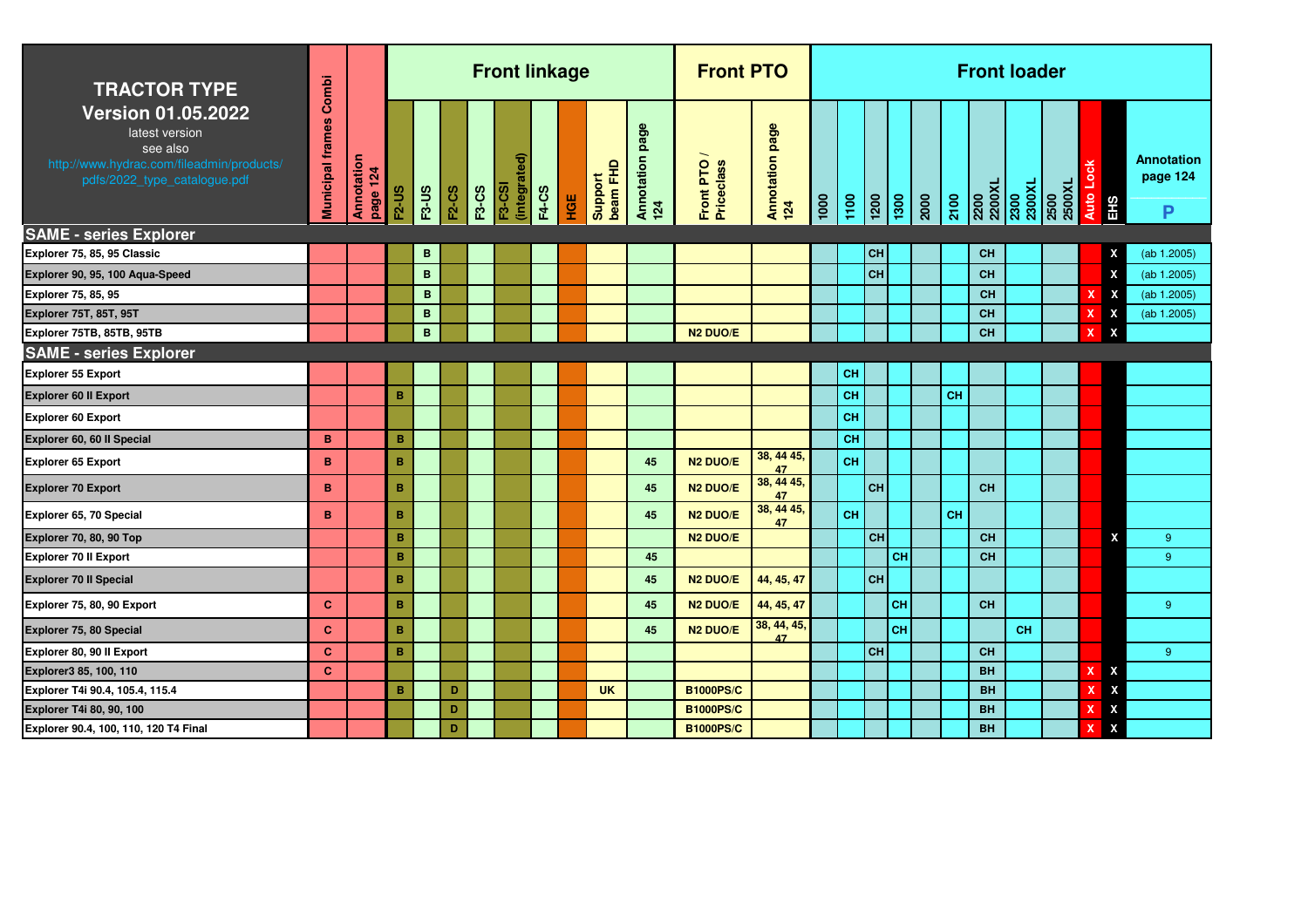| <b>TRACTOR TYPE</b>                                                                                                                  | Combi                   |                        |              |              |              |              | <b>Front linkage</b>   |              |     |                     |                           | <b>Front PTO</b>        |                             |      |           |                 |                 |      |           |                | <b>Front loader</b> |                |           |                           |                                    |
|--------------------------------------------------------------------------------------------------------------------------------------|-------------------------|------------------------|--------------|--------------|--------------|--------------|------------------------|--------------|-----|---------------------|---------------------------|-------------------------|-----------------------------|------|-----------|-----------------|-----------------|------|-----------|----------------|---------------------|----------------|-----------|---------------------------|------------------------------------|
| <b>Version 01.05.2022</b><br>latest version<br>see also<br>http://www.hydrac.com/fileadmin/products/<br>pdfs/2022_type_catalogue.pdf | <b>Municipal frames</b> | Annotation<br>page 124 | <b>F2-US</b> | <b>F3-US</b> | <b>F2-CS</b> | <b>F3-CS</b> | (integrated)<br>F3-CSI | <b>F4-CS</b> | HGE | beam FHD<br>Support | page<br>Annotation<br>124 | Front PTO<br>Priceclass | page<br>Annotation p<br>124 | 1000 | 1100      | $\frac{1}{200}$ | $\frac{1}{300}$ | 2000 | 2100      | 2200<br>2200XL | 2300<br>2300XL      | 2500XL<br>2500 | Auto Lock | EHS                       | <b>Annotation</b><br>page 124<br>P |
| <b>SAME - series Explorer</b>                                                                                                        |                         |                        |              |              |              |              |                        |              |     |                     |                           |                         |                             |      |           |                 |                 |      |           |                |                     |                |           |                           |                                    |
| Explorer 75, 85, 95 Classic                                                                                                          |                         |                        |              | B            |              |              |                        |              |     |                     |                           |                         |                             |      |           | <b>CH</b>       |                 |      |           | <b>CH</b>      |                     |                |           | X                         | (ab 1.2005)                        |
| Explorer 90, 95, 100 Aqua-Speed                                                                                                      |                         |                        |              | B            |              |              |                        |              |     |                     |                           |                         |                             |      |           | <b>CH</b>       |                 |      |           | CH             |                     |                |           | X                         | (ab 1.2005)                        |
| Explorer 75, 85, 95                                                                                                                  |                         |                        |              | B            |              |              |                        |              |     |                     |                           |                         |                             |      |           |                 |                 |      |           | <b>CH</b>      |                     |                |           | $\boldsymbol{\mathsf{x}}$ | (ab 1.2005)                        |
| <b>Explorer 75T, 85T, 95T</b>                                                                                                        |                         |                        |              | B            |              |              |                        |              |     |                     |                           |                         |                             |      |           |                 |                 |      |           | <b>CH</b>      |                     |                |           | X                         | (ab 1.2005)                        |
| Explorer 75TB, 85TB, 95TB                                                                                                            |                         |                        |              | B            |              |              |                        |              |     |                     |                           | <b>N2 DUO/E</b>         |                             |      |           |                 |                 |      |           | CH             |                     |                | x         | $\boldsymbol{\mathsf{x}}$ |                                    |
| <b>SAME - series Explorer</b>                                                                                                        |                         |                        |              |              |              |              |                        |              |     |                     |                           |                         |                             |      |           |                 |                 |      |           |                |                     |                |           |                           |                                    |
| <b>Explorer 55 Export</b>                                                                                                            |                         |                        |              |              |              |              |                        |              |     |                     |                           |                         |                             |      | <b>CH</b> |                 |                 |      |           |                |                     |                |           |                           |                                    |
| Explorer 60 II Export                                                                                                                |                         |                        | B            |              |              |              |                        |              |     |                     |                           |                         |                             |      | <b>CH</b> |                 |                 |      | <b>CH</b> |                |                     |                |           |                           |                                    |
| <b>Explorer 60 Export</b>                                                                                                            |                         |                        |              |              |              |              |                        |              |     |                     |                           |                         |                             |      | CH        |                 |                 |      |           |                |                     |                |           |                           |                                    |
| Explorer 60, 60 II Special                                                                                                           | B                       |                        | $\, {\bf B}$ |              |              |              |                        |              |     |                     |                           |                         |                             |      | CH        |                 |                 |      |           |                |                     |                |           |                           |                                    |
| <b>Explorer 65 Export</b>                                                                                                            | B                       |                        | B            |              |              |              |                        |              |     |                     | 45                        | N <sub>2</sub> DUO/E    | 38, 44 45,<br>47            |      | CH        |                 |                 |      |           |                |                     |                |           |                           |                                    |
| <b>Explorer 70 Export</b>                                                                                                            | в                       |                        | B            |              |              |              |                        |              |     |                     | 45                        | N <sub>2</sub> DUO/E    | 38, 44 45,<br>47            |      |           | <b>CH</b>       |                 |      |           | CH             |                     |                |           |                           |                                    |
| Explorer 65, 70 Special                                                                                                              | B                       |                        | B            |              |              |              |                        |              |     |                     | 45                        | N <sub>2</sub> DUO/E    | 38, 44 45,<br>47            |      | CH        |                 |                 |      | CH        |                |                     |                |           |                           |                                    |
| Explorer 70, 80, 90 Top                                                                                                              |                         |                        | B            |              |              |              |                        |              |     |                     |                           | N <sub>2</sub> DUO/E    |                             |      |           | <b>CH</b>       |                 |      |           | <b>CH</b>      |                     |                |           | X                         | 9                                  |
| <b>Explorer 70 II Export</b>                                                                                                         |                         |                        | B            |              |              |              |                        |              |     |                     | 45                        |                         |                             |      |           |                 | <b>CH</b>       |      |           | <b>CH</b>      |                     |                |           |                           | $9^{\circ}$                        |
| <b>Explorer 70 II Special</b>                                                                                                        |                         |                        | B            |              |              |              |                        |              |     |                     | 45                        | N <sub>2</sub> DUO/E    | 44, 45, 47                  |      |           | <b>CH</b>       |                 |      |           |                |                     |                |           |                           |                                    |
| Explorer 75, 80, 90 Export                                                                                                           | c                       |                        | B            |              |              |              |                        |              |     |                     | 45                        | N <sub>2</sub> DUO/E    | 44, 45, 47                  |      |           |                 | <b>CH</b>       |      |           | <b>CH</b>      |                     |                |           |                           | 9                                  |
| <b>Explorer 75, 80 Special</b>                                                                                                       | c                       |                        | B            |              |              |              |                        |              |     |                     | 45                        | N <sub>2</sub> DUO/E    | 38, 44, 45,<br>47           |      |           |                 | <b>CH</b>       |      |           |                | <b>CH</b>           |                |           |                           |                                    |
| Explorer 80, 90 II Export                                                                                                            | $\mathbf{C}$            |                        | $\, {\bf B}$ |              |              |              |                        |              |     |                     |                           |                         |                             |      |           | <b>CH</b>       |                 |      |           | CH             |                     |                |           |                           | 9                                  |
| Explorer3 85, 100, 110                                                                                                               | $\mathbf{C}$            |                        |              |              |              |              |                        |              |     |                     |                           |                         |                             |      |           |                 |                 |      |           | <b>BH</b>      |                     |                | X         | X                         |                                    |
| Explorer T4i 90.4, 105.4, 115.4                                                                                                      |                         |                        | B            |              | D            |              |                        |              |     | <b>UK</b>           |                           | <b>B1000PS/C</b>        |                             |      |           |                 |                 |      |           | <b>BH</b>      |                     |                |           | X                         |                                    |
| Explorer T4i 80, 90, 100                                                                                                             |                         |                        |              |              | D            |              |                        |              |     |                     |                           | <b>B1000PS/C</b>        |                             |      |           |                 |                 |      |           | <b>BH</b>      |                     |                | x         | X                         |                                    |
| Explorer 90.4, 100, 110, 120 T4 Final                                                                                                |                         |                        |              |              | D            |              |                        |              |     |                     |                           | <b>B1000PS/C</b>        |                             |      |           |                 |                 |      |           | <b>BH</b>      |                     |                | x         | X                         |                                    |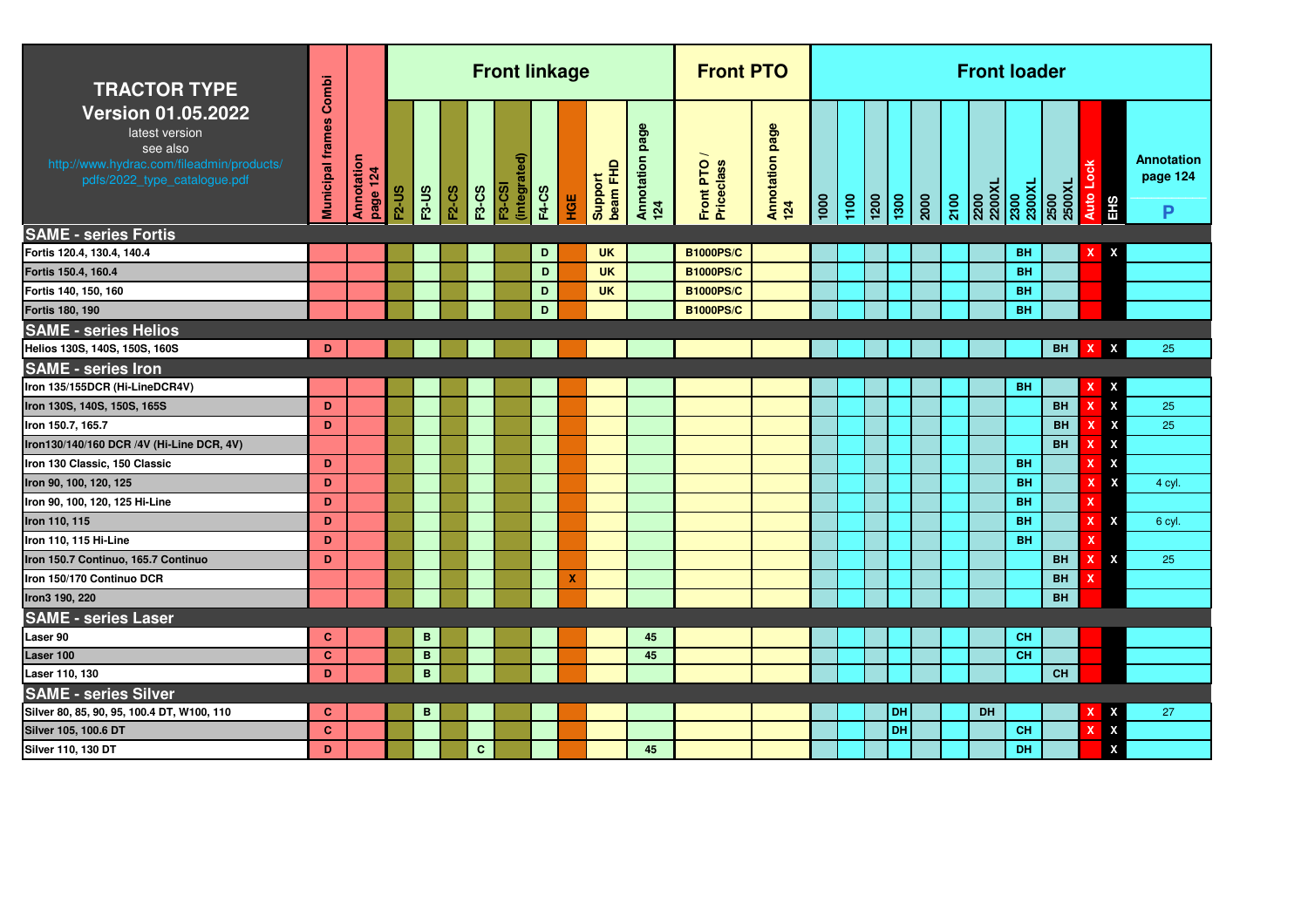| <b>TRACTOR TYPE</b>                                                                                                                  | Combi                   |                        |              |              |              |              | <b>Front linkage</b>          |              |     |                     |                           | <b>Front PTO</b>        |                        |                     |                    |           |               | <b>Front loader</b>              |           |                |                           |                           |                                    |
|--------------------------------------------------------------------------------------------------------------------------------------|-------------------------|------------------------|--------------|--------------|--------------|--------------|-------------------------------|--------------|-----|---------------------|---------------------------|-------------------------|------------------------|---------------------|--------------------|-----------|---------------|----------------------------------|-----------|----------------|---------------------------|---------------------------|------------------------------------|
| <b>Version 01.05.2022</b><br>latest version<br>see also<br>http://www.hydrac.com/fileadmin/products/<br>pdfs/2022_type_catalogue.pdf | <b>Municipal frames</b> | Annotation<br>page 124 | <b>F2-US</b> | <b>F3-US</b> | <b>F2-CS</b> | <b>F3-CS</b> | (integrated)<br><b>F3-CSI</b> | <b>F4-CS</b> | НGЕ | beam FHD<br>Support | page<br>Annotation<br>124 | Front PTO<br>Priceclass | Annotation page<br>124 | $\frac{1000}{1000}$ | $\frac{100}{1200}$ |           | $\frac{3}{2}$ | 2200<br>2200XL<br>2300<br>2300XL |           | 2500<br>2500XL |                           | Auto Lock<br>EHS          | <b>Annotation</b><br>page 124<br>P |
| <b>SAME - series Fortis</b>                                                                                                          |                         |                        |              |              |              |              |                               |              |     |                     |                           |                         |                        |                     |                    |           |               |                                  |           |                |                           |                           |                                    |
| Fortis 120.4, 130.4, 140.4                                                                                                           |                         |                        |              |              |              |              |                               | D            |     | <b>UK</b>           |                           | <b>B1000PS/C</b>        |                        |                     |                    |           |               |                                  | <b>BH</b> |                | x                         | X                         |                                    |
| Fortis 150.4, 160.4                                                                                                                  |                         |                        |              |              |              |              |                               | D            |     | <b>UK</b>           |                           | <b>B1000PS/C</b>        |                        |                     |                    |           |               |                                  | <b>BH</b> |                |                           |                           |                                    |
| Fortis 140, 150, 160                                                                                                                 |                         |                        |              |              |              |              |                               | D            |     | <b>UK</b>           |                           | <b>B1000PS/C</b>        |                        |                     |                    |           |               |                                  | <b>BH</b> |                |                           |                           |                                    |
| <b>Fortis 180, 190</b>                                                                                                               |                         |                        |              |              |              |              |                               | D            |     |                     |                           | <b>B1000PS/C</b>        |                        |                     |                    |           |               |                                  | <b>BH</b> |                |                           |                           |                                    |
| <b>SAME - series Helios</b>                                                                                                          |                         |                        |              |              |              |              |                               |              |     |                     |                           |                         |                        |                     |                    |           |               |                                  |           |                |                           |                           |                                    |
| Helios 130S, 140S, 150S, 160S                                                                                                        | D                       |                        |              |              |              |              |                               |              |     |                     |                           |                         |                        |                     |                    |           |               |                                  |           | <b>BH</b>      | x                         | X                         | 25                                 |
| <b>SAME - series Iron</b>                                                                                                            |                         |                        |              |              |              |              |                               |              |     |                     |                           |                         |                        |                     |                    |           |               |                                  |           |                |                           |                           |                                    |
| Iron 135/155DCR (Hi-LineDCR4V)                                                                                                       |                         |                        |              |              |              |              |                               |              |     |                     |                           |                         |                        |                     |                    |           |               |                                  | <b>BH</b> |                | x                         | X                         |                                    |
| Iron 130S, 140S, 150S, 165S                                                                                                          | D                       |                        |              |              |              |              |                               |              |     |                     |                           |                         |                        |                     |                    |           |               |                                  |           | <b>BH</b>      | x                         | $\boldsymbol{\mathsf{X}}$ | 25                                 |
| Iron 150.7, 165.7                                                                                                                    | D                       |                        |              |              |              |              |                               |              |     |                     |                           |                         |                        |                     |                    |           |               |                                  |           | <b>BH</b>      | x                         | X                         | 25                                 |
| Iron130/140/160 DCR /4V (Hi-Line DCR, 4V)                                                                                            |                         |                        |              |              |              |              |                               |              |     |                     |                           |                         |                        |                     |                    |           |               |                                  |           | BH             | x                         | $\boldsymbol{\mathsf{x}}$ |                                    |
| Iron 130 Classic, 150 Classic                                                                                                        | D                       |                        |              |              |              |              |                               |              |     |                     |                           |                         |                        |                     |                    |           |               |                                  | <b>BH</b> |                | x                         | $\boldsymbol{\mathsf{x}}$ |                                    |
| Iron 90, 100, 120, 125                                                                                                               | D                       |                        |              |              |              |              |                               |              |     |                     |                           |                         |                        |                     |                    |           |               |                                  | <b>BH</b> |                | x                         | X                         | 4 cyl.                             |
| Iron 90, 100, 120, 125 Hi-Line                                                                                                       | D                       |                        |              |              |              |              |                               |              |     |                     |                           |                         |                        |                     |                    |           |               |                                  | <b>BH</b> |                | x                         |                           |                                    |
| Iron 110, 115                                                                                                                        | D                       |                        |              |              |              |              |                               |              |     |                     |                           |                         |                        |                     |                    |           |               |                                  | <b>BH</b> |                | x                         | X                         | 6 cyl.                             |
| Iron 110, 115 Hi-Line                                                                                                                | D                       |                        |              |              |              |              |                               |              |     |                     |                           |                         |                        |                     |                    |           |               |                                  | <b>BH</b> |                |                           |                           |                                    |
| Iron 150.7 Continuo, 165.7 Continuo                                                                                                  | D                       |                        |              |              |              |              |                               |              |     |                     |                           |                         |                        |                     |                    |           |               |                                  |           | BH             | x                         | X                         | 25                                 |
| Iron 150/170 Continuo DCR                                                                                                            |                         |                        |              |              |              |              |                               |              | X   |                     |                           |                         |                        |                     |                    |           |               |                                  |           | <b>BH</b>      |                           |                           |                                    |
| Iron3 190, 220                                                                                                                       |                         |                        |              |              |              |              |                               |              |     |                     |                           |                         |                        |                     |                    |           |               |                                  |           | <b>BH</b>      |                           |                           |                                    |
| <b>SAME - series Laser</b>                                                                                                           |                         |                        |              |              |              |              |                               |              |     |                     |                           |                         |                        |                     |                    |           |               |                                  |           |                |                           |                           |                                    |
| Laser 90                                                                                                                             | C                       |                        |              | B            |              |              |                               |              |     |                     | 45                        |                         |                        |                     |                    |           |               |                                  | <b>CH</b> |                |                           |                           |                                    |
| Laser 100                                                                                                                            | $\mathbf{C}$            |                        |              | $\mathbf B$  |              |              |                               |              |     |                     | 45                        |                         |                        |                     |                    |           |               |                                  | <b>CH</b> |                |                           |                           |                                    |
| Laser 110, 130                                                                                                                       | D                       |                        |              | B            |              |              |                               |              |     |                     |                           |                         |                        |                     |                    |           |               |                                  |           | <b>CH</b>      |                           |                           |                                    |
| <b>SAME - series Silver</b>                                                                                                          |                         |                        |              |              |              |              |                               |              |     |                     |                           |                         |                        |                     |                    |           |               |                                  |           |                |                           |                           |                                    |
| Silver 80, 85, 90, 95, 100.4 DT, W100, 110                                                                                           | C                       |                        |              | B            |              |              |                               |              |     |                     |                           |                         |                        |                     |                    | DH        |               | <b>DH</b>                        |           |                | x                         | x                         | 27                                 |
| Silver 105, 100.6 DT                                                                                                                 | $\mathbf{C}$            |                        |              |              |              |              |                               |              |     |                     |                           |                         |                        |                     |                    | <b>DH</b> |               |                                  | <b>CH</b> |                | $\boldsymbol{\mathsf{x}}$ | $\boldsymbol{\mathsf{x}}$ |                                    |
| Silver 110, 130 DT                                                                                                                   | D                       |                        |              |              |              | $\mathbf{C}$ |                               |              |     |                     | 45                        |                         |                        |                     |                    |           |               |                                  | DH        |                |                           | X                         |                                    |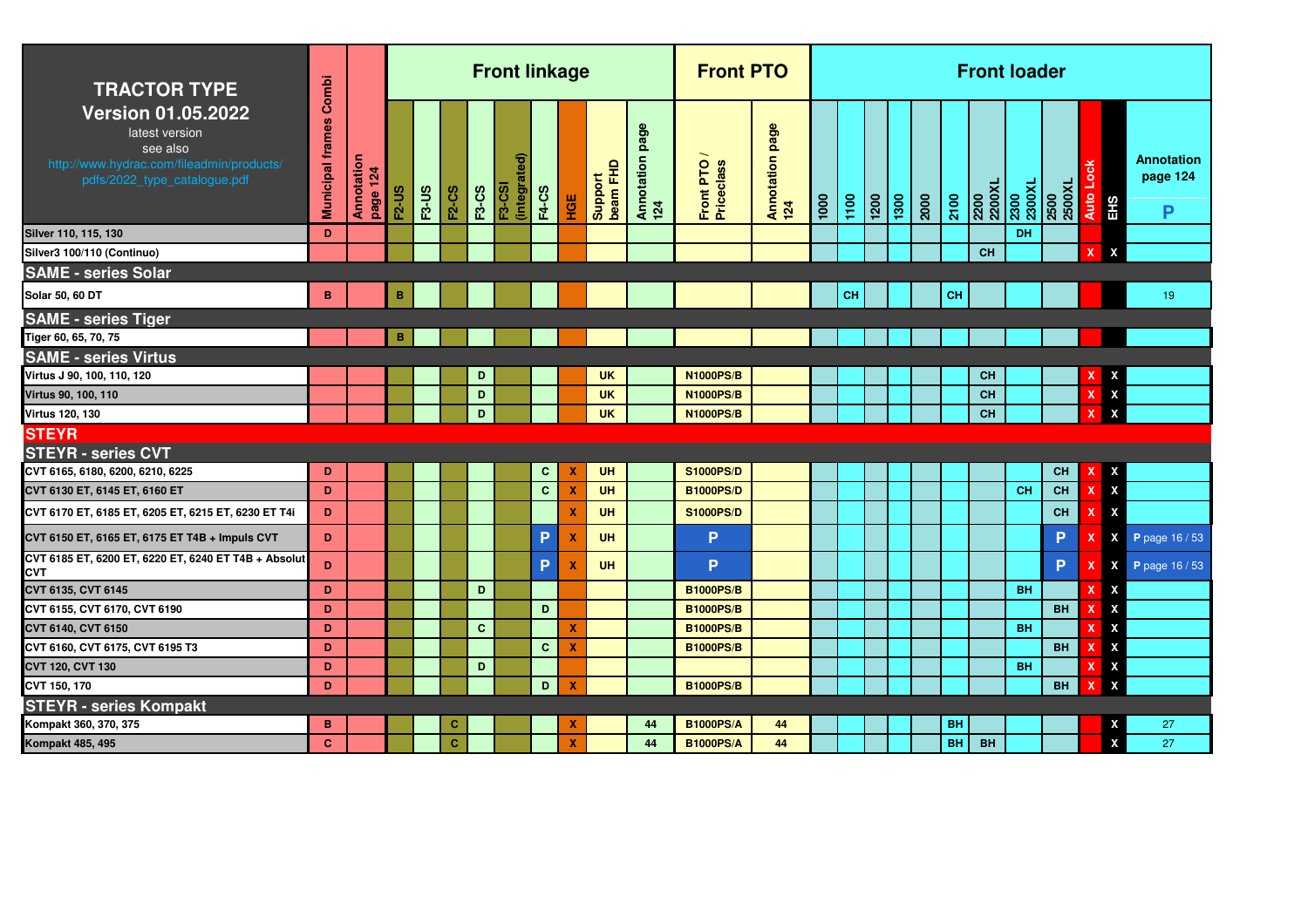| <b>TRACTOR TYPE</b>                                                                                                                  | Combi                   |                        |              |              |              |              | <b>Front linkage</b>        |              |                           |                           |                        | <b>Front PTO</b>        |                        |      |      |                   |      |      |           |                | <b>Front loader</b> |                |                           |                                      |
|--------------------------------------------------------------------------------------------------------------------------------------|-------------------------|------------------------|--------------|--------------|--------------|--------------|-----------------------------|--------------|---------------------------|---------------------------|------------------------|-------------------------|------------------------|------|------|-------------------|------|------|-----------|----------------|---------------------|----------------|---------------------------|--------------------------------------|
| <b>Version 01.05.2022</b><br>latest version<br>see also<br>http://www.hydrac.com/fileadmin/products/<br>pdfs/2022_type_catalogue.pdf | <b>Municipal frames</b> | Annotation<br>page 124 | <b>F2-US</b> | <b>F3-US</b> | <b>F2-CS</b> | <b>F3-CS</b> | ଟି<br>(integrate)<br>F3-CSI | <b>F4-CS</b> | HGE                       | beam FHD<br><b>Produs</b> | Annotation page<br>124 | Front PTO<br>Priceclass | Annotation page<br>124 | 1000 | 1100 | $\frac{120}{200}$ | 1300 | 2000 | 2100      | 2200XL<br>2200 | 2300<br>2300XL      | 2500<br>2500XL | ğ<br><b>Auto</b><br>EHS   | <b>Annotation</b><br>page 124<br>P   |
| Silver 110, 115, 130                                                                                                                 | D                       |                        |              |              |              |              |                             |              |                           |                           |                        |                         |                        |      |      |                   |      |      |           |                | DH                  |                |                           |                                      |
| Silver3 100/110 (Continuo)                                                                                                           |                         |                        |              |              |              |              |                             |              |                           |                           |                        |                         |                        |      |      |                   |      |      |           | <b>CH</b>      |                     |                | $\boldsymbol{\mathsf{x}}$ | X                                    |
| <b>SAME - series Solar</b>                                                                                                           |                         |                        |              |              |              |              |                             |              |                           |                           |                        |                         |                        |      |      |                   |      |      |           |                |                     |                |                           |                                      |
| Solar 50, 60 DT                                                                                                                      | B                       |                        | B            |              |              |              |                             |              |                           |                           |                        |                         |                        |      | CH   |                   |      |      | CH        |                |                     |                |                           | 19                                   |
| <b>SAME - series Tiger</b>                                                                                                           |                         |                        |              |              |              |              |                             |              |                           |                           |                        |                         |                        |      |      |                   |      |      |           |                |                     |                |                           |                                      |
| Tiger 60, 65, 70, 75                                                                                                                 |                         |                        | B            |              |              |              |                             |              |                           |                           |                        |                         |                        |      |      |                   |      |      |           |                |                     |                |                           |                                      |
| <b>SAME - series Virtus</b>                                                                                                          |                         |                        |              |              |              |              |                             |              |                           |                           |                        |                         |                        |      |      |                   |      |      |           |                |                     |                |                           |                                      |
| Virtus J 90, 100, 110, 120                                                                                                           |                         |                        |              |              |              | D            |                             |              |                           | <b>UK</b>                 |                        | <b>N1000PS/B</b>        |                        |      |      |                   |      |      |           | CH             |                     |                |                           | X                                    |
| Virtus 90, 100, 110                                                                                                                  |                         |                        |              |              |              | D            |                             |              |                           | <b>UK</b>                 |                        | <b>N1000PS/B</b>        |                        |      |      |                   |      |      |           | CH             |                     |                |                           | $\boldsymbol{\mathsf{x}}$            |
| <b>Virtus 120, 130</b>                                                                                                               |                         |                        |              |              |              | D            |                             |              |                           | <b>UK</b>                 |                        | <b>N1000PS/B</b>        |                        |      |      |                   |      |      |           | <b>CH</b>      |                     |                |                           | $\mathbf{x}$                         |
| <b>STEYR</b>                                                                                                                         |                         |                        |              |              |              |              |                             |              |                           |                           |                        |                         |                        |      |      |                   |      |      |           |                |                     |                |                           |                                      |
| <b>STEYR - series CVT</b>                                                                                                            |                         |                        |              |              |              |              |                             |              |                           |                           |                        |                         |                        |      |      |                   |      |      |           |                |                     |                |                           |                                      |
| CVT 6165, 6180, 6200, 6210, 6225                                                                                                     | D                       |                        |              |              |              |              |                             | $\mathbf{C}$ | X                         | UH                        |                        | <b>S1000PS/D</b>        |                        |      |      |                   |      |      |           |                |                     | CH             | x                         | $\pmb{\chi}$                         |
| CVT 6130 ET, 6145 ET, 6160 ET                                                                                                        | D                       |                        |              |              |              |              |                             | $\mathbf{C}$ | X                         | <b>UH</b>                 |                        | <b>B1000PS/D</b>        |                        |      |      |                   |      |      |           |                | <b>CH</b>           | <b>CH</b>      | x                         | $\boldsymbol{\mathsf{x}}$            |
| CVT 6170 ET, 6185 ET, 6205 ET, 6215 ET, 6230 ET T4i                                                                                  | D                       |                        |              |              |              |              |                             |              | X                         | <b>UH</b>                 |                        | <b>S1000PS/D</b>        |                        |      |      |                   |      |      |           |                |                     | <b>CH</b>      |                           | $\boldsymbol{\mathsf{x}}$            |
| CVT 6150 ET, 6165 ET, 6175 ET T4B + Impuls CVT                                                                                       | D                       |                        |              |              |              |              |                             | P            | $\boldsymbol{\mathsf{x}}$ | <b>UH</b>                 |                        | P                       |                        |      |      |                   |      |      |           |                |                     | P              |                           | $\pmb{\mathsf{x}}$<br>P page 16 / 53 |
| CVT 6185 ET, 6200 ET, 6220 ET, 6240 ET T4B + Absolut<br><b>CVT</b>                                                                   | D.                      |                        |              |              |              |              |                             | P            | $\boldsymbol{\mathsf{x}}$ | <b>UH</b>                 |                        | P                       |                        |      |      |                   |      |      |           |                |                     | P              | $\boldsymbol{\mathsf{x}}$ | $\pmb{\mathsf{X}}$<br>P page 16 / 53 |
| CVT 6135, CVT 6145                                                                                                                   | D                       |                        |              |              |              | D            |                             |              |                           |                           |                        | <b>B1000PS/B</b>        |                        |      |      |                   |      |      |           |                | <b>BH</b>           |                |                           | X                                    |
| CVT 6155, CVT 6170, CVT 6190                                                                                                         | D                       |                        |              |              |              |              |                             | D            |                           |                           |                        | <b>B1000PS/B</b>        |                        |      |      |                   |      |      |           |                |                     | <b>BH</b>      |                           | $\pmb{\chi}$                         |
| CVT 6140, CVT 6150                                                                                                                   | D                       |                        |              |              |              | $\mathbf{C}$ |                             |              | X                         |                           |                        | <b>B1000PS/B</b>        |                        |      |      |                   |      |      |           |                | <b>BH</b>           |                |                           | $\pmb{\chi}$                         |
| CVT 6160, CVT 6175, CVT 6195 T3                                                                                                      | D                       |                        |              |              |              |              |                             | $\mathbf{C}$ | X                         |                           |                        | <b>B1000PS/B</b>        |                        |      |      |                   |      |      |           |                |                     | <b>BH</b>      |                           | $\pmb{\chi}$                         |
| <b>CVT 120, CVT 130</b>                                                                                                              | D                       |                        |              |              |              | D            |                             |              |                           |                           |                        |                         |                        |      |      |                   |      |      |           |                | <b>BH</b>           |                |                           | $\pmb{\chi}$                         |
| CVT 150, 170                                                                                                                         | D                       |                        |              |              |              |              |                             | D            | x                         |                           |                        | <b>B1000PS/B</b>        |                        |      |      |                   |      |      |           |                |                     | <b>BH</b>      | x                         | $\boldsymbol{\mathsf{x}}$            |
| <b>STEYR - series Kompakt</b>                                                                                                        |                         |                        |              |              |              |              |                             |              |                           |                           |                        |                         |                        |      |      |                   |      |      |           |                |                     |                |                           |                                      |
| Kompakt 360, 370, 375                                                                                                                | в                       |                        |              |              | c            |              |                             |              | X                         |                           | 44                     | <b>B1000PS/A</b>        | 44                     |      |      |                   |      |      | <b>BH</b> |                |                     |                |                           | 27<br>X                              |
| Kompakt 485, 495                                                                                                                     | $\mathbf{C}$            |                        |              |              | C            |              |                             |              | X                         |                           | 44                     | <b>B1000PS/A</b>        | 44                     |      |      |                   |      |      | <b>BH</b> | <b>BH</b>      |                     |                |                           | X<br>27                              |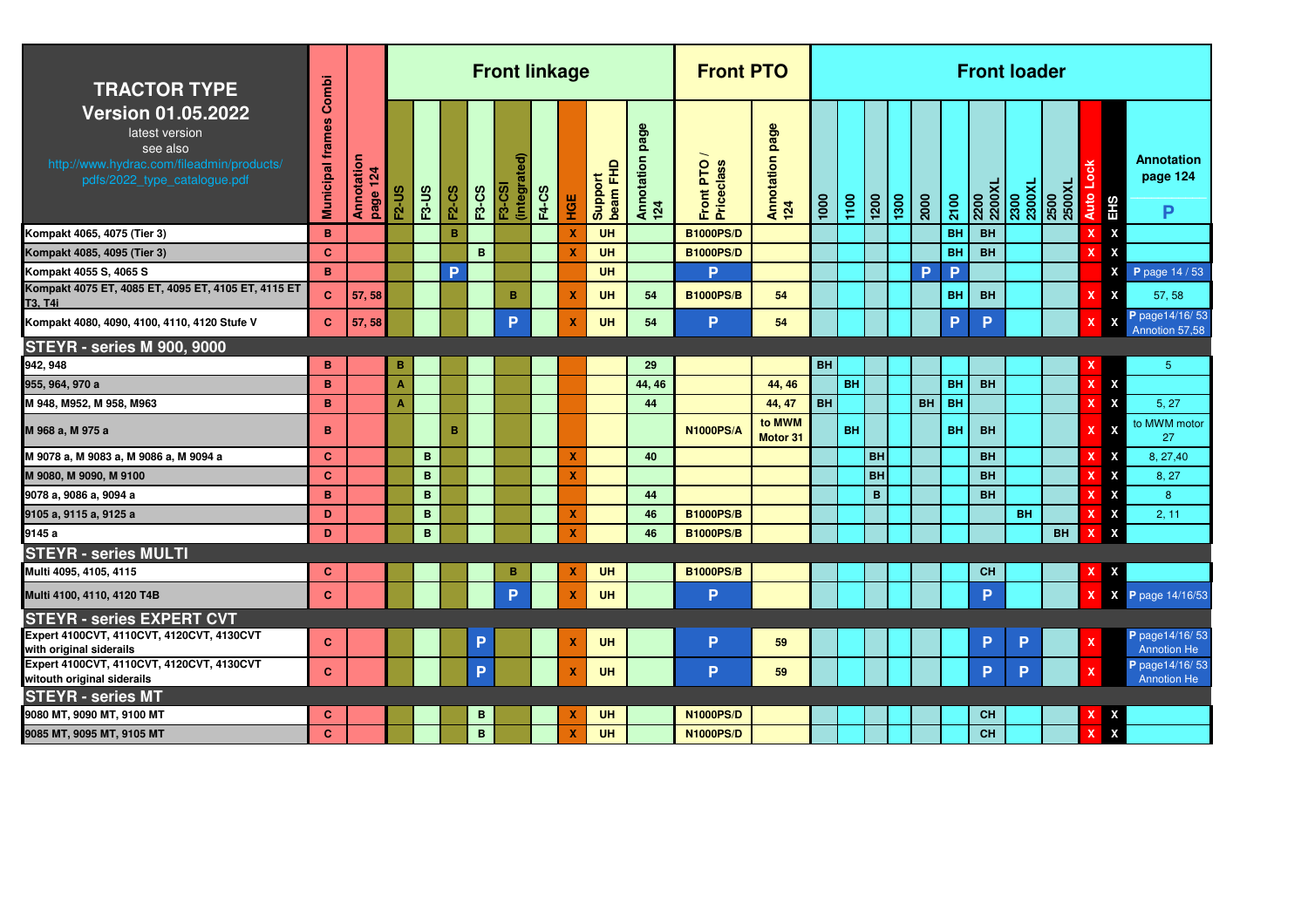| <b>TRACTOR TYPE</b>                                                                                                                  | Combi                   |                        |                |              |              |              | <b>Front linkage</b>              |              |                  |                     |                           | <b>Front PTO</b>               |                        |                   |           |           |      |         |           | <b>Front loader</b> |           |                                  |                           |                                       |
|--------------------------------------------------------------------------------------------------------------------------------------|-------------------------|------------------------|----------------|--------------|--------------|--------------|-----------------------------------|--------------|------------------|---------------------|---------------------------|--------------------------------|------------------------|-------------------|-----------|-----------|------|---------|-----------|---------------------|-----------|----------------------------------|---------------------------|---------------------------------------|
| <b>Version 01.05.2022</b><br>latest version<br>see also<br>http://www.hydrac.com/fileadmin/products/<br>pdfs/2022_type_catalogue.pdf | <b>Municipal frames</b> | Annotation<br>page 124 | <b>F2-US</b>   | <b>F3-US</b> | <b>F2-CS</b> | <b>F3-CS</b> | ଟ୍ଟ<br>(integrat<br><b>F3-CSI</b> | <b>F4-CS</b> | ЧGЕ              | Support<br>beam FHD | page<br>Annotation<br>124 | Front PTO<br><b>Priceclass</b> | Annotation page<br>124 | $\overline{1000}$ | 1100      | 1200      | 1300 | 2000    | 2100      | 2200XL<br>2200      |           | 2300<br>2300XL<br>2500<br>2500XL | Auto<br>EHS               | <b>Annotation</b><br>page 124<br>P    |
| Kompakt 4065, 4075 (Tier 3)                                                                                                          | B                       |                        |                |              | B            |              |                                   |              | x                | <b>UH</b>           |                           | <b>B1000PS/D</b>               |                        |                   |           |           |      |         | <b>BH</b> | <b>BH</b>           |           |                                  | X                         |                                       |
| Kompakt 4085, 4095 (Tier 3)                                                                                                          | $\mathbf{C}$            |                        |                |              |              | B            |                                   |              | X                | <b>UH</b>           |                           | <b>B1000PS/D</b>               |                        |                   |           |           |      |         | <b>BH</b> | <b>BH</b>           |           |                                  | X                         |                                       |
| Kompakt 4055 S, 4065 S                                                                                                               | B                       |                        |                |              | P            |              |                                   |              |                  | <b>UH</b>           |                           | P                              |                        |                   |           |           |      | Þ       | P         |                     |           |                                  | X                         | P page 14 / 53                        |
| Kompakt 4075 ET, 4085 ET, 4095 ET, 4105 ET, 4115 ET<br>T3, T4i                                                                       | C.                      | 57, 58                 |                |              |              |              | B                                 |              | X                | <b>UH</b>           | 54                        | <b>B1000PS/B</b>               | 54                     |                   |           |           |      |         | <b>BH</b> | <b>BH</b>           |           |                                  | $\mathbf{x}$              | 57.58                                 |
| Kompakt 4080, 4090, 4100, 4110, 4120 Stufe V                                                                                         | $\mathbf{C}$            | 57, 58                 |                |              |              |              | P                                 |              | X                | <b>UH</b>           | 54                        | P                              | 54                     |                   |           |           |      |         | P         | Þ                   |           |                                  |                           | P page 14/16/53<br>Annotion 57,58     |
| <b>STEYR - series M 900, 9000</b>                                                                                                    |                         |                        |                |              |              |              |                                   |              |                  |                     |                           |                                |                        |                   |           |           |      |         |           |                     |           |                                  |                           |                                       |
| 942, 948                                                                                                                             | B                       |                        | B              |              |              |              |                                   |              |                  |                     | 29                        |                                |                        | <b>BH</b>         |           |           |      |         |           |                     |           |                                  |                           | $5\phantom{.0}$                       |
| 955, 964, 970 a                                                                                                                      | B                       |                        | $\overline{A}$ |              |              |              |                                   |              |                  |                     | 44, 46                    |                                | 44, 46                 |                   | <b>BH</b> |           |      |         | <b>BH</b> | <b>BH</b>           |           |                                  | X                         |                                       |
| M 948, M952, M 958, M963                                                                                                             | B                       |                        | $\overline{A}$ |              |              |              |                                   |              |                  |                     | 44                        |                                | 44, 47                 | <b>BH</b>         |           |           |      | BH   BH |           |                     |           |                                  | X                         | 5, 27                                 |
| M 968 a, M 975 a                                                                                                                     | в                       |                        |                |              | в            |              |                                   |              |                  |                     |                           | <b>N1000PS/A</b>               | to MWM<br>Motor 31     |                   | <b>BH</b> |           |      |         | <b>BH</b> | <b>BH</b>           |           |                                  | x                         | to MWM motor<br>27                    |
| M 9078 a, M 9083 a, M 9086 a, M 9094 a                                                                                               | $\mathbf{C}$            |                        |                | B            |              |              |                                   |              | X                |                     | 40                        |                                |                        |                   |           | <b>BH</b> |      |         |           | <b>BH</b>           |           |                                  | X                         | 8, 27, 40                             |
| M 9080, M 9090, M 9100                                                                                                               | $\mathbf{C}$            |                        |                | B            |              |              |                                   |              | X                |                     |                           |                                |                        |                   |           | <b>BH</b> |      |         |           | <b>BH</b>           |           |                                  | $\boldsymbol{\mathsf{x}}$ | 8.27                                  |
| 9078 a, 9086 a, 9094 a                                                                                                               | B                       |                        |                | B            |              |              |                                   |              |                  |                     | 44                        |                                |                        |                   |           | B         |      |         |           | <b>BH</b>           |           |                                  | X                         | 8                                     |
| 9105 a, 9115 a, 9125 a                                                                                                               | D                       |                        |                | B            |              |              |                                   |              | x                |                     | 46                        | <b>B1000PS/B</b>               |                        |                   |           |           |      |         |           |                     | <b>BH</b> |                                  | X                         | 2, 11                                 |
| 9145 a                                                                                                                               | D                       |                        |                | $\mathbf{B}$ |              |              |                                   |              | X                |                     | 46                        | <b>B1000PS/B</b>               |                        |                   |           |           |      |         |           |                     |           | <b>BH</b>                        | X                         |                                       |
| <b>STEYR - series MULTI</b>                                                                                                          |                         |                        |                |              |              |              |                                   |              |                  |                     |                           |                                |                        |                   |           |           |      |         |           |                     |           |                                  |                           |                                       |
| Multi 4095, 4105, 4115                                                                                                               | $\mathbf{C}$            |                        |                |              |              |              | в                                 |              | $\boldsymbol{x}$ | <b>UH</b>           |                           | <b>B1000PS/B</b>               |                        |                   |           |           |      |         |           | <b>CH</b>           |           |                                  | X                         |                                       |
| Multi 4100, 4110, 4120 T4B                                                                                                           | $\mathbf{C}$            |                        |                |              |              |              | <b>P</b>                          |              | $\mathbf x$      | <b>UH</b>           |                           | P                              |                        |                   |           |           |      |         |           | Þ                   |           |                                  |                           | P page 14/16/53<br>X                  |
| <b>STEYR - series EXPERT CVT</b>                                                                                                     |                         |                        |                |              |              |              |                                   |              |                  |                     |                           |                                |                        |                   |           |           |      |         |           |                     |           |                                  |                           |                                       |
| Expert 4100CVT, 4110CVT, 4120CVT, 4130CVT<br>with original siderails                                                                 | $\mathbf{C}$            |                        |                |              |              | P            |                                   |              | X                | <b>UH</b>           |                           | P                              | 59                     |                   |           |           |      |         |           | P                   | P         |                                  |                           | P page 14/16/53<br><b>Annotion He</b> |
| Expert 4100CVT, 4110CVT, 4120CVT, 4130CVT<br>witouth original siderails                                                              | $\mathbf{C}$            |                        |                |              |              | P            |                                   |              | $\boldsymbol{x}$ | <b>UH</b>           |                           | P                              | 59                     |                   |           |           |      |         |           | P                   | P         |                                  |                           | P page 14/16/53<br><b>Annotion He</b> |
| <b>STEYR - series MT</b>                                                                                                             |                         |                        |                |              |              |              |                                   |              |                  |                     |                           |                                |                        |                   |           |           |      |         |           |                     |           |                                  |                           |                                       |
| 9080 MT, 9090 MT, 9100 MT                                                                                                            | C                       |                        |                |              |              | B            |                                   |              |                  | <b>UH</b>           |                           | <b>N1000PS/D</b>               |                        |                   |           |           |      |         |           | <b>CH</b>           |           |                                  | X                         |                                       |
| 9085 MT, 9095 MT, 9105 MT                                                                                                            | $\mathbf{C}$            |                        |                |              |              | $\mathbf B$  |                                   |              | $\mathbf x$      | <b>UH</b>           |                           | <b>N1000PS/D</b>               |                        |                   |           |           |      |         |           | <b>CH</b>           |           |                                  | X                         |                                       |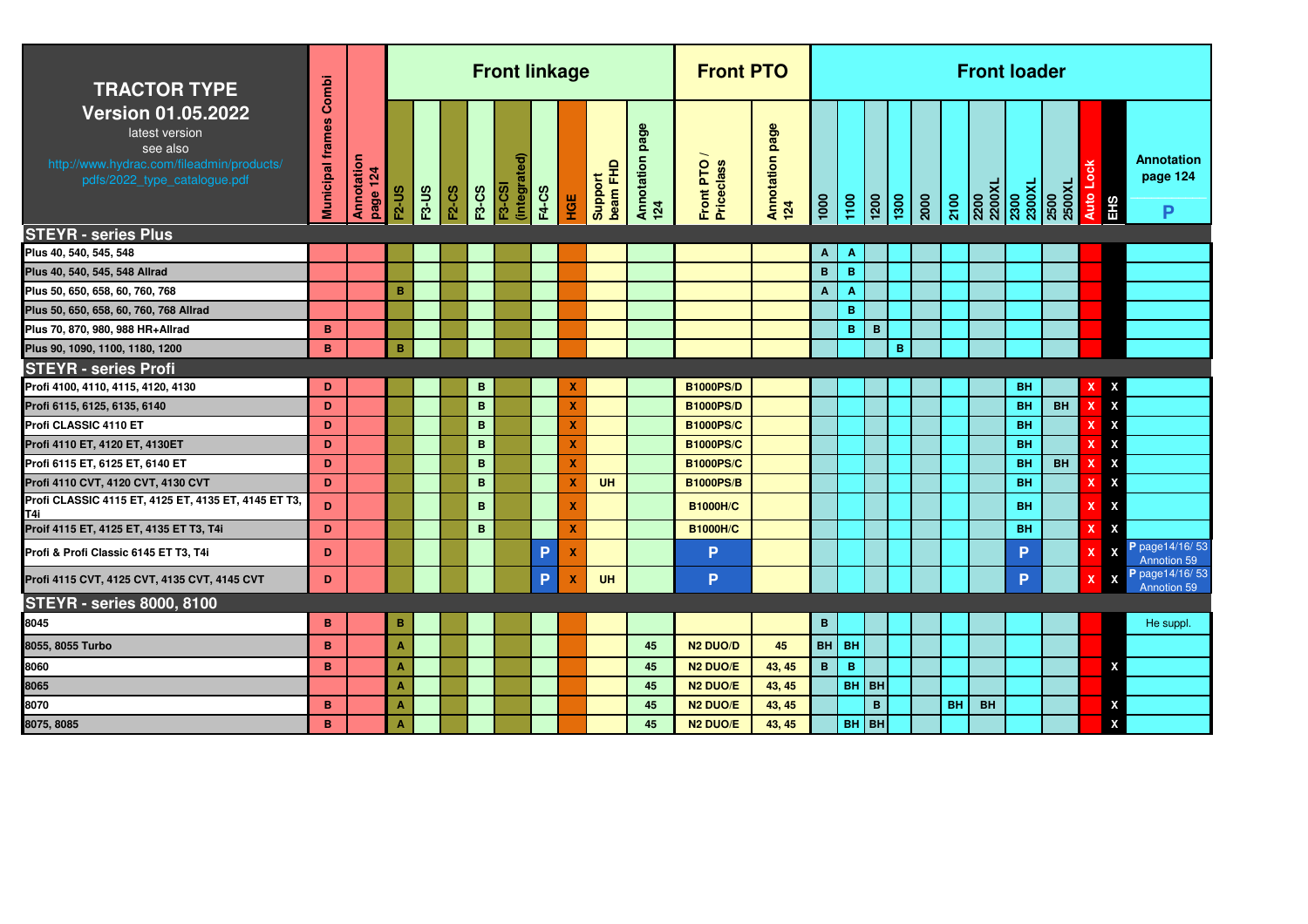| <b>TRACTOR TYPE</b>                                                                                                                  | Combi                   |                        |                    |              |              |              | <b>Front linkage</b>          |              |                           |                     |                           | <b>Front PTO</b>        |                           |                           |              |             |   |           | <b>Front loader</b> |           |           |                           |                                    |
|--------------------------------------------------------------------------------------------------------------------------------------|-------------------------|------------------------|--------------------|--------------|--------------|--------------|-------------------------------|--------------|---------------------------|---------------------|---------------------------|-------------------------|---------------------------|---------------------------|--------------|-------------|---|-----------|---------------------|-----------|-----------|---------------------------|------------------------------------|
| <b>Version 01.05.2022</b><br>latest version<br>see also<br>http://www.hydrac.com/fileadmin/products/<br>pdfs/2022_type_catalogue.pdf | <b>Municipal frames</b> | Annotation<br>page 124 | F <sub>2</sub> -US | <b>F3-US</b> | <b>F2-CS</b> | <b>F3-CS</b> | (integrated)<br><b>F3-CSI</b> | <b>F4-CS</b> | HGE                       | Support<br>beam FHD | page<br>Annotation<br>124 | Front PTO<br>Priceclass | page<br>Annotation<br>124 | $\frac{1}{2}$             |              |             |   |           |                     |           |           | <b>Auto</b><br>EHS        | <b>Annotation</b><br>page 124<br>P |
| <b>STEYR - series Plus</b>                                                                                                           |                         |                        |                    |              |              |              |                               |              |                           |                     |                           |                         |                           |                           |              |             |   |           |                     |           |           |                           |                                    |
| Plus 40, 540, 545, 548                                                                                                               |                         |                        |                    |              |              |              |                               |              |                           |                     |                           |                         |                           | Α                         | Α            |             |   |           |                     |           |           |                           |                                    |
| Plus 40, 540, 545, 548 Allrad                                                                                                        |                         |                        |                    |              |              |              |                               |              |                           |                     |                           |                         |                           | $\mathbf B$               | $\, {\bf B}$ |             |   |           |                     |           |           |                           |                                    |
| Plus 50, 650, 658, 60, 760, 768                                                                                                      |                         |                        | B                  |              |              |              |                               |              |                           |                     |                           |                         |                           | $\boldsymbol{\mathsf{A}}$ | Α            |             |   |           |                     |           |           |                           |                                    |
| Plus 50, 650, 658, 60, 760, 768 Allrad                                                                                               |                         |                        |                    |              |              |              |                               |              |                           |                     |                           |                         |                           |                           | B            |             |   |           |                     |           |           |                           |                                    |
| Plus 70, 870, 980, 988 HR+Allrad                                                                                                     | B                       |                        |                    |              |              |              |                               |              |                           |                     |                           |                         |                           |                           | B            | $\mathbf B$ |   |           |                     |           |           |                           |                                    |
| Plus 90, 1090, 1100, 1180, 1200                                                                                                      | B                       |                        | B                  |              |              |              |                               |              |                           |                     |                           |                         |                           |                           |              |             | B |           |                     |           |           |                           |                                    |
| <b>STEYR - series Profi</b>                                                                                                          |                         |                        |                    |              |              |              |                               |              |                           |                     |                           |                         |                           |                           |              |             |   |           |                     |           |           |                           |                                    |
| Profi 4100, 4110, 4115, 4120, 4130                                                                                                   | D                       |                        |                    |              |              | в            |                               |              | х                         |                     |                           | <b>B1000PS/D</b>        |                           |                           |              |             |   |           |                     | <b>BH</b> |           | x                         |                                    |
| Profi 6115, 6125, 6135, 6140                                                                                                         | D                       |                        |                    |              |              | B            |                               |              | X                         |                     |                           | <b>B1000PS/D</b>        |                           |                           |              |             |   |           |                     | <b>BH</b> | <b>BH</b> | $\boldsymbol{\mathsf{x}}$ |                                    |
| Profi CLASSIC 4110 ET                                                                                                                | D                       |                        |                    |              |              | B            |                               |              | $\boldsymbol{\mathsf{x}}$ |                     |                           | <b>B1000PS/C</b>        |                           |                           |              |             |   |           |                     | <b>BH</b> |           | X                         |                                    |
| Profi 4110 ET, 4120 ET, 4130ET                                                                                                       | D                       |                        |                    |              |              | B            |                               |              | $\boldsymbol{\mathsf{x}}$ |                     |                           | <b>B1000PS/C</b>        |                           |                           |              |             |   |           |                     | <b>BH</b> |           | X                         |                                    |
| Profi 6115 ET, 6125 ET, 6140 ET                                                                                                      | D                       |                        |                    |              |              | В            |                               |              | X                         |                     |                           | <b>B1000PS/C</b>        |                           |                           |              |             |   |           |                     | <b>BH</b> | <b>BH</b> | $\boldsymbol{\mathsf{x}}$ |                                    |
| Profi 4110 CVT, 4120 CVT, 4130 CVT                                                                                                   | D                       |                        |                    |              |              | B            |                               |              | $\mathbf x$               | <b>UH</b>           |                           | <b>B1000PS/B</b>        |                           |                           |              |             |   |           |                     | <b>BH</b> |           | X                         |                                    |
| Profi CLASSIC 4115 ET, 4125 ET, 4135 ET, 4145 ET T3,<br>T4i                                                                          | D.                      |                        |                    |              |              | B            |                               |              | $\boldsymbol{\mathsf{x}}$ |                     |                           | <b>B1000H/C</b>         |                           |                           |              |             |   |           |                     | <b>BH</b> |           | X                         |                                    |
| Proif 4115 ET, 4125 ET, 4135 ET T3, T4i                                                                                              | D                       |                        |                    |              |              | B            |                               |              | $\boldsymbol{\mathsf{x}}$ |                     |                           | <b>B1000H/C</b>         |                           |                           |              |             |   |           |                     | <b>BH</b> |           | X                         |                                    |
| Profi & Profi Classic 6145 ET T3, T4i                                                                                                | D                       |                        |                    |              |              |              |                               | P            | $\boldsymbol{\mathsf{x}}$ |                     |                           | P                       |                           |                           |              |             |   |           |                     | P         |           | $\boldsymbol{\mathsf{x}}$ | P page 14/16/53<br>Annotion 59     |
| Profi 4115 CVT, 4125 CVT, 4135 CVT, 4145 CVT                                                                                         | D                       |                        |                    |              |              |              |                               | P            | $\boldsymbol{\mathsf{x}}$ | <b>UH</b>           |                           | P                       |                           |                           |              |             |   |           |                     | P         |           | $\boldsymbol{\mathsf{X}}$ | P page 14/16/53<br>Annotion 59     |
| <b>STEYR - series 8000, 8100</b>                                                                                                     |                         |                        |                    |              |              |              |                               |              |                           |                     |                           |                         |                           |                           |              |             |   |           |                     |           |           |                           |                                    |
| 8045                                                                                                                                 | B                       |                        | B                  |              |              |              |                               |              |                           |                     |                           |                         |                           | $\, {\bf B}$              |              |             |   |           |                     |           |           |                           | He suppl.                          |
| 8055, 8055 Turbo                                                                                                                     | B                       |                        | Α                  |              |              |              |                               |              |                           |                     | 45                        | <b>N2 DUO/D</b>         | 45                        |                           | BH BH        |             |   |           |                     |           |           |                           |                                    |
| 8060                                                                                                                                 | B.                      |                        | $\blacktriangle$   |              |              |              |                               |              |                           |                     | 45                        | N <sub>2</sub> DUO/E    | 43, 45                    | B                         | B            |             |   |           |                     |           |           | X                         |                                    |
| 8065                                                                                                                                 |                         |                        | Α                  |              |              |              |                               |              |                           |                     | 45                        | N <sub>2</sub> DUO/E    | 43, 45                    |                           |              | BH BH       |   |           |                     |           |           |                           |                                    |
| 8070                                                                                                                                 | B                       |                        | $\overline{A}$     |              |              |              |                               |              |                           |                     | 45                        | N <sub>2</sub> DUO/E    | 43, 45                    |                           |              | B           |   | <b>BH</b> | <b>BH</b>           |           |           | X                         |                                    |
| 8075, 8085                                                                                                                           | B                       |                        | A                  |              |              |              |                               |              |                           |                     | 45                        | N <sub>2</sub> DUO/E    | 43, 45                    |                           |              | $BH$ BH     |   |           |                     |           |           | X                         |                                    |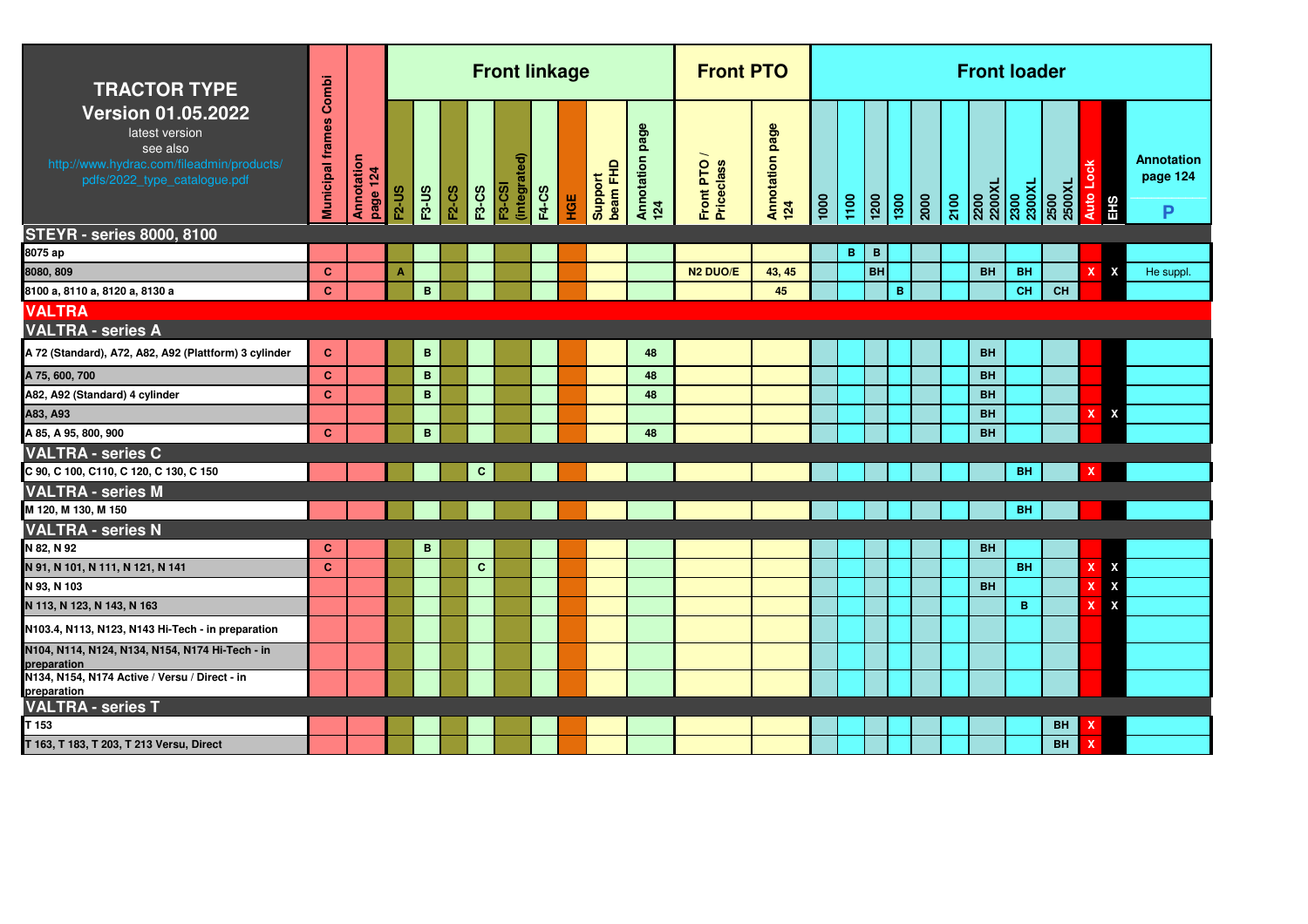| <b>TRACTOR TYPE</b>                                                                                                                  | Combi                   |                        |         |                 |              |              | <b>Front linkage</b>          |              |     |                     |                           | <b>Front PTO</b>        |                        |      |   |           |                      |                  | <b>Front loader</b> |                                  |                |                    |                                    |
|--------------------------------------------------------------------------------------------------------------------------------------|-------------------------|------------------------|---------|-----------------|--------------|--------------|-------------------------------|--------------|-----|---------------------|---------------------------|-------------------------|------------------------|------|---|-----------|----------------------|------------------|---------------------|----------------------------------|----------------|--------------------|------------------------------------|
| <b>Version 01.05.2022</b><br>latest version<br>see also<br>http://www.hydrac.com/fileadmin/products/<br>pdfs/2022_type_catalogue.pdf | <b>Municipal frames</b> | Annotation<br>page 124 | $F2-US$ | <b>F3-US</b>    | <b>F2-CS</b> | <b>F3-CS</b> | (integrated)<br><b>F3-CSI</b> | <b>F4-CS</b> | HGE | Support<br>beam FHD | page<br>Annotation<br>124 | Front PTO<br>Priceclass | Annotation page<br>124 | 1000 |   |           | 1200<br>1300<br>2000 | $\frac{1}{2100}$ |                     | 2200<br>2200XL<br>2300<br>2300XL | 2500<br>2500XL | Auto<br><b>EHS</b> | <b>Annotation</b><br>page 124<br>P |
| <b>STEYR - series 8000, 8100</b><br>8075 ap                                                                                          |                         |                        |         |                 |              |              |                               |              |     |                     |                           |                         |                        |      | в | В         |                      |                  |                     |                                  |                |                    |                                    |
| 8080, 809                                                                                                                            | <b>C</b>                |                        | A       |                 |              |              |                               |              |     |                     |                           | N <sub>2</sub> DUO/E    | 43, 45                 |      |   | <b>BH</b> |                      |                  | <b>BH</b>           | <b>BH</b>                        |                | X.                 | X<br>He suppl.                     |
| 8100 a, 8110 a, 8120 a, 8130 a                                                                                                       | <b>C</b>                |                        |         | $\mathbf{B}$    |              |              |                               |              |     |                     |                           |                         | 45                     |      |   |           | B                    |                  |                     | <b>CH</b>                        | <b>CH</b>      |                    |                                    |
| <b>VALTRA</b>                                                                                                                        |                         |                        |         |                 |              |              |                               |              |     |                     |                           |                         |                        |      |   |           |                      |                  |                     |                                  |                |                    |                                    |
| <b>VALTRA - series A</b>                                                                                                             |                         |                        |         |                 |              |              |                               |              |     |                     |                           |                         |                        |      |   |           |                      |                  |                     |                                  |                |                    |                                    |
| A 72 (Standard), A72, A82, A92 (Plattform) 3 cylinder                                                                                | $\mathbf{C}$            |                        |         | $\, {\bf B} \,$ |              |              |                               |              |     |                     | 48                        |                         |                        |      |   |           |                      |                  | <b>BH</b>           |                                  |                |                    |                                    |
| A 75, 600, 700                                                                                                                       | $\mathbf{C}$            |                        |         | B               |              |              |                               |              |     |                     | 48                        |                         |                        |      |   |           |                      |                  | <b>BH</b>           |                                  |                |                    |                                    |
| A82, A92 (Standard) 4 cylinder                                                                                                       | <b>C</b>                |                        |         | B               |              |              |                               |              |     |                     | 48                        |                         |                        |      |   |           |                      |                  | <b>BH</b>           |                                  |                |                    |                                    |
| A83, A93                                                                                                                             |                         |                        |         |                 |              |              |                               |              |     |                     |                           |                         |                        |      |   |           |                      |                  | <b>BH</b>           |                                  |                |                    | $\boldsymbol{\mathsf{x}}$          |
| A 85, A 95, 800, 900                                                                                                                 | $\mathbf{C}$            |                        |         | $\mathbf{B}$    |              |              |                               |              |     |                     | 48                        |                         |                        |      |   |           |                      |                  | <b>BH</b>           |                                  |                |                    |                                    |
| <b>VALTRA - series C</b>                                                                                                             |                         |                        |         |                 |              |              |                               |              |     |                     |                           |                         |                        |      |   |           |                      |                  |                     |                                  |                |                    |                                    |
| C 90, C 100, C110, C 120, C 130, C 150                                                                                               |                         |                        |         |                 |              | C            |                               |              |     |                     |                           |                         |                        |      |   |           |                      |                  |                     | <b>BH</b>                        |                |                    |                                    |
| <b>VALTRA - series M</b>                                                                                                             |                         |                        |         |                 |              |              |                               |              |     |                     |                           |                         |                        |      |   |           |                      |                  |                     |                                  |                |                    |                                    |
| M 120, M 130, M 150                                                                                                                  |                         |                        |         |                 |              |              |                               |              |     |                     |                           |                         |                        |      |   |           |                      |                  |                     | <b>BH</b>                        |                |                    |                                    |
| <b>VALTRA - series N</b>                                                                                                             |                         |                        |         |                 |              |              |                               |              |     |                     |                           |                         |                        |      |   |           |                      |                  |                     |                                  |                |                    |                                    |
| N 82, N 92                                                                                                                           | $\mathbf{C}$            |                        |         | B               |              |              |                               |              |     |                     |                           |                         |                        |      |   |           |                      |                  | <b>BH</b>           |                                  |                |                    |                                    |
| N 91, N 101, N 111, N 121, N 141                                                                                                     | <b>C</b>                |                        |         |                 |              | $\mathbf{C}$ |                               |              |     |                     |                           |                         |                        |      |   |           |                      |                  |                     | <b>BH</b>                        |                |                    | X                                  |
| N 93, N 103                                                                                                                          |                         |                        |         |                 |              |              |                               |              |     |                     |                           |                         |                        |      |   |           |                      |                  | <b>BH</b>           |                                  |                |                    | X                                  |
| N 113, N 123, N 143, N 163                                                                                                           |                         |                        |         |                 |              |              |                               |              |     |                     |                           |                         |                        |      |   |           |                      |                  |                     | B                                |                | $\mathbf{x}$       |                                    |
| N103.4, N113, N123, N143 Hi-Tech - in preparation                                                                                    |                         |                        |         |                 |              |              |                               |              |     |                     |                           |                         |                        |      |   |           |                      |                  |                     |                                  |                |                    |                                    |
| N104, N114, N124, N134, N154, N174 Hi-Tech - in<br>preparation                                                                       |                         |                        |         |                 |              |              |                               |              |     |                     |                           |                         |                        |      |   |           |                      |                  |                     |                                  |                |                    |                                    |
| N134, N154, N174 Active / Versu / Direct - in<br>preparation                                                                         |                         |                        |         |                 |              |              |                               |              |     |                     |                           |                         |                        |      |   |           |                      |                  |                     |                                  |                |                    |                                    |
| <b>VALTRA - series T</b>                                                                                                             |                         |                        |         |                 |              |              |                               |              |     |                     |                           |                         |                        |      |   |           |                      |                  |                     |                                  |                |                    |                                    |
| T 153                                                                                                                                |                         |                        |         |                 |              |              |                               |              |     |                     |                           |                         |                        |      |   |           |                      |                  |                     |                                  | <b>BH</b>      |                    |                                    |
| T 163, T 183, T 203, T 213 Versu, Direct                                                                                             |                         |                        |         |                 |              |              |                               |              |     |                     |                           |                         |                        |      |   |           |                      |                  |                     |                                  | <b>BH</b>      |                    |                                    |